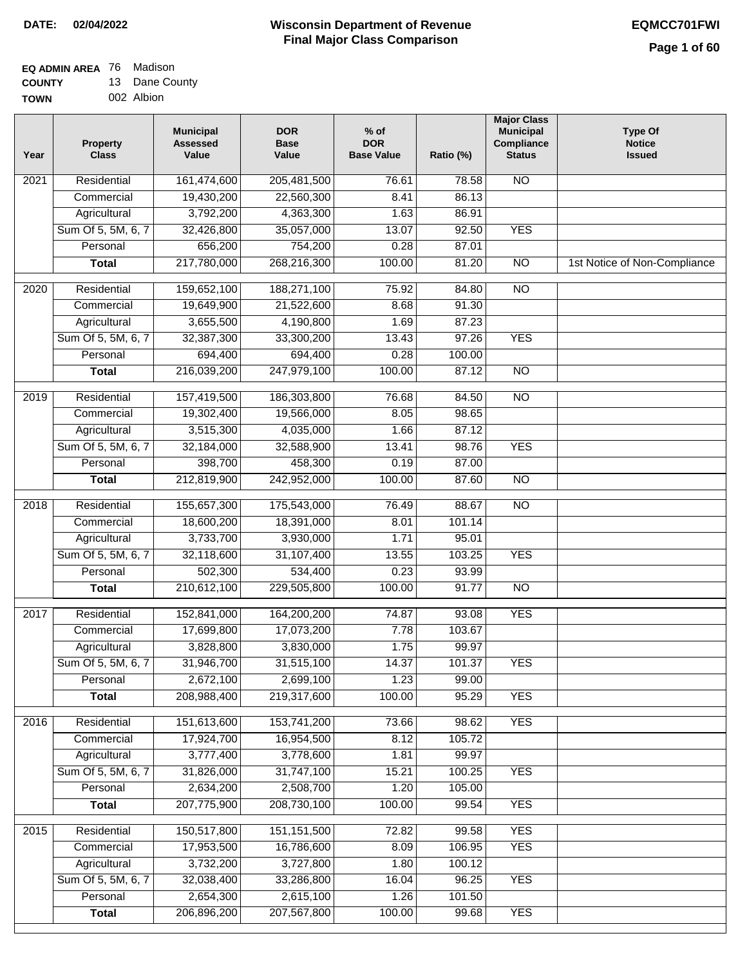#### **Wisconsin Department of Revenue Final Major Class Comparison DATE: 02/04/2022 EQMCC701FWI**

#### **EQ ADMIN AREA** 76 Madison **COUNTY** 13 Dane County

| uuun 1      | . | Puno ovu   |
|-------------|---|------------|
| <b>TOWN</b> |   | 002 Albion |

| Year | <b>Property</b><br><b>Class</b> | <b>Municipal</b><br><b>Assessed</b><br>Value | <b>DOR</b><br><b>Base</b><br>Value | $%$ of<br><b>DOR</b><br><b>Base Value</b> | Ratio (%) | <b>Major Class</b><br><b>Municipal</b><br>Compliance<br><b>Status</b> | <b>Type Of</b><br><b>Notice</b><br><b>Issued</b> |
|------|---------------------------------|----------------------------------------------|------------------------------------|-------------------------------------------|-----------|-----------------------------------------------------------------------|--------------------------------------------------|
| 2021 | Residential                     | 161,474,600                                  | 205,481,500                        | 76.61                                     | 78.58     | $\overline{NO}$                                                       |                                                  |
|      | Commercial                      | 19,430,200                                   | 22,560,300                         | 8.41                                      | 86.13     |                                                                       |                                                  |
|      | Agricultural                    | 3,792,200                                    | 4,363,300                          | 1.63                                      | 86.91     |                                                                       |                                                  |
|      | Sum Of 5, 5M, 6, 7              | 32,426,800                                   | 35,057,000                         | 13.07                                     | 92.50     | <b>YES</b>                                                            |                                                  |
|      | Personal                        | 656,200                                      | 754,200                            | 0.28                                      | 87.01     |                                                                       |                                                  |
|      | <b>Total</b>                    | 217,780,000                                  | 268,216,300                        | 100.00                                    | 81.20     | $\overline{NO}$                                                       | 1st Notice of Non-Compliance                     |
| 2020 | Residential                     | 159,652,100                                  | 188,271,100                        | 75.92                                     | 84.80     | $\overline{NO}$                                                       |                                                  |
|      | Commercial                      | 19,649,900                                   | 21,522,600                         | 8.68                                      | 91.30     |                                                                       |                                                  |
|      | Agricultural                    | 3,655,500                                    | 4,190,800                          | 1.69                                      | 87.23     |                                                                       |                                                  |
|      | Sum Of 5, 5M, 6, 7              | 32,387,300                                   | 33,300,200                         | 13.43                                     | 97.26     | <b>YES</b>                                                            |                                                  |
|      | Personal                        | 694,400                                      | 694,400                            | 0.28                                      | 100.00    |                                                                       |                                                  |
|      | <b>Total</b>                    | 216,039,200                                  | 247,979,100                        | 100.00                                    | 87.12     | $\overline{NO}$                                                       |                                                  |
| 2019 | Residential                     | 157,419,500                                  | 186,303,800                        | 76.68                                     | 84.50     | $\overline{NO}$                                                       |                                                  |
|      | Commercial                      | 19,302,400                                   | 19,566,000                         | 8.05                                      | 98.65     |                                                                       |                                                  |
|      | Agricultural                    | 3,515,300                                    | 4,035,000                          | 1.66                                      | 87.12     |                                                                       |                                                  |
|      | Sum Of 5, 5M, 6, 7              | 32,184,000                                   | 32,588,900                         | 13.41                                     | 98.76     | <b>YES</b>                                                            |                                                  |
|      | Personal                        | 398,700                                      | 458,300                            | 0.19                                      | 87.00     |                                                                       |                                                  |
|      | <b>Total</b>                    | 212,819,900                                  | 242,952,000                        | 100.00                                    | 87.60     | $\overline{NO}$                                                       |                                                  |
|      |                                 |                                              |                                    |                                           |           |                                                                       |                                                  |
| 2018 | Residential                     | 155,657,300                                  | 175,543,000                        | 76.49                                     | 88.67     | $\overline{NO}$                                                       |                                                  |
|      | Commercial                      | 18,600,200                                   | 18,391,000                         | 8.01                                      | 101.14    |                                                                       |                                                  |
|      | Agricultural                    | 3,733,700                                    | 3,930,000                          | 1.71                                      | 95.01     |                                                                       |                                                  |
|      | Sum Of 5, 5M, 6, 7              | 32,118,600                                   | 31,107,400                         | 13.55                                     | 103.25    | <b>YES</b>                                                            |                                                  |
|      | Personal                        | 502,300                                      | 534,400                            | 0.23                                      | 93.99     |                                                                       |                                                  |
|      | <b>Total</b>                    | 210,612,100                                  | 229,505,800                        | 100.00                                    | 91.77     | $\overline{10}$                                                       |                                                  |
| 2017 | Residential                     | 152,841,000                                  | 164,200,200                        | 74.87                                     | 93.08     | <b>YES</b>                                                            |                                                  |
|      | Commercial                      | 17,699,800                                   | 17,073,200                         | 7.78                                      | 103.67    |                                                                       |                                                  |
|      | Agricultural                    | 3,828,800                                    | 3,830,000                          | 1.75                                      | 99.97     |                                                                       |                                                  |
|      | Sum Of 5, 5M, 6, 7              | 31,946,700                                   | 31,515,100                         | 14.37                                     | 101.37    | <b>YES</b>                                                            |                                                  |
|      | Personal                        | 2,672,100                                    | 2,699,100                          | 1.23                                      | 99.00     |                                                                       |                                                  |
|      | <b>Total</b>                    | 208,988,400                                  | 219,317,600                        | 100.00                                    | 95.29     | <b>YES</b>                                                            |                                                  |
| 2016 | Residential                     | 151,613,600                                  | 153,741,200                        | 73.66                                     | 98.62     | <b>YES</b>                                                            |                                                  |
|      | Commercial                      | 17,924,700                                   | 16,954,500                         | 8.12                                      | 105.72    |                                                                       |                                                  |
|      | Agricultural                    | 3,777,400                                    | 3,778,600                          | 1.81                                      | 99.97     |                                                                       |                                                  |
|      | Sum Of 5, 5M, 6, 7              | 31,826,000                                   | 31,747,100                         | 15.21                                     | 100.25    | <b>YES</b>                                                            |                                                  |
|      | Personal                        | 2,634,200                                    | 2,508,700                          | 1.20                                      | 105.00    |                                                                       |                                                  |
|      | <b>Total</b>                    | 207,775,900                                  | 208,730,100                        | 100.00                                    | 99.54     | <b>YES</b>                                                            |                                                  |
|      |                                 |                                              |                                    |                                           |           |                                                                       |                                                  |
| 2015 | Residential                     | 150,517,800                                  | 151, 151, 500                      | 72.82                                     | 99.58     | <b>YES</b>                                                            |                                                  |
|      | Commercial                      | 17,953,500                                   | 16,786,600                         | 8.09                                      | 106.95    | <b>YES</b>                                                            |                                                  |
|      | Agricultural                    | 3,732,200                                    | 3,727,800                          | 1.80                                      | 100.12    |                                                                       |                                                  |
|      | Sum Of 5, 5M, 6, 7              | 32,038,400                                   | 33,286,800                         | 16.04                                     | 96.25     | <b>YES</b>                                                            |                                                  |
|      | Personal                        | 2,654,300                                    | 2,615,100                          | 1.26                                      | 101.50    |                                                                       |                                                  |
|      | <b>Total</b>                    | 206,896,200                                  | 207,567,800                        | 100.00                                    | 99.68     | <b>YES</b>                                                            |                                                  |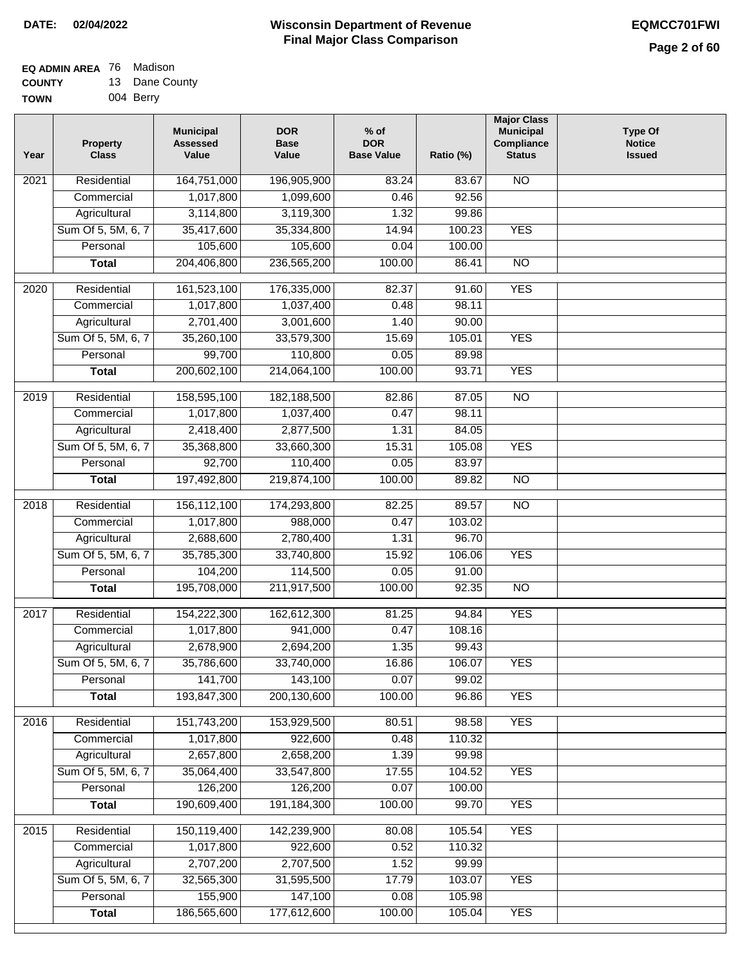| <b>EQ ADMIN AREA 76 Madison</b> |                |
|---------------------------------|----------------|
| <b>COUNTY</b>                   | 13 Dane County |

**TOWN** 004 Berry

| Year | <b>Property</b><br><b>Class</b> | <b>Municipal</b><br><b>Assessed</b><br>Value | <b>DOR</b><br><b>Base</b><br>Value | $%$ of<br><b>DOR</b><br><b>Base Value</b> | Ratio (%) | <b>Major Class</b><br><b>Municipal</b><br>Compliance<br><b>Status</b> | <b>Type Of</b><br><b>Notice</b><br><b>Issued</b> |
|------|---------------------------------|----------------------------------------------|------------------------------------|-------------------------------------------|-----------|-----------------------------------------------------------------------|--------------------------------------------------|
| 2021 | Residential                     | 164,751,000                                  | 196,905,900                        | 83.24                                     | 83.67     | <b>NO</b>                                                             |                                                  |
|      | Commercial                      | 1,017,800                                    | 1,099,600                          | 0.46                                      | 92.56     |                                                                       |                                                  |
|      | Agricultural                    | 3,114,800                                    | 3,119,300                          | 1.32                                      | 99.86     |                                                                       |                                                  |
|      | Sum Of 5, 5M, 6, 7              | 35,417,600                                   | 35,334,800                         | 14.94                                     | 100.23    | <b>YES</b>                                                            |                                                  |
|      | Personal                        | 105,600                                      | 105,600                            | 0.04                                      | 100.00    |                                                                       |                                                  |
|      | <b>Total</b>                    | 204,406,800                                  | 236,565,200                        | 100.00                                    | 86.41     | $\overline{NO}$                                                       |                                                  |
| 2020 | Residential                     | 161,523,100                                  | 176,335,000                        | 82.37                                     | 91.60     | <b>YES</b>                                                            |                                                  |
|      | Commercial                      | 1,017,800                                    | 1,037,400                          | 0.48                                      | 98.11     |                                                                       |                                                  |
|      | Agricultural                    | 2,701,400                                    | 3,001,600                          | 1.40                                      | 90.00     |                                                                       |                                                  |
|      | Sum Of 5, 5M, 6, 7              | 35,260,100                                   | 33,579,300                         | 15.69                                     | 105.01    | <b>YES</b>                                                            |                                                  |
|      | Personal                        | 99,700                                       | 110,800                            | 0.05                                      | 89.98     |                                                                       |                                                  |
|      | <b>Total</b>                    | 200,602,100                                  | 214,064,100                        | 100.00                                    | 93.71     | <b>YES</b>                                                            |                                                  |
|      |                                 |                                              |                                    |                                           |           |                                                                       |                                                  |
| 2019 | Residential                     | 158,595,100                                  | 182,188,500                        | 82.86                                     | 87.05     | $\overline{10}$                                                       |                                                  |
|      | Commercial                      | 1,017,800                                    | 1,037,400                          | 0.47                                      | 98.11     |                                                                       |                                                  |
|      | Agricultural                    | 2,418,400                                    | 2,877,500                          | 1.31                                      | 84.05     |                                                                       |                                                  |
|      | Sum Of 5, 5M, 6, 7              | 35,368,800                                   | 33,660,300                         | 15.31                                     | 105.08    | <b>YES</b>                                                            |                                                  |
|      | Personal                        | 92,700                                       | 110,400                            | 0.05                                      | 83.97     |                                                                       |                                                  |
|      | <b>Total</b>                    | 197,492,800                                  | 219,874,100                        | 100.00                                    | 89.82     | $\overline{NO}$                                                       |                                                  |
| 2018 | Residential                     | 156,112,100                                  | 174,293,800                        | 82.25                                     | 89.57     | $\overline{NO}$                                                       |                                                  |
|      | Commercial                      | 1,017,800                                    | 988,000                            | 0.47                                      | 103.02    |                                                                       |                                                  |
|      | Agricultural                    | 2,688,600                                    | 2,780,400                          | 1.31                                      | 96.70     |                                                                       |                                                  |
|      | Sum Of 5, 5M, 6, 7              | 35,785,300                                   | 33,740,800                         | 15.92                                     | 106.06    | <b>YES</b>                                                            |                                                  |
|      | Personal                        | 104,200                                      | 114,500                            | 0.05                                      | 91.00     |                                                                       |                                                  |
|      | <b>Total</b>                    | 195,708,000                                  | 211,917,500                        | 100.00                                    | 92.35     | <b>NO</b>                                                             |                                                  |
| 2017 | Residential                     | 154,222,300                                  | 162,612,300                        | 81.25                                     | 94.84     | <b>YES</b>                                                            |                                                  |
|      | Commercial                      | 1,017,800                                    | 941,000                            | 0.47                                      | 108.16    |                                                                       |                                                  |
|      | Agricultural                    | 2,678,900                                    | 2,694,200                          | 1.35                                      | 99.43     |                                                                       |                                                  |
|      | Sum Of 5, 5M, 6, 7              | 35,786,600                                   | 33,740,000                         | 16.86                                     | 106.07    | <b>YES</b>                                                            |                                                  |
|      | Personal                        | 141,700                                      | 143,100                            | 0.07                                      | 99.02     |                                                                       |                                                  |
|      | <b>Total</b>                    | 193,847,300                                  | 200,130,600                        | 100.00                                    | 96.86     | <b>YES</b>                                                            |                                                  |
| 2016 | Residential                     | 151,743,200                                  | 153,929,500                        | 80.51                                     | 98.58     | <b>YES</b>                                                            |                                                  |
|      | Commercial                      | 1,017,800                                    | 922,600                            | 0.48                                      | 110.32    |                                                                       |                                                  |
|      | Agricultural                    | 2,657,800                                    | 2,658,200                          | 1.39                                      | 99.98     |                                                                       |                                                  |
|      | Sum Of 5, 5M, 6, 7              | 35,064,400                                   | 33,547,800                         | 17.55                                     | 104.52    | <b>YES</b>                                                            |                                                  |
|      | Personal                        | 126,200                                      | 126,200                            | 0.07                                      | 100.00    |                                                                       |                                                  |
|      |                                 |                                              |                                    |                                           |           | <b>YES</b>                                                            |                                                  |
|      | <b>Total</b>                    | 190,609,400                                  | 191,184,300                        | 100.00                                    | 99.70     |                                                                       |                                                  |
| 2015 | Residential                     | 150,119,400                                  | 142,239,900                        | 80.08                                     | 105.54    | <b>YES</b>                                                            |                                                  |
|      | Commercial                      | 1,017,800                                    | 922,600                            | 0.52                                      | 110.32    |                                                                       |                                                  |
|      | Agricultural                    | 2,707,200                                    | 2,707,500                          | 1.52                                      | 99.99     |                                                                       |                                                  |
|      | Sum Of 5, 5M, 6, 7              | 32,565,300                                   | 31,595,500                         | 17.79                                     | 103.07    | <b>YES</b>                                                            |                                                  |
|      | Personal                        | 155,900                                      | 147,100                            | 0.08                                      | 105.98    |                                                                       |                                                  |
|      | <b>Total</b>                    | 186,565,600                                  | 177,612,600                        | 100.00                                    | 105.04    | <b>YES</b>                                                            |                                                  |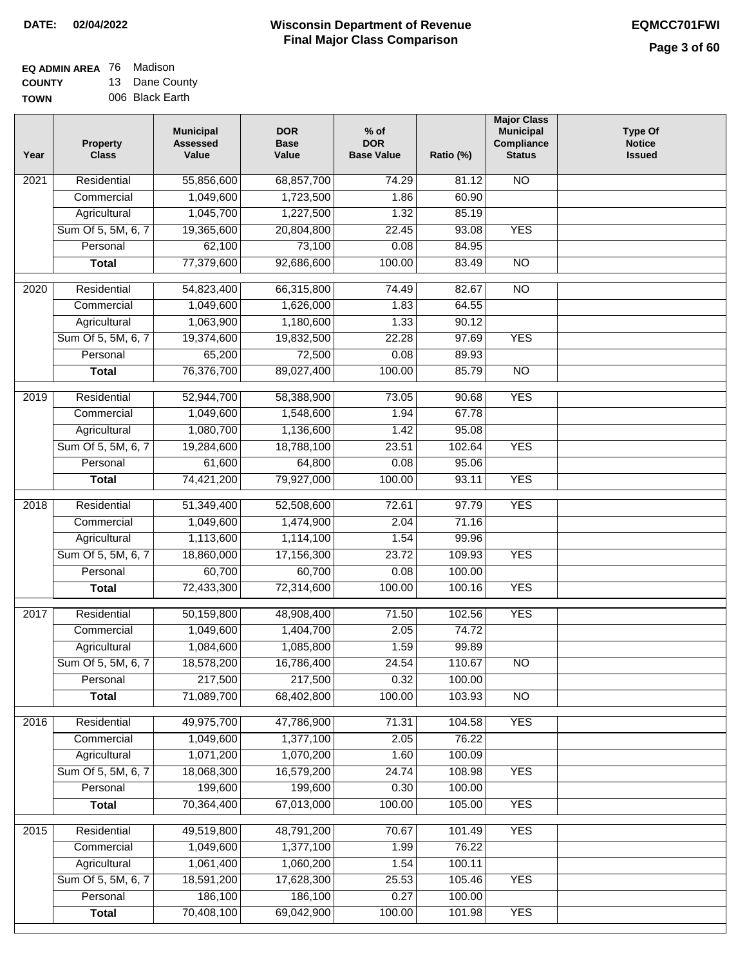$\Box$ 

## **Wisconsin Department of Revenue DATE: 02/04/2022 EQMCC701FWI Final Major Class Comparison**

| EQ ADMIN AREA 76 | Madison         |
|------------------|-----------------|
| <b>COUNTY</b>    | 13 Dane County  |
| <b>TOWN</b>      | 006 Black Earth |

| 68,857,700<br><b>NO</b><br>Residential<br>55,856,600<br>74.29<br>81.12<br>2021<br>1,049,600<br>1,723,500<br>60.90<br>Commercial<br>1.86<br>1,045,700<br>1,227,500<br>1.32<br>85.19<br>Agricultural<br>Sum Of 5, 5M, 6, 7<br>19,365,600<br>20,804,800<br>22.45<br>93.08<br><b>YES</b><br>73,100<br>Personal<br>62,100<br>0.08<br>84.95<br>77,379,600<br>92,686,600<br>100.00<br>83.49<br>$\overline{NO}$<br><b>Total</b><br>$\overline{NO}$<br>Residential<br>54,823,400<br>66,315,800<br>74.49<br>82.67<br>2020<br>1,049,600<br>Commercial<br>1,626,000<br>1.83<br>64.55<br>1,063,900<br>1,180,600<br>90.12<br>Agricultural<br>1.33<br>Sum Of 5, 5M, 6, 7<br>19,374,600<br>19,832,500<br>22.28<br>97.69<br><b>YES</b><br>65,200<br>72,500<br>0.08<br>89.93<br>Personal<br>76,376,700<br>100.00<br><b>Total</b><br>89,027,400<br>85.79<br>$\overline{NO}$<br><b>YES</b><br>Residential<br>52,944,700<br>58,388,900<br>73.05<br>2019<br>90.68<br>1,049,600<br>1,548,600<br>67.78<br>Commercial<br>1.94<br>1,080,700<br>1,136,600<br>95.08<br>Agricultural<br>1.42<br><b>YES</b><br>Sum Of 5, 5M, 6, 7<br>18,788,100<br>102.64<br>19,284,600<br>23.51<br>0.08<br>Personal<br>61,600<br>64,800<br>95.06<br><b>YES</b><br>74,421,200<br>79,927,000<br>100.00<br>93.11<br><b>Total</b><br>51,349,400<br>52,508,600<br><b>YES</b><br>2018<br>Residential<br>72.61<br>97.79<br>Commercial<br>1,049,600<br>1,474,900<br>2.04<br>71.16<br>1,113,600<br>Agricultural<br>1,114,100<br>1.54<br>99.96<br>Sum Of 5, 5M, 6, 7<br>18,860,000<br>23.72<br>109.93<br><b>YES</b><br>17,156,300<br>60,700<br>60,700<br>0.08<br>100.00<br>Personal<br><b>YES</b><br>72,433,300<br>72,314,600<br>100.00<br>100.16<br><b>Total</b><br><b>YES</b><br>Residential<br>50,159,800<br>48,908,400<br>71.50<br>102.56<br>2017<br>1,049,600<br>1,404,700<br>2.05<br>74.72<br>Commercial<br>1,085,800<br>Agricultural<br>1,084,600<br>1.59<br>99.89<br>Sum Of 5, 5M, 6, 7<br>18,578,200<br>16,786,400<br>24.54<br>110.67<br>$\overline{NO}$<br>217,500<br>217,500<br>Personal<br>0.32<br>100.00<br>71,089,700<br>68,402,800<br>100.00<br>103.93<br>$\overline{NO}$<br><b>Total</b><br><b>YES</b><br>Residential<br>49,975,700<br>47,786,900<br>71.31<br>104.58<br>2016<br>1,049,600<br>1,377,100<br>76.22<br>Commercial<br>2.05<br>1,071,200<br>1,070,200<br>100.09<br>Agricultural<br>1.60<br>18,068,300<br>16,579,200<br>Sum Of 5, 5M, 6, 7<br>24.74<br>108.98<br><b>YES</b><br>199,600<br>199,600<br>Personal<br>0.30<br>100.00<br>70,364,400<br>67,013,000<br>100.00<br><b>Total</b><br>105.00<br><b>YES</b><br><b>YES</b><br>49,519,800<br>48,791,200<br>2015<br>Residential<br>70.67<br>101.49<br>1,049,600<br>1,377,100<br>76.22<br>Commercial<br>1.99<br>1,061,400<br>1,060,200<br>Agricultural<br>100.11<br>1.54<br>Sum Of 5, 5M, 6, 7<br>18,591,200<br>17,628,300<br>105.46<br><b>YES</b><br>25.53<br>186,100<br>186,100<br>0.27<br>100.00<br>Personal<br>70,408,100<br>69,042,900<br>100.00<br><b>YES</b><br>101.98<br><b>Total</b> | Year | Property<br><b>Class</b> | <b>Municipal</b><br><b>Assessed</b><br>Value | <b>DOR</b><br><b>Base</b><br>Value | $%$ of<br><b>DOR</b><br><b>Base Value</b> | Ratio (%) | <b>Major Class</b><br><b>Municipal</b><br>Compliance<br><b>Status</b> | <b>Type Of</b><br><b>Notice</b><br><b>Issued</b> |
|---------------------------------------------------------------------------------------------------------------------------------------------------------------------------------------------------------------------------------------------------------------------------------------------------------------------------------------------------------------------------------------------------------------------------------------------------------------------------------------------------------------------------------------------------------------------------------------------------------------------------------------------------------------------------------------------------------------------------------------------------------------------------------------------------------------------------------------------------------------------------------------------------------------------------------------------------------------------------------------------------------------------------------------------------------------------------------------------------------------------------------------------------------------------------------------------------------------------------------------------------------------------------------------------------------------------------------------------------------------------------------------------------------------------------------------------------------------------------------------------------------------------------------------------------------------------------------------------------------------------------------------------------------------------------------------------------------------------------------------------------------------------------------------------------------------------------------------------------------------------------------------------------------------------------------------------------------------------------------------------------------------------------------------------------------------------------------------------------------------------------------------------------------------------------------------------------------------------------------------------------------------------------------------------------------------------------------------------------------------------------------------------------------------------------------------------------------------------------------------------------------------------------------------------------------------------------------------------------------------------------------------------------------------------------------------------------------------------------------------------------------------------------------------------------------------------------------------------------------------------------------------------------------------------------------------------------------------------------------------------------------------|------|--------------------------|----------------------------------------------|------------------------------------|-------------------------------------------|-----------|-----------------------------------------------------------------------|--------------------------------------------------|
|                                                                                                                                                                                                                                                                                                                                                                                                                                                                                                                                                                                                                                                                                                                                                                                                                                                                                                                                                                                                                                                                                                                                                                                                                                                                                                                                                                                                                                                                                                                                                                                                                                                                                                                                                                                                                                                                                                                                                                                                                                                                                                                                                                                                                                                                                                                                                                                                                                                                                                                                                                                                                                                                                                                                                                                                                                                                                                                                                                                                               |      |                          |                                              |                                    |                                           |           |                                                                       |                                                  |
|                                                                                                                                                                                                                                                                                                                                                                                                                                                                                                                                                                                                                                                                                                                                                                                                                                                                                                                                                                                                                                                                                                                                                                                                                                                                                                                                                                                                                                                                                                                                                                                                                                                                                                                                                                                                                                                                                                                                                                                                                                                                                                                                                                                                                                                                                                                                                                                                                                                                                                                                                                                                                                                                                                                                                                                                                                                                                                                                                                                                               |      |                          |                                              |                                    |                                           |           |                                                                       |                                                  |
|                                                                                                                                                                                                                                                                                                                                                                                                                                                                                                                                                                                                                                                                                                                                                                                                                                                                                                                                                                                                                                                                                                                                                                                                                                                                                                                                                                                                                                                                                                                                                                                                                                                                                                                                                                                                                                                                                                                                                                                                                                                                                                                                                                                                                                                                                                                                                                                                                                                                                                                                                                                                                                                                                                                                                                                                                                                                                                                                                                                                               |      |                          |                                              |                                    |                                           |           |                                                                       |                                                  |
|                                                                                                                                                                                                                                                                                                                                                                                                                                                                                                                                                                                                                                                                                                                                                                                                                                                                                                                                                                                                                                                                                                                                                                                                                                                                                                                                                                                                                                                                                                                                                                                                                                                                                                                                                                                                                                                                                                                                                                                                                                                                                                                                                                                                                                                                                                                                                                                                                                                                                                                                                                                                                                                                                                                                                                                                                                                                                                                                                                                                               |      |                          |                                              |                                    |                                           |           |                                                                       |                                                  |
|                                                                                                                                                                                                                                                                                                                                                                                                                                                                                                                                                                                                                                                                                                                                                                                                                                                                                                                                                                                                                                                                                                                                                                                                                                                                                                                                                                                                                                                                                                                                                                                                                                                                                                                                                                                                                                                                                                                                                                                                                                                                                                                                                                                                                                                                                                                                                                                                                                                                                                                                                                                                                                                                                                                                                                                                                                                                                                                                                                                                               |      |                          |                                              |                                    |                                           |           |                                                                       |                                                  |
|                                                                                                                                                                                                                                                                                                                                                                                                                                                                                                                                                                                                                                                                                                                                                                                                                                                                                                                                                                                                                                                                                                                                                                                                                                                                                                                                                                                                                                                                                                                                                                                                                                                                                                                                                                                                                                                                                                                                                                                                                                                                                                                                                                                                                                                                                                                                                                                                                                                                                                                                                                                                                                                                                                                                                                                                                                                                                                                                                                                                               |      |                          |                                              |                                    |                                           |           |                                                                       |                                                  |
|                                                                                                                                                                                                                                                                                                                                                                                                                                                                                                                                                                                                                                                                                                                                                                                                                                                                                                                                                                                                                                                                                                                                                                                                                                                                                                                                                                                                                                                                                                                                                                                                                                                                                                                                                                                                                                                                                                                                                                                                                                                                                                                                                                                                                                                                                                                                                                                                                                                                                                                                                                                                                                                                                                                                                                                                                                                                                                                                                                                                               |      |                          |                                              |                                    |                                           |           |                                                                       |                                                  |
|                                                                                                                                                                                                                                                                                                                                                                                                                                                                                                                                                                                                                                                                                                                                                                                                                                                                                                                                                                                                                                                                                                                                                                                                                                                                                                                                                                                                                                                                                                                                                                                                                                                                                                                                                                                                                                                                                                                                                                                                                                                                                                                                                                                                                                                                                                                                                                                                                                                                                                                                                                                                                                                                                                                                                                                                                                                                                                                                                                                                               |      |                          |                                              |                                    |                                           |           |                                                                       |                                                  |
|                                                                                                                                                                                                                                                                                                                                                                                                                                                                                                                                                                                                                                                                                                                                                                                                                                                                                                                                                                                                                                                                                                                                                                                                                                                                                                                                                                                                                                                                                                                                                                                                                                                                                                                                                                                                                                                                                                                                                                                                                                                                                                                                                                                                                                                                                                                                                                                                                                                                                                                                                                                                                                                                                                                                                                                                                                                                                                                                                                                                               |      |                          |                                              |                                    |                                           |           |                                                                       |                                                  |
|                                                                                                                                                                                                                                                                                                                                                                                                                                                                                                                                                                                                                                                                                                                                                                                                                                                                                                                                                                                                                                                                                                                                                                                                                                                                                                                                                                                                                                                                                                                                                                                                                                                                                                                                                                                                                                                                                                                                                                                                                                                                                                                                                                                                                                                                                                                                                                                                                                                                                                                                                                                                                                                                                                                                                                                                                                                                                                                                                                                                               |      |                          |                                              |                                    |                                           |           |                                                                       |                                                  |
|                                                                                                                                                                                                                                                                                                                                                                                                                                                                                                                                                                                                                                                                                                                                                                                                                                                                                                                                                                                                                                                                                                                                                                                                                                                                                                                                                                                                                                                                                                                                                                                                                                                                                                                                                                                                                                                                                                                                                                                                                                                                                                                                                                                                                                                                                                                                                                                                                                                                                                                                                                                                                                                                                                                                                                                                                                                                                                                                                                                                               |      |                          |                                              |                                    |                                           |           |                                                                       |                                                  |
|                                                                                                                                                                                                                                                                                                                                                                                                                                                                                                                                                                                                                                                                                                                                                                                                                                                                                                                                                                                                                                                                                                                                                                                                                                                                                                                                                                                                                                                                                                                                                                                                                                                                                                                                                                                                                                                                                                                                                                                                                                                                                                                                                                                                                                                                                                                                                                                                                                                                                                                                                                                                                                                                                                                                                                                                                                                                                                                                                                                                               |      |                          |                                              |                                    |                                           |           |                                                                       |                                                  |
|                                                                                                                                                                                                                                                                                                                                                                                                                                                                                                                                                                                                                                                                                                                                                                                                                                                                                                                                                                                                                                                                                                                                                                                                                                                                                                                                                                                                                                                                                                                                                                                                                                                                                                                                                                                                                                                                                                                                                                                                                                                                                                                                                                                                                                                                                                                                                                                                                                                                                                                                                                                                                                                                                                                                                                                                                                                                                                                                                                                                               |      |                          |                                              |                                    |                                           |           |                                                                       |                                                  |
|                                                                                                                                                                                                                                                                                                                                                                                                                                                                                                                                                                                                                                                                                                                                                                                                                                                                                                                                                                                                                                                                                                                                                                                                                                                                                                                                                                                                                                                                                                                                                                                                                                                                                                                                                                                                                                                                                                                                                                                                                                                                                                                                                                                                                                                                                                                                                                                                                                                                                                                                                                                                                                                                                                                                                                                                                                                                                                                                                                                                               |      |                          |                                              |                                    |                                           |           |                                                                       |                                                  |
|                                                                                                                                                                                                                                                                                                                                                                                                                                                                                                                                                                                                                                                                                                                                                                                                                                                                                                                                                                                                                                                                                                                                                                                                                                                                                                                                                                                                                                                                                                                                                                                                                                                                                                                                                                                                                                                                                                                                                                                                                                                                                                                                                                                                                                                                                                                                                                                                                                                                                                                                                                                                                                                                                                                                                                                                                                                                                                                                                                                                               |      |                          |                                              |                                    |                                           |           |                                                                       |                                                  |
|                                                                                                                                                                                                                                                                                                                                                                                                                                                                                                                                                                                                                                                                                                                                                                                                                                                                                                                                                                                                                                                                                                                                                                                                                                                                                                                                                                                                                                                                                                                                                                                                                                                                                                                                                                                                                                                                                                                                                                                                                                                                                                                                                                                                                                                                                                                                                                                                                                                                                                                                                                                                                                                                                                                                                                                                                                                                                                                                                                                                               |      |                          |                                              |                                    |                                           |           |                                                                       |                                                  |
|                                                                                                                                                                                                                                                                                                                                                                                                                                                                                                                                                                                                                                                                                                                                                                                                                                                                                                                                                                                                                                                                                                                                                                                                                                                                                                                                                                                                                                                                                                                                                                                                                                                                                                                                                                                                                                                                                                                                                                                                                                                                                                                                                                                                                                                                                                                                                                                                                                                                                                                                                                                                                                                                                                                                                                                                                                                                                                                                                                                                               |      |                          |                                              |                                    |                                           |           |                                                                       |                                                  |
|                                                                                                                                                                                                                                                                                                                                                                                                                                                                                                                                                                                                                                                                                                                                                                                                                                                                                                                                                                                                                                                                                                                                                                                                                                                                                                                                                                                                                                                                                                                                                                                                                                                                                                                                                                                                                                                                                                                                                                                                                                                                                                                                                                                                                                                                                                                                                                                                                                                                                                                                                                                                                                                                                                                                                                                                                                                                                                                                                                                                               |      |                          |                                              |                                    |                                           |           |                                                                       |                                                  |
|                                                                                                                                                                                                                                                                                                                                                                                                                                                                                                                                                                                                                                                                                                                                                                                                                                                                                                                                                                                                                                                                                                                                                                                                                                                                                                                                                                                                                                                                                                                                                                                                                                                                                                                                                                                                                                                                                                                                                                                                                                                                                                                                                                                                                                                                                                                                                                                                                                                                                                                                                                                                                                                                                                                                                                                                                                                                                                                                                                                                               |      |                          |                                              |                                    |                                           |           |                                                                       |                                                  |
|                                                                                                                                                                                                                                                                                                                                                                                                                                                                                                                                                                                                                                                                                                                                                                                                                                                                                                                                                                                                                                                                                                                                                                                                                                                                                                                                                                                                                                                                                                                                                                                                                                                                                                                                                                                                                                                                                                                                                                                                                                                                                                                                                                                                                                                                                                                                                                                                                                                                                                                                                                                                                                                                                                                                                                                                                                                                                                                                                                                                               |      |                          |                                              |                                    |                                           |           |                                                                       |                                                  |
|                                                                                                                                                                                                                                                                                                                                                                                                                                                                                                                                                                                                                                                                                                                                                                                                                                                                                                                                                                                                                                                                                                                                                                                                                                                                                                                                                                                                                                                                                                                                                                                                                                                                                                                                                                                                                                                                                                                                                                                                                                                                                                                                                                                                                                                                                                                                                                                                                                                                                                                                                                                                                                                                                                                                                                                                                                                                                                                                                                                                               |      |                          |                                              |                                    |                                           |           |                                                                       |                                                  |
|                                                                                                                                                                                                                                                                                                                                                                                                                                                                                                                                                                                                                                                                                                                                                                                                                                                                                                                                                                                                                                                                                                                                                                                                                                                                                                                                                                                                                                                                                                                                                                                                                                                                                                                                                                                                                                                                                                                                                                                                                                                                                                                                                                                                                                                                                                                                                                                                                                                                                                                                                                                                                                                                                                                                                                                                                                                                                                                                                                                                               |      |                          |                                              |                                    |                                           |           |                                                                       |                                                  |
|                                                                                                                                                                                                                                                                                                                                                                                                                                                                                                                                                                                                                                                                                                                                                                                                                                                                                                                                                                                                                                                                                                                                                                                                                                                                                                                                                                                                                                                                                                                                                                                                                                                                                                                                                                                                                                                                                                                                                                                                                                                                                                                                                                                                                                                                                                                                                                                                                                                                                                                                                                                                                                                                                                                                                                                                                                                                                                                                                                                                               |      |                          |                                              |                                    |                                           |           |                                                                       |                                                  |
|                                                                                                                                                                                                                                                                                                                                                                                                                                                                                                                                                                                                                                                                                                                                                                                                                                                                                                                                                                                                                                                                                                                                                                                                                                                                                                                                                                                                                                                                                                                                                                                                                                                                                                                                                                                                                                                                                                                                                                                                                                                                                                                                                                                                                                                                                                                                                                                                                                                                                                                                                                                                                                                                                                                                                                                                                                                                                                                                                                                                               |      |                          |                                              |                                    |                                           |           |                                                                       |                                                  |
|                                                                                                                                                                                                                                                                                                                                                                                                                                                                                                                                                                                                                                                                                                                                                                                                                                                                                                                                                                                                                                                                                                                                                                                                                                                                                                                                                                                                                                                                                                                                                                                                                                                                                                                                                                                                                                                                                                                                                                                                                                                                                                                                                                                                                                                                                                                                                                                                                                                                                                                                                                                                                                                                                                                                                                                                                                                                                                                                                                                                               |      |                          |                                              |                                    |                                           |           |                                                                       |                                                  |
|                                                                                                                                                                                                                                                                                                                                                                                                                                                                                                                                                                                                                                                                                                                                                                                                                                                                                                                                                                                                                                                                                                                                                                                                                                                                                                                                                                                                                                                                                                                                                                                                                                                                                                                                                                                                                                                                                                                                                                                                                                                                                                                                                                                                                                                                                                                                                                                                                                                                                                                                                                                                                                                                                                                                                                                                                                                                                                                                                                                                               |      |                          |                                              |                                    |                                           |           |                                                                       |                                                  |
|                                                                                                                                                                                                                                                                                                                                                                                                                                                                                                                                                                                                                                                                                                                                                                                                                                                                                                                                                                                                                                                                                                                                                                                                                                                                                                                                                                                                                                                                                                                                                                                                                                                                                                                                                                                                                                                                                                                                                                                                                                                                                                                                                                                                                                                                                                                                                                                                                                                                                                                                                                                                                                                                                                                                                                                                                                                                                                                                                                                                               |      |                          |                                              |                                    |                                           |           |                                                                       |                                                  |
|                                                                                                                                                                                                                                                                                                                                                                                                                                                                                                                                                                                                                                                                                                                                                                                                                                                                                                                                                                                                                                                                                                                                                                                                                                                                                                                                                                                                                                                                                                                                                                                                                                                                                                                                                                                                                                                                                                                                                                                                                                                                                                                                                                                                                                                                                                                                                                                                                                                                                                                                                                                                                                                                                                                                                                                                                                                                                                                                                                                                               |      |                          |                                              |                                    |                                           |           |                                                                       |                                                  |
|                                                                                                                                                                                                                                                                                                                                                                                                                                                                                                                                                                                                                                                                                                                                                                                                                                                                                                                                                                                                                                                                                                                                                                                                                                                                                                                                                                                                                                                                                                                                                                                                                                                                                                                                                                                                                                                                                                                                                                                                                                                                                                                                                                                                                                                                                                                                                                                                                                                                                                                                                                                                                                                                                                                                                                                                                                                                                                                                                                                                               |      |                          |                                              |                                    |                                           |           |                                                                       |                                                  |
|                                                                                                                                                                                                                                                                                                                                                                                                                                                                                                                                                                                                                                                                                                                                                                                                                                                                                                                                                                                                                                                                                                                                                                                                                                                                                                                                                                                                                                                                                                                                                                                                                                                                                                                                                                                                                                                                                                                                                                                                                                                                                                                                                                                                                                                                                                                                                                                                                                                                                                                                                                                                                                                                                                                                                                                                                                                                                                                                                                                                               |      |                          |                                              |                                    |                                           |           |                                                                       |                                                  |
|                                                                                                                                                                                                                                                                                                                                                                                                                                                                                                                                                                                                                                                                                                                                                                                                                                                                                                                                                                                                                                                                                                                                                                                                                                                                                                                                                                                                                                                                                                                                                                                                                                                                                                                                                                                                                                                                                                                                                                                                                                                                                                                                                                                                                                                                                                                                                                                                                                                                                                                                                                                                                                                                                                                                                                                                                                                                                                                                                                                                               |      |                          |                                              |                                    |                                           |           |                                                                       |                                                  |
|                                                                                                                                                                                                                                                                                                                                                                                                                                                                                                                                                                                                                                                                                                                                                                                                                                                                                                                                                                                                                                                                                                                                                                                                                                                                                                                                                                                                                                                                                                                                                                                                                                                                                                                                                                                                                                                                                                                                                                                                                                                                                                                                                                                                                                                                                                                                                                                                                                                                                                                                                                                                                                                                                                                                                                                                                                                                                                                                                                                                               |      |                          |                                              |                                    |                                           |           |                                                                       |                                                  |
|                                                                                                                                                                                                                                                                                                                                                                                                                                                                                                                                                                                                                                                                                                                                                                                                                                                                                                                                                                                                                                                                                                                                                                                                                                                                                                                                                                                                                                                                                                                                                                                                                                                                                                                                                                                                                                                                                                                                                                                                                                                                                                                                                                                                                                                                                                                                                                                                                                                                                                                                                                                                                                                                                                                                                                                                                                                                                                                                                                                                               |      |                          |                                              |                                    |                                           |           |                                                                       |                                                  |
|                                                                                                                                                                                                                                                                                                                                                                                                                                                                                                                                                                                                                                                                                                                                                                                                                                                                                                                                                                                                                                                                                                                                                                                                                                                                                                                                                                                                                                                                                                                                                                                                                                                                                                                                                                                                                                                                                                                                                                                                                                                                                                                                                                                                                                                                                                                                                                                                                                                                                                                                                                                                                                                                                                                                                                                                                                                                                                                                                                                                               |      |                          |                                              |                                    |                                           |           |                                                                       |                                                  |
|                                                                                                                                                                                                                                                                                                                                                                                                                                                                                                                                                                                                                                                                                                                                                                                                                                                                                                                                                                                                                                                                                                                                                                                                                                                                                                                                                                                                                                                                                                                                                                                                                                                                                                                                                                                                                                                                                                                                                                                                                                                                                                                                                                                                                                                                                                                                                                                                                                                                                                                                                                                                                                                                                                                                                                                                                                                                                                                                                                                                               |      |                          |                                              |                                    |                                           |           |                                                                       |                                                  |
|                                                                                                                                                                                                                                                                                                                                                                                                                                                                                                                                                                                                                                                                                                                                                                                                                                                                                                                                                                                                                                                                                                                                                                                                                                                                                                                                                                                                                                                                                                                                                                                                                                                                                                                                                                                                                                                                                                                                                                                                                                                                                                                                                                                                                                                                                                                                                                                                                                                                                                                                                                                                                                                                                                                                                                                                                                                                                                                                                                                                               |      |                          |                                              |                                    |                                           |           |                                                                       |                                                  |
|                                                                                                                                                                                                                                                                                                                                                                                                                                                                                                                                                                                                                                                                                                                                                                                                                                                                                                                                                                                                                                                                                                                                                                                                                                                                                                                                                                                                                                                                                                                                                                                                                                                                                                                                                                                                                                                                                                                                                                                                                                                                                                                                                                                                                                                                                                                                                                                                                                                                                                                                                                                                                                                                                                                                                                                                                                                                                                                                                                                                               |      |                          |                                              |                                    |                                           |           |                                                                       |                                                  |
|                                                                                                                                                                                                                                                                                                                                                                                                                                                                                                                                                                                                                                                                                                                                                                                                                                                                                                                                                                                                                                                                                                                                                                                                                                                                                                                                                                                                                                                                                                                                                                                                                                                                                                                                                                                                                                                                                                                                                                                                                                                                                                                                                                                                                                                                                                                                                                                                                                                                                                                                                                                                                                                                                                                                                                                                                                                                                                                                                                                                               |      |                          |                                              |                                    |                                           |           |                                                                       |                                                  |
|                                                                                                                                                                                                                                                                                                                                                                                                                                                                                                                                                                                                                                                                                                                                                                                                                                                                                                                                                                                                                                                                                                                                                                                                                                                                                                                                                                                                                                                                                                                                                                                                                                                                                                                                                                                                                                                                                                                                                                                                                                                                                                                                                                                                                                                                                                                                                                                                                                                                                                                                                                                                                                                                                                                                                                                                                                                                                                                                                                                                               |      |                          |                                              |                                    |                                           |           |                                                                       |                                                  |
|                                                                                                                                                                                                                                                                                                                                                                                                                                                                                                                                                                                                                                                                                                                                                                                                                                                                                                                                                                                                                                                                                                                                                                                                                                                                                                                                                                                                                                                                                                                                                                                                                                                                                                                                                                                                                                                                                                                                                                                                                                                                                                                                                                                                                                                                                                                                                                                                                                                                                                                                                                                                                                                                                                                                                                                                                                                                                                                                                                                                               |      |                          |                                              |                                    |                                           |           |                                                                       |                                                  |
|                                                                                                                                                                                                                                                                                                                                                                                                                                                                                                                                                                                                                                                                                                                                                                                                                                                                                                                                                                                                                                                                                                                                                                                                                                                                                                                                                                                                                                                                                                                                                                                                                                                                                                                                                                                                                                                                                                                                                                                                                                                                                                                                                                                                                                                                                                                                                                                                                                                                                                                                                                                                                                                                                                                                                                                                                                                                                                                                                                                                               |      |                          |                                              |                                    |                                           |           |                                                                       |                                                  |
|                                                                                                                                                                                                                                                                                                                                                                                                                                                                                                                                                                                                                                                                                                                                                                                                                                                                                                                                                                                                                                                                                                                                                                                                                                                                                                                                                                                                                                                                                                                                                                                                                                                                                                                                                                                                                                                                                                                                                                                                                                                                                                                                                                                                                                                                                                                                                                                                                                                                                                                                                                                                                                                                                                                                                                                                                                                                                                                                                                                                               |      |                          |                                              |                                    |                                           |           |                                                                       |                                                  |
|                                                                                                                                                                                                                                                                                                                                                                                                                                                                                                                                                                                                                                                                                                                                                                                                                                                                                                                                                                                                                                                                                                                                                                                                                                                                                                                                                                                                                                                                                                                                                                                                                                                                                                                                                                                                                                                                                                                                                                                                                                                                                                                                                                                                                                                                                                                                                                                                                                                                                                                                                                                                                                                                                                                                                                                                                                                                                                                                                                                                               |      |                          |                                              |                                    |                                           |           |                                                                       |                                                  |
|                                                                                                                                                                                                                                                                                                                                                                                                                                                                                                                                                                                                                                                                                                                                                                                                                                                                                                                                                                                                                                                                                                                                                                                                                                                                                                                                                                                                                                                                                                                                                                                                                                                                                                                                                                                                                                                                                                                                                                                                                                                                                                                                                                                                                                                                                                                                                                                                                                                                                                                                                                                                                                                                                                                                                                                                                                                                                                                                                                                                               |      |                          |                                              |                                    |                                           |           |                                                                       |                                                  |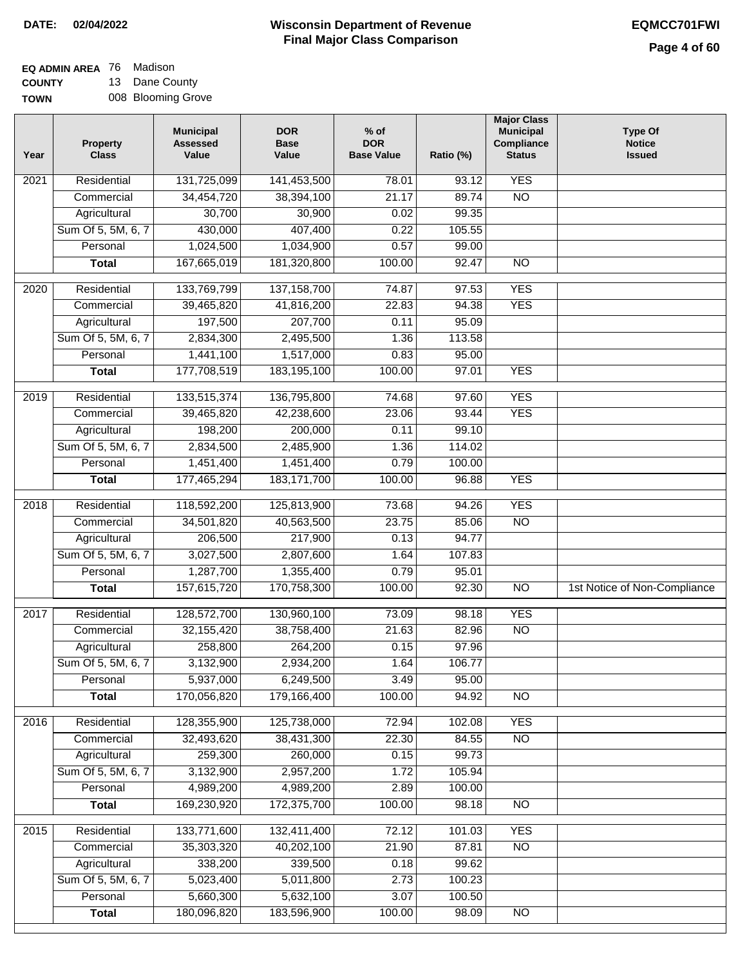## **EQ ADMIN AREA** 76 Madison **COUNTY**

**TOWN** 13 Dane County 008 Blooming Grove

| Year | Property<br><b>Class</b> | <b>Municipal</b><br><b>Assessed</b><br>Value | <b>DOR</b><br><b>Base</b><br>Value | $%$ of<br><b>DOR</b><br><b>Base Value</b> | Ratio (%) | <b>Major Class</b><br><b>Municipal</b><br>Compliance<br><b>Status</b> | <b>Type Of</b><br><b>Notice</b><br><b>Issued</b> |
|------|--------------------------|----------------------------------------------|------------------------------------|-------------------------------------------|-----------|-----------------------------------------------------------------------|--------------------------------------------------|
| 2021 | Residential              | 131,725,099                                  | 141,453,500                        | 78.01                                     | 93.12     | <b>YES</b>                                                            |                                                  |
|      | Commercial               | 34,454,720                                   | 38,394,100                         | 21.17                                     | 89.74     | $\overline{NO}$                                                       |                                                  |
|      | Agricultural             | 30,700                                       | 30,900                             | 0.02                                      | 99.35     |                                                                       |                                                  |
|      | Sum Of 5, 5M, 6, 7       | 430,000                                      | 407,400                            | 0.22                                      | 105.55    |                                                                       |                                                  |
|      | Personal                 | 1,024,500                                    | 1,034,900                          | 0.57                                      | 99.00     |                                                                       |                                                  |
|      | <b>Total</b>             | 167,665,019                                  | 181,320,800                        | 100.00                                    | 92.47     | $\overline{NO}$                                                       |                                                  |
| 2020 | Residential              | 133,769,799                                  | 137, 158, 700                      | 74.87                                     | 97.53     | <b>YES</b>                                                            |                                                  |
|      | Commercial               | 39,465,820                                   | 41,816,200                         | 22.83                                     | 94.38     | <b>YES</b>                                                            |                                                  |
|      | Agricultural             | 197,500                                      | 207,700                            | 0.11                                      | 95.09     |                                                                       |                                                  |
|      | Sum Of 5, 5M, 6, 7       | 2,834,300                                    | 2,495,500                          | 1.36                                      | 113.58    |                                                                       |                                                  |
|      | Personal                 | 1,441,100                                    | 1,517,000                          | 0.83                                      | 95.00     |                                                                       |                                                  |
|      | <b>Total</b>             | 177,708,519                                  | 183, 195, 100                      | 100.00                                    | 97.01     | <b>YES</b>                                                            |                                                  |
| 2019 | Residential              | 133,515,374                                  | 136,795,800                        | 74.68                                     | 97.60     | <b>YES</b>                                                            |                                                  |
|      | Commercial               | 39,465,820                                   | 42,238,600                         | 23.06                                     | 93.44     | <b>YES</b>                                                            |                                                  |
|      | Agricultural             | 198,200                                      | 200,000                            | 0.11                                      | 99.10     |                                                                       |                                                  |
|      | Sum Of 5, 5M, 6, 7       | 2,834,500                                    | 2,485,900                          | 1.36                                      | 114.02    |                                                                       |                                                  |
|      | Personal                 | 1,451,400                                    | 1,451,400                          | 0.79                                      | 100.00    |                                                                       |                                                  |
|      | <b>Total</b>             | 177,465,294                                  | 183, 171, 700                      | 100.00                                    | 96.88     | <b>YES</b>                                                            |                                                  |
| 2018 | Residential              | 118,592,200                                  | 125,813,900                        | 73.68                                     | 94.26     | <b>YES</b>                                                            |                                                  |
|      | Commercial               | 34,501,820                                   | 40,563,500                         | 23.75                                     | 85.06     | <b>NO</b>                                                             |                                                  |
|      | Agricultural             | 206,500                                      | 217,900                            | 0.13                                      | 94.77     |                                                                       |                                                  |
|      | Sum Of 5, 5M, 6, 7       | 3,027,500                                    | 2,807,600                          | 1.64                                      | 107.83    |                                                                       |                                                  |
|      | Personal                 | 1,287,700                                    | 1,355,400                          | 0.79                                      | 95.01     |                                                                       |                                                  |
|      | <b>Total</b>             | 157,615,720                                  | 170,758,300                        | 100.00                                    | 92.30     | <b>NO</b>                                                             | 1st Notice of Non-Compliance                     |
| 2017 | Residential              | 128,572,700                                  | 130,960,100                        | 73.09                                     | 98.18     | <b>YES</b>                                                            |                                                  |
|      | Commercial               | 32, 155, 420                                 | 38,758,400                         | 21.63                                     | 82.96     | $\overline{NO}$                                                       |                                                  |
|      | Agricultural             | 258,800                                      | 264,200                            | 0.15                                      | 97.96     |                                                                       |                                                  |
|      | Sum Of 5, 5M, 6, 7       | 3,132,900                                    | 2,934,200                          | 1.64                                      | 106.77    |                                                                       |                                                  |
|      | Personal                 | 5,937,000                                    | 6,249,500                          | 3.49                                      | 95.00     |                                                                       |                                                  |
|      | <b>Total</b>             | 170,056,820                                  | 179,166,400                        | 100.00                                    | 94.92     | $\overline{N}$                                                        |                                                  |
| 2016 | Residential              | 128,355,900                                  | 125,738,000                        | 72.94                                     | 102.08    | <b>YES</b>                                                            |                                                  |
|      | Commercial               | 32,493,620                                   | 38,431,300                         | 22.30                                     | 84.55     | $\overline{NO}$                                                       |                                                  |
|      | Agricultural             | 259,300                                      | 260,000                            | 0.15                                      | 99.73     |                                                                       |                                                  |
|      | Sum Of 5, 5M, 6, 7       | 3,132,900                                    | 2,957,200                          | 1.72                                      | 105.94    |                                                                       |                                                  |
|      | Personal                 | 4,989,200                                    | 4,989,200                          | 2.89                                      | 100.00    |                                                                       |                                                  |
|      | <b>Total</b>             | 169,230,920                                  | 172,375,700                        | 100.00                                    | 98.18     | N <sub>O</sub>                                                        |                                                  |
| 2015 | Residential              | 133,771,600                                  | 132,411,400                        | 72.12                                     | 101.03    | <b>YES</b>                                                            |                                                  |
|      | Commercial               | 35,303,320                                   | 40,202,100                         | 21.90                                     | 87.81     | $\overline{NO}$                                                       |                                                  |
|      | Agricultural             | 338,200                                      | 339,500                            | 0.18                                      | 99.62     |                                                                       |                                                  |
|      | Sum Of 5, 5M, 6, 7       | 5,023,400                                    | 5,011,800                          | 2.73                                      | 100.23    |                                                                       |                                                  |
|      | Personal                 | 5,660,300                                    | 5,632,100                          | 3.07                                      | 100.50    |                                                                       |                                                  |
|      | <b>Total</b>             | 180,096,820                                  | 183,596,900                        | 100.00                                    | 98.09     | $\overline{NO}$                                                       |                                                  |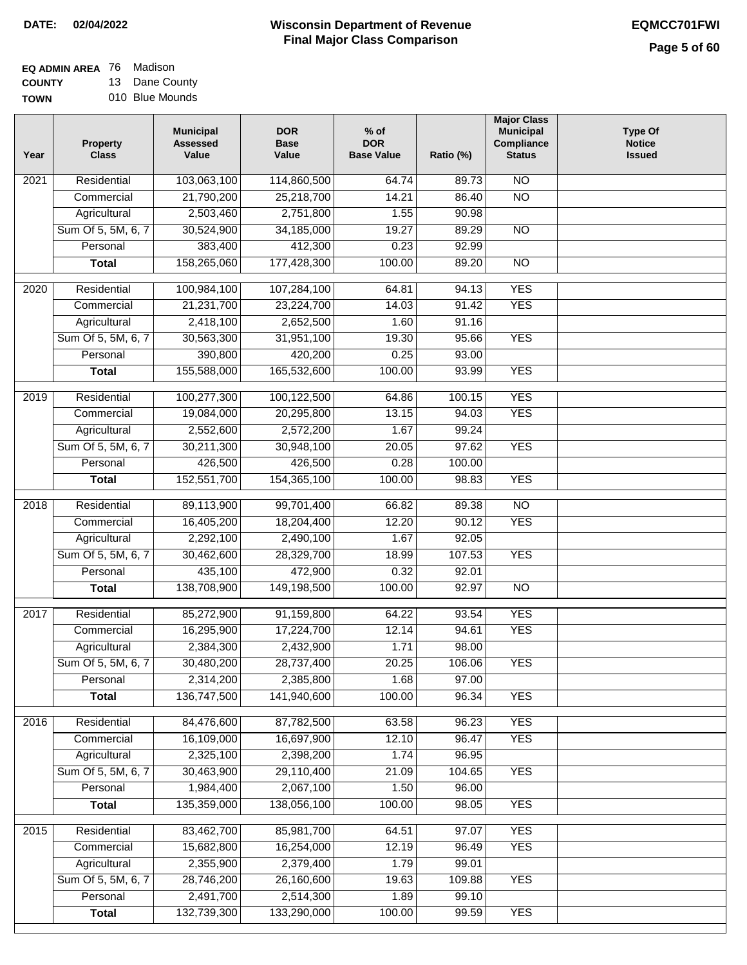## **Wisconsin Department of Revenue DATE: 02/04/2022 EQMCC701FWI Final Major Class Comparison**

| <b>EQ ADMIN AREA 76 Madison</b> |                |
|---------------------------------|----------------|
| <b>COUNTY</b>                   | 13 Dane County |

**TOWN** 010 Blue Mounds

| Year              | <b>Property</b><br><b>Class</b> | <b>Municipal</b><br><b>Assessed</b><br>Value | <b>DOR</b><br><b>Base</b><br>Value | $%$ of<br><b>DOR</b><br><b>Base Value</b> | Ratio (%) | <b>Major Class</b><br><b>Municipal</b><br>Compliance<br><b>Status</b> | <b>Type Of</b><br><b>Notice</b><br><b>Issued</b> |
|-------------------|---------------------------------|----------------------------------------------|------------------------------------|-------------------------------------------|-----------|-----------------------------------------------------------------------|--------------------------------------------------|
| $\overline{202}1$ | Residential                     | 103,063,100                                  | 114,860,500                        | 64.74                                     | 89.73     | $\overline{NO}$                                                       |                                                  |
|                   | Commercial                      | 21,790,200                                   | 25,218,700                         | 14.21                                     | 86.40     | $\overline{NO}$                                                       |                                                  |
|                   | Agricultural                    | 2,503,460                                    | 2,751,800                          | 1.55                                      | 90.98     |                                                                       |                                                  |
|                   | Sum Of 5, 5M, 6, 7              | 30,524,900                                   | 34,185,000                         | 19.27                                     | 89.29     | N <sub>O</sub>                                                        |                                                  |
|                   | Personal                        | 383,400                                      | 412,300                            | 0.23                                      | 92.99     |                                                                       |                                                  |
|                   | <b>Total</b>                    | 158,265,060                                  | 177,428,300                        | 100.00                                    | 89.20     | $\overline{NO}$                                                       |                                                  |
| 2020              | Residential                     | 100,984,100                                  | 107,284,100                        | 64.81                                     | 94.13     | <b>YES</b>                                                            |                                                  |
|                   | Commercial                      | 21,231,700                                   | 23,224,700                         | 14.03                                     | 91.42     | <b>YES</b>                                                            |                                                  |
|                   | Agricultural                    | 2,418,100                                    | 2,652,500                          | 1.60                                      | 91.16     |                                                                       |                                                  |
|                   | Sum Of 5, 5M, 6, 7              | 30,563,300                                   | 31,951,100                         | 19.30                                     | 95.66     | <b>YES</b>                                                            |                                                  |
|                   | Personal                        | 390,800                                      | 420,200                            | 0.25                                      | 93.00     |                                                                       |                                                  |
|                   | <b>Total</b>                    | 155,588,000                                  | 165,532,600                        | 100.00                                    | 93.99     | <b>YES</b>                                                            |                                                  |
|                   |                                 |                                              |                                    |                                           |           |                                                                       |                                                  |
| 2019              | Residential                     | 100,277,300                                  | 100,122,500                        | 64.86                                     | 100.15    | <b>YES</b>                                                            |                                                  |
|                   | Commercial                      | 19,084,000                                   | 20,295,800                         | 13.15                                     | 94.03     | <b>YES</b>                                                            |                                                  |
|                   | Agricultural                    | 2,552,600                                    | 2,572,200                          | 1.67                                      | 99.24     |                                                                       |                                                  |
|                   | Sum Of 5, 5M, 6, 7              | 30,211,300                                   | 30,948,100                         | 20.05                                     | 97.62     | <b>YES</b>                                                            |                                                  |
|                   | Personal                        | 426,500                                      | 426,500                            | 0.28                                      | 100.00    |                                                                       |                                                  |
|                   | <b>Total</b>                    | 152,551,700                                  | 154,365,100                        | 100.00                                    | 98.83     | <b>YES</b>                                                            |                                                  |
| 2018              | Residential                     | 89,113,900                                   | 99,701,400                         | 66.82                                     | 89.38     | $\overline{10}$                                                       |                                                  |
|                   | Commercial                      | 16,405,200                                   | 18,204,400                         | 12.20                                     | 90.12     | <b>YES</b>                                                            |                                                  |
|                   | Agricultural                    | 2,292,100                                    | 2,490,100                          | 1.67                                      | 92.05     |                                                                       |                                                  |
|                   | Sum Of 5, 5M, 6, 7              | 30,462,600                                   | 28,329,700                         | 18.99                                     | 107.53    | <b>YES</b>                                                            |                                                  |
|                   | Personal                        | 435,100                                      | 472,900                            | 0.32                                      | 92.01     |                                                                       |                                                  |
|                   | <b>Total</b>                    | 138,708,900                                  | 149,198,500                        | 100.00                                    | 92.97     | <b>NO</b>                                                             |                                                  |
| 2017              | Residential                     | 85,272,900                                   | 91,159,800                         | 64.22                                     | 93.54     | <b>YES</b>                                                            |                                                  |
|                   | Commercial                      | 16,295,900                                   | 17,224,700                         | 12.14                                     | 94.61     | <b>YES</b>                                                            |                                                  |
|                   | Agricultural                    | 2,384,300                                    | 2,432,900                          | 1.71                                      | 98.00     |                                                                       |                                                  |
|                   | Sum Of 5, 5M, 6, 7              | 30,480,200                                   | 28,737,400                         | 20.25                                     | 106.06    | <b>YES</b>                                                            |                                                  |
|                   | Personal                        | 2,314,200                                    | 2,385,800                          | 1.68                                      | 97.00     |                                                                       |                                                  |
|                   | <b>Total</b>                    | 136,747,500                                  | 141,940,600                        | 100.00                                    | 96.34     | <b>YES</b>                                                            |                                                  |
|                   |                                 |                                              |                                    |                                           |           |                                                                       |                                                  |
| 2016              | Residential                     | 84,476,600                                   | 87,782,500                         | 63.58                                     | 96.23     | <b>YES</b>                                                            |                                                  |
|                   | Commercial                      | 16,109,000                                   | 16,697,900                         | 12.10                                     | 96.47     | <b>YES</b>                                                            |                                                  |
|                   | Agricultural                    | 2,325,100                                    | 2,398,200                          | 1.74                                      | 96.95     |                                                                       |                                                  |
|                   | Sum Of 5, 5M, 6, 7              | 30,463,900                                   | 29,110,400                         | 21.09                                     | 104.65    | <b>YES</b>                                                            |                                                  |
|                   | Personal                        | 1,984,400                                    | 2,067,100                          | 1.50                                      | 96.00     |                                                                       |                                                  |
|                   | <b>Total</b>                    | 135,359,000                                  | 138,056,100                        | 100.00                                    | 98.05     | <b>YES</b>                                                            |                                                  |
| 2015              | Residential                     | 83,462,700                                   | 85,981,700                         | 64.51                                     | 97.07     | <b>YES</b>                                                            |                                                  |
|                   | Commercial                      | 15,682,800                                   | 16,254,000                         | 12.19                                     | 96.49     | <b>YES</b>                                                            |                                                  |
|                   | Agricultural                    | 2,355,900                                    | 2,379,400                          | 1.79                                      | 99.01     |                                                                       |                                                  |
|                   | Sum Of 5, 5M, 6, 7              | 28,746,200                                   | 26,160,600                         | 19.63                                     | 109.88    | <b>YES</b>                                                            |                                                  |
|                   | Personal                        | 2,491,700                                    | 2,514,300                          | 1.89                                      | 99.10     |                                                                       |                                                  |
|                   | <b>Total</b>                    | 132,739,300                                  | 133,290,000                        | 100.00                                    | 99.59     | <b>YES</b>                                                            |                                                  |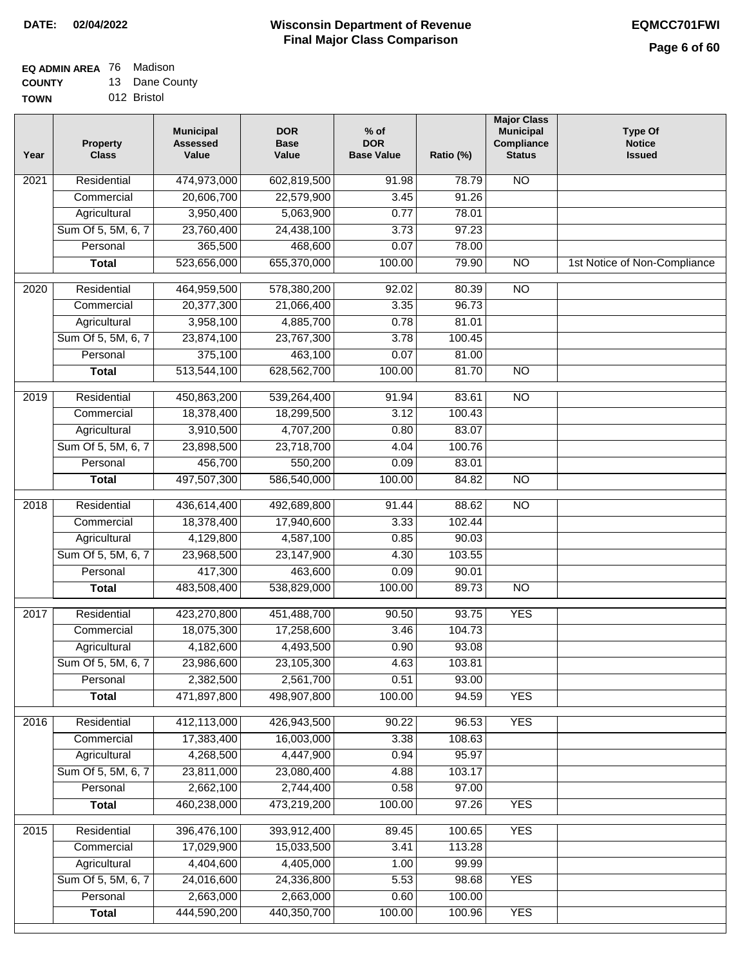### **EQ ADMIN AREA** 76 Madison **COUNTY**

**TOWN** 13 Dane County 012 Bristol

| Year              | <b>Property</b><br><b>Class</b> | <b>Municipal</b><br><b>Assessed</b><br>Value | <b>DOR</b><br><b>Base</b><br>Value | $%$ of<br><b>DOR</b><br><b>Base Value</b> | Ratio (%) | <b>Major Class</b><br><b>Municipal</b><br>Compliance<br><b>Status</b> | <b>Type Of</b><br><b>Notice</b><br><b>Issued</b> |
|-------------------|---------------------------------|----------------------------------------------|------------------------------------|-------------------------------------------|-----------|-----------------------------------------------------------------------|--------------------------------------------------|
| $\overline{202}1$ | Residential                     | 474,973,000                                  | 602,819,500                        | 91.98                                     | 78.79     | N <sub>O</sub>                                                        |                                                  |
|                   | Commercial                      | 20,606,700                                   | 22,579,900                         | 3.45                                      | 91.26     |                                                                       |                                                  |
|                   | Agricultural                    | 3,950,400                                    | 5,063,900                          | 0.77                                      | 78.01     |                                                                       |                                                  |
|                   | Sum Of 5, 5M, 6, 7              | 23,760,400                                   | 24,438,100                         | 3.73                                      | 97.23     |                                                                       |                                                  |
|                   | Personal                        | 365,500                                      | 468,600                            | 0.07                                      | 78.00     |                                                                       |                                                  |
|                   | <b>Total</b>                    | 523,656,000                                  | 655,370,000                        | 100.00                                    | 79.90     | $\overline{NO}$                                                       | 1st Notice of Non-Compliance                     |
| $\overline{2020}$ | Residential                     | 464,959,500                                  | 578,380,200                        | 92.02                                     | 80.39     | $\overline{10}$                                                       |                                                  |
|                   | Commercial                      | 20,377,300                                   | 21,066,400                         | 3.35                                      | 96.73     |                                                                       |                                                  |
|                   | Agricultural                    | 3,958,100                                    | 4,885,700                          | 0.78                                      | 81.01     |                                                                       |                                                  |
|                   | Sum Of 5, 5M, 6, 7              | 23,874,100                                   | 23,767,300                         | 3.78                                      | 100.45    |                                                                       |                                                  |
|                   | Personal                        | 375,100                                      | 463,100                            | 0.07                                      | 81.00     |                                                                       |                                                  |
|                   | <b>Total</b>                    | 513,544,100                                  | 628,562,700                        | 100.00                                    | 81.70     | $\overline{NO}$                                                       |                                                  |
| 2019              | Residential                     | 450,863,200                                  | 539,264,400                        | 91.94                                     | 83.61     | $\overline{NO}$                                                       |                                                  |
|                   | Commercial                      | 18,378,400                                   | 18,299,500                         | 3.12                                      | 100.43    |                                                                       |                                                  |
|                   | Agricultural                    | 3,910,500                                    | 4,707,200                          | 0.80                                      | 83.07     |                                                                       |                                                  |
|                   | Sum Of 5, 5M, 6, 7              | 23,898,500                                   | 23,718,700                         | 4.04                                      | 100.76    |                                                                       |                                                  |
|                   | Personal                        | 456,700                                      | 550,200                            | 0.09                                      | 83.01     |                                                                       |                                                  |
|                   | <b>Total</b>                    | 497,507,300                                  | 586,540,000                        | 100.00                                    | 84.82     | $\overline{NO}$                                                       |                                                  |
| 2018              | Residential                     | 436,614,400                                  | 492,689,800                        | 91.44                                     | 88.62     | $\overline{NO}$                                                       |                                                  |
|                   | Commercial                      | 18,378,400                                   | 17,940,600                         | 3.33                                      | 102.44    |                                                                       |                                                  |
|                   | Agricultural                    | 4,129,800                                    | 4,587,100                          | 0.85                                      | 90.03     |                                                                       |                                                  |
|                   | Sum Of 5, 5M, 6, 7              | 23,968,500                                   | 23,147,900                         | 4.30                                      | 103.55    |                                                                       |                                                  |
|                   | Personal                        | 417,300                                      | 463,600                            | 0.09                                      | 90.01     |                                                                       |                                                  |
|                   | <b>Total</b>                    | 483,508,400                                  | 538,829,000                        | 100.00                                    | 89.73     | $\overline{NO}$                                                       |                                                  |
| 2017              | Residential                     | 423,270,800                                  | 451,488,700                        | 90.50                                     | 93.75     | <b>YES</b>                                                            |                                                  |
|                   | Commercial                      | 18,075,300                                   | 17,258,600                         | 3.46                                      | 104.73    |                                                                       |                                                  |
|                   | Agricultural                    | 4,182,600                                    | 4,493,500                          | 0.90                                      | 93.08     |                                                                       |                                                  |
|                   | Sum Of 5, 5M, 6, 7              | 23,986,600                                   | 23,105,300                         | 4.63                                      | 103.81    |                                                                       |                                                  |
|                   | Personal                        | 2,382,500                                    | 2,561,700                          | 0.51                                      | 93.00     |                                                                       |                                                  |
|                   | <b>Total</b>                    | 471,897,800                                  | 498,907,800                        | 100.00                                    | 94.59     | <b>YES</b>                                                            |                                                  |
| 2016              | Residential                     | 412,113,000                                  | 426,943,500                        | 90.22                                     | 96.53     | <b>YES</b>                                                            |                                                  |
|                   | Commercial                      | 17,383,400                                   | 16,003,000                         | 3.38                                      | 108.63    |                                                                       |                                                  |
|                   | Agricultural                    | 4,268,500                                    | 4,447,900                          | 0.94                                      | 95.97     |                                                                       |                                                  |
|                   | Sum Of 5, 5M, 6, 7              | 23,811,000                                   | 23,080,400                         | 4.88                                      | 103.17    |                                                                       |                                                  |
|                   | Personal                        | 2,662,100                                    | 2,744,400                          | 0.58                                      | 97.00     |                                                                       |                                                  |
|                   | <b>Total</b>                    | 460,238,000                                  | 473,219,200                        | 100.00                                    | 97.26     | <b>YES</b>                                                            |                                                  |
| 2015              | Residential                     | 396,476,100                                  | 393,912,400                        | 89.45                                     | 100.65    | <b>YES</b>                                                            |                                                  |
|                   | Commercial                      | 17,029,900                                   | 15,033,500                         | 3.41                                      | 113.28    |                                                                       |                                                  |
|                   | Agricultural                    | 4,404,600                                    | 4,405,000                          | 1.00                                      | 99.99     |                                                                       |                                                  |
|                   | Sum Of 5, 5M, 6, 7              | 24,016,600                                   | 24,336,800                         | 5.53                                      | 98.68     | <b>YES</b>                                                            |                                                  |
|                   | Personal                        | 2,663,000                                    | 2,663,000                          | 0.60                                      | 100.00    |                                                                       |                                                  |
|                   | <b>Total</b>                    | 444,590,200                                  | 440,350,700                        | 100.00                                    | 100.96    | <b>YES</b>                                                            |                                                  |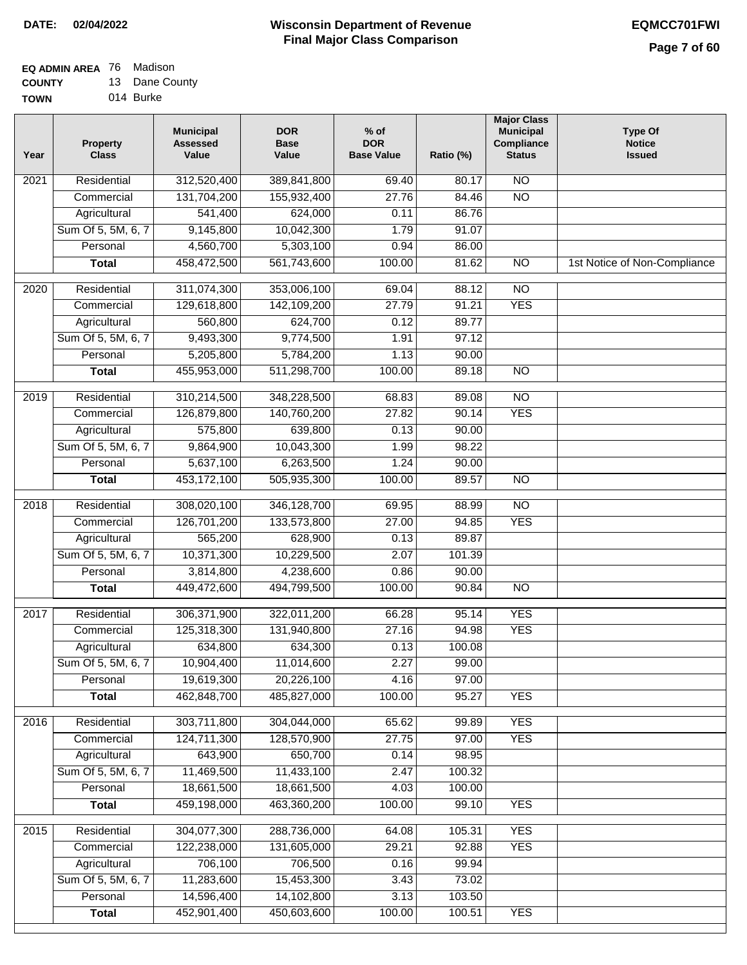#### **EQ ADMIN AREA** 76 Madison **COUNTY** 13 Dane County

**TOWN** 014 Burke

| Year | <b>Property</b><br><b>Class</b> | <b>Municipal</b><br><b>Assessed</b><br>Value | <b>DOR</b><br><b>Base</b><br>Value | $%$ of<br><b>DOR</b><br><b>Base Value</b> | Ratio (%) | <b>Major Class</b><br><b>Municipal</b><br>Compliance<br><b>Status</b> | <b>Type Of</b><br><b>Notice</b><br><b>Issued</b> |
|------|---------------------------------|----------------------------------------------|------------------------------------|-------------------------------------------|-----------|-----------------------------------------------------------------------|--------------------------------------------------|
| 2021 | Residential                     | 312,520,400                                  | 389,841,800                        | 69.40                                     | 80.17     | N <sub>O</sub>                                                        |                                                  |
|      | Commercial                      | 131,704,200                                  | 155,932,400                        | 27.76                                     | 84.46     | $\overline{NO}$                                                       |                                                  |
|      | Agricultural                    | 541,400                                      | 624,000                            | 0.11                                      | 86.76     |                                                                       |                                                  |
|      | Sum Of 5, 5M, 6, 7              | 9,145,800                                    | 10,042,300                         | 1.79                                      | 91.07     |                                                                       |                                                  |
|      | Personal                        | 4,560,700                                    | 5,303,100                          | 0.94                                      | 86.00     |                                                                       |                                                  |
|      | <b>Total</b>                    | 458,472,500                                  | 561,743,600                        | 100.00                                    | 81.62     | $\overline{NO}$                                                       | 1st Notice of Non-Compliance                     |
| 2020 | Residential                     | 311,074,300                                  | 353,006,100                        | 69.04                                     | 88.12     | $\overline{10}$                                                       |                                                  |
|      | Commercial                      | 129,618,800                                  | 142,109,200                        | 27.79                                     | 91.21     | <b>YES</b>                                                            |                                                  |
|      | Agricultural                    | 560,800                                      | 624,700                            | 0.12                                      | 89.77     |                                                                       |                                                  |
|      | Sum Of 5, 5M, 6, 7              | 9,493,300                                    | 9,774,500                          | 1.91                                      | 97.12     |                                                                       |                                                  |
|      | Personal                        | 5,205,800                                    | 5,784,200                          | 1.13                                      | 90.00     |                                                                       |                                                  |
|      | <b>Total</b>                    | 455,953,000                                  | 511,298,700                        | 100.00                                    | 89.18     | $\overline{NO}$                                                       |                                                  |
| 2019 | Residential                     | 310,214,500                                  | 348,228,500                        | 68.83                                     | 89.08     | $\overline{10}$                                                       |                                                  |
|      | Commercial                      | 126,879,800                                  | 140,760,200                        | 27.82                                     | 90.14     | <b>YES</b>                                                            |                                                  |
|      | Agricultural                    | 575,800                                      | 639,800                            | 0.13                                      | 90.00     |                                                                       |                                                  |
|      | Sum Of 5, 5M, 6, 7              | 9,864,900                                    | 10,043,300                         | 1.99                                      | 98.22     |                                                                       |                                                  |
|      | Personal                        | 5,637,100                                    | 6,263,500                          | 1.24                                      | 90.00     |                                                                       |                                                  |
|      | <b>Total</b>                    | 453,172,100                                  | 505,935,300                        | 100.00                                    | 89.57     | $\overline{NO}$                                                       |                                                  |
| 2018 | Residential                     | 308,020,100                                  | 346,128,700                        | 69.95                                     | 88.99     | $\overline{10}$                                                       |                                                  |
|      | Commercial                      | 126,701,200                                  | 133,573,800                        | 27.00                                     | 94.85     | <b>YES</b>                                                            |                                                  |
|      | Agricultural                    | 565,200                                      | 628,900                            | 0.13                                      | 89.87     |                                                                       |                                                  |
|      | Sum Of 5, 5M, 6, 7              | 10,371,300                                   | 10,229,500                         | 2.07                                      | 101.39    |                                                                       |                                                  |
|      | Personal                        | 3,814,800                                    | 4,238,600                          | 0.86                                      | 90.00     |                                                                       |                                                  |
|      | <b>Total</b>                    | 449,472,600                                  | 494,799,500                        | 100.00                                    | 90.84     | <b>NO</b>                                                             |                                                  |
| 2017 | Residential                     | 306,371,900                                  | 322,011,200                        | 66.28                                     | 95.14     | <b>YES</b>                                                            |                                                  |
|      | Commercial                      | 125,318,300                                  | 131,940,800                        | 27.16                                     | 94.98     | <b>YES</b>                                                            |                                                  |
|      | Agricultural                    | 634,800                                      | 634,300                            | 0.13                                      | 100.08    |                                                                       |                                                  |
|      | Sum Of 5, 5M, 6, 7              | 10,904,400                                   | 11,014,600                         | 2.27                                      | 99.00     |                                                                       |                                                  |
|      | Personal                        | 19,619,300                                   | 20,226,100                         | 4.16                                      | 97.00     |                                                                       |                                                  |
|      | <b>Total</b>                    | 462,848,700                                  | 485,827,000                        | 100.00                                    | 95.27     | <b>YES</b>                                                            |                                                  |
| 2016 | Residential                     | 303,711,800                                  | 304,044,000                        | 65.62                                     | 99.89     | <b>YES</b>                                                            |                                                  |
|      | Commercial                      | 124,711,300                                  | 128,570,900                        | 27.75                                     | 97.00     | <b>YES</b>                                                            |                                                  |
|      | Agricultural                    | 643,900                                      | 650,700                            | 0.14                                      | 98.95     |                                                                       |                                                  |
|      | Sum Of 5, 5M, 6, 7              | 11,469,500                                   | 11,433,100                         | 2.47                                      | 100.32    |                                                                       |                                                  |
|      | Personal                        | 18,661,500                                   | 18,661,500                         | 4.03                                      | 100.00    |                                                                       |                                                  |
|      | <b>Total</b>                    | 459,198,000                                  | 463,360,200                        | 100.00                                    | 99.10     | <b>YES</b>                                                            |                                                  |
| 2015 | Residential                     | 304,077,300                                  | 288,736,000                        | 64.08                                     | 105.31    | <b>YES</b>                                                            |                                                  |
|      | Commercial                      | 122,238,000                                  | 131,605,000                        | 29.21                                     | 92.88     | <b>YES</b>                                                            |                                                  |
|      | Agricultural                    | 706,100                                      | 706,500                            | 0.16                                      | 99.94     |                                                                       |                                                  |
|      | Sum Of 5, 5M, 6, 7              | 11,283,600                                   | 15,453,300                         | 3.43                                      | 73.02     |                                                                       |                                                  |
|      | Personal                        | 14,596,400                                   | 14,102,800                         | 3.13                                      | 103.50    |                                                                       |                                                  |
|      | <b>Total</b>                    | 452,901,400                                  | 450,603,600                        | 100.00                                    | 100.51    | <b>YES</b>                                                            |                                                  |
|      |                                 |                                              |                                    |                                           |           |                                                                       |                                                  |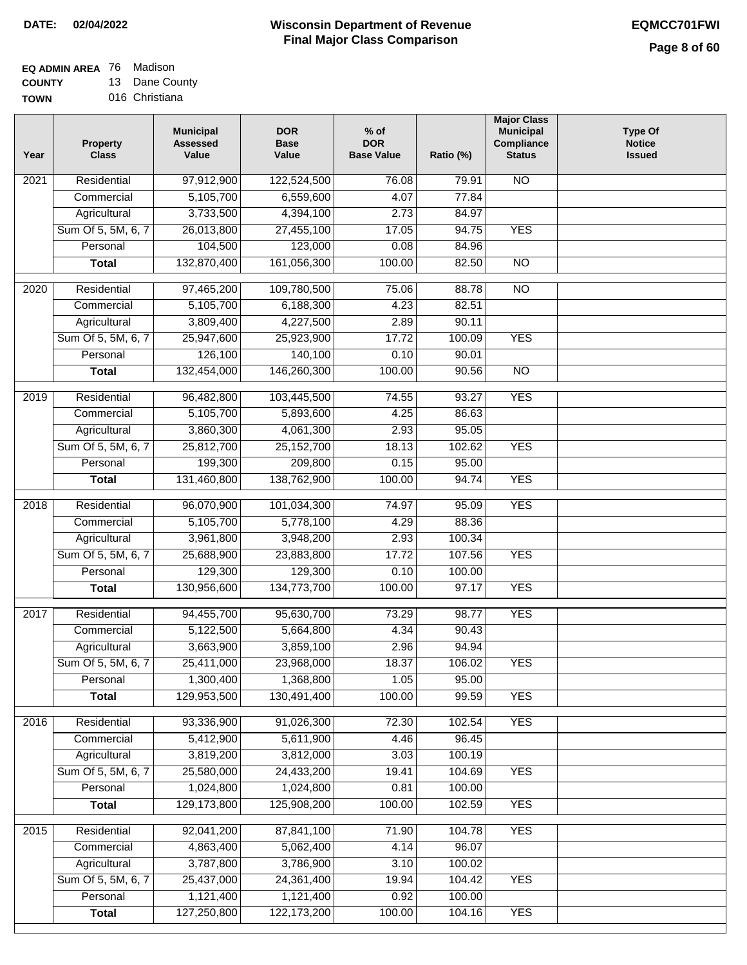# **EQ ADMIN AREA** 76 Madison

**COUNTY TOWN** 13 Dane County 016 Christiana

| Residential<br>97,912,900<br><b>NO</b><br>122,524,500<br>76.08<br>2021<br>79.91<br>5,105,700<br>6,559,600<br>4.07<br>77.84<br>Commercial<br>3,733,500<br>4,394,100<br>Agricultural<br>2.73<br>84.97<br>Sum Of 5, 5M, 6, 7<br>26,013,800<br>27,455,100<br>17.05<br>94.75<br><b>YES</b><br>104,500<br>123,000<br>Personal<br>0.08<br>84.96<br>132,870,400<br>161,056,300<br>100.00<br>82.50<br>$\overline{NO}$<br><b>Total</b><br>$\overline{NO}$<br>2020<br>Residential<br>97,465,200<br>109,780,500<br>75.06<br>88.78<br>5,105,700<br>6,188,300<br>82.51<br>4.23<br>Commercial<br>Agricultural<br>3,809,400<br>4,227,500<br>2.89<br>90.11<br>Sum Of 5, 5M, 6, 7<br><b>YES</b><br>25,947,600<br>25,923,900<br>17.72<br>100.09<br>126,100<br>140,100<br>0.10<br>90.01<br>Personal<br>132,454,000<br>146,260,300<br>100.00<br>90.56<br>$\overline{NO}$<br><b>Total</b><br><b>YES</b><br>Residential<br>96,482,800<br>103,445,500<br>74.55<br>93.27<br>2019<br>5,105,700<br>5,893,600<br>4.25<br>86.63<br>Commercial<br>3,860,300<br>4,061,300<br>95.05<br>2.93<br>Agricultural<br><b>YES</b><br>Sum Of 5, 5M, 6, 7<br>25,812,700<br>25,152,700<br>18.13<br>102.62<br>199,300<br>209,800<br>Personal<br>0.15<br>95.00<br>131,460,800<br>138,762,900<br>100.00<br>94.74<br><b>YES</b><br><b>Total</b><br><b>YES</b><br>Residential<br>96,070,900<br>101,034,300<br>95.09<br>2018<br>74.97<br>5,105,700<br>5,778,100<br>Commercial<br>4.29<br>88.36<br>3,961,800<br>3,948,200<br>100.34<br>Agricultural<br>2.93<br>Sum Of 5, 5M, 6, 7<br>25,688,900<br>23,883,800<br>17.72<br>107.56<br><b>YES</b><br>Personal<br>129,300<br>129,300<br>0.10<br>100.00<br>130,956,600<br>134,773,700<br>100.00<br>97.17<br><b>YES</b><br><b>Total</b><br>Residential<br>94,455,700<br>95,630,700<br>73.29<br>98.77<br><b>YES</b><br>2017<br>Commercial<br>5,122,500<br>5,664,800<br>4.34<br>90.43<br>3,859,100<br>3,663,900<br>2.96<br>94.94<br>Agricultural<br>18.37<br>106.02<br>Sum Of 5, 5M, 6, 7<br>25,411,000<br>23,968,000<br><b>YES</b><br>Personal<br>1,300,400<br>1,368,800<br>1.05<br>95.00<br>129,953,500<br>130,491,400<br>100.00<br>99.59<br><b>YES</b><br><b>Total</b><br><b>YES</b><br>2016<br>Residential<br>93,336,900<br>91,026,300<br>102.54<br>72.30<br>5,412,900<br>5,611,900<br>4.46<br>96.45<br>Commercial<br>3,819,200<br>Agricultural<br>3,812,000<br>3.03<br>100.19<br>Sum Of 5, 5M, 6, 7<br>25,580,000<br>19.41<br><b>YES</b><br>24,433,200<br>104.69<br>1,024,800<br>1,024,800<br>100.00<br>Personal<br>0.81<br><b>YES</b><br>129,173,800<br>125,908,200<br>100.00<br>102.59<br><b>Total</b><br><b>YES</b><br>2015<br>Residential<br>92,041,200<br>87,841,100<br>71.90<br>104.78<br>4,863,400<br>5,062,400<br>96.07<br>Commercial<br>4.14<br>3,787,800<br>3,786,900<br>100.02<br>Agricultural<br>3.10<br>Sum Of 5, 5M, 6, 7<br>25,437,000<br>24,361,400<br>19.94<br>104.42<br><b>YES</b><br>1,121,400<br>1,121,400<br>Personal<br>0.92<br>100.00<br>127,250,800<br>122, 173, 200<br>100.00<br><b>YES</b><br><b>Total</b><br>104.16 | Year | <b>Property</b><br><b>Class</b> | <b>Municipal</b><br><b>Assessed</b><br>Value | <b>DOR</b><br><b>Base</b><br>Value | $%$ of<br><b>DOR</b><br><b>Base Value</b> | Ratio (%) | <b>Major Class</b><br><b>Municipal</b><br>Compliance<br><b>Status</b> | <b>Type Of</b><br><b>Notice</b><br><b>Issued</b> |
|-------------------------------------------------------------------------------------------------------------------------------------------------------------------------------------------------------------------------------------------------------------------------------------------------------------------------------------------------------------------------------------------------------------------------------------------------------------------------------------------------------------------------------------------------------------------------------------------------------------------------------------------------------------------------------------------------------------------------------------------------------------------------------------------------------------------------------------------------------------------------------------------------------------------------------------------------------------------------------------------------------------------------------------------------------------------------------------------------------------------------------------------------------------------------------------------------------------------------------------------------------------------------------------------------------------------------------------------------------------------------------------------------------------------------------------------------------------------------------------------------------------------------------------------------------------------------------------------------------------------------------------------------------------------------------------------------------------------------------------------------------------------------------------------------------------------------------------------------------------------------------------------------------------------------------------------------------------------------------------------------------------------------------------------------------------------------------------------------------------------------------------------------------------------------------------------------------------------------------------------------------------------------------------------------------------------------------------------------------------------------------------------------------------------------------------------------------------------------------------------------------------------------------------------------------------------------------------------------------------------------------------------------------------------------------------------------------------------------------------------------------------------------------------------------------------------------------------------------------------------------------------------------------------------------------------------------------------------------------------------------------------------------------------------|------|---------------------------------|----------------------------------------------|------------------------------------|-------------------------------------------|-----------|-----------------------------------------------------------------------|--------------------------------------------------|
|                                                                                                                                                                                                                                                                                                                                                                                                                                                                                                                                                                                                                                                                                                                                                                                                                                                                                                                                                                                                                                                                                                                                                                                                                                                                                                                                                                                                                                                                                                                                                                                                                                                                                                                                                                                                                                                                                                                                                                                                                                                                                                                                                                                                                                                                                                                                                                                                                                                                                                                                                                                                                                                                                                                                                                                                                                                                                                                                                                                                                                           |      |                                 |                                              |                                    |                                           |           |                                                                       |                                                  |
|                                                                                                                                                                                                                                                                                                                                                                                                                                                                                                                                                                                                                                                                                                                                                                                                                                                                                                                                                                                                                                                                                                                                                                                                                                                                                                                                                                                                                                                                                                                                                                                                                                                                                                                                                                                                                                                                                                                                                                                                                                                                                                                                                                                                                                                                                                                                                                                                                                                                                                                                                                                                                                                                                                                                                                                                                                                                                                                                                                                                                                           |      |                                 |                                              |                                    |                                           |           |                                                                       |                                                  |
|                                                                                                                                                                                                                                                                                                                                                                                                                                                                                                                                                                                                                                                                                                                                                                                                                                                                                                                                                                                                                                                                                                                                                                                                                                                                                                                                                                                                                                                                                                                                                                                                                                                                                                                                                                                                                                                                                                                                                                                                                                                                                                                                                                                                                                                                                                                                                                                                                                                                                                                                                                                                                                                                                                                                                                                                                                                                                                                                                                                                                                           |      |                                 |                                              |                                    |                                           |           |                                                                       |                                                  |
|                                                                                                                                                                                                                                                                                                                                                                                                                                                                                                                                                                                                                                                                                                                                                                                                                                                                                                                                                                                                                                                                                                                                                                                                                                                                                                                                                                                                                                                                                                                                                                                                                                                                                                                                                                                                                                                                                                                                                                                                                                                                                                                                                                                                                                                                                                                                                                                                                                                                                                                                                                                                                                                                                                                                                                                                                                                                                                                                                                                                                                           |      |                                 |                                              |                                    |                                           |           |                                                                       |                                                  |
|                                                                                                                                                                                                                                                                                                                                                                                                                                                                                                                                                                                                                                                                                                                                                                                                                                                                                                                                                                                                                                                                                                                                                                                                                                                                                                                                                                                                                                                                                                                                                                                                                                                                                                                                                                                                                                                                                                                                                                                                                                                                                                                                                                                                                                                                                                                                                                                                                                                                                                                                                                                                                                                                                                                                                                                                                                                                                                                                                                                                                                           |      |                                 |                                              |                                    |                                           |           |                                                                       |                                                  |
|                                                                                                                                                                                                                                                                                                                                                                                                                                                                                                                                                                                                                                                                                                                                                                                                                                                                                                                                                                                                                                                                                                                                                                                                                                                                                                                                                                                                                                                                                                                                                                                                                                                                                                                                                                                                                                                                                                                                                                                                                                                                                                                                                                                                                                                                                                                                                                                                                                                                                                                                                                                                                                                                                                                                                                                                                                                                                                                                                                                                                                           |      |                                 |                                              |                                    |                                           |           |                                                                       |                                                  |
|                                                                                                                                                                                                                                                                                                                                                                                                                                                                                                                                                                                                                                                                                                                                                                                                                                                                                                                                                                                                                                                                                                                                                                                                                                                                                                                                                                                                                                                                                                                                                                                                                                                                                                                                                                                                                                                                                                                                                                                                                                                                                                                                                                                                                                                                                                                                                                                                                                                                                                                                                                                                                                                                                                                                                                                                                                                                                                                                                                                                                                           |      |                                 |                                              |                                    |                                           |           |                                                                       |                                                  |
|                                                                                                                                                                                                                                                                                                                                                                                                                                                                                                                                                                                                                                                                                                                                                                                                                                                                                                                                                                                                                                                                                                                                                                                                                                                                                                                                                                                                                                                                                                                                                                                                                                                                                                                                                                                                                                                                                                                                                                                                                                                                                                                                                                                                                                                                                                                                                                                                                                                                                                                                                                                                                                                                                                                                                                                                                                                                                                                                                                                                                                           |      |                                 |                                              |                                    |                                           |           |                                                                       |                                                  |
|                                                                                                                                                                                                                                                                                                                                                                                                                                                                                                                                                                                                                                                                                                                                                                                                                                                                                                                                                                                                                                                                                                                                                                                                                                                                                                                                                                                                                                                                                                                                                                                                                                                                                                                                                                                                                                                                                                                                                                                                                                                                                                                                                                                                                                                                                                                                                                                                                                                                                                                                                                                                                                                                                                                                                                                                                                                                                                                                                                                                                                           |      |                                 |                                              |                                    |                                           |           |                                                                       |                                                  |
|                                                                                                                                                                                                                                                                                                                                                                                                                                                                                                                                                                                                                                                                                                                                                                                                                                                                                                                                                                                                                                                                                                                                                                                                                                                                                                                                                                                                                                                                                                                                                                                                                                                                                                                                                                                                                                                                                                                                                                                                                                                                                                                                                                                                                                                                                                                                                                                                                                                                                                                                                                                                                                                                                                                                                                                                                                                                                                                                                                                                                                           |      |                                 |                                              |                                    |                                           |           |                                                                       |                                                  |
|                                                                                                                                                                                                                                                                                                                                                                                                                                                                                                                                                                                                                                                                                                                                                                                                                                                                                                                                                                                                                                                                                                                                                                                                                                                                                                                                                                                                                                                                                                                                                                                                                                                                                                                                                                                                                                                                                                                                                                                                                                                                                                                                                                                                                                                                                                                                                                                                                                                                                                                                                                                                                                                                                                                                                                                                                                                                                                                                                                                                                                           |      |                                 |                                              |                                    |                                           |           |                                                                       |                                                  |
|                                                                                                                                                                                                                                                                                                                                                                                                                                                                                                                                                                                                                                                                                                                                                                                                                                                                                                                                                                                                                                                                                                                                                                                                                                                                                                                                                                                                                                                                                                                                                                                                                                                                                                                                                                                                                                                                                                                                                                                                                                                                                                                                                                                                                                                                                                                                                                                                                                                                                                                                                                                                                                                                                                                                                                                                                                                                                                                                                                                                                                           |      |                                 |                                              |                                    |                                           |           |                                                                       |                                                  |
|                                                                                                                                                                                                                                                                                                                                                                                                                                                                                                                                                                                                                                                                                                                                                                                                                                                                                                                                                                                                                                                                                                                                                                                                                                                                                                                                                                                                                                                                                                                                                                                                                                                                                                                                                                                                                                                                                                                                                                                                                                                                                                                                                                                                                                                                                                                                                                                                                                                                                                                                                                                                                                                                                                                                                                                                                                                                                                                                                                                                                                           |      |                                 |                                              |                                    |                                           |           |                                                                       |                                                  |
|                                                                                                                                                                                                                                                                                                                                                                                                                                                                                                                                                                                                                                                                                                                                                                                                                                                                                                                                                                                                                                                                                                                                                                                                                                                                                                                                                                                                                                                                                                                                                                                                                                                                                                                                                                                                                                                                                                                                                                                                                                                                                                                                                                                                                                                                                                                                                                                                                                                                                                                                                                                                                                                                                                                                                                                                                                                                                                                                                                                                                                           |      |                                 |                                              |                                    |                                           |           |                                                                       |                                                  |
|                                                                                                                                                                                                                                                                                                                                                                                                                                                                                                                                                                                                                                                                                                                                                                                                                                                                                                                                                                                                                                                                                                                                                                                                                                                                                                                                                                                                                                                                                                                                                                                                                                                                                                                                                                                                                                                                                                                                                                                                                                                                                                                                                                                                                                                                                                                                                                                                                                                                                                                                                                                                                                                                                                                                                                                                                                                                                                                                                                                                                                           |      |                                 |                                              |                                    |                                           |           |                                                                       |                                                  |
|                                                                                                                                                                                                                                                                                                                                                                                                                                                                                                                                                                                                                                                                                                                                                                                                                                                                                                                                                                                                                                                                                                                                                                                                                                                                                                                                                                                                                                                                                                                                                                                                                                                                                                                                                                                                                                                                                                                                                                                                                                                                                                                                                                                                                                                                                                                                                                                                                                                                                                                                                                                                                                                                                                                                                                                                                                                                                                                                                                                                                                           |      |                                 |                                              |                                    |                                           |           |                                                                       |                                                  |
|                                                                                                                                                                                                                                                                                                                                                                                                                                                                                                                                                                                                                                                                                                                                                                                                                                                                                                                                                                                                                                                                                                                                                                                                                                                                                                                                                                                                                                                                                                                                                                                                                                                                                                                                                                                                                                                                                                                                                                                                                                                                                                                                                                                                                                                                                                                                                                                                                                                                                                                                                                                                                                                                                                                                                                                                                                                                                                                                                                                                                                           |      |                                 |                                              |                                    |                                           |           |                                                                       |                                                  |
|                                                                                                                                                                                                                                                                                                                                                                                                                                                                                                                                                                                                                                                                                                                                                                                                                                                                                                                                                                                                                                                                                                                                                                                                                                                                                                                                                                                                                                                                                                                                                                                                                                                                                                                                                                                                                                                                                                                                                                                                                                                                                                                                                                                                                                                                                                                                                                                                                                                                                                                                                                                                                                                                                                                                                                                                                                                                                                                                                                                                                                           |      |                                 |                                              |                                    |                                           |           |                                                                       |                                                  |
|                                                                                                                                                                                                                                                                                                                                                                                                                                                                                                                                                                                                                                                                                                                                                                                                                                                                                                                                                                                                                                                                                                                                                                                                                                                                                                                                                                                                                                                                                                                                                                                                                                                                                                                                                                                                                                                                                                                                                                                                                                                                                                                                                                                                                                                                                                                                                                                                                                                                                                                                                                                                                                                                                                                                                                                                                                                                                                                                                                                                                                           |      |                                 |                                              |                                    |                                           |           |                                                                       |                                                  |
|                                                                                                                                                                                                                                                                                                                                                                                                                                                                                                                                                                                                                                                                                                                                                                                                                                                                                                                                                                                                                                                                                                                                                                                                                                                                                                                                                                                                                                                                                                                                                                                                                                                                                                                                                                                                                                                                                                                                                                                                                                                                                                                                                                                                                                                                                                                                                                                                                                                                                                                                                                                                                                                                                                                                                                                                                                                                                                                                                                                                                                           |      |                                 |                                              |                                    |                                           |           |                                                                       |                                                  |
|                                                                                                                                                                                                                                                                                                                                                                                                                                                                                                                                                                                                                                                                                                                                                                                                                                                                                                                                                                                                                                                                                                                                                                                                                                                                                                                                                                                                                                                                                                                                                                                                                                                                                                                                                                                                                                                                                                                                                                                                                                                                                                                                                                                                                                                                                                                                                                                                                                                                                                                                                                                                                                                                                                                                                                                                                                                                                                                                                                                                                                           |      |                                 |                                              |                                    |                                           |           |                                                                       |                                                  |
|                                                                                                                                                                                                                                                                                                                                                                                                                                                                                                                                                                                                                                                                                                                                                                                                                                                                                                                                                                                                                                                                                                                                                                                                                                                                                                                                                                                                                                                                                                                                                                                                                                                                                                                                                                                                                                                                                                                                                                                                                                                                                                                                                                                                                                                                                                                                                                                                                                                                                                                                                                                                                                                                                                                                                                                                                                                                                                                                                                                                                                           |      |                                 |                                              |                                    |                                           |           |                                                                       |                                                  |
|                                                                                                                                                                                                                                                                                                                                                                                                                                                                                                                                                                                                                                                                                                                                                                                                                                                                                                                                                                                                                                                                                                                                                                                                                                                                                                                                                                                                                                                                                                                                                                                                                                                                                                                                                                                                                                                                                                                                                                                                                                                                                                                                                                                                                                                                                                                                                                                                                                                                                                                                                                                                                                                                                                                                                                                                                                                                                                                                                                                                                                           |      |                                 |                                              |                                    |                                           |           |                                                                       |                                                  |
|                                                                                                                                                                                                                                                                                                                                                                                                                                                                                                                                                                                                                                                                                                                                                                                                                                                                                                                                                                                                                                                                                                                                                                                                                                                                                                                                                                                                                                                                                                                                                                                                                                                                                                                                                                                                                                                                                                                                                                                                                                                                                                                                                                                                                                                                                                                                                                                                                                                                                                                                                                                                                                                                                                                                                                                                                                                                                                                                                                                                                                           |      |                                 |                                              |                                    |                                           |           |                                                                       |                                                  |
|                                                                                                                                                                                                                                                                                                                                                                                                                                                                                                                                                                                                                                                                                                                                                                                                                                                                                                                                                                                                                                                                                                                                                                                                                                                                                                                                                                                                                                                                                                                                                                                                                                                                                                                                                                                                                                                                                                                                                                                                                                                                                                                                                                                                                                                                                                                                                                                                                                                                                                                                                                                                                                                                                                                                                                                                                                                                                                                                                                                                                                           |      |                                 |                                              |                                    |                                           |           |                                                                       |                                                  |
|                                                                                                                                                                                                                                                                                                                                                                                                                                                                                                                                                                                                                                                                                                                                                                                                                                                                                                                                                                                                                                                                                                                                                                                                                                                                                                                                                                                                                                                                                                                                                                                                                                                                                                                                                                                                                                                                                                                                                                                                                                                                                                                                                                                                                                                                                                                                                                                                                                                                                                                                                                                                                                                                                                                                                                                                                                                                                                                                                                                                                                           |      |                                 |                                              |                                    |                                           |           |                                                                       |                                                  |
|                                                                                                                                                                                                                                                                                                                                                                                                                                                                                                                                                                                                                                                                                                                                                                                                                                                                                                                                                                                                                                                                                                                                                                                                                                                                                                                                                                                                                                                                                                                                                                                                                                                                                                                                                                                                                                                                                                                                                                                                                                                                                                                                                                                                                                                                                                                                                                                                                                                                                                                                                                                                                                                                                                                                                                                                                                                                                                                                                                                                                                           |      |                                 |                                              |                                    |                                           |           |                                                                       |                                                  |
|                                                                                                                                                                                                                                                                                                                                                                                                                                                                                                                                                                                                                                                                                                                                                                                                                                                                                                                                                                                                                                                                                                                                                                                                                                                                                                                                                                                                                                                                                                                                                                                                                                                                                                                                                                                                                                                                                                                                                                                                                                                                                                                                                                                                                                                                                                                                                                                                                                                                                                                                                                                                                                                                                                                                                                                                                                                                                                                                                                                                                                           |      |                                 |                                              |                                    |                                           |           |                                                                       |                                                  |
|                                                                                                                                                                                                                                                                                                                                                                                                                                                                                                                                                                                                                                                                                                                                                                                                                                                                                                                                                                                                                                                                                                                                                                                                                                                                                                                                                                                                                                                                                                                                                                                                                                                                                                                                                                                                                                                                                                                                                                                                                                                                                                                                                                                                                                                                                                                                                                                                                                                                                                                                                                                                                                                                                                                                                                                                                                                                                                                                                                                                                                           |      |                                 |                                              |                                    |                                           |           |                                                                       |                                                  |
|                                                                                                                                                                                                                                                                                                                                                                                                                                                                                                                                                                                                                                                                                                                                                                                                                                                                                                                                                                                                                                                                                                                                                                                                                                                                                                                                                                                                                                                                                                                                                                                                                                                                                                                                                                                                                                                                                                                                                                                                                                                                                                                                                                                                                                                                                                                                                                                                                                                                                                                                                                                                                                                                                                                                                                                                                                                                                                                                                                                                                                           |      |                                 |                                              |                                    |                                           |           |                                                                       |                                                  |
|                                                                                                                                                                                                                                                                                                                                                                                                                                                                                                                                                                                                                                                                                                                                                                                                                                                                                                                                                                                                                                                                                                                                                                                                                                                                                                                                                                                                                                                                                                                                                                                                                                                                                                                                                                                                                                                                                                                                                                                                                                                                                                                                                                                                                                                                                                                                                                                                                                                                                                                                                                                                                                                                                                                                                                                                                                                                                                                                                                                                                                           |      |                                 |                                              |                                    |                                           |           |                                                                       |                                                  |
|                                                                                                                                                                                                                                                                                                                                                                                                                                                                                                                                                                                                                                                                                                                                                                                                                                                                                                                                                                                                                                                                                                                                                                                                                                                                                                                                                                                                                                                                                                                                                                                                                                                                                                                                                                                                                                                                                                                                                                                                                                                                                                                                                                                                                                                                                                                                                                                                                                                                                                                                                                                                                                                                                                                                                                                                                                                                                                                                                                                                                                           |      |                                 |                                              |                                    |                                           |           |                                                                       |                                                  |
|                                                                                                                                                                                                                                                                                                                                                                                                                                                                                                                                                                                                                                                                                                                                                                                                                                                                                                                                                                                                                                                                                                                                                                                                                                                                                                                                                                                                                                                                                                                                                                                                                                                                                                                                                                                                                                                                                                                                                                                                                                                                                                                                                                                                                                                                                                                                                                                                                                                                                                                                                                                                                                                                                                                                                                                                                                                                                                                                                                                                                                           |      |                                 |                                              |                                    |                                           |           |                                                                       |                                                  |
|                                                                                                                                                                                                                                                                                                                                                                                                                                                                                                                                                                                                                                                                                                                                                                                                                                                                                                                                                                                                                                                                                                                                                                                                                                                                                                                                                                                                                                                                                                                                                                                                                                                                                                                                                                                                                                                                                                                                                                                                                                                                                                                                                                                                                                                                                                                                                                                                                                                                                                                                                                                                                                                                                                                                                                                                                                                                                                                                                                                                                                           |      |                                 |                                              |                                    |                                           |           |                                                                       |                                                  |
|                                                                                                                                                                                                                                                                                                                                                                                                                                                                                                                                                                                                                                                                                                                                                                                                                                                                                                                                                                                                                                                                                                                                                                                                                                                                                                                                                                                                                                                                                                                                                                                                                                                                                                                                                                                                                                                                                                                                                                                                                                                                                                                                                                                                                                                                                                                                                                                                                                                                                                                                                                                                                                                                                                                                                                                                                                                                                                                                                                                                                                           |      |                                 |                                              |                                    |                                           |           |                                                                       |                                                  |
|                                                                                                                                                                                                                                                                                                                                                                                                                                                                                                                                                                                                                                                                                                                                                                                                                                                                                                                                                                                                                                                                                                                                                                                                                                                                                                                                                                                                                                                                                                                                                                                                                                                                                                                                                                                                                                                                                                                                                                                                                                                                                                                                                                                                                                                                                                                                                                                                                                                                                                                                                                                                                                                                                                                                                                                                                                                                                                                                                                                                                                           |      |                                 |                                              |                                    |                                           |           |                                                                       |                                                  |
|                                                                                                                                                                                                                                                                                                                                                                                                                                                                                                                                                                                                                                                                                                                                                                                                                                                                                                                                                                                                                                                                                                                                                                                                                                                                                                                                                                                                                                                                                                                                                                                                                                                                                                                                                                                                                                                                                                                                                                                                                                                                                                                                                                                                                                                                                                                                                                                                                                                                                                                                                                                                                                                                                                                                                                                                                                                                                                                                                                                                                                           |      |                                 |                                              |                                    |                                           |           |                                                                       |                                                  |
|                                                                                                                                                                                                                                                                                                                                                                                                                                                                                                                                                                                                                                                                                                                                                                                                                                                                                                                                                                                                                                                                                                                                                                                                                                                                                                                                                                                                                                                                                                                                                                                                                                                                                                                                                                                                                                                                                                                                                                                                                                                                                                                                                                                                                                                                                                                                                                                                                                                                                                                                                                                                                                                                                                                                                                                                                                                                                                                                                                                                                                           |      |                                 |                                              |                                    |                                           |           |                                                                       |                                                  |
|                                                                                                                                                                                                                                                                                                                                                                                                                                                                                                                                                                                                                                                                                                                                                                                                                                                                                                                                                                                                                                                                                                                                                                                                                                                                                                                                                                                                                                                                                                                                                                                                                                                                                                                                                                                                                                                                                                                                                                                                                                                                                                                                                                                                                                                                                                                                                                                                                                                                                                                                                                                                                                                                                                                                                                                                                                                                                                                                                                                                                                           |      |                                 |                                              |                                    |                                           |           |                                                                       |                                                  |
|                                                                                                                                                                                                                                                                                                                                                                                                                                                                                                                                                                                                                                                                                                                                                                                                                                                                                                                                                                                                                                                                                                                                                                                                                                                                                                                                                                                                                                                                                                                                                                                                                                                                                                                                                                                                                                                                                                                                                                                                                                                                                                                                                                                                                                                                                                                                                                                                                                                                                                                                                                                                                                                                                                                                                                                                                                                                                                                                                                                                                                           |      |                                 |                                              |                                    |                                           |           |                                                                       |                                                  |
|                                                                                                                                                                                                                                                                                                                                                                                                                                                                                                                                                                                                                                                                                                                                                                                                                                                                                                                                                                                                                                                                                                                                                                                                                                                                                                                                                                                                                                                                                                                                                                                                                                                                                                                                                                                                                                                                                                                                                                                                                                                                                                                                                                                                                                                                                                                                                                                                                                                                                                                                                                                                                                                                                                                                                                                                                                                                                                                                                                                                                                           |      |                                 |                                              |                                    |                                           |           |                                                                       |                                                  |
|                                                                                                                                                                                                                                                                                                                                                                                                                                                                                                                                                                                                                                                                                                                                                                                                                                                                                                                                                                                                                                                                                                                                                                                                                                                                                                                                                                                                                                                                                                                                                                                                                                                                                                                                                                                                                                                                                                                                                                                                                                                                                                                                                                                                                                                                                                                                                                                                                                                                                                                                                                                                                                                                                                                                                                                                                                                                                                                                                                                                                                           |      |                                 |                                              |                                    |                                           |           |                                                                       |                                                  |
|                                                                                                                                                                                                                                                                                                                                                                                                                                                                                                                                                                                                                                                                                                                                                                                                                                                                                                                                                                                                                                                                                                                                                                                                                                                                                                                                                                                                                                                                                                                                                                                                                                                                                                                                                                                                                                                                                                                                                                                                                                                                                                                                                                                                                                                                                                                                                                                                                                                                                                                                                                                                                                                                                                                                                                                                                                                                                                                                                                                                                                           |      |                                 |                                              |                                    |                                           |           |                                                                       |                                                  |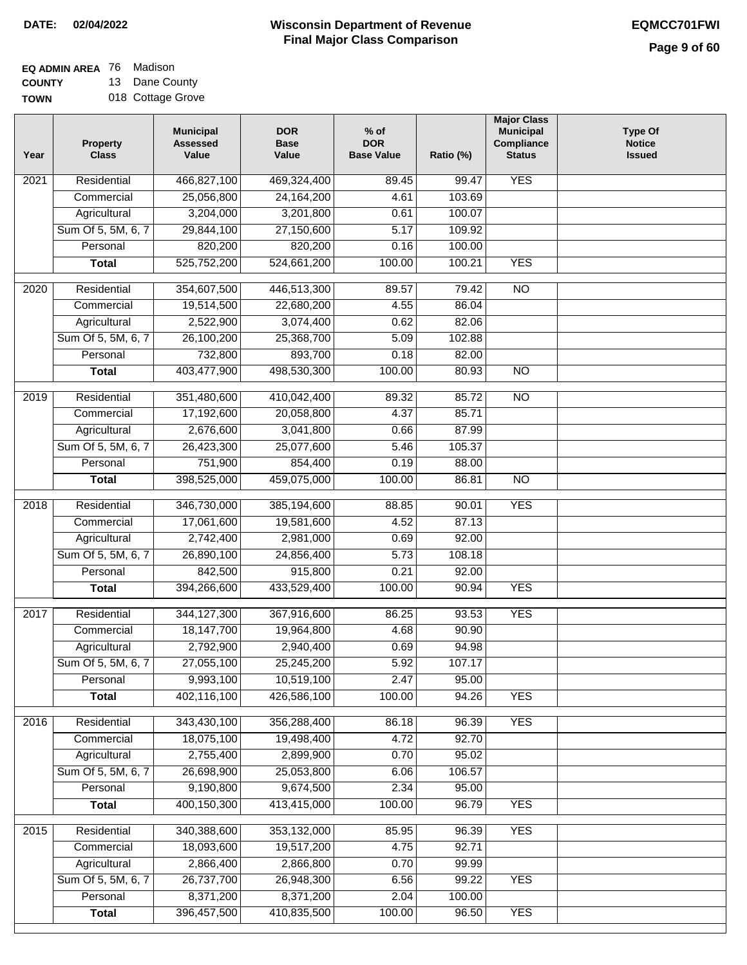#### **EQ ADMIN AREA** 76 Madison **COUNTY** 13 Dane County

**TOWN** 018 Cottage Grove

| Year             | <b>Property</b><br><b>Class</b> | <b>Municipal</b><br><b>Assessed</b><br>Value | <b>DOR</b><br><b>Base</b><br>Value | $%$ of<br><b>DOR</b><br><b>Base Value</b> | Ratio (%) | <b>Major Class</b><br><b>Municipal</b><br>Compliance<br><b>Status</b> | <b>Type Of</b><br><b>Notice</b><br><b>Issued</b> |
|------------------|---------------------------------|----------------------------------------------|------------------------------------|-------------------------------------------|-----------|-----------------------------------------------------------------------|--------------------------------------------------|
| 2021             | Residential                     | 466,827,100                                  | 469,324,400                        | 89.45                                     | 99.47     | <b>YES</b>                                                            |                                                  |
|                  | Commercial                      | 25,056,800                                   | 24, 164, 200                       | 4.61                                      | 103.69    |                                                                       |                                                  |
|                  | Agricultural                    | 3,204,000                                    | 3,201,800                          | 0.61                                      | 100.07    |                                                                       |                                                  |
|                  | Sum Of 5, 5M, 6, 7              | 29,844,100                                   | 27,150,600                         | 5.17                                      | 109.92    |                                                                       |                                                  |
|                  | Personal                        | 820,200                                      | 820,200                            | 0.16                                      | 100.00    |                                                                       |                                                  |
|                  | <b>Total</b>                    | 525,752,200                                  | 524,661,200                        | 100.00                                    | 100.21    | <b>YES</b>                                                            |                                                  |
| 2020             | Residential                     | 354,607,500                                  | 446,513,300                        | 89.57                                     | 79.42     | $\overline{10}$                                                       |                                                  |
|                  | Commercial                      | 19,514,500                                   | 22,680,200                         | 4.55                                      | 86.04     |                                                                       |                                                  |
|                  | Agricultural                    | 2,522,900                                    | 3,074,400                          | 0.62                                      | 82.06     |                                                                       |                                                  |
|                  | Sum Of 5, 5M, 6, 7              | 26,100,200                                   | 25,368,700                         | 5.09                                      | 102.88    |                                                                       |                                                  |
|                  | Personal                        | 732,800                                      | 893,700                            | 0.18                                      | 82.00     |                                                                       |                                                  |
|                  | <b>Total</b>                    | 403,477,900                                  | 498,530,300                        | 100.00                                    | 80.93     | $\overline{NO}$                                                       |                                                  |
|                  |                                 |                                              |                                    |                                           |           |                                                                       |                                                  |
| $\frac{1}{2019}$ | Residential                     | 351,480,600                                  | 410,042,400                        | 89.32                                     | 85.72     | $\overline{NO}$                                                       |                                                  |
|                  | Commercial                      | 17,192,600                                   | 20,058,800                         | 4.37                                      | 85.71     |                                                                       |                                                  |
|                  | Agricultural                    | 2,676,600                                    | 3,041,800                          | 0.66                                      | 87.99     |                                                                       |                                                  |
|                  | Sum Of 5, 5M, 6, 7              | 26,423,300                                   | 25,077,600                         | 5.46                                      | 105.37    |                                                                       |                                                  |
|                  | Personal                        | 751,900                                      | 854,400                            | 0.19                                      | 88.00     |                                                                       |                                                  |
|                  | <b>Total</b>                    | 398,525,000                                  | 459,075,000                        | 100.00                                    | 86.81     | $\overline{NO}$                                                       |                                                  |
| 2018             | Residential                     | 346,730,000                                  | 385,194,600                        | 88.85                                     | 90.01     | <b>YES</b>                                                            |                                                  |
|                  | Commercial                      | 17,061,600                                   | 19,581,600                         | 4.52                                      | 87.13     |                                                                       |                                                  |
|                  | Agricultural                    | 2,742,400                                    | 2,981,000                          | 0.69                                      | 92.00     |                                                                       |                                                  |
|                  | Sum Of 5, 5M, 6, 7              | 26,890,100                                   | 24,856,400                         | 5.73                                      | 108.18    |                                                                       |                                                  |
|                  | Personal                        | 842,500                                      | 915,800                            | 0.21                                      | 92.00     |                                                                       |                                                  |
|                  | <b>Total</b>                    | 394,266,600                                  | 433,529,400                        | 100.00                                    | 90.94     | <b>YES</b>                                                            |                                                  |
| 2017             | Residential                     | 344,127,300                                  | 367,916,600                        | 86.25                                     | 93.53     | <b>YES</b>                                                            |                                                  |
|                  | Commercial                      | 18,147,700                                   | 19,964,800                         | 4.68                                      | 90.90     |                                                                       |                                                  |
|                  | Agricultural                    | 2,792,900                                    | 2,940,400                          | 0.69                                      | 94.98     |                                                                       |                                                  |
|                  | Sum Of 5, 5M, 6, 7              | 27,055,100                                   | 25,245,200                         | 5.92                                      | 107.17    |                                                                       |                                                  |
|                  | Personal                        | 9,993,100                                    | 10,519,100                         | 2.47                                      | 95.00     |                                                                       |                                                  |
|                  | <b>Total</b>                    | 402,116,100                                  | 426,586,100                        | 100.00                                    | 94.26     | <b>YES</b>                                                            |                                                  |
|                  |                                 |                                              |                                    |                                           |           |                                                                       |                                                  |
| 2016             | Residential                     | 343,430,100                                  | 356,288,400                        | 86.18                                     | 96.39     | <b>YES</b>                                                            |                                                  |
|                  | Commercial                      | 18,075,100                                   | 19,498,400                         | 4.72                                      | 92.70     |                                                                       |                                                  |
|                  | Agricultural                    | 2,755,400                                    | 2,899,900                          | 0.70                                      | 95.02     |                                                                       |                                                  |
|                  | Sum Of 5, 5M, 6, 7              | 26,698,900                                   | 25,053,800                         | 6.06                                      | 106.57    |                                                                       |                                                  |
|                  | Personal                        | 9,190,800                                    | 9,674,500                          | 2.34                                      | 95.00     |                                                                       |                                                  |
|                  | <b>Total</b>                    | 400,150,300                                  | 413,415,000                        | 100.00                                    | 96.79     | <b>YES</b>                                                            |                                                  |
| 2015             | Residential                     | 340,388,600                                  | 353,132,000                        | 85.95                                     | 96.39     | <b>YES</b>                                                            |                                                  |
|                  | Commercial                      | 18,093,600                                   | 19,517,200                         | 4.75                                      | 92.71     |                                                                       |                                                  |
|                  | Agricultural                    | 2,866,400                                    | 2,866,800                          | 0.70                                      | 99.99     |                                                                       |                                                  |
|                  | Sum Of 5, 5M, 6, 7              | 26,737,700                                   | 26,948,300                         | 6.56                                      | 99.22     | <b>YES</b>                                                            |                                                  |
|                  | Personal                        | 8,371,200                                    | 8,371,200                          | 2.04                                      | 100.00    |                                                                       |                                                  |
|                  | <b>Total</b>                    | 396,457,500                                  | 410,835,500                        | 100.00                                    | 96.50     | <b>YES</b>                                                            |                                                  |
|                  |                                 |                                              |                                    |                                           |           |                                                                       |                                                  |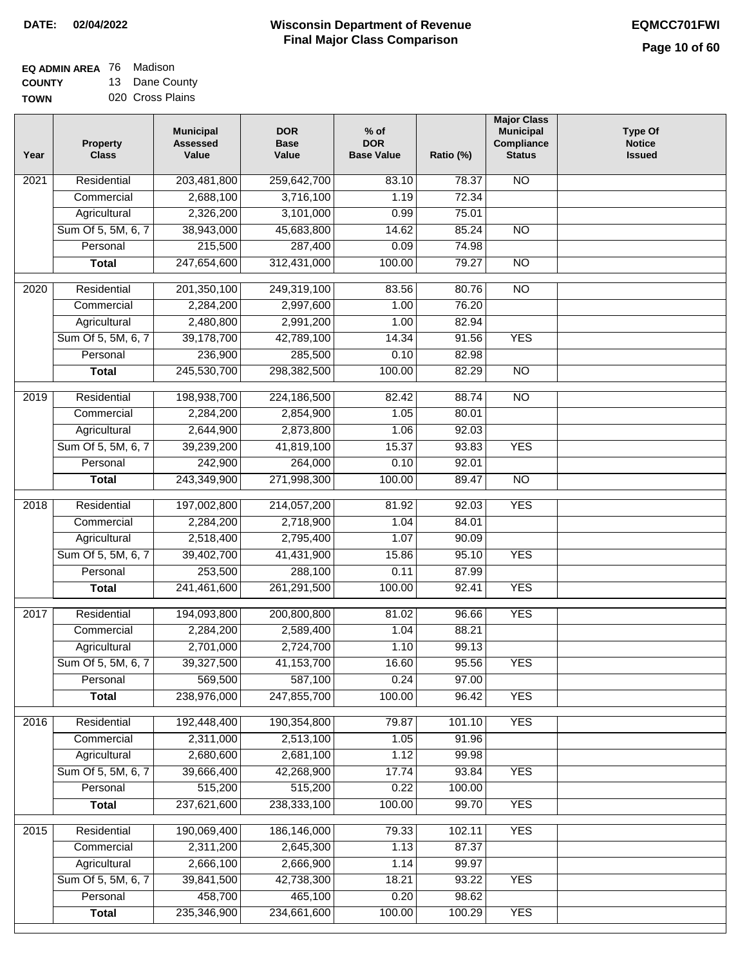## **Wisconsin Department of Revenue DATE: 02/04/2022 EQMCC701FWI Final Major Class Comparison**

| EQ ADMIN AREA 76 Madison |                |
|--------------------------|----------------|
| <b>COUNTY</b>            | 13 Dane County |

**TOWN** 020 Cross Plains

| Year              | <b>Property</b><br><b>Class</b> | <b>Municipal</b><br><b>Assessed</b><br>Value | <b>DOR</b><br><b>Base</b><br>Value | $%$ of<br><b>DOR</b><br><b>Base Value</b> | Ratio (%) | <b>Major Class</b><br><b>Municipal</b><br>Compliance<br><b>Status</b> | <b>Type Of</b><br><b>Notice</b><br><b>Issued</b> |
|-------------------|---------------------------------|----------------------------------------------|------------------------------------|-------------------------------------------|-----------|-----------------------------------------------------------------------|--------------------------------------------------|
| 2021              | Residential                     | 203,481,800                                  | 259,642,700                        | 83.10                                     | 78.37     | N <sub>O</sub>                                                        |                                                  |
|                   | Commercial                      | 2,688,100                                    | 3,716,100                          | 1.19                                      | 72.34     |                                                                       |                                                  |
|                   | Agricultural                    | 2,326,200                                    | 3,101,000                          | 0.99                                      | 75.01     |                                                                       |                                                  |
|                   | Sum Of 5, 5M, 6, 7              | 38,943,000                                   | 45,683,800                         | 14.62                                     | 85.24     | $\overline{NO}$                                                       |                                                  |
|                   | Personal                        | 215,500                                      | 287,400                            | 0.09                                      | 74.98     |                                                                       |                                                  |
|                   | <b>Total</b>                    | 247,654,600                                  | 312,431,000                        | 100.00                                    | 79.27     | $\overline{NO}$                                                       |                                                  |
| 2020              | Residential                     | 201,350,100                                  | 249,319,100                        | 83.56                                     | 80.76     | $\overline{NO}$                                                       |                                                  |
|                   | Commercial                      | 2,284,200                                    | 2,997,600                          | 1.00                                      | 76.20     |                                                                       |                                                  |
|                   | Agricultural                    | 2,480,800                                    | 2,991,200                          | 1.00                                      | 82.94     |                                                                       |                                                  |
|                   | Sum Of 5, 5M, 6, 7              | 39,178,700                                   | 42,789,100                         | 14.34                                     | 91.56     | <b>YES</b>                                                            |                                                  |
|                   | Personal                        | 236,900                                      | 285,500                            | 0.10                                      | 82.98     |                                                                       |                                                  |
|                   | <b>Total</b>                    | 245,530,700                                  | 298,382,500                        | 100.00                                    | 82.29     | $\overline{NO}$                                                       |                                                  |
|                   |                                 |                                              |                                    |                                           |           |                                                                       |                                                  |
| 2019              | Residential                     | 198,938,700                                  | 224,186,500                        | 82.42                                     | 88.74     | N <sub>O</sub>                                                        |                                                  |
|                   | Commercial                      | 2,284,200                                    | 2,854,900                          | 1.05                                      | 80.01     |                                                                       |                                                  |
|                   | Agricultural                    | 2,644,900                                    | 2,873,800                          | 1.06                                      | 92.03     |                                                                       |                                                  |
|                   | Sum Of 5, 5M, 6, 7              | 39,239,200                                   | 41,819,100                         | 15.37                                     | 93.83     | <b>YES</b>                                                            |                                                  |
|                   | Personal                        | 242,900                                      | 264,000                            | 0.10                                      | 92.01     |                                                                       |                                                  |
|                   | <b>Total</b>                    | 243,349,900                                  | 271,998,300                        | 100.00                                    | 89.47     | $\overline{NO}$                                                       |                                                  |
| $\overline{2018}$ | Residential                     | 197,002,800                                  | 214,057,200                        | 81.92                                     | 92.03     | <b>YES</b>                                                            |                                                  |
|                   | Commercial                      | 2,284,200                                    | 2,718,900                          | 1.04                                      | 84.01     |                                                                       |                                                  |
|                   | Agricultural                    | 2,518,400                                    | 2,795,400                          | 1.07                                      | 90.09     |                                                                       |                                                  |
|                   | Sum Of 5, 5M, 6, 7              | 39,402,700                                   | 41,431,900                         | 15.86                                     | 95.10     | <b>YES</b>                                                            |                                                  |
|                   | Personal                        | 253,500                                      | 288,100                            | 0.11                                      | 87.99     |                                                                       |                                                  |
|                   | <b>Total</b>                    | 241,461,600                                  | 261,291,500                        | 100.00                                    | 92.41     | <b>YES</b>                                                            |                                                  |
| 2017              | Residential                     | 194,093,800                                  | 200,800,800                        | 81.02                                     | 96.66     | <b>YES</b>                                                            |                                                  |
|                   | Commercial                      | 2,284,200                                    | 2,589,400                          | 1.04                                      | 88.21     |                                                                       |                                                  |
|                   | Agricultural                    | 2,701,000                                    | 2,724,700                          | 1.10                                      | 99.13     |                                                                       |                                                  |
|                   | Sum Of 5, 5M, 6, 7              | 39,327,500                                   | 41,153,700                         | 16.60                                     | 95.56     | <b>YES</b>                                                            |                                                  |
|                   | Personal                        | 569,500                                      | 587,100                            | 0.24                                      | 97.00     |                                                                       |                                                  |
|                   | <b>Total</b>                    | 238,976,000                                  | 247,855,700                        | 100.00                                    | 96.42     | <b>YES</b>                                                            |                                                  |
|                   |                                 |                                              |                                    |                                           |           |                                                                       |                                                  |
| 2016              | Residential                     | 192,448,400                                  | 190,354,800                        | 79.87                                     | 101.10    | <b>YES</b>                                                            |                                                  |
|                   | Commercial                      | 2,311,000                                    | 2,513,100                          | 1.05                                      | 91.96     |                                                                       |                                                  |
|                   | Agricultural                    | 2,680,600                                    | 2,681,100                          | 1.12                                      | 99.98     |                                                                       |                                                  |
|                   | Sum Of 5, 5M, 6, 7<br>Personal  | 39,666,400                                   | 42,268,900                         | 17.74                                     | 93.84     | <b>YES</b>                                                            |                                                  |
|                   |                                 | 515,200                                      | 515,200                            | 0.22                                      | 100.00    |                                                                       |                                                  |
|                   | <b>Total</b>                    | 237,621,600                                  | 238,333,100                        | 100.00                                    | 99.70     | <b>YES</b>                                                            |                                                  |
| 2015              | Residential                     | 190,069,400                                  | 186,146,000                        | 79.33                                     | 102.11    | <b>YES</b>                                                            |                                                  |
|                   | Commercial                      | 2,311,200                                    | 2,645,300                          | 1.13                                      | 87.37     |                                                                       |                                                  |
|                   | Agricultural                    | 2,666,100                                    | 2,666,900                          | 1.14                                      | 99.97     |                                                                       |                                                  |
|                   | Sum Of 5, 5M, 6, 7              | 39,841,500                                   | 42,738,300                         | 18.21                                     | 93.22     | <b>YES</b>                                                            |                                                  |
|                   | Personal                        | 458,700                                      | 465,100                            | 0.20                                      | 98.62     |                                                                       |                                                  |
|                   | <b>Total</b>                    | 235,346,900                                  | 234,661,600                        | 100.00                                    | 100.29    | <b>YES</b>                                                            |                                                  |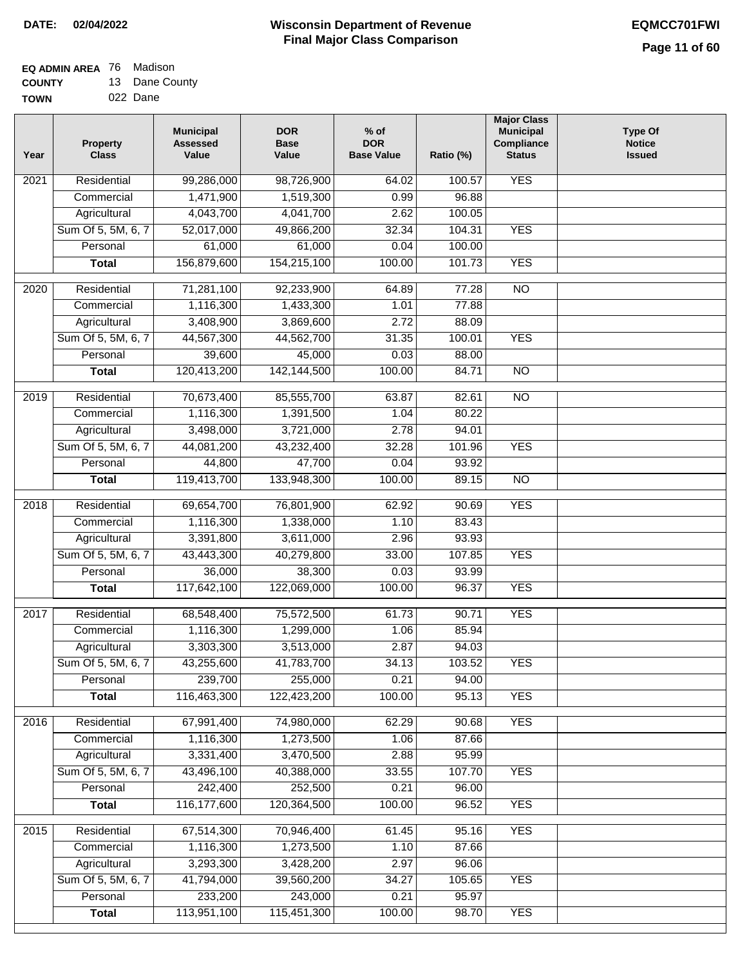#### **Wisconsin Department of Revenue Final Major Class Comparison DATE: 02/04/2022 EQMCC701FWI**

# **EQ ADMIN AREA** 76 Madison

**COUNTY TOWN** 13 Dane County 022 Dane

| Year             | <b>Property</b><br><b>Class</b> | <b>Municipal</b><br><b>Assessed</b><br>Value | <b>DOR</b><br><b>Base</b><br>Value | $%$ of<br><b>DOR</b><br><b>Base Value</b> | Ratio (%) | <b>Major Class</b><br><b>Municipal</b><br>Compliance<br><b>Status</b> | <b>Type Of</b><br><b>Notice</b><br><b>Issued</b> |
|------------------|---------------------------------|----------------------------------------------|------------------------------------|-------------------------------------------|-----------|-----------------------------------------------------------------------|--------------------------------------------------|
| 2021             | Residential                     | 99,286,000                                   | 98,726,900                         | 64.02                                     | 100.57    | <b>YES</b>                                                            |                                                  |
|                  | Commercial                      | 1,471,900                                    | 1,519,300                          | 0.99                                      | 96.88     |                                                                       |                                                  |
|                  | Agricultural                    | 4,043,700                                    | 4,041,700                          | 2.62                                      | 100.05    |                                                                       |                                                  |
|                  | Sum Of 5, 5M, 6, 7              | 52,017,000                                   | 49,866,200                         | 32.34                                     | 104.31    | <b>YES</b>                                                            |                                                  |
|                  | Personal                        | 61,000                                       | 61,000                             | 0.04                                      | 100.00    |                                                                       |                                                  |
|                  | <b>Total</b>                    | 156,879,600                                  | 154,215,100                        | 100.00                                    | 101.73    | <b>YES</b>                                                            |                                                  |
| $\frac{1}{2020}$ | Residential                     | 71,281,100                                   | 92,233,900                         | 64.89                                     | 77.28     | $\overline{NO}$                                                       |                                                  |
|                  | Commercial                      | 1,116,300                                    | 1,433,300                          | 1.01                                      | 77.88     |                                                                       |                                                  |
|                  | Agricultural                    | 3,408,900                                    | 3,869,600                          | 2.72                                      | 88.09     |                                                                       |                                                  |
|                  | Sum Of 5, 5M, 6, 7              | 44,567,300                                   | 44,562,700                         | 31.35                                     | 100.01    | <b>YES</b>                                                            |                                                  |
|                  | Personal                        | 39,600                                       | 45,000                             | 0.03                                      | 88.00     |                                                                       |                                                  |
|                  | <b>Total</b>                    | 120,413,200                                  | 142, 144, 500                      | 100.00                                    | 84.71     | $\overline{NO}$                                                       |                                                  |
|                  |                                 |                                              |                                    |                                           |           |                                                                       |                                                  |
| $\frac{1}{2019}$ | Residential                     | 70,673,400                                   | 85,555,700                         | 63.87                                     | 82.61     | $\overline{NO}$                                                       |                                                  |
|                  | Commercial                      | 1,116,300                                    | 1,391,500                          | 1.04                                      | 80.22     |                                                                       |                                                  |
|                  | Agricultural                    | 3,498,000                                    | 3,721,000                          | 2.78                                      | 94.01     |                                                                       |                                                  |
|                  | Sum Of 5, 5M, 6, 7              | 44,081,200                                   | 43,232,400                         | 32.28                                     | 101.96    | <b>YES</b>                                                            |                                                  |
|                  | Personal                        | 44,800                                       | 47,700                             | 0.04                                      | 93.92     |                                                                       |                                                  |
|                  | <b>Total</b>                    | 119,413,700                                  | 133,948,300                        | 100.00                                    | 89.15     | $\overline{NO}$                                                       |                                                  |
| 2018             | Residential                     | 69,654,700                                   | 76,801,900                         | 62.92                                     | 90.69     | <b>YES</b>                                                            |                                                  |
|                  | Commercial                      | 1,116,300                                    | 1,338,000                          | 1.10                                      | 83.43     |                                                                       |                                                  |
|                  | Agricultural                    | 3,391,800                                    | 3,611,000                          | 2.96                                      | 93.93     |                                                                       |                                                  |
|                  | Sum Of 5, 5M, 6, 7              | 43,443,300                                   | 40,279,800                         | 33.00                                     | 107.85    | <b>YES</b>                                                            |                                                  |
|                  | Personal                        | 36,000                                       | 38,300                             | 0.03                                      | 93.99     |                                                                       |                                                  |
|                  | <b>Total</b>                    | 117,642,100                                  | 122,069,000                        | 100.00                                    | 96.37     | <b>YES</b>                                                            |                                                  |
| 2017             | Residential                     | 68,548,400                                   | 75,572,500                         | 61.73                                     | 90.71     | <b>YES</b>                                                            |                                                  |
|                  | Commercial                      | 1,116,300                                    | 1,299,000                          | 1.06                                      | 85.94     |                                                                       |                                                  |
|                  | Agricultural                    | 3,303,300                                    | 3,513,000                          | 2.87                                      | 94.03     |                                                                       |                                                  |
|                  | Sum Of 5, 5M, 6, 7              | 43,255,600                                   | 41,783,700                         | 34.13                                     | 103.52    | <b>YES</b>                                                            |                                                  |
|                  | Personal                        | 239,700                                      | 255,000                            | 0.21                                      | 94.00     |                                                                       |                                                  |
|                  | <b>Total</b>                    | 116,463,300                                  | 122,423,200                        | 100.00                                    | 95.13     | <b>YES</b>                                                            |                                                  |
| 2016             | Residential                     | 67,991,400                                   | 74,980,000                         | 62.29                                     | 90.68     | <b>YES</b>                                                            |                                                  |
|                  | Commercial                      | 1,116,300                                    | 1,273,500                          | 1.06                                      | 87.66     |                                                                       |                                                  |
|                  | Agricultural                    | 3,331,400                                    | 3,470,500                          | 2.88                                      | 95.99     |                                                                       |                                                  |
|                  | Sum Of 5, 5M, 6, 7              | 43,496,100                                   | 40,388,000                         | 33.55                                     | 107.70    | <b>YES</b>                                                            |                                                  |
|                  | Personal                        | 242,400                                      | 252,500                            | 0.21                                      | 96.00     |                                                                       |                                                  |
|                  | <b>Total</b>                    | 116,177,600                                  | 120,364,500                        | 100.00                                    | 96.52     | <b>YES</b>                                                            |                                                  |
|                  |                                 |                                              |                                    |                                           |           |                                                                       |                                                  |
| 2015             | Residential                     | 67,514,300                                   | 70,946,400                         | 61.45                                     | 95.16     | <b>YES</b>                                                            |                                                  |
|                  | Commercial                      | 1,116,300                                    | 1,273,500                          | 1.10                                      | 87.66     |                                                                       |                                                  |
|                  | Agricultural                    | 3,293,300                                    | 3,428,200                          | 2.97                                      | 96.06     |                                                                       |                                                  |
|                  | Sum Of 5, 5M, 6, 7              | 41,794,000                                   | 39,560,200                         | 34.27                                     | 105.65    | <b>YES</b>                                                            |                                                  |
|                  | Personal                        | 233,200                                      | 243,000                            | 0.21                                      | 95.97     | <b>YES</b>                                                            |                                                  |
|                  | <b>Total</b>                    | 113,951,100                                  | 115,451,300                        | 100.00                                    | 98.70     |                                                                       |                                                  |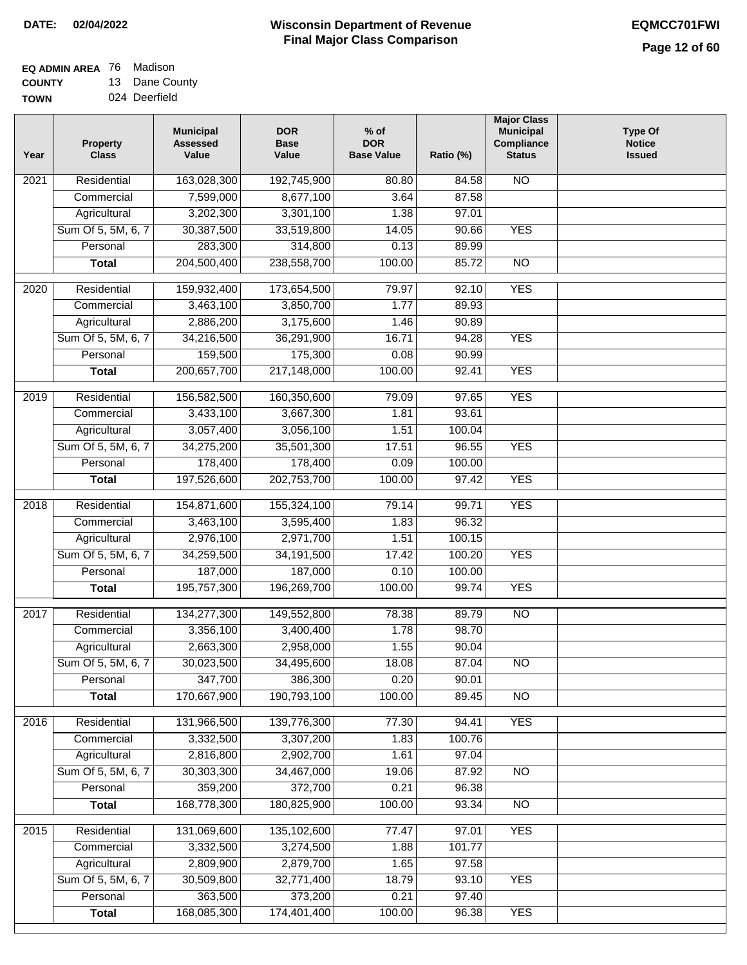# **EQ ADMIN AREA** 76 Madison

**COUNTY TOWN** 13 Dane County 024 Deerfield

| Residential<br>163,028,300<br>192,745,900<br>2021<br>80.80<br>7,599,000<br>8,677,100<br>3.64<br>Commercial<br>Agricultural<br>3,202,300<br>3,301,100<br>1.38<br>Sum Of 5, 5M, 6, 7<br>30,387,500<br>33,519,800<br>14.05<br>283,300<br>314,800<br>Personal<br>0.13<br>204,500,400<br>238,558,700<br>100.00<br><b>Total</b><br>2020<br>Residential<br>159,932,400<br>173,654,500<br>79.97 | 84.58<br>87.58<br>97.01<br>90.66<br>89.99<br>85.72<br>92.10<br>89.93<br>90.89<br>94.28<br>90.99<br>92.41<br>97.65 | <b>NO</b><br><b>YES</b><br>$\overline{NO}$<br><b>YES</b><br><b>YES</b><br><b>YES</b> |  |
|-----------------------------------------------------------------------------------------------------------------------------------------------------------------------------------------------------------------------------------------------------------------------------------------------------------------------------------------------------------------------------------------|-------------------------------------------------------------------------------------------------------------------|--------------------------------------------------------------------------------------|--|
|                                                                                                                                                                                                                                                                                                                                                                                         |                                                                                                                   |                                                                                      |  |
|                                                                                                                                                                                                                                                                                                                                                                                         |                                                                                                                   |                                                                                      |  |
|                                                                                                                                                                                                                                                                                                                                                                                         |                                                                                                                   |                                                                                      |  |
|                                                                                                                                                                                                                                                                                                                                                                                         |                                                                                                                   |                                                                                      |  |
|                                                                                                                                                                                                                                                                                                                                                                                         |                                                                                                                   |                                                                                      |  |
|                                                                                                                                                                                                                                                                                                                                                                                         |                                                                                                                   |                                                                                      |  |
|                                                                                                                                                                                                                                                                                                                                                                                         |                                                                                                                   |                                                                                      |  |
| 3,463,100<br>3,850,700<br>Commercial<br>1.77                                                                                                                                                                                                                                                                                                                                            |                                                                                                                   |                                                                                      |  |
| 2,886,200<br>3,175,600<br>1.46<br>Agricultural                                                                                                                                                                                                                                                                                                                                          |                                                                                                                   |                                                                                      |  |
| Sum Of 5, 5M, 6, 7<br>34,216,500<br>36,291,900<br>16.71                                                                                                                                                                                                                                                                                                                                 |                                                                                                                   |                                                                                      |  |
| 159,500<br>175,300<br>Personal<br>0.08                                                                                                                                                                                                                                                                                                                                                  |                                                                                                                   |                                                                                      |  |
| 200,657,700<br>217,148,000<br>100.00<br><b>Total</b>                                                                                                                                                                                                                                                                                                                                    |                                                                                                                   |                                                                                      |  |
| Residential<br>156,582,500<br>160,350,600<br>79.09<br>2019                                                                                                                                                                                                                                                                                                                              |                                                                                                                   | <b>YES</b>                                                                           |  |
| 3,433,100<br>3,667,300<br>Commercial<br>1.81                                                                                                                                                                                                                                                                                                                                            | 93.61                                                                                                             |                                                                                      |  |
| 3,057,400<br>3,056,100<br>1.51<br>Agricultural                                                                                                                                                                                                                                                                                                                                          | 100.04                                                                                                            |                                                                                      |  |
| Sum Of 5, 5M, 6, 7<br>34,275,200<br>35,501,300<br>17.51                                                                                                                                                                                                                                                                                                                                 | 96.55                                                                                                             | <b>YES</b>                                                                           |  |
| 178,400<br>178,400<br>Personal<br>0.09                                                                                                                                                                                                                                                                                                                                                  | 100.00                                                                                                            |                                                                                      |  |
| 197,526,600<br>202,753,700<br>100.00<br><b>Total</b>                                                                                                                                                                                                                                                                                                                                    | 97.42                                                                                                             | <b>YES</b>                                                                           |  |
|                                                                                                                                                                                                                                                                                                                                                                                         |                                                                                                                   |                                                                                      |  |
| Residential<br>154,871,600<br>155,324,100<br>79.14<br>2018                                                                                                                                                                                                                                                                                                                              | 99.71                                                                                                             | <b>YES</b>                                                                           |  |
| Commercial<br>3,463,100<br>3,595,400<br>1.83                                                                                                                                                                                                                                                                                                                                            | 96.32                                                                                                             |                                                                                      |  |
| 2,976,100<br>2,971,700<br>Agricultural<br>1.51                                                                                                                                                                                                                                                                                                                                          | 100.15                                                                                                            |                                                                                      |  |
| Sum Of 5, 5M, 6, 7<br>34,259,500<br>34,191,500<br>17.42                                                                                                                                                                                                                                                                                                                                 | 100.20                                                                                                            | <b>YES</b>                                                                           |  |
| Personal<br>187,000<br>187,000<br>0.10                                                                                                                                                                                                                                                                                                                                                  | 100.00                                                                                                            |                                                                                      |  |
| 195,757,300<br>196,269,700<br>100.00<br><b>Total</b>                                                                                                                                                                                                                                                                                                                                    | 99.74                                                                                                             | <b>YES</b>                                                                           |  |
| Residential<br>134,277,300<br>149,552,800<br>78.38<br>2017                                                                                                                                                                                                                                                                                                                              | 89.79                                                                                                             | <b>NO</b>                                                                            |  |
| Commercial<br>3,356,100<br>3,400,400<br>1.78                                                                                                                                                                                                                                                                                                                                            | 98.70                                                                                                             |                                                                                      |  |
| 2,663,300<br>2,958,000<br>1.55<br>Agricultural                                                                                                                                                                                                                                                                                                                                          | 90.04                                                                                                             |                                                                                      |  |
| Sum Of 5, 5M, 6, 7<br>30,023,500<br>34,495,600<br>18.08                                                                                                                                                                                                                                                                                                                                 | 87.04                                                                                                             | N <sub>O</sub>                                                                       |  |
| 347,700<br>0.20<br>386,300<br>Personal                                                                                                                                                                                                                                                                                                                                                  | 90.01                                                                                                             |                                                                                      |  |
| 170,667,900<br>190,793,100<br>100.00<br><b>Total</b>                                                                                                                                                                                                                                                                                                                                    | 89.45                                                                                                             | <b>NO</b>                                                                            |  |
| 2016<br>Residential<br>131,966,500<br>139,776,300<br>77.30                                                                                                                                                                                                                                                                                                                              | 94.41                                                                                                             | <b>YES</b>                                                                           |  |
| Commercial<br>3,332,500<br>3,307,200<br>1.83                                                                                                                                                                                                                                                                                                                                            | 100.76                                                                                                            |                                                                                      |  |
| 2,816,800<br>2,902,700<br>Agricultural<br>1.61                                                                                                                                                                                                                                                                                                                                          | 97.04                                                                                                             |                                                                                      |  |
| Sum Of 5, 5M, 6, 7<br>34,467,000<br>30,303,300<br>19.06                                                                                                                                                                                                                                                                                                                                 | 87.92                                                                                                             | $\overline{NO}$                                                                      |  |
| 359,200<br>372,700<br>Personal<br>0.21                                                                                                                                                                                                                                                                                                                                                  | 96.38                                                                                                             |                                                                                      |  |
| 168,778,300<br>180,825,900<br>100.00<br><b>Total</b>                                                                                                                                                                                                                                                                                                                                    | 93.34                                                                                                             | $\overline{NO}$                                                                      |  |
| Residential<br>131,069,600<br>135,102,600<br>77.47<br>2015                                                                                                                                                                                                                                                                                                                              | 97.01                                                                                                             | <b>YES</b>                                                                           |  |
| 3,332,500<br>3,274,500<br>Commercial<br>1.88                                                                                                                                                                                                                                                                                                                                            | 101.77                                                                                                            |                                                                                      |  |
| 2,809,900<br>2,879,700<br>Agricultural<br>1.65                                                                                                                                                                                                                                                                                                                                          | 97.58                                                                                                             |                                                                                      |  |
| Sum Of 5, 5M, 6, 7<br>32,771,400<br>30,509,800<br>18.79                                                                                                                                                                                                                                                                                                                                 | 93.10                                                                                                             | <b>YES</b>                                                                           |  |
| 363,500<br>373,200<br>0.21<br>Personal                                                                                                                                                                                                                                                                                                                                                  | 97.40                                                                                                             |                                                                                      |  |
| 168,085,300<br>174,401,400<br>100.00<br><b>Total</b>                                                                                                                                                                                                                                                                                                                                    | 96.38                                                                                                             | <b>YES</b>                                                                           |  |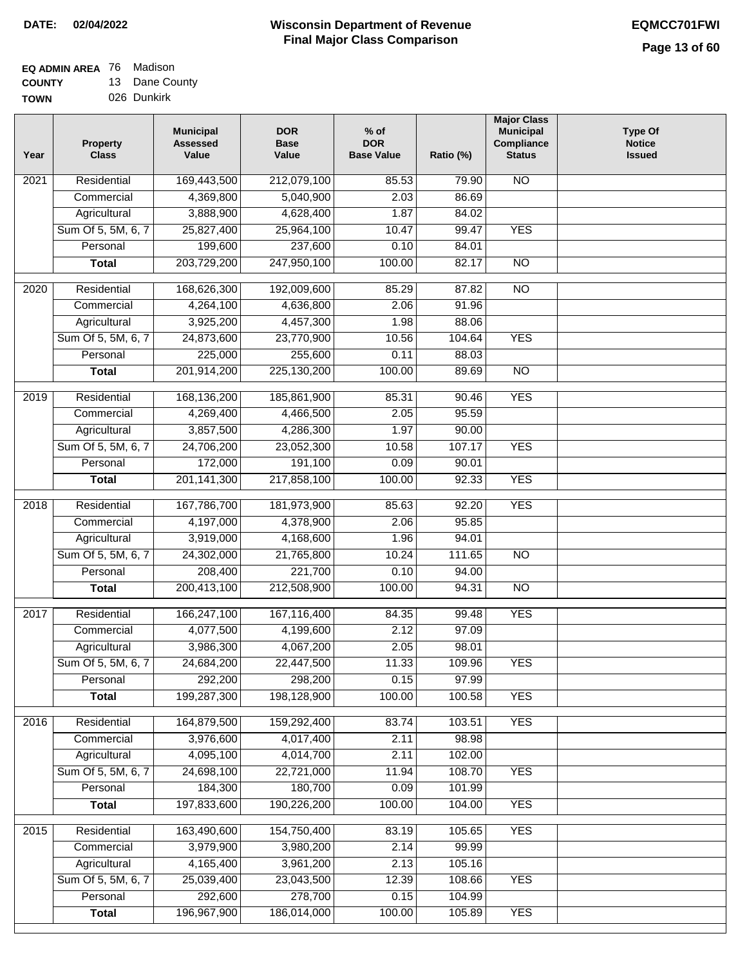# **EQ ADMIN AREA** 76 Madison

**COUNTY TOWN** 13 Dane County 026 Dunkirk

| Year | <b>Property</b><br><b>Class</b> | <b>Municipal</b><br><b>Assessed</b><br>Value | <b>DOR</b><br><b>Base</b><br>Value | $%$ of<br><b>DOR</b><br><b>Base Value</b> | Ratio (%) | <b>Major Class</b><br><b>Municipal</b><br>Compliance<br><b>Status</b> | <b>Type Of</b><br><b>Notice</b><br><b>Issued</b> |
|------|---------------------------------|----------------------------------------------|------------------------------------|-------------------------------------------|-----------|-----------------------------------------------------------------------|--------------------------------------------------|
| 2021 | Residential                     | 169,443,500                                  | 212,079,100                        | 85.53                                     | 79.90     | $\overline{NO}$                                                       |                                                  |
|      | Commercial                      | 4,369,800                                    | 5,040,900                          | 2.03                                      | 86.69     |                                                                       |                                                  |
|      | Agricultural                    | 3,888,900                                    | 4,628,400                          | 1.87                                      | 84.02     |                                                                       |                                                  |
|      | Sum Of 5, 5M, 6, 7              | 25,827,400                                   | 25,964,100                         | 10.47                                     | 99.47     | <b>YES</b>                                                            |                                                  |
|      | Personal                        | 199,600                                      | 237,600                            | 0.10                                      | 84.01     |                                                                       |                                                  |
|      | <b>Total</b>                    | 203,729,200                                  | 247,950,100                        | 100.00                                    | 82.17     | $\overline{NO}$                                                       |                                                  |
| 2020 | Residential                     | 168,626,300                                  | 192,009,600                        | 85.29                                     | 87.82     | $\overline{NO}$                                                       |                                                  |
|      | Commercial                      | 4,264,100                                    | 4,636,800                          | 2.06                                      | 91.96     |                                                                       |                                                  |
|      | Agricultural                    | 3,925,200                                    | 4,457,300                          | 1.98                                      | 88.06     |                                                                       |                                                  |
|      | Sum Of 5, 5M, 6, 7              | 24,873,600                                   | 23,770,900                         | 10.56                                     | 104.64    | <b>YES</b>                                                            |                                                  |
|      | Personal                        | 225,000                                      | 255,600                            | 0.11                                      | 88.03     |                                                                       |                                                  |
|      | <b>Total</b>                    | 201,914,200                                  | 225,130,200                        | 100.00                                    | 89.69     | $\overline{NO}$                                                       |                                                  |
|      |                                 |                                              |                                    |                                           |           |                                                                       |                                                  |
| 2019 | Residential                     | 168,136,200                                  | 185,861,900                        | 85.31                                     | 90.46     | <b>YES</b>                                                            |                                                  |
|      | Commercial                      | 4,269,400                                    | 4,466,500                          | 2.05                                      | 95.59     |                                                                       |                                                  |
|      | Agricultural                    | 3,857,500                                    | 4,286,300                          | 1.97                                      | 90.00     |                                                                       |                                                  |
|      | Sum Of 5, 5M, 6, 7              | 24,706,200                                   | 23,052,300                         | 10.58                                     | 107.17    | <b>YES</b>                                                            |                                                  |
|      | Personal                        | 172,000                                      | 191,100                            | 0.09                                      | 90.01     |                                                                       |                                                  |
|      | <b>Total</b>                    | 201, 141, 300                                | 217,858,100                        | 100.00                                    | 92.33     | <b>YES</b>                                                            |                                                  |
| 2018 | Residential                     | 167,786,700                                  | 181,973,900                        | 85.63                                     | 92.20     | <b>YES</b>                                                            |                                                  |
|      | Commercial                      | 4,197,000                                    | 4,378,900                          | 2.06                                      | 95.85     |                                                                       |                                                  |
|      | Agricultural                    | 3,919,000                                    | 4,168,600                          | 1.96                                      | 94.01     |                                                                       |                                                  |
|      | Sum Of 5, 5M, 6, 7              | 24,302,000                                   | 21,765,800                         | 10.24                                     | 111.65    | <b>NO</b>                                                             |                                                  |
|      | Personal                        | 208,400                                      | 221,700                            | 0.10                                      | 94.00     |                                                                       |                                                  |
|      | <b>Total</b>                    | 200,413,100                                  | 212,508,900                        | 100.00                                    | 94.31     | <b>NO</b>                                                             |                                                  |
| 2017 | Residential                     | 166,247,100                                  | 167,116,400                        | 84.35                                     | 99.48     | <b>YES</b>                                                            |                                                  |
|      | Commercial                      | 4,077,500                                    | 4,199,600                          | 2.12                                      | 97.09     |                                                                       |                                                  |
|      | Agricultural                    | 3,986,300                                    | 4,067,200                          | 2.05                                      | 98.01     |                                                                       |                                                  |
|      | Sum Of 5, 5M, 6, 7              | 24,684,200                                   | 22,447,500                         | 11.33                                     | 109.96    | <b>YES</b>                                                            |                                                  |
|      | Personal                        | 292,200                                      | 298,200                            | 0.15                                      | 97.99     |                                                                       |                                                  |
|      | <b>Total</b>                    | 199,287,300                                  | 198,128,900                        | 100.00                                    | 100.58    | <b>YES</b>                                                            |                                                  |
| 2016 | Residential                     | 164,879,500                                  | 159,292,400                        | 83.74                                     | 103.51    | <b>YES</b>                                                            |                                                  |
|      | Commercial                      | 3,976,600                                    | 4,017,400                          | 2.11                                      | 98.98     |                                                                       |                                                  |
|      | Agricultural                    | 4,095,100                                    | 4,014,700                          | 2.11                                      | 102.00    |                                                                       |                                                  |
|      | Sum Of 5, 5M, 6, 7              | 24,698,100                                   | 22,721,000                         | 11.94                                     | 108.70    | <b>YES</b>                                                            |                                                  |
|      | Personal                        | 184,300                                      | 180,700                            | 0.09                                      | 101.99    |                                                                       |                                                  |
|      | <b>Total</b>                    | 197,833,600                                  | 190,226,200                        | 100.00                                    | 104.00    | <b>YES</b>                                                            |                                                  |
|      |                                 |                                              |                                    |                                           |           |                                                                       |                                                  |
| 2015 | Residential                     | 163,490,600                                  | 154,750,400                        | 83.19                                     | 105.65    | <b>YES</b>                                                            |                                                  |
|      | Commercial                      | 3,979,900                                    | 3,980,200                          | 2.14                                      | 99.99     |                                                                       |                                                  |
|      | Agricultural                    | 4,165,400                                    | 3,961,200                          | 2.13                                      | 105.16    |                                                                       |                                                  |
|      | Sum Of 5, 5M, 6, 7              | 25,039,400                                   | 23,043,500                         | 12.39                                     | 108.66    | <b>YES</b>                                                            |                                                  |
|      | Personal                        | 292,600                                      | 278,700                            | 0.15                                      | 104.99    |                                                                       |                                                  |
|      | <b>Total</b>                    | 196,967,900                                  | 186,014,000                        | 100.00                                    | 105.89    | <b>YES</b>                                                            |                                                  |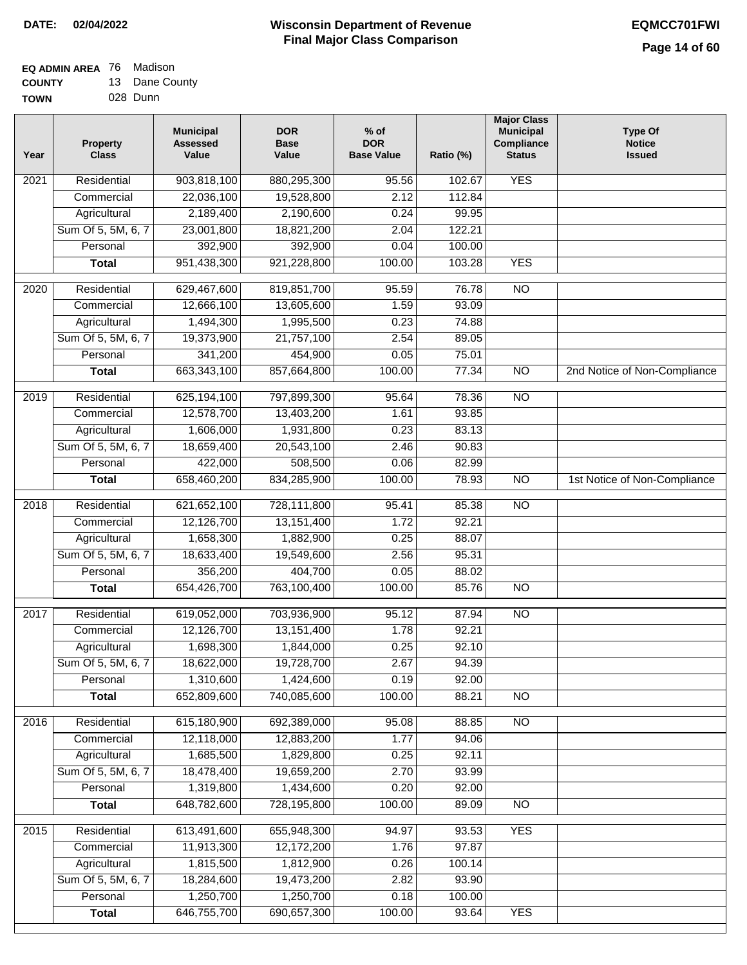#### **EQ ADMIN AREA** 76 Madison **COUNTY** 13 Dane County

| <b>UUUILI</b> | . | Puno Oou |
|---------------|---|----------|
| <b>TOWN</b>   |   | 028 Dunn |

| Year | <b>Property</b><br><b>Class</b> | <b>Municipal</b><br><b>Assessed</b><br>Value | <b>DOR</b><br><b>Base</b><br>Value | $%$ of<br><b>DOR</b><br><b>Base Value</b> | Ratio (%) | <b>Major Class</b><br><b>Municipal</b><br>Compliance<br><b>Status</b> | <b>Type Of</b><br><b>Notice</b><br><b>Issued</b> |
|------|---------------------------------|----------------------------------------------|------------------------------------|-------------------------------------------|-----------|-----------------------------------------------------------------------|--------------------------------------------------|
| 2021 | Residential                     | 903,818,100                                  | 880,295,300                        | 95.56                                     | 102.67    | <b>YES</b>                                                            |                                                  |
|      | Commercial                      | 22,036,100                                   | 19,528,800                         | 2.12                                      | 112.84    |                                                                       |                                                  |
|      | Agricultural                    | 2,189,400                                    | 2,190,600                          | 0.24                                      | 99.95     |                                                                       |                                                  |
|      | Sum Of 5, 5M, 6, 7              | 23,001,800                                   | 18,821,200                         | 2.04                                      | 122.21    |                                                                       |                                                  |
|      | Personal                        | 392,900                                      | 392,900                            | 0.04                                      | 100.00    |                                                                       |                                                  |
|      | <b>Total</b>                    | 951,438,300                                  | 921,228,800                        | 100.00                                    | 103.28    | <b>YES</b>                                                            |                                                  |
| 2020 | Residential                     | 629,467,600                                  | 819,851,700                        | 95.59                                     | 76.78     | $\overline{NO}$                                                       |                                                  |
|      | Commercial                      | 12,666,100                                   | 13,605,600                         | 1.59                                      | 93.09     |                                                                       |                                                  |
|      | Agricultural                    | 1,494,300                                    | 1,995,500                          | 0.23                                      | 74.88     |                                                                       |                                                  |
|      | Sum Of 5, 5M, 6, 7              | 19,373,900                                   | 21,757,100                         | 2.54                                      | 89.05     |                                                                       |                                                  |
|      | Personal                        | 341,200                                      | 454,900                            | 0.05                                      | 75.01     |                                                                       |                                                  |
|      | <b>Total</b>                    | 663,343,100                                  | 857,664,800                        | 100.00                                    | 77.34     | $\overline{NO}$                                                       | 2nd Notice of Non-Compliance                     |
| 2019 | Residential                     | 625,194,100                                  | 797,899,300                        | 95.64                                     | 78.36     | $\overline{10}$                                                       |                                                  |
|      | Commercial                      | 12,578,700                                   | 13,403,200                         | 1.61                                      | 93.85     |                                                                       |                                                  |
|      | Agricultural                    | 1,606,000                                    | 1,931,800                          | 0.23                                      | 83.13     |                                                                       |                                                  |
|      | Sum Of 5, 5M, 6, 7              | 18,659,400                                   | 20,543,100                         | 2.46                                      | 90.83     |                                                                       |                                                  |
|      | Personal                        | 422,000                                      | 508,500                            | 0.06                                      | 82.99     |                                                                       |                                                  |
|      | <b>Total</b>                    | 658,460,200                                  | 834,285,900                        | 100.00                                    | 78.93     | <b>NO</b>                                                             | 1st Notice of Non-Compliance                     |
|      |                                 |                                              |                                    |                                           |           |                                                                       |                                                  |
| 2018 | Residential                     | 621,652,100                                  | 728,111,800                        | 95.41                                     | 85.38     | $\overline{3}$                                                        |                                                  |
|      | Commercial                      | 12,126,700                                   | 13,151,400                         | 1.72                                      | 92.21     |                                                                       |                                                  |
|      | Agricultural                    | 1,658,300                                    | 1,882,900                          | 0.25                                      | 88.07     |                                                                       |                                                  |
|      | Sum Of 5, 5M, 6, 7              | 18,633,400                                   | 19,549,600                         | 2.56                                      | 95.31     |                                                                       |                                                  |
|      | Personal                        | 356,200                                      | 404,700                            | 0.05                                      | 88.02     |                                                                       |                                                  |
|      | <b>Total</b>                    | 654,426,700                                  | 763,100,400                        | 100.00                                    | 85.76     | <b>NO</b>                                                             |                                                  |
| 2017 | Residential                     | 619,052,000                                  | 703,936,900                        | 95.12                                     | 87.94     | $\overline{N}$                                                        |                                                  |
|      | Commercial                      | 12,126,700                                   | 13,151,400                         | 1.78                                      | 92.21     |                                                                       |                                                  |
|      | Agricultural                    | 1,698,300                                    | 1,844,000                          | 0.25                                      | 92.10     |                                                                       |                                                  |
|      | Sum Of 5, 5M, 6, 7              | 18,622,000                                   | 19,728,700                         | 2.67                                      | 94.39     |                                                                       |                                                  |
|      | Personal                        | 1,310,600                                    | 1,424,600                          | 0.19                                      | 92.00     |                                                                       |                                                  |
|      | <b>Total</b>                    | 652,809,600                                  | 740,085,600                        | 100.00                                    | 88.21     | $\overline{3}$                                                        |                                                  |
| 2016 | Residential                     | 615,180,900                                  | 692,389,000                        | 95.08                                     | 88.85     | N <sub>O</sub>                                                        |                                                  |
|      | Commercial                      | 12,118,000                                   | 12,883,200                         | 1.77                                      | 94.06     |                                                                       |                                                  |
|      | Agricultural                    | 1,685,500                                    | 1,829,800                          | 0.25                                      | 92.11     |                                                                       |                                                  |
|      | Sum Of 5, 5M, 6, 7              | 18,478,400                                   | 19,659,200                         | 2.70                                      | 93.99     |                                                                       |                                                  |
|      | Personal                        | 1,319,800                                    | 1,434,600                          | 0.20                                      | 92.00     |                                                                       |                                                  |
|      | <b>Total</b>                    | 648,782,600                                  | 728,195,800                        | 100.00                                    | 89.09     | $\overline{NO}$                                                       |                                                  |
| 2015 | Residential                     | 613,491,600                                  | 655,948,300                        | 94.97                                     | 93.53     | <b>YES</b>                                                            |                                                  |
|      | Commercial                      | 11,913,300                                   | 12,172,200                         | 1.76                                      | 97.87     |                                                                       |                                                  |
|      | Agricultural                    | 1,815,500                                    | 1,812,900                          | 0.26                                      | 100.14    |                                                                       |                                                  |
|      | Sum Of 5, 5M, 6, 7              | 18,284,600                                   | 19,473,200                         | 2.82                                      | 93.90     |                                                                       |                                                  |
|      | Personal                        | 1,250,700                                    | 1,250,700                          | 0.18                                      | 100.00    |                                                                       |                                                  |
|      | <b>Total</b>                    | 646,755,700                                  | 690,657,300                        | 100.00                                    | 93.64     | <b>YES</b>                                                            |                                                  |
|      |                                 |                                              |                                    |                                           |           |                                                                       |                                                  |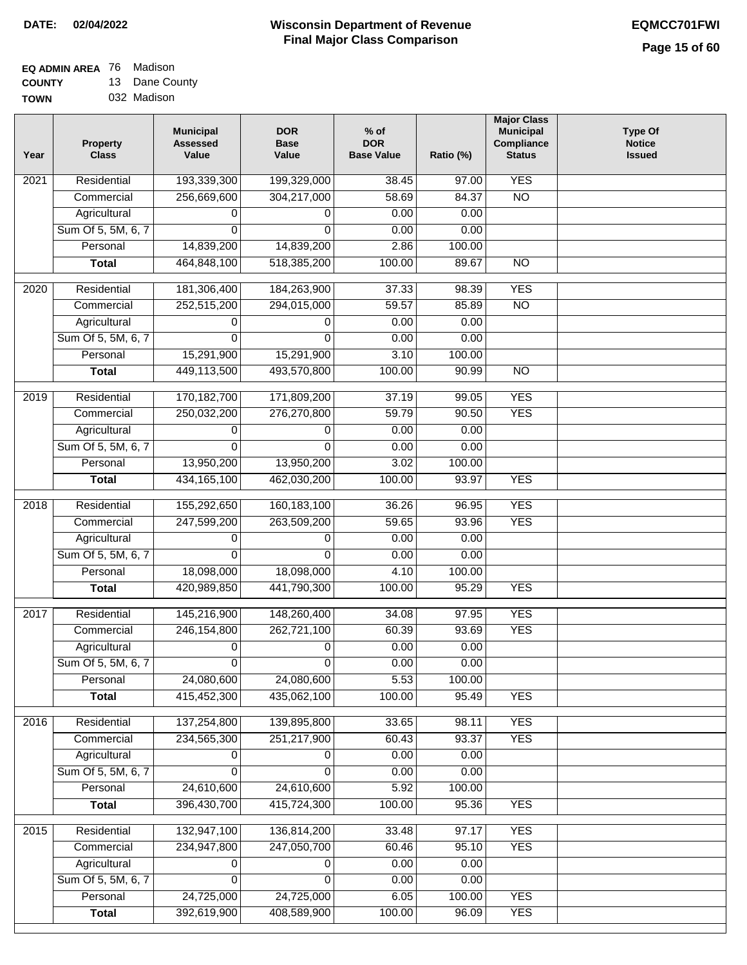#### **EQ ADMIN AREA** 76 Madison **COUNTY** 13 Dane County

**TOWN** 032 Madison

| Year              | <b>Property</b><br><b>Class</b> | <b>Municipal</b><br><b>Assessed</b><br>Value | <b>DOR</b><br><b>Base</b><br>Value | $%$ of<br><b>DOR</b><br><b>Base Value</b> | Ratio (%) | <b>Major Class</b><br><b>Municipal</b><br>Compliance<br><b>Status</b> | <b>Type Of</b><br><b>Notice</b><br><b>Issued</b> |
|-------------------|---------------------------------|----------------------------------------------|------------------------------------|-------------------------------------------|-----------|-----------------------------------------------------------------------|--------------------------------------------------|
| 2021              | Residential                     | 193,339,300                                  | 199,329,000                        | 38.45                                     | 97.00     | <b>YES</b>                                                            |                                                  |
|                   | Commercial                      | 256,669,600                                  | 304,217,000                        | 58.69                                     | 84.37     | $\overline{NO}$                                                       |                                                  |
|                   | Agricultural                    | 0                                            | 0                                  | 0.00                                      | 0.00      |                                                                       |                                                  |
|                   | Sum Of 5, 5M, 6, 7              | $\Omega$                                     | $\Omega$                           | 0.00                                      | 0.00      |                                                                       |                                                  |
|                   | Personal                        | 14,839,200                                   | 14,839,200                         | 2.86                                      | 100.00    |                                                                       |                                                  |
|                   | <b>Total</b>                    | 464,848,100                                  | 518,385,200                        | 100.00                                    | 89.67     | $\overline{NO}$                                                       |                                                  |
| $\overline{2020}$ | Residential                     | 181,306,400                                  | 184,263,900                        | 37.33                                     | 98.39     | <b>YES</b>                                                            |                                                  |
|                   | Commercial                      | 252,515,200                                  | 294,015,000                        | 59.57                                     | 85.89     | $\overline{NO}$                                                       |                                                  |
|                   | Agricultural                    | 0                                            | 0                                  | 0.00                                      | 0.00      |                                                                       |                                                  |
|                   | Sum Of 5, 5M, 6, 7              | $\Omega$                                     | $\Omega$                           | 0.00                                      | 0.00      |                                                                       |                                                  |
|                   | Personal                        | 15,291,900                                   | 15,291,900                         | 3.10                                      | 100.00    |                                                                       |                                                  |
|                   | <b>Total</b>                    | 449,113,500                                  | 493,570,800                        | 100.00                                    | 90.99     | $\overline{NO}$                                                       |                                                  |
| 2019              | Residential                     | 170,182,700                                  | 171,809,200                        | 37.19                                     | 99.05     | <b>YES</b>                                                            |                                                  |
|                   | Commercial                      | 250,032,200                                  | 276,270,800                        | 59.79                                     | 90.50     | <b>YES</b>                                                            |                                                  |
|                   | Agricultural                    | 0                                            | 0                                  | 0.00                                      | 0.00      |                                                                       |                                                  |
|                   | Sum Of 5, 5M, 6, 7              | 0                                            | $\Omega$                           | 0.00                                      | 0.00      |                                                                       |                                                  |
|                   | Personal                        | 13,950,200                                   | 13,950,200                         | 3.02                                      | 100.00    |                                                                       |                                                  |
|                   | <b>Total</b>                    | 434, 165, 100                                | 462,030,200                        | 100.00                                    | 93.97     | <b>YES</b>                                                            |                                                  |
|                   |                                 |                                              |                                    |                                           |           |                                                                       |                                                  |
| 2018              | Residential                     | 155,292,650                                  | 160,183,100                        | 36.26                                     | 96.95     | <b>YES</b>                                                            |                                                  |
|                   | Commercial                      | 247,599,200                                  | 263,509,200                        | 59.65                                     | 93.96     | <b>YES</b>                                                            |                                                  |
|                   | Agricultural                    | 0                                            | 0                                  | 0.00                                      | 0.00      |                                                                       |                                                  |
|                   | Sum Of 5, 5M, 6, 7              | $\Omega$                                     | 0                                  | 0.00                                      | 0.00      |                                                                       |                                                  |
|                   | Personal                        | 18,098,000                                   | 18,098,000                         | 4.10                                      | 100.00    |                                                                       |                                                  |
|                   | <b>Total</b>                    | 420,989,850                                  | 441,790,300                        | 100.00                                    | 95.29     | <b>YES</b>                                                            |                                                  |
| 2017              | Residential                     | 145,216,900                                  | 148,260,400                        | 34.08                                     | 97.95     | <b>YES</b>                                                            |                                                  |
|                   | Commercial                      | 246, 154, 800                                | 262,721,100                        | 60.39                                     | 93.69     | <b>YES</b>                                                            |                                                  |
|                   | Agricultural                    | 0                                            | 0                                  | 0.00                                      | 0.00      |                                                                       |                                                  |
|                   | Sum Of 5, 5M, 6, 7              |                                              | 0                                  | 0.00                                      | 0.00      |                                                                       |                                                  |
|                   | Personal                        | 24,080,600                                   | 24,080,600                         | 5.53                                      | 100.00    |                                                                       |                                                  |
|                   | <b>Total</b>                    | 415,452,300                                  | 435,062,100                        | 100.00                                    | 95.49     | <b>YES</b>                                                            |                                                  |
| 2016              | Residential                     | 137,254,800                                  | 139,895,800                        | 33.65                                     | 98.11     | <b>YES</b>                                                            |                                                  |
|                   | Commercial                      | 234,565,300                                  | 251,217,900                        | 60.43                                     | 93.37     | <b>YES</b>                                                            |                                                  |
|                   | Agricultural                    | 0                                            | 0                                  | 0.00                                      | 0.00      |                                                                       |                                                  |
|                   | Sum Of 5, 5M, 6, 7              | $\Omega$                                     | $\Omega$                           | 0.00                                      | 0.00      |                                                                       |                                                  |
|                   | Personal                        | 24,610,600                                   | 24,610,600                         | 5.92                                      | 100.00    |                                                                       |                                                  |
|                   | <b>Total</b>                    | 396,430,700                                  | 415,724,300                        | 100.00                                    | 95.36     | <b>YES</b>                                                            |                                                  |
| 2015              | Residential                     | 132,947,100                                  | 136,814,200                        | 33.48                                     | 97.17     | <b>YES</b>                                                            |                                                  |
|                   | Commercial                      | 234,947,800                                  | 247,050,700                        | 60.46                                     | 95.10     | <b>YES</b>                                                            |                                                  |
|                   | Agricultural                    | 0                                            | 0                                  | 0.00                                      | 0.00      |                                                                       |                                                  |
|                   | Sum Of 5, 5M, 6, 7              | 0                                            | 0                                  | 0.00                                      | 0.00      |                                                                       |                                                  |
|                   | Personal                        | 24,725,000                                   | 24,725,000                         | 6.05                                      | 100.00    | <b>YES</b>                                                            |                                                  |
|                   | <b>Total</b>                    | 392,619,900                                  | 408,589,900                        | 100.00                                    | 96.09     | <b>YES</b>                                                            |                                                  |
|                   |                                 |                                              |                                    |                                           |           |                                                                       |                                                  |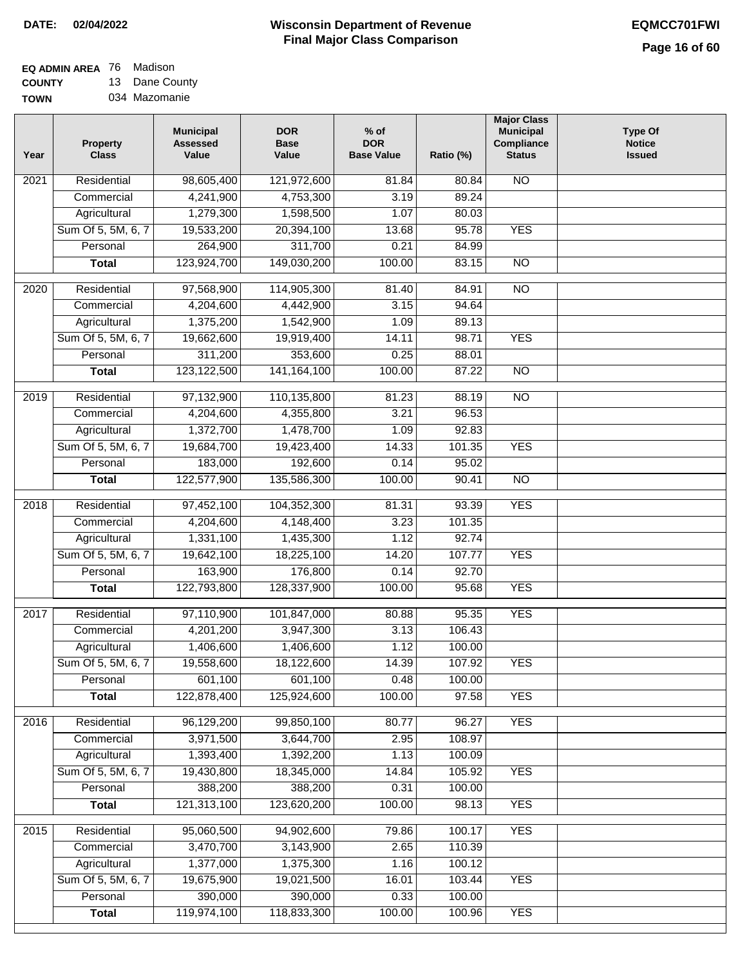## **Wisconsin Department of Revenue DATE: 02/04/2022 EQMCC701FWI Final Major Class Comparison**

| <b>EQ ADMIN AREA</b> 76 Madison |                |
|---------------------------------|----------------|
| <b>COUNTY</b>                   | 13 Dane County |

**TOWN** 034 Mazomanie

| Year              | <b>Property</b><br><b>Class</b> | <b>Municipal</b><br><b>Assessed</b><br>Value | <b>DOR</b><br><b>Base</b><br>Value | $%$ of<br><b>DOR</b><br><b>Base Value</b> | Ratio (%)        | <b>Major Class</b><br><b>Municipal</b><br>Compliance<br><b>Status</b> | <b>Type Of</b><br><b>Notice</b><br><b>Issued</b> |
|-------------------|---------------------------------|----------------------------------------------|------------------------------------|-------------------------------------------|------------------|-----------------------------------------------------------------------|--------------------------------------------------|
| 2021              | Residential                     | 98,605,400                                   | 121,972,600                        | 81.84                                     | 80.84            | <b>NO</b>                                                             |                                                  |
|                   | Commercial                      | 4,241,900                                    | 4,753,300                          | 3.19                                      | 89.24            |                                                                       |                                                  |
|                   | Agricultural                    | 1,279,300                                    | 1,598,500                          | 1.07                                      | 80.03            |                                                                       |                                                  |
|                   | Sum Of 5, 5M, 6, 7              | 19,533,200                                   | 20,394,100                         | 13.68                                     | 95.78            | <b>YES</b>                                                            |                                                  |
|                   | Personal                        | 264,900                                      | 311,700                            | 0.21                                      | 84.99            |                                                                       |                                                  |
|                   | <b>Total</b>                    | 123,924,700                                  | 149,030,200                        | 100.00                                    | 83.15            | $\overline{NO}$                                                       |                                                  |
| 2020              | Residential                     | 97,568,900                                   | 114,905,300                        | 81.40                                     | 84.91            | $\overline{NO}$                                                       |                                                  |
|                   | Commercial                      | 4,204,600                                    | 4,442,900                          | 3.15                                      | 94.64            |                                                                       |                                                  |
|                   | Agricultural                    | 1,375,200                                    | 1,542,900                          | 1.09                                      | 89.13            |                                                                       |                                                  |
|                   | Sum Of 5, 5M, 6, 7              | 19,662,600                                   | 19,919,400                         | 14.11                                     | 98.71            | <b>YES</b>                                                            |                                                  |
|                   | Personal                        | 311,200                                      | 353,600                            | 0.25                                      | 88.01            |                                                                       |                                                  |
|                   | <b>Total</b>                    | 123,122,500                                  | 141, 164, 100                      | 100.00                                    | 87.22            | $\overline{NO}$                                                       |                                                  |
| 2019              | Residential                     | 97,132,900                                   | 110,135,800                        | 81.23                                     | 88.19            | $\overline{NO}$                                                       |                                                  |
|                   | Commercial                      | 4,204,600                                    | 4,355,800                          | 3.21                                      | 96.53            |                                                                       |                                                  |
|                   | Agricultural                    | 1,372,700                                    | 1,478,700                          | 1.09                                      | 92.83            |                                                                       |                                                  |
|                   | Sum Of 5, 5M, 6, 7              | 19,684,700                                   | 19,423,400                         | 14.33                                     | 101.35           | <b>YES</b>                                                            |                                                  |
|                   | Personal                        | 183,000                                      | 192,600                            | 0.14                                      | 95.02            |                                                                       |                                                  |
|                   | <b>Total</b>                    | 122,577,900                                  | 135,586,300                        | 100.00                                    | 90.41            | $\overline{NO}$                                                       |                                                  |
|                   |                                 |                                              |                                    |                                           |                  |                                                                       |                                                  |
| $\overline{2018}$ | Residential                     | 97,452,100                                   | 104,352,300                        | 81.31                                     | 93.39            | <b>YES</b>                                                            |                                                  |
|                   | Commercial                      | 4,204,600                                    | 4,148,400                          | 3.23                                      | 101.35           |                                                                       |                                                  |
|                   | Agricultural                    | 1,331,100                                    | 1,435,300                          | 1.12                                      | 92.74            |                                                                       |                                                  |
|                   | Sum Of 5, 5M, 6, 7              | 19,642,100                                   | 18,225,100                         | 14.20                                     | 107.77<br>92.70  | <b>YES</b>                                                            |                                                  |
|                   | Personal                        | 163,900<br>122,793,800                       | 176,800                            | 0.14<br>100.00                            | 95.68            | <b>YES</b>                                                            |                                                  |
|                   | <b>Total</b>                    |                                              | 128,337,900                        |                                           |                  |                                                                       |                                                  |
| 2017              | Residential                     | 97,110,900                                   | 101,847,000                        | 80.88                                     | 95.35            | <b>YES</b>                                                            |                                                  |
|                   | Commercial                      | 4,201,200                                    | 3,947,300                          | 3.13                                      | 106.43           |                                                                       |                                                  |
|                   | Agricultural                    | 1,406,600                                    | 1,406,600                          | 1.12                                      | 100.00           |                                                                       |                                                  |
|                   | Sum Of 5, 5M, 6, 7              | 19,558,600                                   | 18,122,600                         | 14.39                                     | 107.92           | YES                                                                   |                                                  |
|                   | Personal                        | 601,100                                      | 601,100                            | 0.48                                      | 100.00           |                                                                       |                                                  |
|                   | <b>Total</b>                    | 122,878,400                                  | 125,924,600                        | 100.00                                    | 97.58            | <b>YES</b>                                                            |                                                  |
| 2016              | Residential                     | 96,129,200                                   | 99,850,100                         | 80.77                                     | 96.27            | <b>YES</b>                                                            |                                                  |
|                   | Commercial                      | 3,971,500                                    | 3,644,700                          | 2.95                                      | 108.97           |                                                                       |                                                  |
|                   | Agricultural                    | 1,393,400                                    | 1,392,200                          | 1.13                                      | 100.09           |                                                                       |                                                  |
|                   | Sum Of 5, 5M, 6, 7              | 19,430,800                                   | 18,345,000                         | 14.84                                     | 105.92           | <b>YES</b>                                                            |                                                  |
|                   | Personal                        | 388,200                                      | 388,200                            | 0.31                                      | 100.00           |                                                                       |                                                  |
|                   | <b>Total</b>                    | 121,313,100                                  | 123,620,200                        | 100.00                                    | 98.13            | <b>YES</b>                                                            |                                                  |
|                   |                                 |                                              |                                    |                                           |                  |                                                                       |                                                  |
| 2015              | Residential                     | 95,060,500                                   | 94,902,600                         | 79.86                                     | 100.17           | <b>YES</b>                                                            |                                                  |
|                   | Commercial                      | 3,470,700                                    | 3,143,900                          | 2.65                                      | 110.39           |                                                                       |                                                  |
|                   | Agricultural                    | 1,377,000                                    | 1,375,300                          | 1.16                                      | 100.12           |                                                                       |                                                  |
|                   | Sum Of 5, 5M, 6, 7<br>Personal  | 19,675,900<br>390,000                        | 19,021,500<br>390,000              | 16.01<br>0.33                             | 103.44           | <b>YES</b>                                                            |                                                  |
|                   | <b>Total</b>                    | 119,974,100                                  | 118,833,300                        | 100.00                                    | 100.00<br>100.96 | <b>YES</b>                                                            |                                                  |
|                   |                                 |                                              |                                    |                                           |                  |                                                                       |                                                  |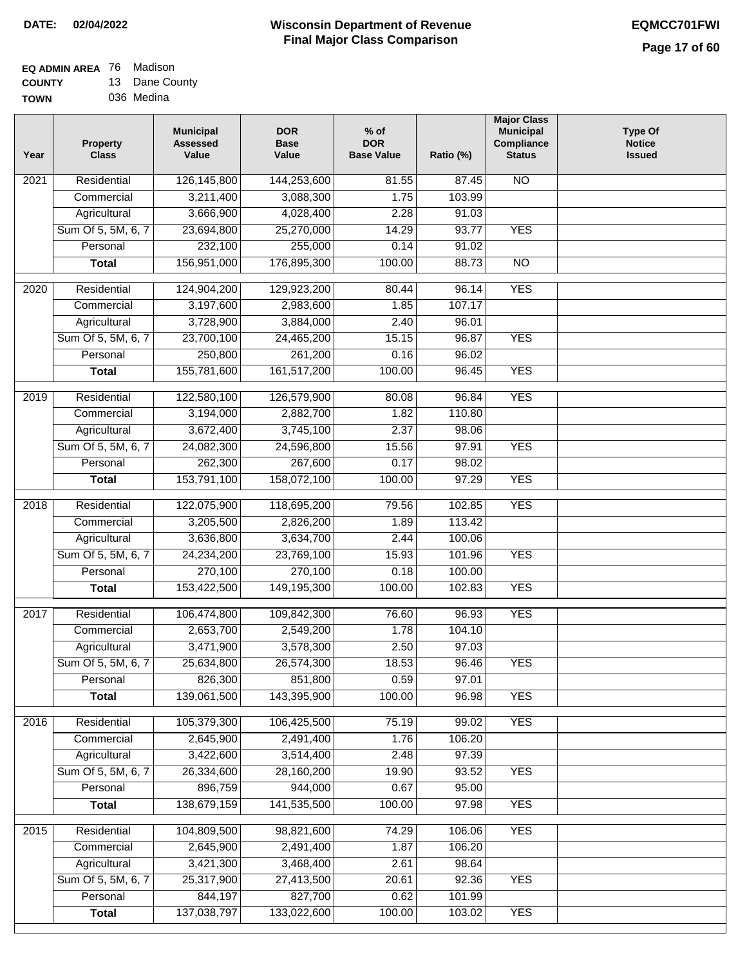#### **Wisconsin Department of Revenue Final Major Class Comparison DATE: 02/04/2022 EQMCC701FWI**

#### **EQ ADMIN AREA** 76 Madison **COUNTY** 13 Dane County

**TOWN** 036 Medina

| Year              | <b>Property</b><br><b>Class</b> | <b>Municipal</b><br><b>Assessed</b><br>Value | <b>DOR</b><br><b>Base</b><br>Value | $%$ of<br><b>DOR</b><br><b>Base Value</b> | Ratio (%) | <b>Major Class</b><br><b>Municipal</b><br>Compliance<br><b>Status</b> | <b>Type Of</b><br><b>Notice</b><br><b>Issued</b> |
|-------------------|---------------------------------|----------------------------------------------|------------------------------------|-------------------------------------------|-----------|-----------------------------------------------------------------------|--------------------------------------------------|
| 2021              | Residential                     | 126,145,800                                  | 144,253,600                        | 81.55                                     | 87.45     | <b>NO</b>                                                             |                                                  |
|                   | Commercial                      | 3,211,400                                    | 3,088,300                          | 1.75                                      | 103.99    |                                                                       |                                                  |
|                   | Agricultural                    | 3,666,900                                    | 4,028,400                          | 2.28                                      | 91.03     |                                                                       |                                                  |
|                   | Sum Of 5, 5M, 6, 7              | 23,694,800                                   | 25,270,000                         | 14.29                                     | 93.77     | <b>YES</b>                                                            |                                                  |
|                   | Personal                        | 232,100                                      | 255,000                            | 0.14                                      | 91.02     |                                                                       |                                                  |
|                   | <b>Total</b>                    | 156,951,000                                  | 176,895,300                        | 100.00                                    | 88.73     | $\overline{NO}$                                                       |                                                  |
| $\overline{2020}$ | Residential                     | 124,904,200                                  | 129,923,200                        | 80.44                                     | 96.14     | <b>YES</b>                                                            |                                                  |
|                   | Commercial                      | 3,197,600                                    | 2,983,600                          | 1.85                                      | 107.17    |                                                                       |                                                  |
|                   | Agricultural                    | 3,728,900                                    | 3,884,000                          | 2.40                                      | 96.01     |                                                                       |                                                  |
|                   | Sum Of 5, 5M, 6, 7              | 23,700,100                                   | 24,465,200                         | 15.15                                     | 96.87     | <b>YES</b>                                                            |                                                  |
|                   | Personal                        | 250,800                                      | 261,200                            | 0.16                                      | 96.02     |                                                                       |                                                  |
|                   | <b>Total</b>                    | 155,781,600                                  | 161,517,200                        | 100.00                                    | 96.45     | <b>YES</b>                                                            |                                                  |
| $\frac{1}{2019}$  | Residential                     | 122,580,100                                  | 126,579,900                        | 80.08                                     | 96.84     | <b>YES</b>                                                            |                                                  |
|                   | Commercial                      | 3,194,000                                    | 2,882,700                          | 1.82                                      | 110.80    |                                                                       |                                                  |
|                   | Agricultural                    | 3,672,400                                    | 3,745,100                          | 2.37                                      | 98.06     |                                                                       |                                                  |
|                   | Sum Of 5, 5M, 6, 7              | 24,082,300                                   | 24,596,800                         | 15.56                                     | 97.91     | <b>YES</b>                                                            |                                                  |
|                   | Personal                        | 262,300                                      | 267,600                            | 0.17                                      | 98.02     |                                                                       |                                                  |
|                   | <b>Total</b>                    | 153,791,100                                  | 158,072,100                        | 100.00                                    | 97.29     | <b>YES</b>                                                            |                                                  |
| $\overline{2018}$ | Residential                     | 122,075,900                                  | 118,695,200                        | 79.56                                     | 102.85    | <b>YES</b>                                                            |                                                  |
|                   | Commercial                      | 3,205,500                                    | 2,826,200                          | 1.89                                      | 113.42    |                                                                       |                                                  |
|                   | Agricultural                    | 3,636,800                                    | 3,634,700                          | 2.44                                      | 100.06    |                                                                       |                                                  |
|                   | Sum Of 5, 5M, 6, 7              | 24,234,200                                   | 23,769,100                         | 15.93                                     | 101.96    | <b>YES</b>                                                            |                                                  |
|                   | Personal                        | 270,100                                      | 270,100                            | 0.18                                      | 100.00    |                                                                       |                                                  |
|                   | <b>Total</b>                    | 153,422,500                                  | 149,195,300                        | 100.00                                    | 102.83    | <b>YES</b>                                                            |                                                  |
|                   |                                 |                                              |                                    |                                           |           |                                                                       |                                                  |
| 2017              | Residential                     | 106,474,800                                  | 109,842,300                        | 76.60                                     | 96.93     | <b>YES</b>                                                            |                                                  |
|                   | Commercial                      | 2,653,700                                    | 2,549,200                          | 1.78                                      | 104.10    |                                                                       |                                                  |
|                   | Agricultural                    | 3,471,900                                    | 3,578,300                          | 2.50                                      | 97.03     |                                                                       |                                                  |
|                   | Sum Of 5, 5M, 6, 7              | 25,634,800                                   | 26,574,300                         | 18.53                                     | 96.46     | <b>YES</b>                                                            |                                                  |
|                   | Personal                        | 826,300                                      | 851,800                            | 0.59                                      | 97.01     |                                                                       |                                                  |
|                   | <b>Total</b>                    | 139,061,500                                  | 143,395,900                        | 100.00                                    | 96.98     | <b>YES</b>                                                            |                                                  |
| 2016              | Residential                     | 105,379,300                                  | 106,425,500                        | 75.19                                     | 99.02     | <b>YES</b>                                                            |                                                  |
|                   | Commercial                      | 2,645,900                                    | 2,491,400                          | 1.76                                      | 106.20    |                                                                       |                                                  |
|                   | Agricultural                    | 3,422,600                                    | 3,514,400                          | 2.48                                      | 97.39     |                                                                       |                                                  |
|                   | Sum Of 5, 5M, 6, 7              | 26,334,600                                   | 28,160,200                         | 19.90                                     | 93.52     | <b>YES</b>                                                            |                                                  |
|                   | Personal                        | 896,759                                      | 944,000                            | 0.67                                      | 95.00     |                                                                       |                                                  |
|                   | <b>Total</b>                    | 138,679,159                                  | 141,535,500                        | 100.00                                    | 97.98     | <b>YES</b>                                                            |                                                  |
| 2015              | Residential                     | 104,809,500                                  | 98,821,600                         | 74.29                                     | 106.06    | <b>YES</b>                                                            |                                                  |
|                   | Commercial                      | 2,645,900                                    | 2,491,400                          | 1.87                                      | 106.20    |                                                                       |                                                  |
|                   | Agricultural                    | 3,421,300                                    | 3,468,400                          | 2.61                                      | 98.64     |                                                                       |                                                  |
|                   | Sum Of 5, 5M, 6, 7              | 25,317,900                                   | 27,413,500                         | 20.61                                     | 92.36     | <b>YES</b>                                                            |                                                  |
|                   | Personal                        | 844,197                                      | 827,700                            | 0.62                                      | 101.99    |                                                                       |                                                  |
|                   | <b>Total</b>                    | 137,038,797                                  | 133,022,600                        | 100.00                                    | 103.02    | <b>YES</b>                                                            |                                                  |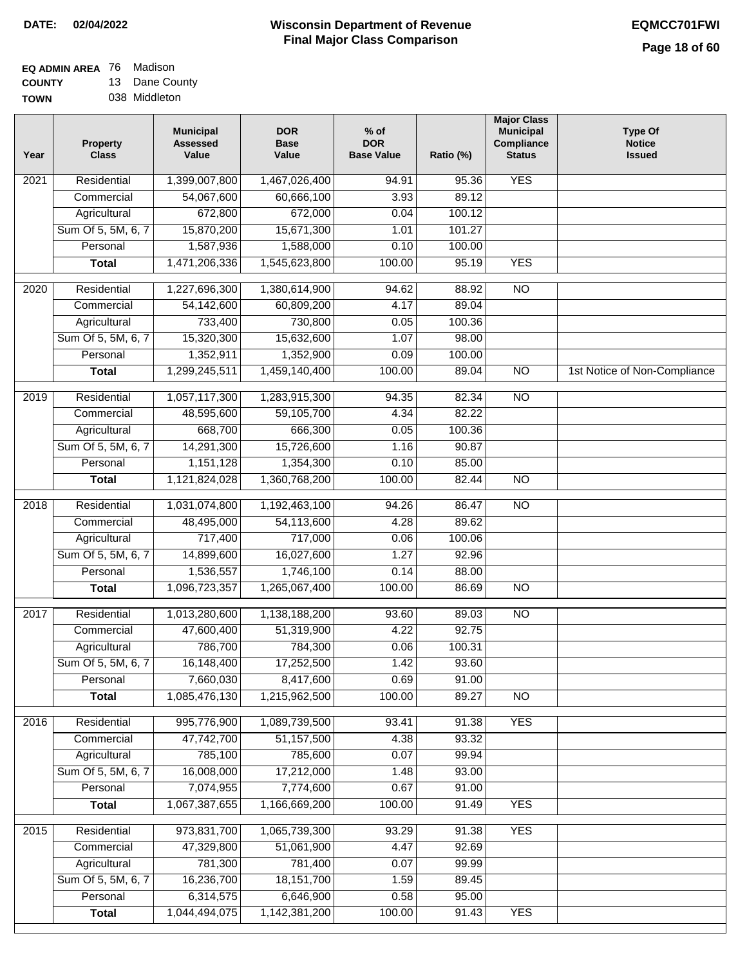#### **EQ ADMIN AREA** 76 Madison **COUNTY** 13 Dane County

**TOWN** 038 Middleton

| 1,399,007,800<br><b>YES</b><br>Residential<br>1,467,026,400<br>94.91<br>95.36<br>2021<br>54,067,600<br>60,666,100<br>89.12<br>Commercial<br>3.93<br>672,800<br>672,000<br>100.12<br>Agricultural<br>0.04<br>Sum Of 5, 5M, 6, 7<br>15,870,200<br>15,671,300<br>1.01<br>101.27<br>1,587,936<br>Personal<br>1,588,000<br>0.10<br>100.00<br>1,471,206,336<br>1,545,623,800<br>100.00<br><b>YES</b><br>95.19<br><b>Total</b><br>Residential<br>1,227,696,300<br>1,380,614,900<br>88.92<br>$\overline{10}$<br>2020<br>94.62<br>54,142,600<br>Commercial<br>60,809,200<br>4.17<br>89.04<br>733,400<br>Agricultural<br>730,800<br>0.05<br>100.36<br>Sum Of 5, 5M, 6, 7<br>15,320,300<br>15,632,600<br>1.07<br>98.00<br>Personal<br>1,352,911<br>1,352,900<br>0.09<br>100.00<br>1,459,140,400<br>$\overline{NO}$<br><b>Total</b><br>1,299,245,511<br>100.00<br>89.04<br>1st Notice of Non-Compliance<br>$\overline{NO}$<br>$\frac{1}{2019}$<br>Residential<br>1,057,117,300<br>1,283,915,300<br>94.35<br>82.34<br>4.34<br>82.22<br>Commercial<br>48,595,600<br>59,105,700<br>668,700<br>Agricultural<br>666,300<br>0.05<br>100.36<br>Sum Of 5, 5M, 6, 7<br>14,291,300<br>15,726,600<br>1.16<br>90.87<br>Personal<br>1,151,128<br>1,354,300<br>0.10<br>85.00<br>1,121,824,028<br>1,360,768,200<br>100.00<br>82.44<br>$\overline{NO}$<br><b>Total</b><br>Residential<br>1,031,074,800<br>1,192,463,100<br>94.26<br>86.47<br>$\overline{10}$<br>2018<br>4.28<br>Commercial<br>48,495,000<br>54,113,600<br>89.62<br>717,400<br>717,000<br>0.06<br>100.06<br>Agricultural<br>Sum Of 5, 5M, 6, 7<br>14,899,600<br>16,027,600<br>1.27<br>92.96<br>1,536,557<br>Personal<br>1,746,100<br>0.14<br>88.00<br>1,096,723,357<br>1,265,067,400<br>100.00<br>86.69<br>$\overline{NO}$<br><b>Total</b><br>Residential<br>1,013,280,600<br>1,138,188,200<br>93.60<br><b>NO</b><br>2017<br>89.03<br>4.22<br>92.75<br>47,600,400<br>51,319,900<br>Commercial<br>786,700<br>784,300<br>0.06<br>100.31<br>Agricultural<br>Sum Of 5, 5M, 6, 7<br>16,148,400<br>17,252,500<br>1.42<br>93.60<br>Personal<br>7,660,030<br>8,417,600<br>0.69<br>91.00<br>1,085,476,130<br>1,215,962,500<br>100.00<br>$\overline{NO}$<br><b>Total</b><br>89.27 |  |
|------------------------------------------------------------------------------------------------------------------------------------------------------------------------------------------------------------------------------------------------------------------------------------------------------------------------------------------------------------------------------------------------------------------------------------------------------------------------------------------------------------------------------------------------------------------------------------------------------------------------------------------------------------------------------------------------------------------------------------------------------------------------------------------------------------------------------------------------------------------------------------------------------------------------------------------------------------------------------------------------------------------------------------------------------------------------------------------------------------------------------------------------------------------------------------------------------------------------------------------------------------------------------------------------------------------------------------------------------------------------------------------------------------------------------------------------------------------------------------------------------------------------------------------------------------------------------------------------------------------------------------------------------------------------------------------------------------------------------------------------------------------------------------------------------------------------------------------------------------------------------------------------------------------------------------------------------------------------------------------------------------------------------------------------------------------------------------------------------------------------------------------------------------------------------------------------------------|--|
|                                                                                                                                                                                                                                                                                                                                                                                                                                                                                                                                                                                                                                                                                                                                                                                                                                                                                                                                                                                                                                                                                                                                                                                                                                                                                                                                                                                                                                                                                                                                                                                                                                                                                                                                                                                                                                                                                                                                                                                                                                                                                                                                                                                                            |  |
|                                                                                                                                                                                                                                                                                                                                                                                                                                                                                                                                                                                                                                                                                                                                                                                                                                                                                                                                                                                                                                                                                                                                                                                                                                                                                                                                                                                                                                                                                                                                                                                                                                                                                                                                                                                                                                                                                                                                                                                                                                                                                                                                                                                                            |  |
|                                                                                                                                                                                                                                                                                                                                                                                                                                                                                                                                                                                                                                                                                                                                                                                                                                                                                                                                                                                                                                                                                                                                                                                                                                                                                                                                                                                                                                                                                                                                                                                                                                                                                                                                                                                                                                                                                                                                                                                                                                                                                                                                                                                                            |  |
|                                                                                                                                                                                                                                                                                                                                                                                                                                                                                                                                                                                                                                                                                                                                                                                                                                                                                                                                                                                                                                                                                                                                                                                                                                                                                                                                                                                                                                                                                                                                                                                                                                                                                                                                                                                                                                                                                                                                                                                                                                                                                                                                                                                                            |  |
|                                                                                                                                                                                                                                                                                                                                                                                                                                                                                                                                                                                                                                                                                                                                                                                                                                                                                                                                                                                                                                                                                                                                                                                                                                                                                                                                                                                                                                                                                                                                                                                                                                                                                                                                                                                                                                                                                                                                                                                                                                                                                                                                                                                                            |  |
|                                                                                                                                                                                                                                                                                                                                                                                                                                                                                                                                                                                                                                                                                                                                                                                                                                                                                                                                                                                                                                                                                                                                                                                                                                                                                                                                                                                                                                                                                                                                                                                                                                                                                                                                                                                                                                                                                                                                                                                                                                                                                                                                                                                                            |  |
|                                                                                                                                                                                                                                                                                                                                                                                                                                                                                                                                                                                                                                                                                                                                                                                                                                                                                                                                                                                                                                                                                                                                                                                                                                                                                                                                                                                                                                                                                                                                                                                                                                                                                                                                                                                                                                                                                                                                                                                                                                                                                                                                                                                                            |  |
|                                                                                                                                                                                                                                                                                                                                                                                                                                                                                                                                                                                                                                                                                                                                                                                                                                                                                                                                                                                                                                                                                                                                                                                                                                                                                                                                                                                                                                                                                                                                                                                                                                                                                                                                                                                                                                                                                                                                                                                                                                                                                                                                                                                                            |  |
|                                                                                                                                                                                                                                                                                                                                                                                                                                                                                                                                                                                                                                                                                                                                                                                                                                                                                                                                                                                                                                                                                                                                                                                                                                                                                                                                                                                                                                                                                                                                                                                                                                                                                                                                                                                                                                                                                                                                                                                                                                                                                                                                                                                                            |  |
|                                                                                                                                                                                                                                                                                                                                                                                                                                                                                                                                                                                                                                                                                                                                                                                                                                                                                                                                                                                                                                                                                                                                                                                                                                                                                                                                                                                                                                                                                                                                                                                                                                                                                                                                                                                                                                                                                                                                                                                                                                                                                                                                                                                                            |  |
|                                                                                                                                                                                                                                                                                                                                                                                                                                                                                                                                                                                                                                                                                                                                                                                                                                                                                                                                                                                                                                                                                                                                                                                                                                                                                                                                                                                                                                                                                                                                                                                                                                                                                                                                                                                                                                                                                                                                                                                                                                                                                                                                                                                                            |  |
|                                                                                                                                                                                                                                                                                                                                                                                                                                                                                                                                                                                                                                                                                                                                                                                                                                                                                                                                                                                                                                                                                                                                                                                                                                                                                                                                                                                                                                                                                                                                                                                                                                                                                                                                                                                                                                                                                                                                                                                                                                                                                                                                                                                                            |  |
|                                                                                                                                                                                                                                                                                                                                                                                                                                                                                                                                                                                                                                                                                                                                                                                                                                                                                                                                                                                                                                                                                                                                                                                                                                                                                                                                                                                                                                                                                                                                                                                                                                                                                                                                                                                                                                                                                                                                                                                                                                                                                                                                                                                                            |  |
|                                                                                                                                                                                                                                                                                                                                                                                                                                                                                                                                                                                                                                                                                                                                                                                                                                                                                                                                                                                                                                                                                                                                                                                                                                                                                                                                                                                                                                                                                                                                                                                                                                                                                                                                                                                                                                                                                                                                                                                                                                                                                                                                                                                                            |  |
|                                                                                                                                                                                                                                                                                                                                                                                                                                                                                                                                                                                                                                                                                                                                                                                                                                                                                                                                                                                                                                                                                                                                                                                                                                                                                                                                                                                                                                                                                                                                                                                                                                                                                                                                                                                                                                                                                                                                                                                                                                                                                                                                                                                                            |  |
|                                                                                                                                                                                                                                                                                                                                                                                                                                                                                                                                                                                                                                                                                                                                                                                                                                                                                                                                                                                                                                                                                                                                                                                                                                                                                                                                                                                                                                                                                                                                                                                                                                                                                                                                                                                                                                                                                                                                                                                                                                                                                                                                                                                                            |  |
|                                                                                                                                                                                                                                                                                                                                                                                                                                                                                                                                                                                                                                                                                                                                                                                                                                                                                                                                                                                                                                                                                                                                                                                                                                                                                                                                                                                                                                                                                                                                                                                                                                                                                                                                                                                                                                                                                                                                                                                                                                                                                                                                                                                                            |  |
|                                                                                                                                                                                                                                                                                                                                                                                                                                                                                                                                                                                                                                                                                                                                                                                                                                                                                                                                                                                                                                                                                                                                                                                                                                                                                                                                                                                                                                                                                                                                                                                                                                                                                                                                                                                                                                                                                                                                                                                                                                                                                                                                                                                                            |  |
|                                                                                                                                                                                                                                                                                                                                                                                                                                                                                                                                                                                                                                                                                                                                                                                                                                                                                                                                                                                                                                                                                                                                                                                                                                                                                                                                                                                                                                                                                                                                                                                                                                                                                                                                                                                                                                                                                                                                                                                                                                                                                                                                                                                                            |  |
|                                                                                                                                                                                                                                                                                                                                                                                                                                                                                                                                                                                                                                                                                                                                                                                                                                                                                                                                                                                                                                                                                                                                                                                                                                                                                                                                                                                                                                                                                                                                                                                                                                                                                                                                                                                                                                                                                                                                                                                                                                                                                                                                                                                                            |  |
|                                                                                                                                                                                                                                                                                                                                                                                                                                                                                                                                                                                                                                                                                                                                                                                                                                                                                                                                                                                                                                                                                                                                                                                                                                                                                                                                                                                                                                                                                                                                                                                                                                                                                                                                                                                                                                                                                                                                                                                                                                                                                                                                                                                                            |  |
|                                                                                                                                                                                                                                                                                                                                                                                                                                                                                                                                                                                                                                                                                                                                                                                                                                                                                                                                                                                                                                                                                                                                                                                                                                                                                                                                                                                                                                                                                                                                                                                                                                                                                                                                                                                                                                                                                                                                                                                                                                                                                                                                                                                                            |  |
|                                                                                                                                                                                                                                                                                                                                                                                                                                                                                                                                                                                                                                                                                                                                                                                                                                                                                                                                                                                                                                                                                                                                                                                                                                                                                                                                                                                                                                                                                                                                                                                                                                                                                                                                                                                                                                                                                                                                                                                                                                                                                                                                                                                                            |  |
|                                                                                                                                                                                                                                                                                                                                                                                                                                                                                                                                                                                                                                                                                                                                                                                                                                                                                                                                                                                                                                                                                                                                                                                                                                                                                                                                                                                                                                                                                                                                                                                                                                                                                                                                                                                                                                                                                                                                                                                                                                                                                                                                                                                                            |  |
|                                                                                                                                                                                                                                                                                                                                                                                                                                                                                                                                                                                                                                                                                                                                                                                                                                                                                                                                                                                                                                                                                                                                                                                                                                                                                                                                                                                                                                                                                                                                                                                                                                                                                                                                                                                                                                                                                                                                                                                                                                                                                                                                                                                                            |  |
|                                                                                                                                                                                                                                                                                                                                                                                                                                                                                                                                                                                                                                                                                                                                                                                                                                                                                                                                                                                                                                                                                                                                                                                                                                                                                                                                                                                                                                                                                                                                                                                                                                                                                                                                                                                                                                                                                                                                                                                                                                                                                                                                                                                                            |  |
|                                                                                                                                                                                                                                                                                                                                                                                                                                                                                                                                                                                                                                                                                                                                                                                                                                                                                                                                                                                                                                                                                                                                                                                                                                                                                                                                                                                                                                                                                                                                                                                                                                                                                                                                                                                                                                                                                                                                                                                                                                                                                                                                                                                                            |  |
|                                                                                                                                                                                                                                                                                                                                                                                                                                                                                                                                                                                                                                                                                                                                                                                                                                                                                                                                                                                                                                                                                                                                                                                                                                                                                                                                                                                                                                                                                                                                                                                                                                                                                                                                                                                                                                                                                                                                                                                                                                                                                                                                                                                                            |  |
|                                                                                                                                                                                                                                                                                                                                                                                                                                                                                                                                                                                                                                                                                                                                                                                                                                                                                                                                                                                                                                                                                                                                                                                                                                                                                                                                                                                                                                                                                                                                                                                                                                                                                                                                                                                                                                                                                                                                                                                                                                                                                                                                                                                                            |  |
|                                                                                                                                                                                                                                                                                                                                                                                                                                                                                                                                                                                                                                                                                                                                                                                                                                                                                                                                                                                                                                                                                                                                                                                                                                                                                                                                                                                                                                                                                                                                                                                                                                                                                                                                                                                                                                                                                                                                                                                                                                                                                                                                                                                                            |  |
| <b>YES</b><br>2016<br>Residential<br>995,776,900<br>1,089,739,500<br>93.41<br>91.38                                                                                                                                                                                                                                                                                                                                                                                                                                                                                                                                                                                                                                                                                                                                                                                                                                                                                                                                                                                                                                                                                                                                                                                                                                                                                                                                                                                                                                                                                                                                                                                                                                                                                                                                                                                                                                                                                                                                                                                                                                                                                                                        |  |
| 93.32<br>Commercial<br>47,742,700<br>51,157,500<br>4.38                                                                                                                                                                                                                                                                                                                                                                                                                                                                                                                                                                                                                                                                                                                                                                                                                                                                                                                                                                                                                                                                                                                                                                                                                                                                                                                                                                                                                                                                                                                                                                                                                                                                                                                                                                                                                                                                                                                                                                                                                                                                                                                                                    |  |
| 785,100<br>785,600<br>0.07<br>99.94<br>Agricultural                                                                                                                                                                                                                                                                                                                                                                                                                                                                                                                                                                                                                                                                                                                                                                                                                                                                                                                                                                                                                                                                                                                                                                                                                                                                                                                                                                                                                                                                                                                                                                                                                                                                                                                                                                                                                                                                                                                                                                                                                                                                                                                                                        |  |
| 16,008,000<br>Sum Of 5, 5M, 6, 7<br>17,212,000<br>93.00<br>1.48                                                                                                                                                                                                                                                                                                                                                                                                                                                                                                                                                                                                                                                                                                                                                                                                                                                                                                                                                                                                                                                                                                                                                                                                                                                                                                                                                                                                                                                                                                                                                                                                                                                                                                                                                                                                                                                                                                                                                                                                                                                                                                                                            |  |
| 7,074,955<br>7,774,600<br>Personal<br>0.67<br>91.00                                                                                                                                                                                                                                                                                                                                                                                                                                                                                                                                                                                                                                                                                                                                                                                                                                                                                                                                                                                                                                                                                                                                                                                                                                                                                                                                                                                                                                                                                                                                                                                                                                                                                                                                                                                                                                                                                                                                                                                                                                                                                                                                                        |  |
| 1,067,387,655<br><b>YES</b><br>1,166,669,200<br>100.00<br><b>Total</b><br>91.49                                                                                                                                                                                                                                                                                                                                                                                                                                                                                                                                                                                                                                                                                                                                                                                                                                                                                                                                                                                                                                                                                                                                                                                                                                                                                                                                                                                                                                                                                                                                                                                                                                                                                                                                                                                                                                                                                                                                                                                                                                                                                                                            |  |
| 973,831,700<br>1,065,739,300<br><b>YES</b><br>2015<br>Residential<br>93.29<br>91.38                                                                                                                                                                                                                                                                                                                                                                                                                                                                                                                                                                                                                                                                                                                                                                                                                                                                                                                                                                                                                                                                                                                                                                                                                                                                                                                                                                                                                                                                                                                                                                                                                                                                                                                                                                                                                                                                                                                                                                                                                                                                                                                        |  |
| 51,061,900<br>92.69<br>Commercial<br>47,329,800<br>4.47                                                                                                                                                                                                                                                                                                                                                                                                                                                                                                                                                                                                                                                                                                                                                                                                                                                                                                                                                                                                                                                                                                                                                                                                                                                                                                                                                                                                                                                                                                                                                                                                                                                                                                                                                                                                                                                                                                                                                                                                                                                                                                                                                    |  |
| 781,300<br>781,400<br>0.07<br>99.99<br>Agricultural                                                                                                                                                                                                                                                                                                                                                                                                                                                                                                                                                                                                                                                                                                                                                                                                                                                                                                                                                                                                                                                                                                                                                                                                                                                                                                                                                                                                                                                                                                                                                                                                                                                                                                                                                                                                                                                                                                                                                                                                                                                                                                                                                        |  |
| Sum Of 5, 5M, 6, 7<br>16,236,700<br>18, 151, 700<br>1.59<br>89.45                                                                                                                                                                                                                                                                                                                                                                                                                                                                                                                                                                                                                                                                                                                                                                                                                                                                                                                                                                                                                                                                                                                                                                                                                                                                                                                                                                                                                                                                                                                                                                                                                                                                                                                                                                                                                                                                                                                                                                                                                                                                                                                                          |  |
| 6,314,575<br>Personal<br>6,646,900<br>0.58<br>95.00                                                                                                                                                                                                                                                                                                                                                                                                                                                                                                                                                                                                                                                                                                                                                                                                                                                                                                                                                                                                                                                                                                                                                                                                                                                                                                                                                                                                                                                                                                                                                                                                                                                                                                                                                                                                                                                                                                                                                                                                                                                                                                                                                        |  |
| 1,044,494,075<br>100.00<br><b>YES</b><br>1,142,381,200<br>91.43<br><b>Total</b>                                                                                                                                                                                                                                                                                                                                                                                                                                                                                                                                                                                                                                                                                                                                                                                                                                                                                                                                                                                                                                                                                                                                                                                                                                                                                                                                                                                                                                                                                                                                                                                                                                                                                                                                                                                                                                                                                                                                                                                                                                                                                                                            |  |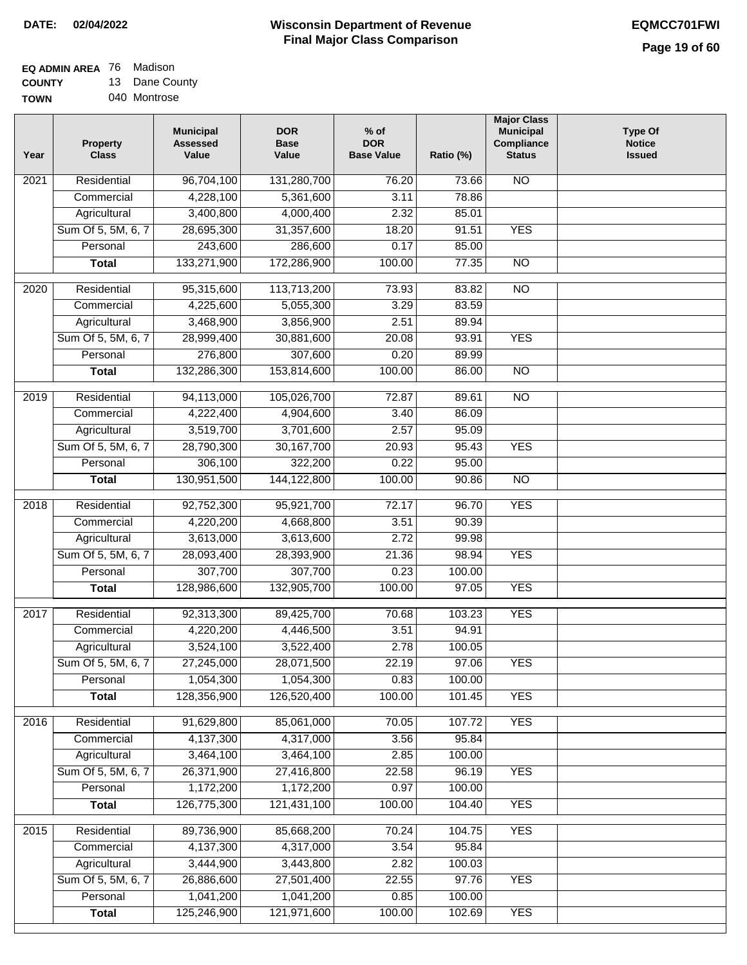**EQ ADMIN AREA** 76 Madison **COUNTY**

**TOWN** 13 Dane County 040 Montrose

| Year              | <b>Property</b><br><b>Class</b> | <b>Municipal</b><br><b>Assessed</b><br>Value | <b>DOR</b><br><b>Base</b><br>Value | $%$ of<br><b>DOR</b><br><b>Base Value</b> | Ratio (%) | <b>Major Class</b><br><b>Municipal</b><br>Compliance<br><b>Status</b> | <b>Type Of</b><br><b>Notice</b><br><b>Issued</b> |
|-------------------|---------------------------------|----------------------------------------------|------------------------------------|-------------------------------------------|-----------|-----------------------------------------------------------------------|--------------------------------------------------|
| $\overline{202}1$ | Residential                     | 96,704,100                                   | 131,280,700                        | 76.20                                     | 73.66     | N <sub>O</sub>                                                        |                                                  |
|                   | Commercial                      | 4,228,100                                    | 5,361,600                          | 3.11                                      | 78.86     |                                                                       |                                                  |
|                   | Agricultural                    | 3,400,800                                    | 4,000,400                          | 2.32                                      | 85.01     |                                                                       |                                                  |
|                   | Sum Of 5, 5M, 6, 7              | 28,695,300                                   | 31,357,600                         | 18.20                                     | 91.51     | <b>YES</b>                                                            |                                                  |
|                   | Personal                        | 243,600                                      | 286,600                            | 0.17                                      | 85.00     |                                                                       |                                                  |
|                   | <b>Total</b>                    | 133,271,900                                  | 172,286,900                        | 100.00                                    | 77.35     | $\overline{NO}$                                                       |                                                  |
| $\overline{2020}$ | Residential                     | 95,315,600                                   | 113,713,200                        | 73.93                                     | 83.82     | $\overline{10}$                                                       |                                                  |
|                   | Commercial                      | 4,225,600                                    | 5,055,300                          | 3.29                                      | 83.59     |                                                                       |                                                  |
|                   | Agricultural                    | 3,468,900                                    | 3,856,900                          | 2.51                                      | 89.94     |                                                                       |                                                  |
|                   | Sum Of 5, 5M, 6, 7              | 28,999,400                                   | 30,881,600                         | 20.08                                     | 93.91     | <b>YES</b>                                                            |                                                  |
|                   | Personal                        | 276,800                                      | 307,600                            | 0.20                                      | 89.99     |                                                                       |                                                  |
|                   | <b>Total</b>                    | 132,286,300                                  | 153,814,600                        | 100.00                                    | 86.00     | $\overline{NO}$                                                       |                                                  |
| 2019              | Residential                     | 94,113,000                                   | 105,026,700                        | 72.87                                     | 89.61     | $\overline{NO}$                                                       |                                                  |
|                   | Commercial                      | 4,222,400                                    | 4,904,600                          | 3.40                                      | 86.09     |                                                                       |                                                  |
|                   | Agricultural                    | 3,519,700                                    | 3,701,600                          | 2.57                                      | 95.09     |                                                                       |                                                  |
|                   | Sum Of 5, 5M, 6, 7              | 28,790,300                                   | 30, 167, 700                       | 20.93                                     | 95.43     | <b>YES</b>                                                            |                                                  |
|                   | Personal                        | 306,100                                      | 322,200                            | 0.22                                      | 95.00     |                                                                       |                                                  |
|                   | <b>Total</b>                    | 130,951,500                                  | 144, 122, 800                      | 100.00                                    | 90.86     | $\overline{NO}$                                                       |                                                  |
|                   |                                 |                                              |                                    |                                           |           |                                                                       |                                                  |
| 2018              | Residential                     | 92,752,300                                   | 95,921,700                         | 72.17                                     | 96.70     | <b>YES</b>                                                            |                                                  |
|                   | Commercial                      | 4,220,200                                    | 4,668,800                          | 3.51                                      | 90.39     |                                                                       |                                                  |
|                   | Agricultural                    | 3,613,000                                    | 3,613,600                          | 2.72                                      | 99.98     |                                                                       |                                                  |
|                   | Sum Of 5, 5M, 6, 7              | 28,093,400                                   | 28,393,900                         | 21.36                                     | 98.94     | <b>YES</b>                                                            |                                                  |
|                   | Personal                        | 307,700                                      | 307,700                            | 0.23                                      | 100.00    |                                                                       |                                                  |
|                   | <b>Total</b>                    | 128,986,600                                  | 132,905,700                        | 100.00                                    | 97.05     | <b>YES</b>                                                            |                                                  |
| $\overline{2017}$ | Residential                     | 92,313,300                                   | 89,425,700                         | 70.68                                     | 103.23    | <b>YES</b>                                                            |                                                  |
|                   | Commercial                      | 4,220,200                                    | 4,446,500                          | 3.51                                      | 94.91     |                                                                       |                                                  |
|                   | Agricultural                    | 3,524,100                                    | 3,522,400                          | 2.78                                      | 100.05    |                                                                       |                                                  |
|                   | Sum Of 5, 5M, 6, 7              | 27,245,000                                   | 28,071,500                         | 22.19                                     | 97.06     | <b>YES</b>                                                            |                                                  |
|                   | Personal                        | 1,054,300                                    | 1,054,300                          | 0.83                                      | 100.00    |                                                                       |                                                  |
|                   | <b>Total</b>                    | 128,356,900                                  | 126,520,400                        | 100.00                                    | 101.45    | <b>YES</b>                                                            |                                                  |
| 2016              | Residential                     | 91,629,800                                   | 85,061,000                         | 70.05                                     | 107.72    | <b>YES</b>                                                            |                                                  |
|                   | Commercial                      | 4,137,300                                    | 4,317,000                          | 3.56                                      | 95.84     |                                                                       |                                                  |
|                   | Agricultural                    | 3,464,100                                    | 3,464,100                          | 2.85                                      | 100.00    |                                                                       |                                                  |
|                   | Sum Of 5, 5M, 6, 7              | 26,371,900                                   | 27,416,800                         | 22.58                                     | 96.19     | <b>YES</b>                                                            |                                                  |
|                   | Personal                        | 1,172,200                                    | 1,172,200                          | 0.97                                      | 100.00    |                                                                       |                                                  |
|                   | <b>Total</b>                    | 126,775,300                                  | 121,431,100                        | 100.00                                    | 104.40    | <b>YES</b>                                                            |                                                  |
| 2015              | Residential                     | 89,736,900                                   | 85,668,200                         | 70.24                                     | 104.75    | <b>YES</b>                                                            |                                                  |
|                   | Commercial                      | 4,137,300                                    | 4,317,000                          | 3.54                                      | 95.84     |                                                                       |                                                  |
|                   | Agricultural                    | 3,444,900                                    | 3,443,800                          | 2.82                                      | 100.03    |                                                                       |                                                  |
|                   | Sum Of 5, 5M, 6, 7              | 26,886,600                                   | 27,501,400                         | 22.55                                     | 97.76     | <b>YES</b>                                                            |                                                  |
|                   | Personal                        | 1,041,200                                    | 1,041,200                          | 0.85                                      | 100.00    |                                                                       |                                                  |
|                   | <b>Total</b>                    | 125,246,900                                  | 121,971,600                        | 100.00                                    | 102.69    | <b>YES</b>                                                            |                                                  |
|                   |                                 |                                              |                                    |                                           |           |                                                                       |                                                  |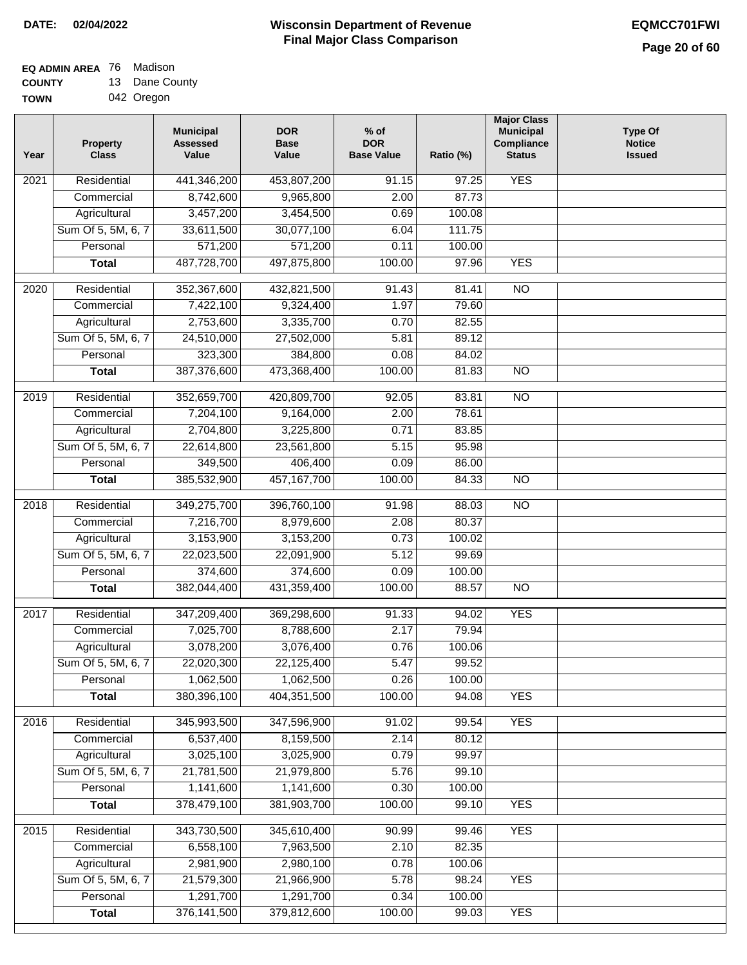#### **Wisconsin Department of Revenue Final Major Class Comparison DATE: 02/04/2022 EQMCC701FWI**

٦

**EQ ADMIN AREA** 76 Madison

**COUNTY TOWN** 13 Dane County 042 Oregon

| Year              | <b>Property</b><br><b>Class</b> | <b>Municipal</b><br><b>Assessed</b><br>Value | <b>DOR</b><br><b>Base</b><br>Value | $%$ of<br><b>DOR</b><br><b>Base Value</b> | Ratio (%) | <b>Major Class</b><br><b>Municipal</b><br>Compliance<br><b>Status</b> | <b>Type Of</b><br><b>Notice</b><br><b>Issued</b> |
|-------------------|---------------------------------|----------------------------------------------|------------------------------------|-------------------------------------------|-----------|-----------------------------------------------------------------------|--------------------------------------------------|
| 2021              | Residential                     | 441,346,200                                  | 453,807,200                        | 91.15                                     | 97.25     | <b>YES</b>                                                            |                                                  |
|                   | Commercial                      | 8,742,600                                    | 9,965,800                          | 2.00                                      | 87.73     |                                                                       |                                                  |
|                   | Agricultural                    | 3,457,200                                    | 3,454,500                          | 0.69                                      | 100.08    |                                                                       |                                                  |
|                   | Sum Of 5, 5M, 6, 7              | 33,611,500                                   | 30,077,100                         | 6.04                                      | 111.75    |                                                                       |                                                  |
|                   | Personal                        | 571,200                                      | 571,200                            | 0.11                                      | 100.00    |                                                                       |                                                  |
|                   | <b>Total</b>                    | 487,728,700                                  | 497,875,800                        | 100.00                                    | 97.96     | <b>YES</b>                                                            |                                                  |
| $\overline{2020}$ | Residential                     | 352,367,600                                  | 432,821,500                        | 91.43                                     | 81.41     | $\overline{10}$                                                       |                                                  |
|                   | Commercial                      | 7,422,100                                    | 9,324,400                          | 1.97                                      | 79.60     |                                                                       |                                                  |
|                   | Agricultural                    | 2,753,600                                    | 3,335,700                          | 0.70                                      | 82.55     |                                                                       |                                                  |
|                   | Sum Of 5, 5M, 6, 7              | 24,510,000                                   | 27,502,000                         | 5.81                                      | 89.12     |                                                                       |                                                  |
|                   | Personal                        | 323,300                                      | 384,800                            | 0.08                                      | 84.02     |                                                                       |                                                  |
|                   | <b>Total</b>                    | 387,376,600                                  | 473,368,400                        | 100.00                                    | 81.83     | <b>NO</b>                                                             |                                                  |
|                   |                                 |                                              |                                    |                                           |           |                                                                       |                                                  |
| $\frac{2019}{ }$  | Residential                     | 352,659,700                                  | 420,809,700                        | 92.05                                     | 83.81     | $\overline{NO}$                                                       |                                                  |
|                   | Commercial                      | 7,204,100                                    | 9,164,000                          | 2.00                                      | 78.61     |                                                                       |                                                  |
|                   | Agricultural                    | 2,704,800                                    | 3,225,800                          | 0.71                                      | 83.85     |                                                                       |                                                  |
|                   | Sum Of 5, 5M, 6, 7              | 22,614,800                                   | 23,561,800                         | 5.15                                      | 95.98     |                                                                       |                                                  |
|                   | Personal                        | 349,500                                      | 406,400                            | 0.09                                      | 86.00     |                                                                       |                                                  |
|                   | <b>Total</b>                    | 385,532,900                                  | 457, 167, 700                      | 100.00                                    | 84.33     | $\overline{NO}$                                                       |                                                  |
| 2018              | Residential                     | 349,275,700                                  | 396,760,100                        | 91.98                                     | 88.03     | $\overline{3}$                                                        |                                                  |
|                   | Commercial                      | 7,216,700                                    | 8,979,600                          | 2.08                                      | 80.37     |                                                                       |                                                  |
|                   | Agricultural                    | 3,153,900                                    | 3,153,200                          | 0.73                                      | 100.02    |                                                                       |                                                  |
|                   | Sum Of 5, 5M, 6, 7              | 22,023,500                                   | 22,091,900                         | 5.12                                      | 99.69     |                                                                       |                                                  |
|                   | Personal                        | 374,600                                      | 374,600                            | 0.09                                      | 100.00    |                                                                       |                                                  |
|                   | <b>Total</b>                    | 382,044,400                                  | 431,359,400                        | 100.00                                    | 88.57     | $\overline{10}$                                                       |                                                  |
| 2017              | Residential                     | 347,209,400                                  | 369,298,600                        | 91.33                                     | 94.02     | <b>YES</b>                                                            |                                                  |
|                   | Commercial                      | 7,025,700                                    | 8,788,600                          | 2.17                                      | 79.94     |                                                                       |                                                  |
|                   | Agricultural                    | 3,078,200                                    | 3,076,400                          | 0.76                                      | 100.06    |                                                                       |                                                  |
|                   | Sum Of 5, 5M, 6, 7              | 22,020,300                                   | 22,125,400                         | 5.47                                      | 99.52     |                                                                       |                                                  |
|                   | Personal                        | 1,062,500                                    | 1,062,500                          | 0.26                                      | 100.00    |                                                                       |                                                  |
|                   | <b>Total</b>                    | 380,396,100                                  | 404,351,500                        | 100.00                                    | 94.08     | <b>YES</b>                                                            |                                                  |
| 2016              | Residential                     | 345,993,500                                  | 347,596,900                        | 91.02                                     | 99.54     | <b>YES</b>                                                            |                                                  |
|                   | Commercial                      | 6,537,400                                    | 8,159,500                          | 2.14                                      | 80.12     |                                                                       |                                                  |
|                   | Agricultural                    | 3,025,100                                    | 3,025,900                          | 0.79                                      | 99.97     |                                                                       |                                                  |
|                   | Sum Of 5, 5M, 6, 7              | 21,781,500                                   | 21,979,800                         | 5.76                                      | 99.10     |                                                                       |                                                  |
|                   | Personal                        | 1,141,600                                    | 1,141,600                          | 0.30                                      | 100.00    |                                                                       |                                                  |
|                   | <b>Total</b>                    | 378,479,100                                  | 381,903,700                        | 100.00                                    | 99.10     | <b>YES</b>                                                            |                                                  |
| 2015              | Residential                     | 343,730,500                                  | 345,610,400                        | 90.99                                     | 99.46     | <b>YES</b>                                                            |                                                  |
|                   | Commercial                      | 6,558,100                                    | 7,963,500                          | 2.10                                      | 82.35     |                                                                       |                                                  |
|                   | Agricultural                    | 2,981,900                                    | 2,980,100                          | 0.78                                      | 100.06    |                                                                       |                                                  |
|                   | Sum Of 5, 5M, 6, 7              | 21,579,300                                   | 21,966,900                         | 5.78                                      | 98.24     | <b>YES</b>                                                            |                                                  |
|                   | Personal                        | 1,291,700                                    | 1,291,700                          | 0.34                                      | 100.00    |                                                                       |                                                  |
|                   | <b>Total</b>                    | 376, 141, 500                                | 379,812,600                        | 100.00                                    | 99.03     | <b>YES</b>                                                            |                                                  |
|                   |                                 |                                              |                                    |                                           |           |                                                                       |                                                  |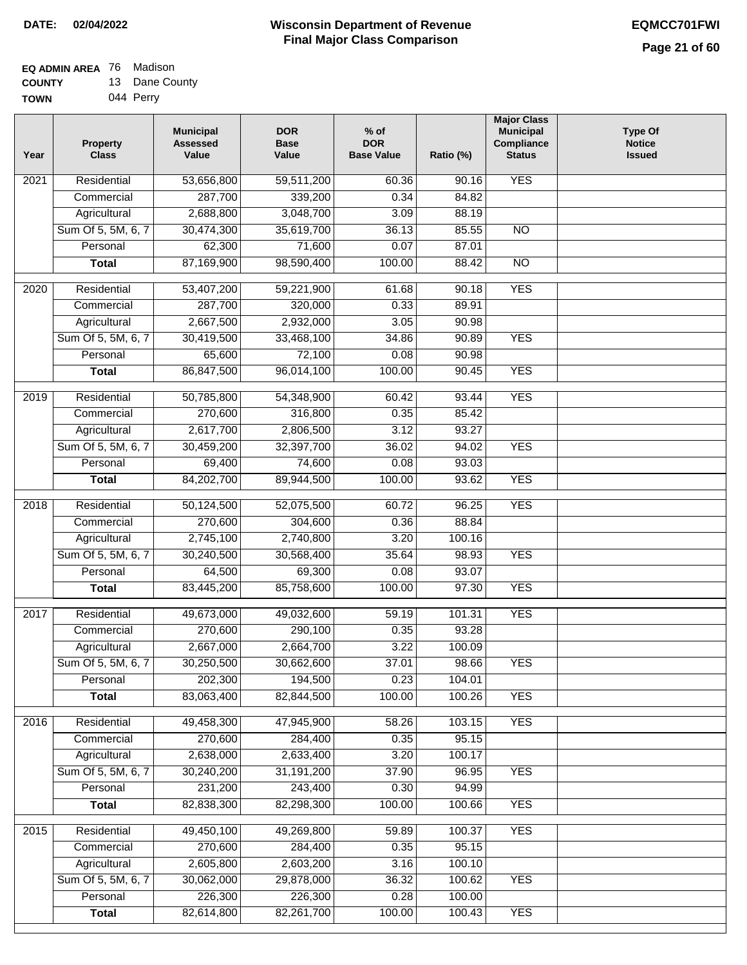#### **Wisconsin Department of Revenue Final Major Class Comparison DATE: 02/04/2022 EQMCC701FWI**

#### **EQ ADMIN AREA** 76 Madison **COUNTY** 13 Dane County

| <b>TOWN</b> | 044 Perry |
|-------------|-----------|

| 2021<br>Residential<br>53,656,800<br>59,511,200<br>90.16<br>287,700<br>339,200<br>0.34<br>84.82<br>Commercial<br>Agricultural<br>2,688,800<br>3,048,700<br>3.09<br>88.19<br>Sum Of 5, 5M, 6, 7<br>30,474,300<br>35,619,700<br>36.13<br>85.55<br>$\overline{NO}$<br>62,300<br>71,600<br>0.07<br>87.01<br>Personal<br>87,169,900<br>98,590,400<br>100.00<br>88.42<br>$\overline{NO}$<br><b>Total</b><br><b>YES</b><br>Residential<br>53,407,200<br>59,221,900<br>61.68<br>90.18<br>2020<br>287,700<br>320,000<br>0.33<br>89.91<br>Commercial<br>2,667,500<br>2,932,000<br>3.05<br>90.98<br>Agricultural<br><b>YES</b><br>Sum Of 5, 5M, 6, 7<br>30,419,500<br>33,468,100<br>34.86<br>90.89<br>72,100<br>Personal<br>65,600<br>0.08<br>90.98<br>86,847,500<br>96,014,100<br>100.00<br><b>YES</b><br><b>Total</b><br>90.45<br><b>YES</b><br>Residential<br>50,785,800<br>54,348,900<br>2019<br>60.42<br>93.44<br>270,600<br>316,800<br>0.35<br>Commercial<br>85.42<br>2,617,700<br>2,806,500<br>93.27<br>Agricultural<br>3.12<br>Sum Of 5, 5M, 6, 7<br>30,459,200<br>32,397,700<br>36.02<br>94.02<br><b>YES</b><br>Personal<br>69,400<br>74,600<br>0.08<br>93.03<br>84,202,700<br>89,944,500<br>100.00<br>93.62<br><b>YES</b><br><b>Total</b><br>Residential<br>50,124,500<br>60.72<br>96.25<br><b>YES</b><br>2018<br>52,075,500<br>270,600<br>Commercial<br>304,600<br>0.36<br>88.84<br>2,745,100<br>2,740,800<br>3.20<br>Agricultural<br>100.16<br>Sum Of 5, 5M, 6, 7<br>35.64<br><b>YES</b><br>30,240,500<br>30,568,400<br>98.93<br>93.07<br>Personal<br>64,500<br>69,300<br>0.08<br><b>YES</b><br><b>Total</b><br>83,445,200<br>85,758,600<br>100.00<br>97.30<br><b>YES</b><br>Residential<br>49,673,000<br>49,032,600<br>2017<br>59.19<br>101.31<br>270,600<br>290,100<br>93.28<br>0.35<br>Commercial<br>2,667,000<br>3.22<br>Agricultural<br>2,664,700<br>100.09<br>30,250,500<br><b>YES</b><br>Sum Of 5, 5M, 6, 7<br>30,662,600<br>37.01<br>98.66<br>202,300<br>194,500<br>0.23<br>104.01<br>Personal<br>100.00<br><b>YES</b><br>83,063,400<br>82,844,500<br>100.26<br><b>Total</b><br><b>YES</b><br>Residential<br>49,458,300<br>47,945,900<br>58.26<br>103.15<br>2016<br>270,600<br>284,400<br>0.35<br>95.15<br>Commercial<br>2,638,000<br>Agricultural<br>2,633,400<br>3.20<br>100.17<br>Sum Of 5, 5M, 6, 7<br>30,240,200<br>31, 191, 200<br>37.90<br>96.95<br><b>YES</b><br>231,200<br>243,400<br>0.30<br>94.99<br>Personal<br>82,838,300<br>82,298,300<br>100.00<br><b>YES</b><br><b>Total</b><br>100.66<br>49,450,100<br>49,269,800<br>59.89<br><b>YES</b><br>2015<br>Residential<br>100.37<br>270,600<br>284,400<br>Commercial<br>0.35<br>95.15<br>2,605,800<br>2,603,200<br>Agricultural<br>3.16<br>100.10<br>Sum Of 5, 5M, 6, 7<br>30,062,000<br>29,878,000<br>100.62<br><b>YES</b><br>36.32<br>Personal<br>226,300<br>226,300<br>0.28<br>100.00 | Year | <b>Property</b><br><b>Class</b> | <b>Municipal</b><br><b>Assessed</b><br>Value | <b>DOR</b><br><b>Base</b><br>Value | $%$ of<br><b>DOR</b><br><b>Base Value</b> | Ratio (%) | <b>Major Class</b><br><b>Municipal</b><br>Compliance<br><b>Status</b> | <b>Type Of</b><br><b>Notice</b><br><b>Issued</b> |
|-------------------------------------------------------------------------------------------------------------------------------------------------------------------------------------------------------------------------------------------------------------------------------------------------------------------------------------------------------------------------------------------------------------------------------------------------------------------------------------------------------------------------------------------------------------------------------------------------------------------------------------------------------------------------------------------------------------------------------------------------------------------------------------------------------------------------------------------------------------------------------------------------------------------------------------------------------------------------------------------------------------------------------------------------------------------------------------------------------------------------------------------------------------------------------------------------------------------------------------------------------------------------------------------------------------------------------------------------------------------------------------------------------------------------------------------------------------------------------------------------------------------------------------------------------------------------------------------------------------------------------------------------------------------------------------------------------------------------------------------------------------------------------------------------------------------------------------------------------------------------------------------------------------------------------------------------------------------------------------------------------------------------------------------------------------------------------------------------------------------------------------------------------------------------------------------------------------------------------------------------------------------------------------------------------------------------------------------------------------------------------------------------------------------------------------------------------------------------------------------------------------------------------------------------------------------------------------------------------------------------------------------------------------------------------------------------------------------------------------------------------------------------------------------------------------------------------------------------------------|------|---------------------------------|----------------------------------------------|------------------------------------|-------------------------------------------|-----------|-----------------------------------------------------------------------|--------------------------------------------------|
|                                                                                                                                                                                                                                                                                                                                                                                                                                                                                                                                                                                                                                                                                                                                                                                                                                                                                                                                                                                                                                                                                                                                                                                                                                                                                                                                                                                                                                                                                                                                                                                                                                                                                                                                                                                                                                                                                                                                                                                                                                                                                                                                                                                                                                                                                                                                                                                                                                                                                                                                                                                                                                                                                                                                                                                                                                                             |      |                                 |                                              |                                    | 60.36                                     |           | <b>YES</b>                                                            |                                                  |
|                                                                                                                                                                                                                                                                                                                                                                                                                                                                                                                                                                                                                                                                                                                                                                                                                                                                                                                                                                                                                                                                                                                                                                                                                                                                                                                                                                                                                                                                                                                                                                                                                                                                                                                                                                                                                                                                                                                                                                                                                                                                                                                                                                                                                                                                                                                                                                                                                                                                                                                                                                                                                                                                                                                                                                                                                                                             |      |                                 |                                              |                                    |                                           |           |                                                                       |                                                  |
|                                                                                                                                                                                                                                                                                                                                                                                                                                                                                                                                                                                                                                                                                                                                                                                                                                                                                                                                                                                                                                                                                                                                                                                                                                                                                                                                                                                                                                                                                                                                                                                                                                                                                                                                                                                                                                                                                                                                                                                                                                                                                                                                                                                                                                                                                                                                                                                                                                                                                                                                                                                                                                                                                                                                                                                                                                                             |      |                                 |                                              |                                    |                                           |           |                                                                       |                                                  |
|                                                                                                                                                                                                                                                                                                                                                                                                                                                                                                                                                                                                                                                                                                                                                                                                                                                                                                                                                                                                                                                                                                                                                                                                                                                                                                                                                                                                                                                                                                                                                                                                                                                                                                                                                                                                                                                                                                                                                                                                                                                                                                                                                                                                                                                                                                                                                                                                                                                                                                                                                                                                                                                                                                                                                                                                                                                             |      |                                 |                                              |                                    |                                           |           |                                                                       |                                                  |
|                                                                                                                                                                                                                                                                                                                                                                                                                                                                                                                                                                                                                                                                                                                                                                                                                                                                                                                                                                                                                                                                                                                                                                                                                                                                                                                                                                                                                                                                                                                                                                                                                                                                                                                                                                                                                                                                                                                                                                                                                                                                                                                                                                                                                                                                                                                                                                                                                                                                                                                                                                                                                                                                                                                                                                                                                                                             |      |                                 |                                              |                                    |                                           |           |                                                                       |                                                  |
|                                                                                                                                                                                                                                                                                                                                                                                                                                                                                                                                                                                                                                                                                                                                                                                                                                                                                                                                                                                                                                                                                                                                                                                                                                                                                                                                                                                                                                                                                                                                                                                                                                                                                                                                                                                                                                                                                                                                                                                                                                                                                                                                                                                                                                                                                                                                                                                                                                                                                                                                                                                                                                                                                                                                                                                                                                                             |      |                                 |                                              |                                    |                                           |           |                                                                       |                                                  |
|                                                                                                                                                                                                                                                                                                                                                                                                                                                                                                                                                                                                                                                                                                                                                                                                                                                                                                                                                                                                                                                                                                                                                                                                                                                                                                                                                                                                                                                                                                                                                                                                                                                                                                                                                                                                                                                                                                                                                                                                                                                                                                                                                                                                                                                                                                                                                                                                                                                                                                                                                                                                                                                                                                                                                                                                                                                             |      |                                 |                                              |                                    |                                           |           |                                                                       |                                                  |
|                                                                                                                                                                                                                                                                                                                                                                                                                                                                                                                                                                                                                                                                                                                                                                                                                                                                                                                                                                                                                                                                                                                                                                                                                                                                                                                                                                                                                                                                                                                                                                                                                                                                                                                                                                                                                                                                                                                                                                                                                                                                                                                                                                                                                                                                                                                                                                                                                                                                                                                                                                                                                                                                                                                                                                                                                                                             |      |                                 |                                              |                                    |                                           |           |                                                                       |                                                  |
|                                                                                                                                                                                                                                                                                                                                                                                                                                                                                                                                                                                                                                                                                                                                                                                                                                                                                                                                                                                                                                                                                                                                                                                                                                                                                                                                                                                                                                                                                                                                                                                                                                                                                                                                                                                                                                                                                                                                                                                                                                                                                                                                                                                                                                                                                                                                                                                                                                                                                                                                                                                                                                                                                                                                                                                                                                                             |      |                                 |                                              |                                    |                                           |           |                                                                       |                                                  |
|                                                                                                                                                                                                                                                                                                                                                                                                                                                                                                                                                                                                                                                                                                                                                                                                                                                                                                                                                                                                                                                                                                                                                                                                                                                                                                                                                                                                                                                                                                                                                                                                                                                                                                                                                                                                                                                                                                                                                                                                                                                                                                                                                                                                                                                                                                                                                                                                                                                                                                                                                                                                                                                                                                                                                                                                                                                             |      |                                 |                                              |                                    |                                           |           |                                                                       |                                                  |
|                                                                                                                                                                                                                                                                                                                                                                                                                                                                                                                                                                                                                                                                                                                                                                                                                                                                                                                                                                                                                                                                                                                                                                                                                                                                                                                                                                                                                                                                                                                                                                                                                                                                                                                                                                                                                                                                                                                                                                                                                                                                                                                                                                                                                                                                                                                                                                                                                                                                                                                                                                                                                                                                                                                                                                                                                                                             |      |                                 |                                              |                                    |                                           |           |                                                                       |                                                  |
|                                                                                                                                                                                                                                                                                                                                                                                                                                                                                                                                                                                                                                                                                                                                                                                                                                                                                                                                                                                                                                                                                                                                                                                                                                                                                                                                                                                                                                                                                                                                                                                                                                                                                                                                                                                                                                                                                                                                                                                                                                                                                                                                                                                                                                                                                                                                                                                                                                                                                                                                                                                                                                                                                                                                                                                                                                                             |      |                                 |                                              |                                    |                                           |           |                                                                       |                                                  |
|                                                                                                                                                                                                                                                                                                                                                                                                                                                                                                                                                                                                                                                                                                                                                                                                                                                                                                                                                                                                                                                                                                                                                                                                                                                                                                                                                                                                                                                                                                                                                                                                                                                                                                                                                                                                                                                                                                                                                                                                                                                                                                                                                                                                                                                                                                                                                                                                                                                                                                                                                                                                                                                                                                                                                                                                                                                             |      |                                 |                                              |                                    |                                           |           |                                                                       |                                                  |
|                                                                                                                                                                                                                                                                                                                                                                                                                                                                                                                                                                                                                                                                                                                                                                                                                                                                                                                                                                                                                                                                                                                                                                                                                                                                                                                                                                                                                                                                                                                                                                                                                                                                                                                                                                                                                                                                                                                                                                                                                                                                                                                                                                                                                                                                                                                                                                                                                                                                                                                                                                                                                                                                                                                                                                                                                                                             |      |                                 |                                              |                                    |                                           |           |                                                                       |                                                  |
|                                                                                                                                                                                                                                                                                                                                                                                                                                                                                                                                                                                                                                                                                                                                                                                                                                                                                                                                                                                                                                                                                                                                                                                                                                                                                                                                                                                                                                                                                                                                                                                                                                                                                                                                                                                                                                                                                                                                                                                                                                                                                                                                                                                                                                                                                                                                                                                                                                                                                                                                                                                                                                                                                                                                                                                                                                                             |      |                                 |                                              |                                    |                                           |           |                                                                       |                                                  |
|                                                                                                                                                                                                                                                                                                                                                                                                                                                                                                                                                                                                                                                                                                                                                                                                                                                                                                                                                                                                                                                                                                                                                                                                                                                                                                                                                                                                                                                                                                                                                                                                                                                                                                                                                                                                                                                                                                                                                                                                                                                                                                                                                                                                                                                                                                                                                                                                                                                                                                                                                                                                                                                                                                                                                                                                                                                             |      |                                 |                                              |                                    |                                           |           |                                                                       |                                                  |
|                                                                                                                                                                                                                                                                                                                                                                                                                                                                                                                                                                                                                                                                                                                                                                                                                                                                                                                                                                                                                                                                                                                                                                                                                                                                                                                                                                                                                                                                                                                                                                                                                                                                                                                                                                                                                                                                                                                                                                                                                                                                                                                                                                                                                                                                                                                                                                                                                                                                                                                                                                                                                                                                                                                                                                                                                                                             |      |                                 |                                              |                                    |                                           |           |                                                                       |                                                  |
|                                                                                                                                                                                                                                                                                                                                                                                                                                                                                                                                                                                                                                                                                                                                                                                                                                                                                                                                                                                                                                                                                                                                                                                                                                                                                                                                                                                                                                                                                                                                                                                                                                                                                                                                                                                                                                                                                                                                                                                                                                                                                                                                                                                                                                                                                                                                                                                                                                                                                                                                                                                                                                                                                                                                                                                                                                                             |      |                                 |                                              |                                    |                                           |           |                                                                       |                                                  |
|                                                                                                                                                                                                                                                                                                                                                                                                                                                                                                                                                                                                                                                                                                                                                                                                                                                                                                                                                                                                                                                                                                                                                                                                                                                                                                                                                                                                                                                                                                                                                                                                                                                                                                                                                                                                                                                                                                                                                                                                                                                                                                                                                                                                                                                                                                                                                                                                                                                                                                                                                                                                                                                                                                                                                                                                                                                             |      |                                 |                                              |                                    |                                           |           |                                                                       |                                                  |
|                                                                                                                                                                                                                                                                                                                                                                                                                                                                                                                                                                                                                                                                                                                                                                                                                                                                                                                                                                                                                                                                                                                                                                                                                                                                                                                                                                                                                                                                                                                                                                                                                                                                                                                                                                                                                                                                                                                                                                                                                                                                                                                                                                                                                                                                                                                                                                                                                                                                                                                                                                                                                                                                                                                                                                                                                                                             |      |                                 |                                              |                                    |                                           |           |                                                                       |                                                  |
|                                                                                                                                                                                                                                                                                                                                                                                                                                                                                                                                                                                                                                                                                                                                                                                                                                                                                                                                                                                                                                                                                                                                                                                                                                                                                                                                                                                                                                                                                                                                                                                                                                                                                                                                                                                                                                                                                                                                                                                                                                                                                                                                                                                                                                                                                                                                                                                                                                                                                                                                                                                                                                                                                                                                                                                                                                                             |      |                                 |                                              |                                    |                                           |           |                                                                       |                                                  |
|                                                                                                                                                                                                                                                                                                                                                                                                                                                                                                                                                                                                                                                                                                                                                                                                                                                                                                                                                                                                                                                                                                                                                                                                                                                                                                                                                                                                                                                                                                                                                                                                                                                                                                                                                                                                                                                                                                                                                                                                                                                                                                                                                                                                                                                                                                                                                                                                                                                                                                                                                                                                                                                                                                                                                                                                                                                             |      |                                 |                                              |                                    |                                           |           |                                                                       |                                                  |
|                                                                                                                                                                                                                                                                                                                                                                                                                                                                                                                                                                                                                                                                                                                                                                                                                                                                                                                                                                                                                                                                                                                                                                                                                                                                                                                                                                                                                                                                                                                                                                                                                                                                                                                                                                                                                                                                                                                                                                                                                                                                                                                                                                                                                                                                                                                                                                                                                                                                                                                                                                                                                                                                                                                                                                                                                                                             |      |                                 |                                              |                                    |                                           |           |                                                                       |                                                  |
|                                                                                                                                                                                                                                                                                                                                                                                                                                                                                                                                                                                                                                                                                                                                                                                                                                                                                                                                                                                                                                                                                                                                                                                                                                                                                                                                                                                                                                                                                                                                                                                                                                                                                                                                                                                                                                                                                                                                                                                                                                                                                                                                                                                                                                                                                                                                                                                                                                                                                                                                                                                                                                                                                                                                                                                                                                                             |      |                                 |                                              |                                    |                                           |           |                                                                       |                                                  |
|                                                                                                                                                                                                                                                                                                                                                                                                                                                                                                                                                                                                                                                                                                                                                                                                                                                                                                                                                                                                                                                                                                                                                                                                                                                                                                                                                                                                                                                                                                                                                                                                                                                                                                                                                                                                                                                                                                                                                                                                                                                                                                                                                                                                                                                                                                                                                                                                                                                                                                                                                                                                                                                                                                                                                                                                                                                             |      |                                 |                                              |                                    |                                           |           |                                                                       |                                                  |
|                                                                                                                                                                                                                                                                                                                                                                                                                                                                                                                                                                                                                                                                                                                                                                                                                                                                                                                                                                                                                                                                                                                                                                                                                                                                                                                                                                                                                                                                                                                                                                                                                                                                                                                                                                                                                                                                                                                                                                                                                                                                                                                                                                                                                                                                                                                                                                                                                                                                                                                                                                                                                                                                                                                                                                                                                                                             |      |                                 |                                              |                                    |                                           |           |                                                                       |                                                  |
|                                                                                                                                                                                                                                                                                                                                                                                                                                                                                                                                                                                                                                                                                                                                                                                                                                                                                                                                                                                                                                                                                                                                                                                                                                                                                                                                                                                                                                                                                                                                                                                                                                                                                                                                                                                                                                                                                                                                                                                                                                                                                                                                                                                                                                                                                                                                                                                                                                                                                                                                                                                                                                                                                                                                                                                                                                                             |      |                                 |                                              |                                    |                                           |           |                                                                       |                                                  |
|                                                                                                                                                                                                                                                                                                                                                                                                                                                                                                                                                                                                                                                                                                                                                                                                                                                                                                                                                                                                                                                                                                                                                                                                                                                                                                                                                                                                                                                                                                                                                                                                                                                                                                                                                                                                                                                                                                                                                                                                                                                                                                                                                                                                                                                                                                                                                                                                                                                                                                                                                                                                                                                                                                                                                                                                                                                             |      |                                 |                                              |                                    |                                           |           |                                                                       |                                                  |
|                                                                                                                                                                                                                                                                                                                                                                                                                                                                                                                                                                                                                                                                                                                                                                                                                                                                                                                                                                                                                                                                                                                                                                                                                                                                                                                                                                                                                                                                                                                                                                                                                                                                                                                                                                                                                                                                                                                                                                                                                                                                                                                                                                                                                                                                                                                                                                                                                                                                                                                                                                                                                                                                                                                                                                                                                                                             |      |                                 |                                              |                                    |                                           |           |                                                                       |                                                  |
|                                                                                                                                                                                                                                                                                                                                                                                                                                                                                                                                                                                                                                                                                                                                                                                                                                                                                                                                                                                                                                                                                                                                                                                                                                                                                                                                                                                                                                                                                                                                                                                                                                                                                                                                                                                                                                                                                                                                                                                                                                                                                                                                                                                                                                                                                                                                                                                                                                                                                                                                                                                                                                                                                                                                                                                                                                                             |      |                                 |                                              |                                    |                                           |           |                                                                       |                                                  |
|                                                                                                                                                                                                                                                                                                                                                                                                                                                                                                                                                                                                                                                                                                                                                                                                                                                                                                                                                                                                                                                                                                                                                                                                                                                                                                                                                                                                                                                                                                                                                                                                                                                                                                                                                                                                                                                                                                                                                                                                                                                                                                                                                                                                                                                                                                                                                                                                                                                                                                                                                                                                                                                                                                                                                                                                                                                             |      |                                 |                                              |                                    |                                           |           |                                                                       |                                                  |
|                                                                                                                                                                                                                                                                                                                                                                                                                                                                                                                                                                                                                                                                                                                                                                                                                                                                                                                                                                                                                                                                                                                                                                                                                                                                                                                                                                                                                                                                                                                                                                                                                                                                                                                                                                                                                                                                                                                                                                                                                                                                                                                                                                                                                                                                                                                                                                                                                                                                                                                                                                                                                                                                                                                                                                                                                                                             |      |                                 |                                              |                                    |                                           |           |                                                                       |                                                  |
|                                                                                                                                                                                                                                                                                                                                                                                                                                                                                                                                                                                                                                                                                                                                                                                                                                                                                                                                                                                                                                                                                                                                                                                                                                                                                                                                                                                                                                                                                                                                                                                                                                                                                                                                                                                                                                                                                                                                                                                                                                                                                                                                                                                                                                                                                                                                                                                                                                                                                                                                                                                                                                                                                                                                                                                                                                                             |      |                                 |                                              |                                    |                                           |           |                                                                       |                                                  |
|                                                                                                                                                                                                                                                                                                                                                                                                                                                                                                                                                                                                                                                                                                                                                                                                                                                                                                                                                                                                                                                                                                                                                                                                                                                                                                                                                                                                                                                                                                                                                                                                                                                                                                                                                                                                                                                                                                                                                                                                                                                                                                                                                                                                                                                                                                                                                                                                                                                                                                                                                                                                                                                                                                                                                                                                                                                             |      |                                 |                                              |                                    |                                           |           |                                                                       |                                                  |
|                                                                                                                                                                                                                                                                                                                                                                                                                                                                                                                                                                                                                                                                                                                                                                                                                                                                                                                                                                                                                                                                                                                                                                                                                                                                                                                                                                                                                                                                                                                                                                                                                                                                                                                                                                                                                                                                                                                                                                                                                                                                                                                                                                                                                                                                                                                                                                                                                                                                                                                                                                                                                                                                                                                                                                                                                                                             |      |                                 |                                              |                                    |                                           |           |                                                                       |                                                  |
|                                                                                                                                                                                                                                                                                                                                                                                                                                                                                                                                                                                                                                                                                                                                                                                                                                                                                                                                                                                                                                                                                                                                                                                                                                                                                                                                                                                                                                                                                                                                                                                                                                                                                                                                                                                                                                                                                                                                                                                                                                                                                                                                                                                                                                                                                                                                                                                                                                                                                                                                                                                                                                                                                                                                                                                                                                                             |      |                                 |                                              |                                    |                                           |           |                                                                       |                                                  |
|                                                                                                                                                                                                                                                                                                                                                                                                                                                                                                                                                                                                                                                                                                                                                                                                                                                                                                                                                                                                                                                                                                                                                                                                                                                                                                                                                                                                                                                                                                                                                                                                                                                                                                                                                                                                                                                                                                                                                                                                                                                                                                                                                                                                                                                                                                                                                                                                                                                                                                                                                                                                                                                                                                                                                                                                                                                             |      |                                 |                                              |                                    |                                           |           |                                                                       |                                                  |
|                                                                                                                                                                                                                                                                                                                                                                                                                                                                                                                                                                                                                                                                                                                                                                                                                                                                                                                                                                                                                                                                                                                                                                                                                                                                                                                                                                                                                                                                                                                                                                                                                                                                                                                                                                                                                                                                                                                                                                                                                                                                                                                                                                                                                                                                                                                                                                                                                                                                                                                                                                                                                                                                                                                                                                                                                                                             |      |                                 |                                              |                                    |                                           |           |                                                                       |                                                  |
|                                                                                                                                                                                                                                                                                                                                                                                                                                                                                                                                                                                                                                                                                                                                                                                                                                                                                                                                                                                                                                                                                                                                                                                                                                                                                                                                                                                                                                                                                                                                                                                                                                                                                                                                                                                                                                                                                                                                                                                                                                                                                                                                                                                                                                                                                                                                                                                                                                                                                                                                                                                                                                                                                                                                                                                                                                                             |      |                                 |                                              |                                    |                                           |           |                                                                       |                                                  |
|                                                                                                                                                                                                                                                                                                                                                                                                                                                                                                                                                                                                                                                                                                                                                                                                                                                                                                                                                                                                                                                                                                                                                                                                                                                                                                                                                                                                                                                                                                                                                                                                                                                                                                                                                                                                                                                                                                                                                                                                                                                                                                                                                                                                                                                                                                                                                                                                                                                                                                                                                                                                                                                                                                                                                                                                                                                             |      |                                 |                                              |                                    |                                           |           |                                                                       |                                                  |
|                                                                                                                                                                                                                                                                                                                                                                                                                                                                                                                                                                                                                                                                                                                                                                                                                                                                                                                                                                                                                                                                                                                                                                                                                                                                                                                                                                                                                                                                                                                                                                                                                                                                                                                                                                                                                                                                                                                                                                                                                                                                                                                                                                                                                                                                                                                                                                                                                                                                                                                                                                                                                                                                                                                                                                                                                                                             |      |                                 |                                              |                                    |                                           |           |                                                                       |                                                  |
|                                                                                                                                                                                                                                                                                                                                                                                                                                                                                                                                                                                                                                                                                                                                                                                                                                                                                                                                                                                                                                                                                                                                                                                                                                                                                                                                                                                                                                                                                                                                                                                                                                                                                                                                                                                                                                                                                                                                                                                                                                                                                                                                                                                                                                                                                                                                                                                                                                                                                                                                                                                                                                                                                                                                                                                                                                                             |      |                                 |                                              |                                    |                                           |           |                                                                       |                                                  |
|                                                                                                                                                                                                                                                                                                                                                                                                                                                                                                                                                                                                                                                                                                                                                                                                                                                                                                                                                                                                                                                                                                                                                                                                                                                                                                                                                                                                                                                                                                                                                                                                                                                                                                                                                                                                                                                                                                                                                                                                                                                                                                                                                                                                                                                                                                                                                                                                                                                                                                                                                                                                                                                                                                                                                                                                                                                             |      |                                 |                                              |                                    |                                           |           |                                                                       |                                                  |
|                                                                                                                                                                                                                                                                                                                                                                                                                                                                                                                                                                                                                                                                                                                                                                                                                                                                                                                                                                                                                                                                                                                                                                                                                                                                                                                                                                                                                                                                                                                                                                                                                                                                                                                                                                                                                                                                                                                                                                                                                                                                                                                                                                                                                                                                                                                                                                                                                                                                                                                                                                                                                                                                                                                                                                                                                                                             |      | <b>Total</b>                    | 82,614,800                                   | 82,261,700                         | 100.00                                    | 100.43    | <b>YES</b>                                                            |                                                  |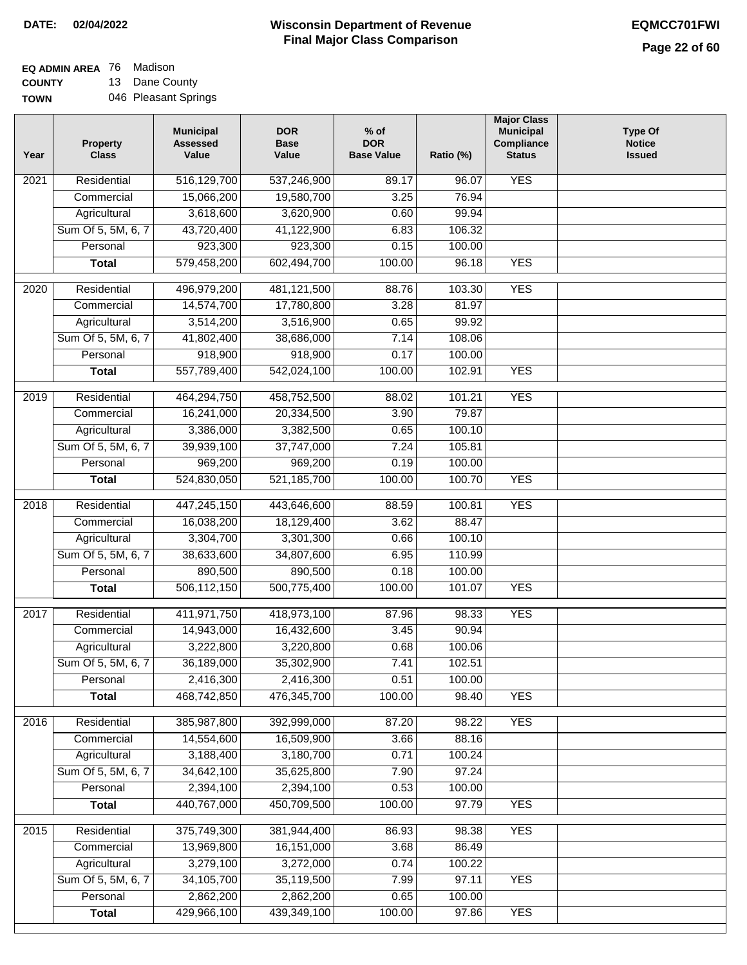## **EQ ADMIN AREA** 76 Madison

**COUNTY TOWN** 13 Dane County 046 Pleasant Springs

| Year              | <b>Property</b><br><b>Class</b> | <b>Municipal</b><br><b>Assessed</b><br>Value | <b>DOR</b><br><b>Base</b><br>Value | % of<br><b>DOR</b><br><b>Base Value</b> | Ratio (%) | <b>Major Class</b><br><b>Municipal</b><br>Compliance<br><b>Status</b> | <b>Type Of</b><br><b>Notice</b><br><b>Issued</b> |
|-------------------|---------------------------------|----------------------------------------------|------------------------------------|-----------------------------------------|-----------|-----------------------------------------------------------------------|--------------------------------------------------|
| $\overline{202}1$ | Residential                     | 516,129,700                                  | 537,246,900                        | 89.17                                   | 96.07     | <b>YES</b>                                                            |                                                  |
|                   | Commercial                      | 15,066,200                                   | 19,580,700                         | 3.25                                    | 76.94     |                                                                       |                                                  |
|                   | Agricultural                    | 3,618,600                                    | 3,620,900                          | 0.60                                    | 99.94     |                                                                       |                                                  |
|                   | Sum Of 5, 5M, 6, 7              | 43,720,400                                   | 41,122,900                         | 6.83                                    | 106.32    |                                                                       |                                                  |
|                   | Personal                        | 923,300                                      | 923,300                            | 0.15                                    | 100.00    |                                                                       |                                                  |
|                   | <b>Total</b>                    | 579,458,200                                  | 602,494,700                        | 100.00                                  | 96.18     | <b>YES</b>                                                            |                                                  |
| 2020              | Residential                     | 496,979,200                                  | 481,121,500                        | 88.76                                   | 103.30    | <b>YES</b>                                                            |                                                  |
|                   | Commercial                      | 14,574,700                                   | 17,780,800                         | 3.28                                    | 81.97     |                                                                       |                                                  |
|                   | Agricultural                    | 3,514,200                                    | 3,516,900                          | 0.65                                    | 99.92     |                                                                       |                                                  |
|                   | Sum Of 5, 5M, 6, 7              | 41,802,400                                   | 38,686,000                         | 7.14                                    | 108.06    |                                                                       |                                                  |
|                   | Personal                        | 918,900                                      | 918,900                            | 0.17                                    | 100.00    |                                                                       |                                                  |
|                   | <b>Total</b>                    | 557,789,400                                  | 542,024,100                        | 100.00                                  | 102.91    | <b>YES</b>                                                            |                                                  |
| 2019              | Residential                     | 464,294,750                                  | 458,752,500                        | 88.02                                   | 101.21    | <b>YES</b>                                                            |                                                  |
|                   | Commercial                      | 16,241,000                                   | 20,334,500                         | 3.90                                    | 79.87     |                                                                       |                                                  |
|                   | Agricultural                    | 3,386,000                                    | 3,382,500                          | 0.65                                    | 100.10    |                                                                       |                                                  |
|                   | Sum Of 5, 5M, 6, 7              | 39,939,100                                   | 37,747,000                         | 7.24                                    | 105.81    |                                                                       |                                                  |
|                   | Personal                        | 969,200                                      | 969,200                            | 0.19                                    | 100.00    |                                                                       |                                                  |
|                   | <b>Total</b>                    | 524,830,050                                  | 521, 185, 700                      | 100.00                                  | 100.70    | <b>YES</b>                                                            |                                                  |
|                   |                                 |                                              |                                    |                                         |           |                                                                       |                                                  |
| 2018              | Residential                     | 447,245,150                                  | 443,646,600                        | 88.59                                   | 100.81    | <b>YES</b>                                                            |                                                  |
|                   | Commercial                      | 16,038,200                                   | 18,129,400                         | 3.62                                    | 88.47     |                                                                       |                                                  |
|                   | Agricultural                    | 3,304,700                                    | 3,301,300                          | 0.66                                    | 100.10    |                                                                       |                                                  |
|                   | Sum Of 5, 5M, 6, 7              | 38,633,600                                   | 34,807,600                         | 6.95                                    | 110.99    |                                                                       |                                                  |
|                   | Personal                        | 890,500                                      | 890,500                            | 0.18                                    | 100.00    |                                                                       |                                                  |
|                   | <b>Total</b>                    | 506,112,150                                  | 500,775,400                        | 100.00                                  | 101.07    | <b>YES</b>                                                            |                                                  |
| 2017              | Residential                     | 411,971,750                                  | 418,973,100                        | 87.96                                   | 98.33     | <b>YES</b>                                                            |                                                  |
|                   | Commercial                      | 14,943,000                                   | 16,432,600                         | 3.45                                    | 90.94     |                                                                       |                                                  |
|                   | Agricultural                    | 3,222,800                                    | 3,220,800                          | 0.68                                    | 100.06    |                                                                       |                                                  |
|                   | Sum Of 5, 5M, 6, 7              | 36,189,000                                   | 35,302,900                         | 7.41                                    | 102.51    |                                                                       |                                                  |
|                   | Personal                        | 2,416,300                                    | 2,416,300                          | 0.51                                    | 100.00    |                                                                       |                                                  |
|                   | <b>Total</b>                    | 468,742,850                                  | 476,345,700                        | 100.00                                  | 98.40     | <b>YES</b>                                                            |                                                  |
| 2016              | Residential                     | 385,987,800                                  | 392,999,000                        | 87.20                                   | 98.22     | <b>YES</b>                                                            |                                                  |
|                   | Commercial                      | 14,554,600                                   | 16,509,900                         | 3.66                                    | 88.16     |                                                                       |                                                  |
|                   | Agricultural                    | 3,188,400                                    | 3,180,700                          | 0.71                                    | 100.24    |                                                                       |                                                  |
|                   | Sum Of 5, 5M, 6, 7              | 34,642,100                                   | 35,625,800                         | 7.90                                    | 97.24     |                                                                       |                                                  |
|                   | Personal                        | 2,394,100                                    | 2,394,100                          | 0.53                                    | 100.00    |                                                                       |                                                  |
|                   | <b>Total</b>                    | 440,767,000                                  | 450,709,500                        | 100.00                                  | 97.79     | <b>YES</b>                                                            |                                                  |
| 2015              | Residential                     | 375,749,300                                  | 381,944,400                        | 86.93                                   | 98.38     | <b>YES</b>                                                            |                                                  |
|                   | Commercial                      | 13,969,800                                   | 16,151,000                         | 3.68                                    | 86.49     |                                                                       |                                                  |
|                   | Agricultural                    | 3,279,100                                    | 3,272,000                          | 0.74                                    | 100.22    |                                                                       |                                                  |
|                   | Sum Of 5, 5M, 6, 7              | 34, 105, 700                                 | 35,119,500                         | 7.99                                    | 97.11     | <b>YES</b>                                                            |                                                  |
|                   | Personal                        | 2,862,200                                    | 2,862,200                          | 0.65                                    | 100.00    |                                                                       |                                                  |
|                   | <b>Total</b>                    | 429,966,100                                  | 439,349,100                        | 100.00                                  | 97.86     | <b>YES</b>                                                            |                                                  |
|                   |                                 |                                              |                                    |                                         |           |                                                                       |                                                  |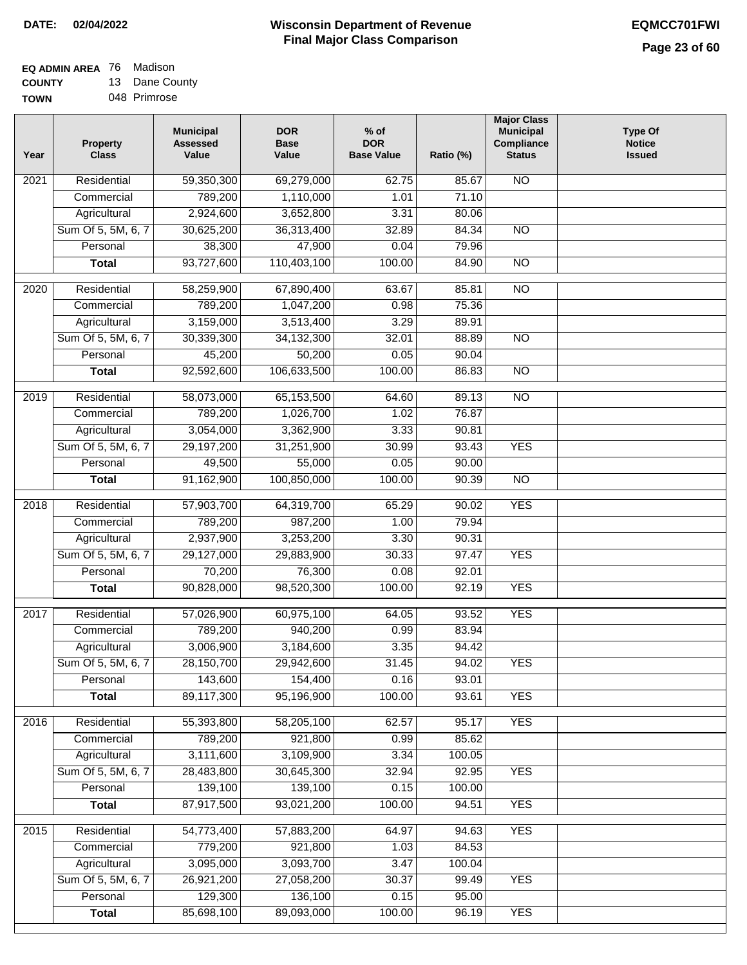#### **EQ ADMIN AREA** 76 Madison **COUNTY** 13 Dane County

**TOWN** 048 Primrose

| Year             | <b>Property</b><br><b>Class</b> | <b>Municipal</b><br><b>Assessed</b><br>Value | <b>DOR</b><br><b>Base</b><br>Value | $%$ of<br><b>DOR</b><br><b>Base Value</b> | Ratio (%) | <b>Major Class</b><br><b>Municipal</b><br>Compliance<br><b>Status</b> | <b>Type Of</b><br><b>Notice</b><br><b>Issued</b> |
|------------------|---------------------------------|----------------------------------------------|------------------------------------|-------------------------------------------|-----------|-----------------------------------------------------------------------|--------------------------------------------------|
| 2021             | Residential                     | 59,350,300                                   | 69,279,000                         | 62.75                                     | 85.67     | <b>NO</b>                                                             |                                                  |
|                  | Commercial                      | 789,200                                      | 1,110,000                          | 1.01                                      | 71.10     |                                                                       |                                                  |
|                  | Agricultural                    | 2,924,600                                    | 3,652,800                          | 3.31                                      | 80.06     |                                                                       |                                                  |
|                  | Sum Of 5, 5M, 6, 7              | 30,625,200                                   | 36,313,400                         | 32.89                                     | 84.34     | $\overline{NO}$                                                       |                                                  |
|                  | Personal                        | 38,300                                       | 47,900                             | 0.04                                      | 79.96     |                                                                       |                                                  |
|                  | <b>Total</b>                    | 93,727,600                                   | 110,403,100                        | 100.00                                    | 84.90     | $\overline{NO}$                                                       |                                                  |
| 2020             | Residential                     | 58,259,900                                   | 67,890,400                         | 63.67                                     | 85.81     | $\overline{10}$                                                       |                                                  |
|                  | Commercial                      | 789,200                                      | 1,047,200                          | 0.98                                      | 75.36     |                                                                       |                                                  |
|                  | Agricultural                    | 3,159,000                                    | 3,513,400                          | 3.29                                      | 89.91     |                                                                       |                                                  |
|                  | Sum Of 5, 5M, 6, 7              | 30,339,300                                   | 34,132,300                         | 32.01                                     | 88.89     | <b>NO</b>                                                             |                                                  |
|                  | Personal                        | 45,200                                       | 50,200                             | 0.05                                      | 90.04     |                                                                       |                                                  |
|                  | <b>Total</b>                    | 92,592,600                                   | 106,633,500                        | 100.00                                    | 86.83     | <b>NO</b>                                                             |                                                  |
|                  |                                 |                                              |                                    |                                           |           |                                                                       |                                                  |
| $\frac{1}{2019}$ | Residential                     | 58,073,000                                   | 65,153,500                         | 64.60                                     | 89.13     | $\overline{NO}$                                                       |                                                  |
|                  | Commercial                      | 789,200                                      | 1,026,700                          | 1.02                                      | 76.87     |                                                                       |                                                  |
|                  | Agricultural                    | 3,054,000                                    | 3,362,900                          | 3.33                                      | 90.81     |                                                                       |                                                  |
|                  | Sum Of 5, 5M, 6, 7              | 29,197,200                                   | 31,251,900                         | 30.99                                     | 93.43     | <b>YES</b>                                                            |                                                  |
|                  | Personal                        | 49,500                                       | 55,000                             | 0.05                                      | 90.00     |                                                                       |                                                  |
|                  | <b>Total</b>                    | 91,162,900                                   | 100,850,000                        | 100.00                                    | 90.39     | $\overline{NO}$                                                       |                                                  |
| 2018             | Residential                     | 57,903,700                                   | 64,319,700                         | 65.29                                     | 90.02     | <b>YES</b>                                                            |                                                  |
|                  | Commercial                      | 789,200                                      | 987,200                            | 1.00                                      | 79.94     |                                                                       |                                                  |
|                  | Agricultural                    | 2,937,900                                    | 3,253,200                          | 3.30                                      | 90.31     |                                                                       |                                                  |
|                  | Sum Of 5, 5M, 6, 7              | 29,127,000                                   | 29,883,900                         | 30.33                                     | 97.47     | <b>YES</b>                                                            |                                                  |
|                  | Personal                        | 70,200                                       | 76,300                             | 0.08                                      | 92.01     |                                                                       |                                                  |
|                  | <b>Total</b>                    | 90,828,000                                   | 98,520,300                         | 100.00                                    | 92.19     | <b>YES</b>                                                            |                                                  |
| 2017             | Residential                     | 57,026,900                                   | 60,975,100                         | 64.05                                     | 93.52     | <b>YES</b>                                                            |                                                  |
|                  | Commercial                      | 789,200                                      | 940,200                            | 0.99                                      | 83.94     |                                                                       |                                                  |
|                  | Agricultural                    | 3,006,900                                    | 3,184,600                          | 3.35                                      | 94.42     |                                                                       |                                                  |
|                  | Sum Of 5, 5M, 6, 7              | 28,150,700                                   | 29,942,600                         | 31.45                                     | 94.02     | <b>YES</b>                                                            |                                                  |
|                  | Personal                        | 143,600                                      | 154,400                            | 0.16                                      | 93.01     |                                                                       |                                                  |
|                  | <b>Total</b>                    | 89,117,300                                   | 95,196,900                         | 100.00                                    | 93.61     | <b>YES</b>                                                            |                                                  |
| 2016             | Residential                     | 55,393,800                                   | 58,205,100                         | 62.57                                     | 95.17     | <b>YES</b>                                                            |                                                  |
|                  | Commercial                      | 789,200                                      | 921,800                            | 0.99                                      | 85.62     |                                                                       |                                                  |
|                  | Agricultural                    | 3,111,600                                    | 3,109,900                          | 3.34                                      | 100.05    |                                                                       |                                                  |
|                  | Sum Of 5, 5M, 6, 7              | 28,483,800                                   | 30,645,300                         | 32.94                                     | 92.95     | <b>YES</b>                                                            |                                                  |
|                  | Personal                        | 139,100                                      | 139,100                            | 0.15                                      | 100.00    |                                                                       |                                                  |
|                  | <b>Total</b>                    | 87,917,500                                   | 93,021,200                         | 100.00                                    | 94.51     | <b>YES</b>                                                            |                                                  |
| 2015             | Residential                     | 54,773,400                                   | 57,883,200                         | 64.97                                     | 94.63     | <b>YES</b>                                                            |                                                  |
|                  | Commercial                      | 779,200                                      | 921,800                            | 1.03                                      | 84.53     |                                                                       |                                                  |
|                  | Agricultural                    | 3,095,000                                    | 3,093,700                          | 3.47                                      | 100.04    |                                                                       |                                                  |
|                  | Sum Of 5, 5M, 6, 7              | 26,921,200                                   | 27,058,200                         | 30.37                                     | 99.49     | <b>YES</b>                                                            |                                                  |
|                  | Personal                        | 129,300                                      | 136,100                            | 0.15                                      | 95.00     |                                                                       |                                                  |
|                  | <b>Total</b>                    | 85,698,100                                   | 89,093,000                         | 100.00                                    | 96.19     | <b>YES</b>                                                            |                                                  |
|                  |                                 |                                              |                                    |                                           |           |                                                                       |                                                  |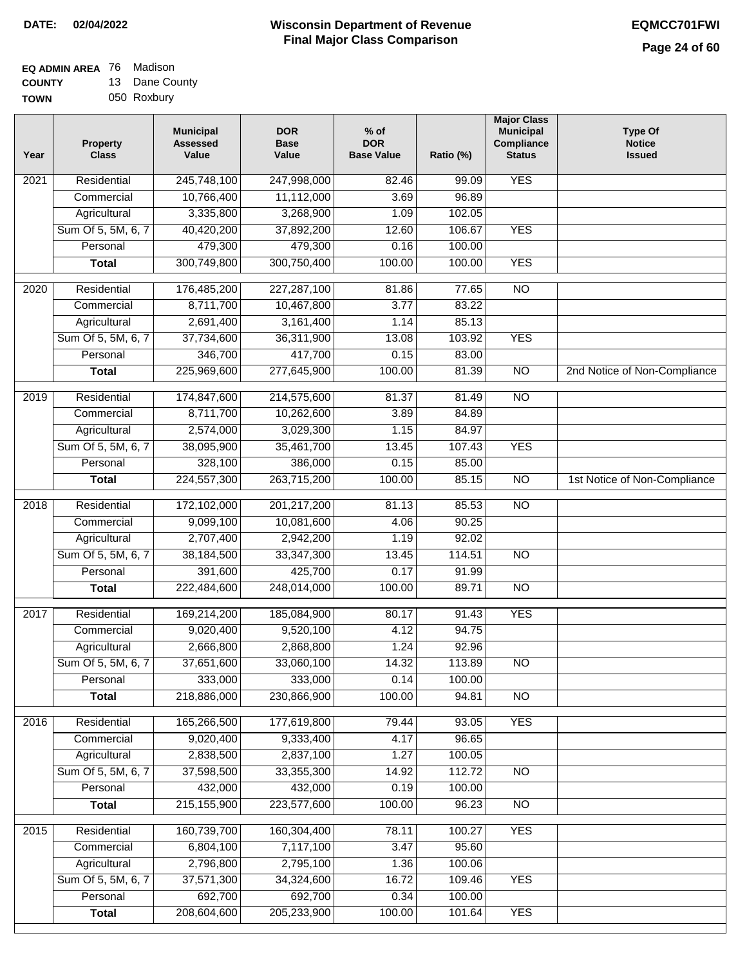| <b>EQ ADMIN AREA</b> 76 Madison |                |
|---------------------------------|----------------|
| <b>COUNTY</b>                   | 13 Dane County |

**TOWN** 050 Roxbury

| Year              | <b>Property</b><br><b>Class</b> | <b>Municipal</b><br><b>Assessed</b><br>Value | <b>DOR</b><br><b>Base</b><br>Value | $%$ of<br><b>DOR</b><br><b>Base Value</b> | Ratio (%) | <b>Major Class</b><br><b>Municipal</b><br>Compliance<br><b>Status</b> | <b>Type Of</b><br><b>Notice</b><br><b>Issued</b> |
|-------------------|---------------------------------|----------------------------------------------|------------------------------------|-------------------------------------------|-----------|-----------------------------------------------------------------------|--------------------------------------------------|
| $\frac{1}{202}$ 1 | Residential                     | 245,748,100                                  | 247,998,000                        | 82.46                                     | 99.09     | <b>YES</b>                                                            |                                                  |
|                   | Commercial                      | 10,766,400                                   | 11,112,000                         | 3.69                                      | 96.89     |                                                                       |                                                  |
|                   | Agricultural                    | 3,335,800                                    | 3,268,900                          | 1.09                                      | 102.05    |                                                                       |                                                  |
|                   | Sum Of 5, 5M, 6, 7              | 40,420,200                                   | 37,892,200                         | 12.60                                     | 106.67    | <b>YES</b>                                                            |                                                  |
|                   | Personal                        | 479,300                                      | 479,300                            | 0.16                                      | 100.00    |                                                                       |                                                  |
|                   | <b>Total</b>                    | 300,749,800                                  | 300,750,400                        | 100.00                                    | 100.00    | <b>YES</b>                                                            |                                                  |
| 2020              | Residential                     | 176,485,200                                  | 227,287,100                        | 81.86                                     | 77.65     | $\overline{10}$                                                       |                                                  |
|                   | Commercial                      | 8,711,700                                    | 10,467,800                         | 3.77                                      | 83.22     |                                                                       |                                                  |
|                   | Agricultural                    | 2,691,400                                    | 3,161,400                          | 1.14                                      | 85.13     |                                                                       |                                                  |
|                   | Sum Of 5, 5M, 6, 7              | 37,734,600                                   | 36,311,900                         | 13.08                                     | 103.92    | <b>YES</b>                                                            |                                                  |
|                   | Personal                        | 346,700                                      | 417,700                            | 0.15                                      | 83.00     |                                                                       |                                                  |
|                   | <b>Total</b>                    | 225,969,600                                  | 277,645,900                        | 100.00                                    | 81.39     | $\overline{NO}$                                                       | 2nd Notice of Non-Compliance                     |
| 2019              | Residential                     | 174,847,600                                  | 214,575,600                        | 81.37                                     | 81.49     | $\overline{10}$                                                       |                                                  |
|                   | Commercial                      | 8,711,700                                    | 10,262,600                         | 3.89                                      | 84.89     |                                                                       |                                                  |
|                   | Agricultural                    | 2,574,000                                    | 3,029,300                          | 1.15                                      | 84.97     |                                                                       |                                                  |
|                   | Sum Of 5, 5M, 6, 7              | 38,095,900                                   | 35,461,700                         | 13.45                                     | 107.43    | <b>YES</b>                                                            |                                                  |
|                   | Personal                        | 328,100                                      | 386,000                            | 0.15                                      | 85.00     |                                                                       |                                                  |
|                   | <b>Total</b>                    | 224,557,300                                  | 263,715,200                        | 100.00                                    | 85.15     | $\overline{NO}$                                                       | 1st Notice of Non-Compliance                     |
| 2018              | Residential                     | 172,102,000                                  | 201, 217, 200                      | 81.13                                     | 85.53     | $\overline{10}$                                                       |                                                  |
|                   | Commercial                      | 9,099,100                                    | 10,081,600                         | 4.06                                      | 90.25     |                                                                       |                                                  |
|                   | Agricultural                    | 2,707,400                                    | 2,942,200                          | 1.19                                      | 92.02     |                                                                       |                                                  |
|                   | Sum Of 5, 5M, 6, 7              | 38,184,500                                   | 33, 347, 300                       | 13.45                                     | 114.51    | $\overline{10}$                                                       |                                                  |
|                   | Personal                        | 391,600                                      | 425,700                            | 0.17                                      | 91.99     |                                                                       |                                                  |
|                   | <b>Total</b>                    | 222,484,600                                  | 248,014,000                        | 100.00                                    | 89.71     | <b>NO</b>                                                             |                                                  |
| $\overline{20}17$ | Residential                     | 169,214,200                                  | 185,084,900                        | 80.17                                     | 91.43     | <b>YES</b>                                                            |                                                  |
|                   | Commercial                      | 9,020,400                                    | 9,520,100                          | 4.12                                      | 94.75     |                                                                       |                                                  |
|                   | Agricultural                    | 2,666,800                                    | 2,868,800                          | 1.24                                      | 92.96     |                                                                       |                                                  |
|                   | Sum Of 5, 5M, 6, 7              | 37,651,600                                   | 33,060,100                         | 14.32                                     | 113.89    | <b>NO</b>                                                             |                                                  |
|                   | Personal                        | 333,000                                      | 333,000                            | 0.14                                      | 100.00    |                                                                       |                                                  |
|                   | <b>Total</b>                    | 218,886,000                                  | 230,866,900                        | 100.00                                    | 94.81     | <b>NO</b>                                                             |                                                  |
| 2016              | Residential                     | 165,266,500                                  | 177,619,800                        | 79.44                                     | 93.05     | <b>YES</b>                                                            |                                                  |
|                   | Commercial                      | 9,020,400                                    | 9,333,400                          | 4.17                                      | 96.65     |                                                                       |                                                  |
|                   | Agricultural                    | 2,838,500                                    | 2,837,100                          | 1.27                                      | 100.05    |                                                                       |                                                  |
|                   | Sum Of 5, 5M, 6, 7              | 37,598,500                                   | 33,355,300                         | 14.92                                     | 112.72    | $\overline{NO}$                                                       |                                                  |
|                   | Personal                        | 432,000                                      | 432,000                            | 0.19                                      | 100.00    |                                                                       |                                                  |
|                   | <b>Total</b>                    | 215, 155, 900                                | 223,577,600                        | 100.00                                    | 96.23     | N <sub>O</sub>                                                        |                                                  |
| 2015              | Residential                     | 160,739,700                                  | 160,304,400                        | 78.11                                     | 100.27    | <b>YES</b>                                                            |                                                  |
|                   | Commercial                      | 6,804,100                                    | 7,117,100                          | 3.47                                      | 95.60     |                                                                       |                                                  |
|                   | Agricultural                    | 2,796,800                                    | 2,795,100                          | 1.36                                      | 100.06    |                                                                       |                                                  |
|                   | Sum Of 5, 5M, 6, 7              | 37,571,300                                   | 34,324,600                         | 16.72                                     | 109.46    | <b>YES</b>                                                            |                                                  |
|                   | Personal                        | 692,700                                      | 692,700                            | 0.34                                      | 100.00    |                                                                       |                                                  |
|                   | <b>Total</b>                    | 208,604,600                                  | 205,233,900                        | 100.00                                    | 101.64    | <b>YES</b>                                                            |                                                  |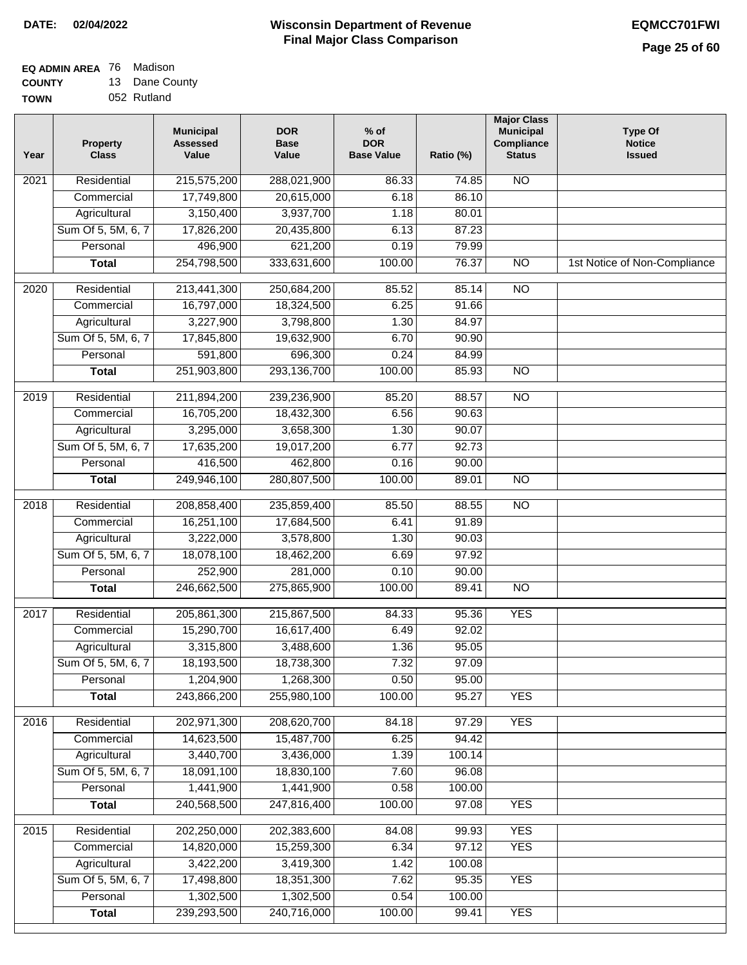**EQ ADMIN AREA** 76 Madison **COUNTY**

**TOWN** 13 Dane County 052 Rutland

| Year             | <b>Property</b><br><b>Class</b> | <b>Municipal</b><br><b>Assessed</b><br>Value | <b>DOR</b><br><b>Base</b><br>Value | $%$ of<br><b>DOR</b><br><b>Base Value</b> | Ratio (%) | <b>Major Class</b><br><b>Municipal</b><br>Compliance<br><b>Status</b> | <b>Type Of</b><br><b>Notice</b><br><b>Issued</b> |
|------------------|---------------------------------|----------------------------------------------|------------------------------------|-------------------------------------------|-----------|-----------------------------------------------------------------------|--------------------------------------------------|
| 2021             | Residential                     | 215,575,200                                  | 288,021,900                        | 86.33                                     | 74.85     | $\overline{NO}$                                                       |                                                  |
|                  | Commercial                      | 17,749,800                                   | 20,615,000                         | 6.18                                      | 86.10     |                                                                       |                                                  |
|                  | Agricultural                    | 3,150,400                                    | 3,937,700                          | 1.18                                      | 80.01     |                                                                       |                                                  |
|                  | Sum Of 5, 5M, 6, 7              | 17,826,200                                   | 20,435,800                         | 6.13                                      | 87.23     |                                                                       |                                                  |
|                  | Personal                        | 496,900                                      | 621,200                            | 0.19                                      | 79.99     |                                                                       |                                                  |
|                  | <b>Total</b>                    | 254,798,500                                  | 333,631,600                        | 100.00                                    | 76.37     | $\overline{NO}$                                                       | 1st Notice of Non-Compliance                     |
| $\frac{1}{2020}$ | Residential                     | 213,441,300                                  | 250,684,200                        | 85.52                                     | 85.14     | $\overline{NO}$                                                       |                                                  |
|                  | Commercial                      | 16,797,000                                   | 18,324,500                         | 6.25                                      | 91.66     |                                                                       |                                                  |
|                  | Agricultural                    | 3,227,900                                    | 3,798,800                          | 1.30                                      | 84.97     |                                                                       |                                                  |
|                  | Sum Of 5, 5M, 6, 7              | 17,845,800                                   | 19,632,900                         | 6.70                                      | 90.90     |                                                                       |                                                  |
|                  | Personal                        | 591,800                                      | 696,300                            | 0.24                                      | 84.99     |                                                                       |                                                  |
|                  | <b>Total</b>                    | 251,903,800                                  | 293,136,700                        | 100.00                                    | 85.93     | $\overline{NO}$                                                       |                                                  |
|                  |                                 |                                              |                                    |                                           |           |                                                                       |                                                  |
| $\frac{1}{2019}$ | Residential                     | 211,894,200                                  | 239,236,900                        | 85.20                                     | 88.57     | $\overline{NO}$                                                       |                                                  |
|                  | Commercial                      | 16,705,200                                   | 18,432,300                         | 6.56                                      | 90.63     |                                                                       |                                                  |
|                  | Agricultural                    | 3,295,000                                    | 3,658,300                          | 1.30                                      | 90.07     |                                                                       |                                                  |
|                  | Sum Of 5, 5M, 6, 7              | 17,635,200                                   | 19,017,200                         | 6.77                                      | 92.73     |                                                                       |                                                  |
|                  | Personal                        | 416,500                                      | 462,800                            | 0.16                                      | 90.00     |                                                                       |                                                  |
|                  | <b>Total</b>                    | 249,946,100                                  | 280,807,500                        | 100.00                                    | 89.01     | $\overline{NO}$                                                       |                                                  |
| 2018             | Residential                     | 208,858,400                                  | 235,859,400                        | 85.50                                     | 88.55     | $\overline{NO}$                                                       |                                                  |
|                  | Commercial                      | 16,251,100                                   | 17,684,500                         | 6.41                                      | 91.89     |                                                                       |                                                  |
|                  | Agricultural                    | 3,222,000                                    | 3,578,800                          | 1.30                                      | 90.03     |                                                                       |                                                  |
|                  | Sum Of 5, 5M, 6, 7              | 18,078,100                                   | 18,462,200                         | 6.69                                      | 97.92     |                                                                       |                                                  |
|                  | Personal                        | 252,900                                      | 281,000                            | 0.10                                      | 90.00     |                                                                       |                                                  |
|                  | <b>Total</b>                    | 246,662,500                                  | 275,865,900                        | 100.00                                    | 89.41     | N <sub>O</sub>                                                        |                                                  |
| 2017             | Residential                     | 205,861,300                                  | 215,867,500                        | 84.33                                     | 95.36     | <b>YES</b>                                                            |                                                  |
|                  | Commercial                      | 15,290,700                                   | 16,617,400                         | 6.49                                      | 92.02     |                                                                       |                                                  |
|                  | Agricultural                    | 3,315,800                                    | 3,488,600                          | 1.36                                      | 95.05     |                                                                       |                                                  |
|                  | Sum Of 5, 5M, 6, 7              | 18,193,500                                   | 18,738,300                         | 7.32                                      | 97.09     |                                                                       |                                                  |
|                  | Personal                        | 1,204,900                                    | 1,268,300                          | 0.50                                      | 95.00     |                                                                       |                                                  |
|                  | <b>Total</b>                    | 243,866,200                                  | 255,980,100                        | 100.00                                    | 95.27     | <b>YES</b>                                                            |                                                  |
| 2016             | Residential                     | 202,971,300                                  | 208,620,700                        | 84.18                                     | 97.29     | <b>YES</b>                                                            |                                                  |
|                  | Commercial                      | 14,623,500                                   | 15,487,700                         | 6.25                                      | 94.42     |                                                                       |                                                  |
|                  | Agricultural                    | 3,440,700                                    | 3,436,000                          | 1.39                                      | 100.14    |                                                                       |                                                  |
|                  | Sum Of 5, 5M, 6, 7              | 18,091,100                                   | 18,830,100                         | 7.60                                      | 96.08     |                                                                       |                                                  |
|                  | Personal                        | 1,441,900                                    | 1,441,900                          | 0.58                                      | 100.00    |                                                                       |                                                  |
|                  | <b>Total</b>                    | 240,568,500                                  | 247,816,400                        | 100.00                                    | 97.08     | <b>YES</b>                                                            |                                                  |
|                  |                                 |                                              |                                    |                                           |           |                                                                       |                                                  |
| 2015             | Residential                     | 202,250,000                                  | 202,383,600                        | 84.08                                     | 99.93     | <b>YES</b>                                                            |                                                  |
|                  | Commercial                      | 14,820,000                                   | 15,259,300                         | 6.34                                      | 97.12     | <b>YES</b>                                                            |                                                  |
|                  | Agricultural                    | 3,422,200                                    | 3,419,300                          | 1.42                                      | 100.08    |                                                                       |                                                  |
|                  | Sum Of 5, 5M, 6, 7              | 17,498,800                                   | 18,351,300                         | 7.62                                      | 95.35     | <b>YES</b>                                                            |                                                  |
|                  | Personal                        | 1,302,500                                    | 1,302,500                          | 0.54                                      | 100.00    |                                                                       |                                                  |
|                  | <b>Total</b>                    | 239,293,500                                  | 240,716,000                        | 100.00                                    | 99.41     | <b>YES</b>                                                            |                                                  |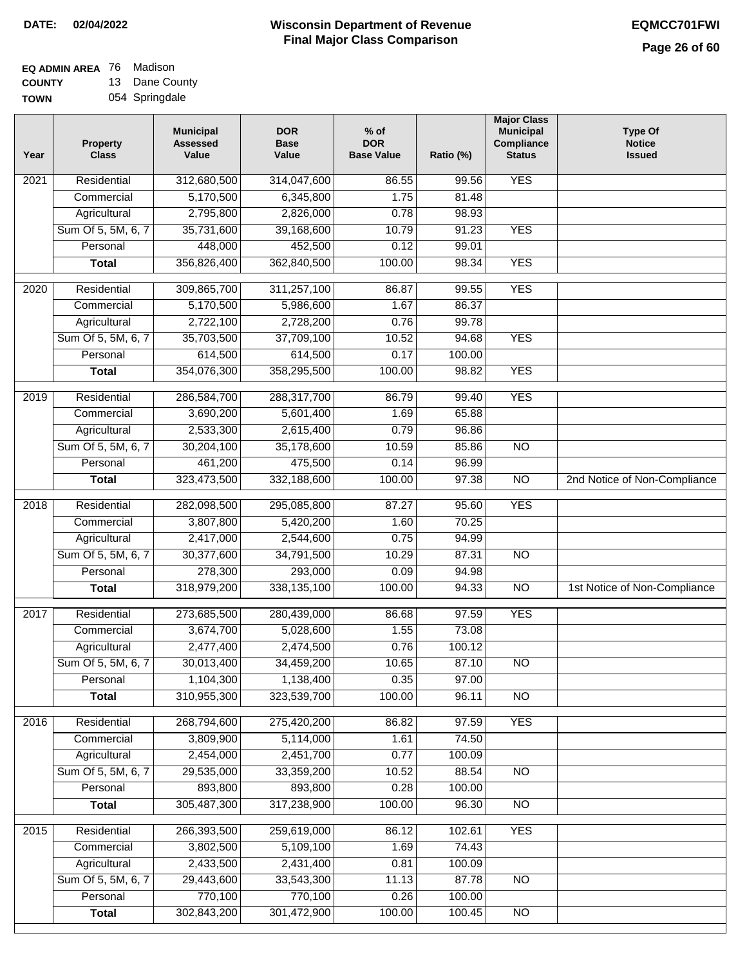## **Wisconsin Department of Revenue DATE: 02/04/2022 EQMCC701FWI Final Major Class Comparison**

| EQ ADMIN AREA 76 Madison |                |
|--------------------------|----------------|
| <b>COUNTY</b>            | 13 Dane County |

**TOWN** 054 Springdale

| Year | <b>Property</b><br><b>Class</b> | <b>Municipal</b><br><b>Assessed</b><br>Value | <b>DOR</b><br><b>Base</b><br>Value | $%$ of<br><b>DOR</b><br><b>Base Value</b> | Ratio (%) | <b>Major Class</b><br><b>Municipal</b><br>Compliance<br><b>Status</b> | <b>Type Of</b><br><b>Notice</b><br><b>Issued</b> |
|------|---------------------------------|----------------------------------------------|------------------------------------|-------------------------------------------|-----------|-----------------------------------------------------------------------|--------------------------------------------------|
| 2021 | Residential                     | 312,680,500                                  | 314,047,600                        | 86.55                                     | 99.56     | <b>YES</b>                                                            |                                                  |
|      | Commercial                      | 5,170,500                                    | 6,345,800                          | 1.75                                      | 81.48     |                                                                       |                                                  |
|      | Agricultural                    | 2,795,800                                    | 2,826,000                          | 0.78                                      | 98.93     |                                                                       |                                                  |
|      | Sum Of 5, 5M, 6, 7              | 35,731,600                                   | 39,168,600                         | 10.79                                     | 91.23     | <b>YES</b>                                                            |                                                  |
|      | Personal                        | 448,000                                      | 452,500                            | 0.12                                      | 99.01     |                                                                       |                                                  |
|      | <b>Total</b>                    | 356,826,400                                  | 362,840,500                        | 100.00                                    | 98.34     | <b>YES</b>                                                            |                                                  |
| 2020 | Residential                     | 309,865,700                                  | 311,257,100                        | 86.87                                     | 99.55     | <b>YES</b>                                                            |                                                  |
|      | Commercial                      | 5,170,500                                    | 5,986,600                          | 1.67                                      | 86.37     |                                                                       |                                                  |
|      | Agricultural                    | 2,722,100                                    | 2,728,200                          | 0.76                                      | 99.78     |                                                                       |                                                  |
|      | Sum Of 5, 5M, 6, 7              | 35,703,500                                   | 37,709,100                         | 10.52                                     | 94.68     | <b>YES</b>                                                            |                                                  |
|      | Personal                        | 614,500                                      | 614,500                            | 0.17                                      | 100.00    |                                                                       |                                                  |
|      | <b>Total</b>                    | 354,076,300                                  | 358,295,500                        | 100.00                                    | 98.82     | <b>YES</b>                                                            |                                                  |
| 2019 | Residential                     | 286,584,700                                  | 288,317,700                        | 86.79                                     | 99.40     | <b>YES</b>                                                            |                                                  |
|      | Commercial                      | 3,690,200                                    | 5,601,400                          | 1.69                                      | 65.88     |                                                                       |                                                  |
|      | Agricultural                    | 2,533,300                                    | 2,615,400                          | 0.79                                      | 96.86     |                                                                       |                                                  |
|      | Sum Of 5, 5M, 6, 7              | 30,204,100                                   | 35,178,600                         | 10.59                                     | 85.86     | $\overline{NO}$                                                       |                                                  |
|      | Personal                        | 461,200                                      | 475,500                            | 0.14                                      | 96.99     |                                                                       |                                                  |
|      | <b>Total</b>                    | 323,473,500                                  | 332,188,600                        | 100.00                                    | 97.38     | $\overline{NO}$                                                       | 2nd Notice of Non-Compliance                     |
| 2018 | Residential                     | 282,098,500                                  | 295,085,800                        | 87.27                                     | 95.60     | <b>YES</b>                                                            |                                                  |
|      | Commercial                      | 3,807,800                                    | 5,420,200                          | 1.60                                      | 70.25     |                                                                       |                                                  |
|      | Agricultural                    | 2,417,000                                    | 2,544,600                          | 0.75                                      | 94.99     |                                                                       |                                                  |
|      | Sum Of 5, 5M, 6, 7              | 30,377,600                                   | 34,791,500                         | 10.29                                     | 87.31     | <b>NO</b>                                                             |                                                  |
|      | Personal                        | 278,300                                      | 293,000                            | 0.09                                      | 94.98     |                                                                       |                                                  |
|      | <b>Total</b>                    | 318,979,200                                  | 338,135,100                        | 100.00                                    | 94.33     | <b>NO</b>                                                             | 1st Notice of Non-Compliance                     |
| 2017 | Residential                     | 273,685,500                                  | 280,439,000                        | 86.68                                     | 97.59     | <b>YES</b>                                                            |                                                  |
|      | Commercial                      | 3,674,700                                    | 5,028,600                          | 1.55                                      | 73.08     |                                                                       |                                                  |
|      | Agricultural                    | 2,477,400                                    | 2,474,500                          | 0.76                                      | 100.12    |                                                                       |                                                  |
|      | Sum Of 5, 5M, 6, 7              | 30,013,400                                   | 34,459,200                         | 10.65                                     | 87.10     | $\overline{NO}$                                                       |                                                  |
|      | Personal                        | 1,104,300                                    | 1,138,400                          | 0.35                                      | 97.00     |                                                                       |                                                  |
|      | <b>Total</b>                    | 310,955,300                                  | 323,539,700                        | 100.00                                    | 96.11     | $\overline{NO}$                                                       |                                                  |
| 2016 | Residential                     | 268,794,600                                  | 275,420,200                        | 86.82                                     | 97.59     | <b>YES</b>                                                            |                                                  |
|      | Commercial                      | 3,809,900                                    | 5,114,000                          | 1.61                                      | 74.50     |                                                                       |                                                  |
|      | Agricultural                    | 2,454,000                                    | 2,451,700                          | 0.77                                      | 100.09    |                                                                       |                                                  |
|      | Sum Of 5, 5M, 6, 7              | 29,535,000                                   | 33,359,200                         | 10.52                                     | 88.54     | $\overline{NO}$                                                       |                                                  |
|      | Personal                        | 893,800                                      | 893,800                            | 0.28                                      | 100.00    |                                                                       |                                                  |
|      | <b>Total</b>                    | 305,487,300                                  | 317,238,900                        | 100.00                                    | 96.30     | N <sub>O</sub>                                                        |                                                  |
| 2015 | Residential                     | 266,393,500                                  | 259,619,000                        | 86.12                                     | 102.61    | <b>YES</b>                                                            |                                                  |
|      | Commercial                      | 3,802,500                                    | 5,109,100                          | 1.69                                      | 74.43     |                                                                       |                                                  |
|      | Agricultural                    | 2,433,500                                    | 2,431,400                          | 0.81                                      | 100.09    |                                                                       |                                                  |
|      | Sum Of 5, 5M, 6, 7              | 29,443,600                                   | 33,543,300                         | 11.13                                     | 87.78     | <b>NO</b>                                                             |                                                  |
|      | Personal                        | 770,100                                      | 770,100                            | 0.26                                      | 100.00    |                                                                       |                                                  |
|      | <b>Total</b>                    | 302,843,200                                  | 301,472,900                        | 100.00                                    | 100.45    | $\overline{NO}$                                                       |                                                  |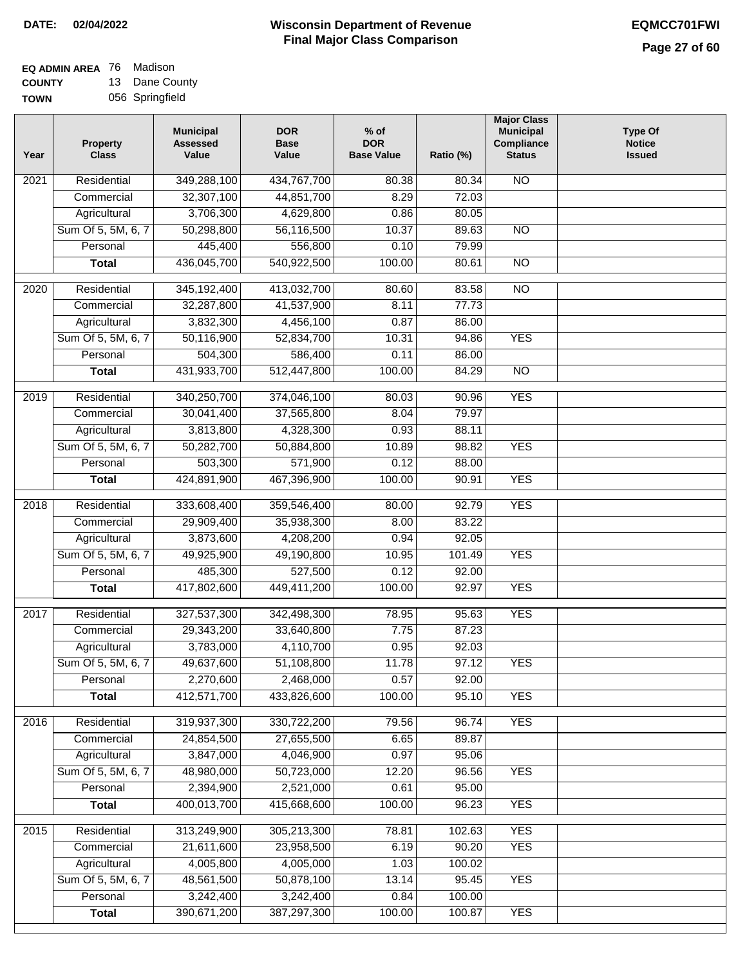#### **Wisconsin Department of Revenue Final Major Class Comparison DATE: 02/04/2022 EQMCC701FWI**

#### **EQ ADMIN AREA** 76 Madison **COUNTY** 13 Dane County

**TOWN** 056 Springfield

| Year              | <b>Property</b><br><b>Class</b> | <b>Municipal</b><br><b>Assessed</b><br>Value | <b>DOR</b><br><b>Base</b><br>Value | $%$ of<br><b>DOR</b><br><b>Base Value</b> | Ratio (%) | <b>Major Class</b><br><b>Municipal</b><br>Compliance<br><b>Status</b> | <b>Type Of</b><br><b>Notice</b><br><b>Issued</b> |
|-------------------|---------------------------------|----------------------------------------------|------------------------------------|-------------------------------------------|-----------|-----------------------------------------------------------------------|--------------------------------------------------|
| 2021              | Residential                     | 349,288,100                                  | 434,767,700                        | 80.38                                     | 80.34     | <b>NO</b>                                                             |                                                  |
|                   | Commercial                      | 32,307,100                                   | 44,851,700                         | 8.29                                      | 72.03     |                                                                       |                                                  |
|                   | Agricultural                    | 3,706,300                                    | 4,629,800                          | 0.86                                      | 80.05     |                                                                       |                                                  |
|                   | Sum Of 5, 5M, 6, 7              | 50,298,800                                   | 56,116,500                         | 10.37                                     | 89.63     | $\overline{NO}$                                                       |                                                  |
|                   | Personal                        | 445,400                                      | 556,800                            | 0.10                                      | 79.99     |                                                                       |                                                  |
|                   | <b>Total</b>                    | 436,045,700                                  | 540,922,500                        | 100.00                                    | 80.61     | $\overline{NO}$                                                       |                                                  |
| $\overline{2020}$ | Residential                     | 345,192,400                                  | 413,032,700                        | 80.60                                     | 83.58     | $\overline{NO}$                                                       |                                                  |
|                   | Commercial                      | 32,287,800                                   | 41,537,900                         | 8.11                                      | 77.73     |                                                                       |                                                  |
|                   | Agricultural                    | 3,832,300                                    | 4,456,100                          | 0.87                                      | 86.00     |                                                                       |                                                  |
|                   | Sum Of 5, 5M, 6, 7              | 50,116,900                                   | 52,834,700                         | 10.31                                     | 94.86     | <b>YES</b>                                                            |                                                  |
|                   | Personal                        | 504,300                                      | 586,400                            | 0.11                                      | 86.00     |                                                                       |                                                  |
|                   | <b>Total</b>                    | 431,933,700                                  | 512,447,800                        | 100.00                                    | 84.29     | <b>NO</b>                                                             |                                                  |
| $\frac{1}{2019}$  | Residential                     | 340,250,700                                  | 374,046,100                        | 80.03                                     | 90.96     | <b>YES</b>                                                            |                                                  |
|                   | Commercial                      | 30,041,400                                   | 37,565,800                         | 8.04                                      | 79.97     |                                                                       |                                                  |
|                   | Agricultural                    | 3,813,800                                    | 4,328,300                          | 0.93                                      | 88.11     |                                                                       |                                                  |
|                   | Sum Of 5, 5M, 6, 7              | 50,282,700                                   | 50,884,800                         | 10.89                                     | 98.82     | <b>YES</b>                                                            |                                                  |
|                   | Personal                        | 503,300                                      | 571,900                            | 0.12                                      | 88.00     |                                                                       |                                                  |
|                   | <b>Total</b>                    | 424,891,900                                  | 467,396,900                        | 100.00                                    | 90.91     | <b>YES</b>                                                            |                                                  |
|                   |                                 |                                              |                                    |                                           |           |                                                                       |                                                  |
| 2018              | Residential                     | 333,608,400                                  | 359,546,400                        | 80.00                                     | 92.79     | <b>YES</b>                                                            |                                                  |
|                   | Commercial                      | 29,909,400                                   | 35,938,300                         | 8.00                                      | 83.22     |                                                                       |                                                  |
|                   | Agricultural                    | 3,873,600                                    | 4,208,200                          | 0.94                                      | 92.05     |                                                                       |                                                  |
|                   | Sum Of 5, 5M, 6, 7              | 49,925,900                                   | 49,190,800                         | 10.95                                     | 101.49    | <b>YES</b>                                                            |                                                  |
|                   | Personal                        | 485,300                                      | 527,500                            | 0.12                                      | 92.00     |                                                                       |                                                  |
|                   | <b>Total</b>                    | 417,802,600                                  | 449,411,200                        | 100.00                                    | 92.97     | <b>YES</b>                                                            |                                                  |
| 2017              | Residential                     | 327,537,300                                  | 342,498,300                        | 78.95                                     | 95.63     | <b>YES</b>                                                            |                                                  |
|                   | Commercial                      | 29,343,200                                   | 33,640,800                         | 7.75                                      | 87.23     |                                                                       |                                                  |
|                   | Agricultural                    | 3,783,000                                    | 4,110,700                          | 0.95                                      | 92.03     |                                                                       |                                                  |
|                   | Sum Of 5, 5M, 6, 7              | 49,637,600                                   | 51,108,800                         | 11.78                                     | 97.12     | <b>YES</b>                                                            |                                                  |
|                   | Personal                        | 2,270,600                                    | 2,468,000                          | 0.57                                      | 92.00     |                                                                       |                                                  |
|                   | <b>Total</b>                    | 412,571,700                                  | 433,826,600                        | 100.00                                    | 95.10     | <b>YES</b>                                                            |                                                  |
| 2016              | Residential                     | 319,937,300                                  | 330,722,200                        | 79.56                                     | 96.74     | <b>YES</b>                                                            |                                                  |
|                   | Commercial                      | 24,854,500                                   | 27,655,500                         | 6.65                                      | 89.87     |                                                                       |                                                  |
|                   | Agricultural                    | 3,847,000                                    | 4,046,900                          | 0.97                                      | 95.06     |                                                                       |                                                  |
|                   | Sum Of 5, 5M, 6, 7              | 48,980,000                                   | 50,723,000                         | 12.20                                     | 96.56     | <b>YES</b>                                                            |                                                  |
|                   | Personal                        | 2,394,900                                    | 2,521,000                          | 0.61                                      | 95.00     |                                                                       |                                                  |
|                   | <b>Total</b>                    | 400,013,700                                  | 415,668,600                        | 100.00                                    | 96.23     | <b>YES</b>                                                            |                                                  |
|                   |                                 |                                              |                                    |                                           |           |                                                                       |                                                  |
| 2015              | Residential                     | 313,249,900                                  | 305,213,300                        | 78.81                                     | 102.63    | <b>YES</b>                                                            |                                                  |
|                   | Commercial                      | 21,611,600                                   | 23,958,500                         | 6.19                                      | 90.20     | <b>YES</b>                                                            |                                                  |
|                   | Agricultural                    | 4,005,800                                    | 4,005,000                          | 1.03                                      | 100.02    |                                                                       |                                                  |
|                   | Sum Of 5, 5M, 6, 7              | 48,561,500                                   | 50,878,100                         | 13.14                                     | 95.45     | <b>YES</b>                                                            |                                                  |
|                   | Personal                        | 3,242,400                                    | 3,242,400                          | 0.84                                      | 100.00    |                                                                       |                                                  |
|                   | <b>Total</b>                    | 390,671,200                                  | 387,297,300                        | 100.00                                    | 100.87    | <b>YES</b>                                                            |                                                  |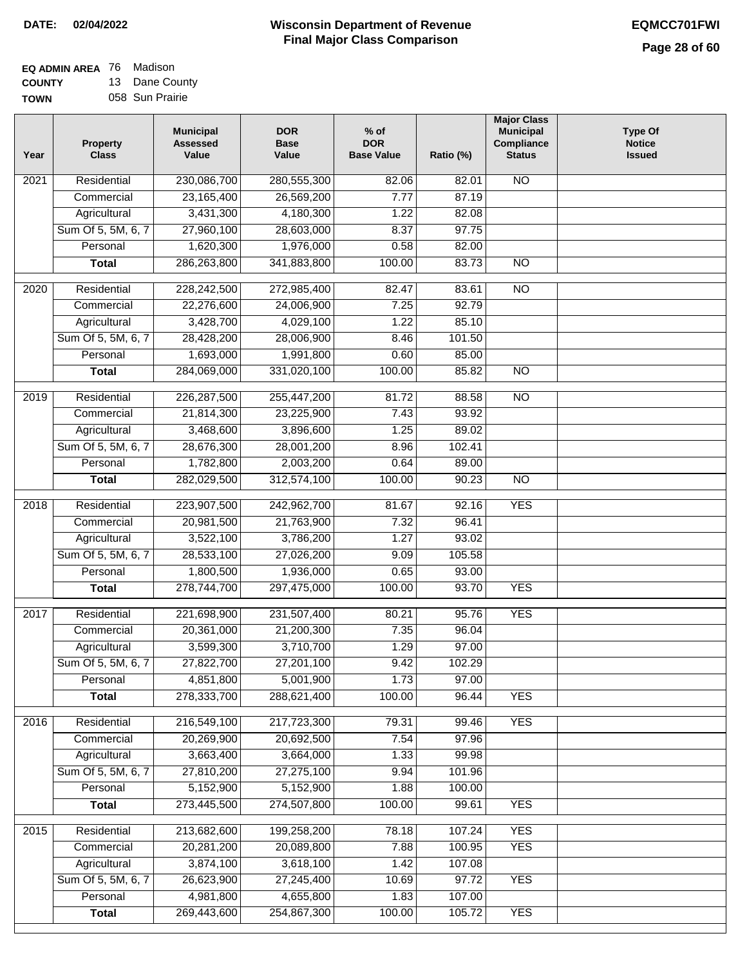## **Wisconsin Department of Revenue DATE: 02/04/2022 EQMCC701FWI Final Major Class Comparison**

| <b>EQ ADMIN AREA 76 Madison</b> |                |
|---------------------------------|----------------|
| <b>COUNTY</b>                   | 13 Dane County |

**TOWN** 058 Sun Prairie

| Year              | <b>Property</b><br><b>Class</b> | <b>Municipal</b><br><b>Assessed</b><br>Value | <b>DOR</b><br><b>Base</b><br>Value | $%$ of<br><b>DOR</b><br><b>Base Value</b> | Ratio (%) | <b>Major Class</b><br><b>Municipal</b><br>Compliance<br><b>Status</b> | <b>Type Of</b><br><b>Notice</b><br><b>Issued</b> |
|-------------------|---------------------------------|----------------------------------------------|------------------------------------|-------------------------------------------|-----------|-----------------------------------------------------------------------|--------------------------------------------------|
| 2021              | Residential                     | 230,086,700                                  | 280,555,300                        | 82.06                                     | 82.01     | N <sub>O</sub>                                                        |                                                  |
|                   | Commercial                      | 23,165,400                                   | 26,569,200                         | 7.77                                      | 87.19     |                                                                       |                                                  |
|                   | Agricultural                    | 3,431,300                                    | 4,180,300                          | 1.22                                      | 82.08     |                                                                       |                                                  |
|                   | Sum Of 5, 5M, 6, 7              | 27,960,100                                   | 28,603,000                         | 8.37                                      | 97.75     |                                                                       |                                                  |
|                   | Personal                        | 1,620,300                                    | 1,976,000                          | 0.58                                      | 82.00     |                                                                       |                                                  |
|                   | <b>Total</b>                    | 286,263,800                                  | 341,883,800                        | 100.00                                    | 83.73     | $\overline{NO}$                                                       |                                                  |
| 2020              | Residential                     | 228,242,500                                  | 272,985,400                        | 82.47                                     | 83.61     | $\overline{3}$                                                        |                                                  |
|                   | Commercial                      | 22,276,600                                   | 24,006,900                         | 7.25                                      | 92.79     |                                                                       |                                                  |
|                   | Agricultural                    | 3,428,700                                    | 4,029,100                          | 1.22                                      | 85.10     |                                                                       |                                                  |
|                   | Sum Of 5, 5M, 6, 7              | 28,428,200                                   | 28,006,900                         | 8.46                                      | 101.50    |                                                                       |                                                  |
|                   | Personal                        | 1,693,000                                    | 1,991,800                          | 0.60                                      | 85.00     |                                                                       |                                                  |
|                   | <b>Total</b>                    | 284,069,000                                  | 331,020,100                        | 100.00                                    | 85.82     | $\overline{NO}$                                                       |                                                  |
|                   |                                 |                                              |                                    |                                           |           |                                                                       |                                                  |
| 2019              | Residential                     | 226, 287, 500                                | 255,447,200                        | 81.72                                     | 88.58     | $\overline{NO}$                                                       |                                                  |
|                   | Commercial                      | 21,814,300                                   | 23,225,900                         | 7.43                                      | 93.92     |                                                                       |                                                  |
|                   | Agricultural                    | 3,468,600                                    | 3,896,600                          | 1.25                                      | 89.02     |                                                                       |                                                  |
|                   | Sum Of 5, 5M, 6, 7              | 28,676,300                                   | 28,001,200                         | 8.96                                      | 102.41    |                                                                       |                                                  |
|                   | Personal                        | 1,782,800                                    | 2,003,200                          | 0.64                                      | 89.00     |                                                                       |                                                  |
|                   | <b>Total</b>                    | 282,029,500                                  | 312,574,100                        | 100.00                                    | 90.23     | $\overline{NO}$                                                       |                                                  |
| $\overline{2018}$ | Residential                     | 223,907,500                                  | 242,962,700                        | 81.67                                     | 92.16     | <b>YES</b>                                                            |                                                  |
|                   | Commercial                      | 20,981,500                                   | 21,763,900                         | 7.32                                      | 96.41     |                                                                       |                                                  |
|                   | Agricultural                    | 3,522,100                                    | 3,786,200                          | 1.27                                      | 93.02     |                                                                       |                                                  |
|                   | Sum Of 5, 5M, 6, 7              | 28,533,100                                   | 27,026,200                         | 9.09                                      | 105.58    |                                                                       |                                                  |
|                   | Personal                        | 1,800,500                                    | 1,936,000                          | 0.65                                      | 93.00     |                                                                       |                                                  |
|                   | <b>Total</b>                    | 278,744,700                                  | 297,475,000                        | 100.00                                    | 93.70     | <b>YES</b>                                                            |                                                  |
| 2017              | Residential                     | 221,698,900                                  | 231,507,400                        | 80.21                                     | 95.76     | <b>YES</b>                                                            |                                                  |
|                   | Commercial                      | 20,361,000                                   | 21,200,300                         | 7.35                                      | 96.04     |                                                                       |                                                  |
|                   | Agricultural                    | 3,599,300                                    | 3,710,700                          | 1.29                                      | 97.00     |                                                                       |                                                  |
|                   | Sum Of 5, 5M, 6, 7              | 27,822,700                                   | 27,201,100                         | 9.42                                      | 102.29    |                                                                       |                                                  |
|                   | Personal                        | 4,851,800                                    | 5,001,900                          | 1.73                                      | 97.00     |                                                                       |                                                  |
|                   | <b>Total</b>                    | 278,333,700                                  | 288,621,400                        | 100.00                                    | 96.44     | <b>YES</b>                                                            |                                                  |
| 2016              | Residential                     | 216,549,100                                  | 217,723,300                        | 79.31                                     | 99.46     | <b>YES</b>                                                            |                                                  |
|                   | Commercial                      | 20,269,900                                   | 20,692,500                         | 7.54                                      | 97.96     |                                                                       |                                                  |
|                   | Agricultural                    | 3,663,400                                    | 3,664,000                          | 1.33                                      | 99.98     |                                                                       |                                                  |
|                   | Sum Of 5, 5M, 6, 7              | 27,810,200                                   | 27,275,100                         | 9.94                                      | 101.96    |                                                                       |                                                  |
|                   | Personal                        | 5,152,900                                    | 5,152,900                          | 1.88                                      | 100.00    |                                                                       |                                                  |
|                   | <b>Total</b>                    | 273,445,500                                  | 274,507,800                        | 100.00                                    | 99.61     | <b>YES</b>                                                            |                                                  |
|                   |                                 |                                              |                                    |                                           |           |                                                                       |                                                  |
| $\frac{2015}{ }$  | Residential                     | 213,682,600                                  | 199,258,200                        | 78.18                                     | 107.24    | <b>YES</b>                                                            |                                                  |
|                   | Commercial                      | 20,281,200                                   | 20,089,800                         | 7.88                                      | 100.95    | <b>YES</b>                                                            |                                                  |
|                   | Agricultural                    | 3,874,100                                    | 3,618,100                          | 1.42                                      | 107.08    |                                                                       |                                                  |
|                   | Sum Of 5, 5M, 6, 7              | 26,623,900                                   | 27,245,400                         | 10.69                                     | 97.72     | <b>YES</b>                                                            |                                                  |
|                   | Personal                        | 4,981,800                                    | 4,655,800                          | 1.83                                      | 107.00    |                                                                       |                                                  |
|                   | <b>Total</b>                    | 269,443,600                                  | 254,867,300                        | 100.00                                    | 105.72    | <b>YES</b>                                                            |                                                  |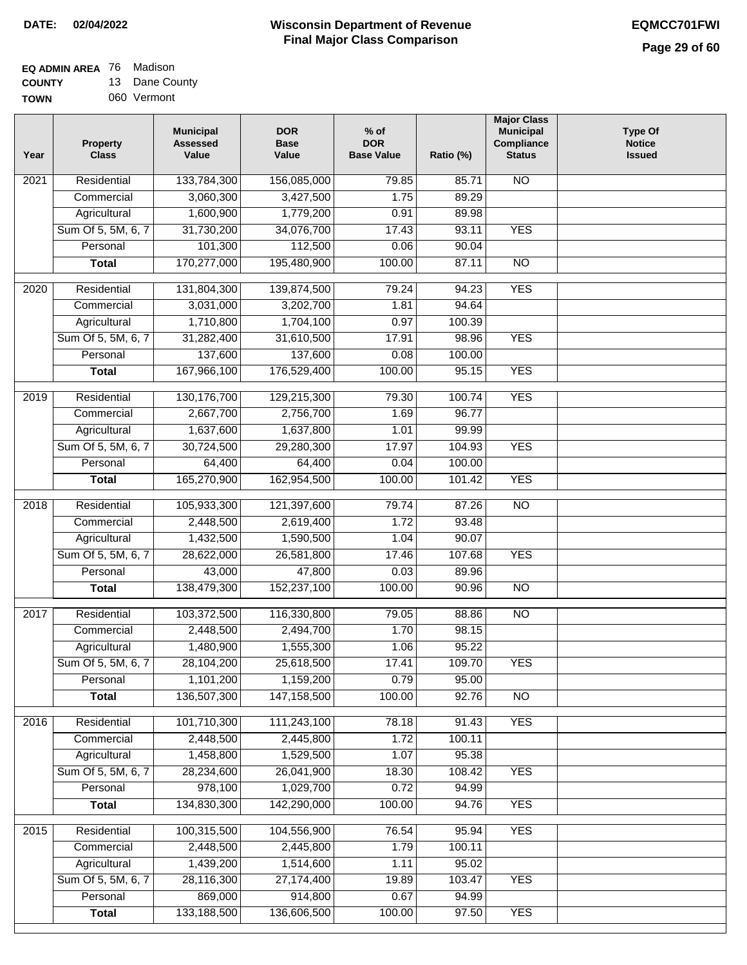#### **EQ ADMIN AREA** 76 Madison **COUNTY** 13 Dane County

**TOWN** 060 Vermont

| Year              | <b>Property</b><br><b>Class</b> | <b>Municipal</b><br><b>Assessed</b><br>Value | <b>DOR</b><br><b>Base</b><br>Value | $%$ of<br><b>DOR</b><br><b>Base Value</b> | Ratio (%)       | <b>Major Class</b><br><b>Municipal</b><br>Compliance<br><b>Status</b> | <b>Type Of</b><br><b>Notice</b><br><b>Issued</b> |
|-------------------|---------------------------------|----------------------------------------------|------------------------------------|-------------------------------------------|-----------------|-----------------------------------------------------------------------|--------------------------------------------------|
| 2021              | Residential                     | 133,784,300                                  | 156,085,000                        | 79.85                                     | 85.71           | <b>NO</b>                                                             |                                                  |
|                   | Commercial                      | 3,060,300                                    | 3,427,500                          | 1.75                                      | 89.29           |                                                                       |                                                  |
|                   | Agricultural                    | 1,600,900                                    | 1,779,200                          | 0.91                                      | 89.98           |                                                                       |                                                  |
|                   | Sum Of 5, 5M, 6, 7              | 31,730,200                                   | 34,076,700                         | 17.43                                     | 93.11           | <b>YES</b>                                                            |                                                  |
|                   | Personal                        | 101,300                                      | 112,500                            | 0.06                                      | 90.04           |                                                                       |                                                  |
|                   | <b>Total</b>                    | 170,277,000                                  | 195,480,900                        | 100.00                                    | 87.11           | $\overline{NO}$                                                       |                                                  |
| 2020              | Residential                     | 131,804,300                                  | 139,874,500                        | 79.24                                     | 94.23           | <b>YES</b>                                                            |                                                  |
|                   | Commercial                      | 3,031,000                                    | 3,202,700                          | 1.81                                      | 94.64           |                                                                       |                                                  |
|                   | Agricultural                    | 1,710,800                                    | 1,704,100                          | 0.97                                      | 100.39          |                                                                       |                                                  |
|                   | Sum Of 5, 5M, 6, 7              | 31,282,400                                   | 31,610,500                         | 17.91                                     | 98.96           | <b>YES</b>                                                            |                                                  |
|                   | Personal                        | 137,600                                      | 137,600                            | 0.08                                      | 100.00          |                                                                       |                                                  |
|                   | <b>Total</b>                    | 167,966,100                                  | 176,529,400                        | 100.00                                    | 95.15           | <b>YES</b>                                                            |                                                  |
|                   |                                 |                                              |                                    |                                           |                 |                                                                       |                                                  |
| $\frac{1}{2019}$  | Residential                     | 130, 176, 700                                | 129,215,300                        | 79.30                                     | 100.74          | <b>YES</b>                                                            |                                                  |
|                   | Commercial                      | 2,667,700                                    | 2,756,700                          | 1.69                                      | 96.77           |                                                                       |                                                  |
|                   | Agricultural                    | 1,637,600                                    | 1,637,800                          | 1.01                                      | 99.99           |                                                                       |                                                  |
|                   | Sum Of 5, 5M, 6, 7              | 30,724,500                                   | 29,280,300                         | 17.97                                     | 104.93          | <b>YES</b>                                                            |                                                  |
|                   | Personal                        | 64,400                                       | 64,400                             | 0.04                                      | 100.00          |                                                                       |                                                  |
|                   | <b>Total</b>                    | 165,270,900                                  | 162,954,500                        | 100.00                                    | 101.42          | <b>YES</b>                                                            |                                                  |
| 2018              | Residential                     | 105,933,300                                  | 121,397,600                        | 79.74                                     | 87.26           | $\overline{NO}$                                                       |                                                  |
|                   | Commercial                      | 2,448,500                                    | 2,619,400                          | 1.72                                      | 93.48           |                                                                       |                                                  |
|                   | Agricultural                    | 1,432,500                                    | 1,590,500                          | 1.04                                      | 90.07           |                                                                       |                                                  |
|                   | Sum Of 5, 5M, 6, 7              | 28,622,000                                   | 26,581,800                         | 17.46                                     | 107.68          | <b>YES</b>                                                            |                                                  |
|                   | Personal                        | 43,000                                       | 47,800                             | 0.03                                      | 89.96           |                                                                       |                                                  |
|                   | <b>Total</b>                    | 138,479,300                                  | 152,237,100                        | 100.00                                    | 90.96           | <b>NO</b>                                                             |                                                  |
| $\overline{2017}$ | Residential                     | 103,372,500                                  | 116,330,800                        | 79.05                                     | 88.86           | <b>NO</b>                                                             |                                                  |
|                   | Commercial                      | 2,448,500                                    | 2,494,700                          | 1.70                                      | 98.15           |                                                                       |                                                  |
|                   | Agricultural                    | 1,480,900                                    | 1,555,300                          | 1.06                                      | 95.22           |                                                                       |                                                  |
|                   | Sum Of 5, 5M, 6, 7              | 28,104,200                                   | 25,618,500                         | 17.41                                     | 109.70          | <b>YES</b>                                                            |                                                  |
|                   | Personal                        | 1,101,200                                    | 1,159,200                          | 0.79                                      | 95.00           |                                                                       |                                                  |
|                   | <b>Total</b>                    | 136,507,300                                  | 147, 158, 500                      | 100.00                                    | 92.76           | <b>NO</b>                                                             |                                                  |
|                   | Residential                     | 101,710,300                                  |                                    |                                           |                 | <b>YES</b>                                                            |                                                  |
| 2016              | Commercial                      | 2,448,500                                    | 111,243,100<br>2,445,800           | 78.18<br>1.72                             | 91.43<br>100.11 |                                                                       |                                                  |
|                   | Agricultural                    | 1,458,800                                    | 1,529,500                          | 1.07                                      | 95.38           |                                                                       |                                                  |
|                   | Sum Of 5, 5M, 6, 7              | 28,234,600                                   | 26,041,900                         | 18.30                                     | 108.42          | <b>YES</b>                                                            |                                                  |
|                   | Personal                        | 978,100                                      | 1,029,700                          | 0.72                                      | 94.99           |                                                                       |                                                  |
|                   | <b>Total</b>                    | 134,830,300                                  | 142,290,000                        | 100.00                                    | 94.76           | <b>YES</b>                                                            |                                                  |
|                   |                                 |                                              |                                    |                                           |                 |                                                                       |                                                  |
| 2015              | Residential                     | 100,315,500                                  | 104,556,900                        | 76.54                                     | 95.94           | <b>YES</b>                                                            |                                                  |
|                   | Commercial                      | 2,448,500                                    | 2,445,800                          | 1.79                                      | 100.11          |                                                                       |                                                  |
|                   | Agricultural                    | 1,439,200                                    | 1,514,600                          | 1.11                                      | 95.02           |                                                                       |                                                  |
|                   | Sum Of 5, 5M, 6, 7              | 28,116,300                                   | 27, 174, 400                       | 19.89                                     | 103.47          | <b>YES</b>                                                            |                                                  |
|                   | Personal                        | 869,000                                      | 914,800                            | 0.67                                      | 94.99           |                                                                       |                                                  |
|                   | <b>Total</b>                    | 133,188,500                                  | 136,606,500                        | 100.00                                    | 97.50           | <b>YES</b>                                                            |                                                  |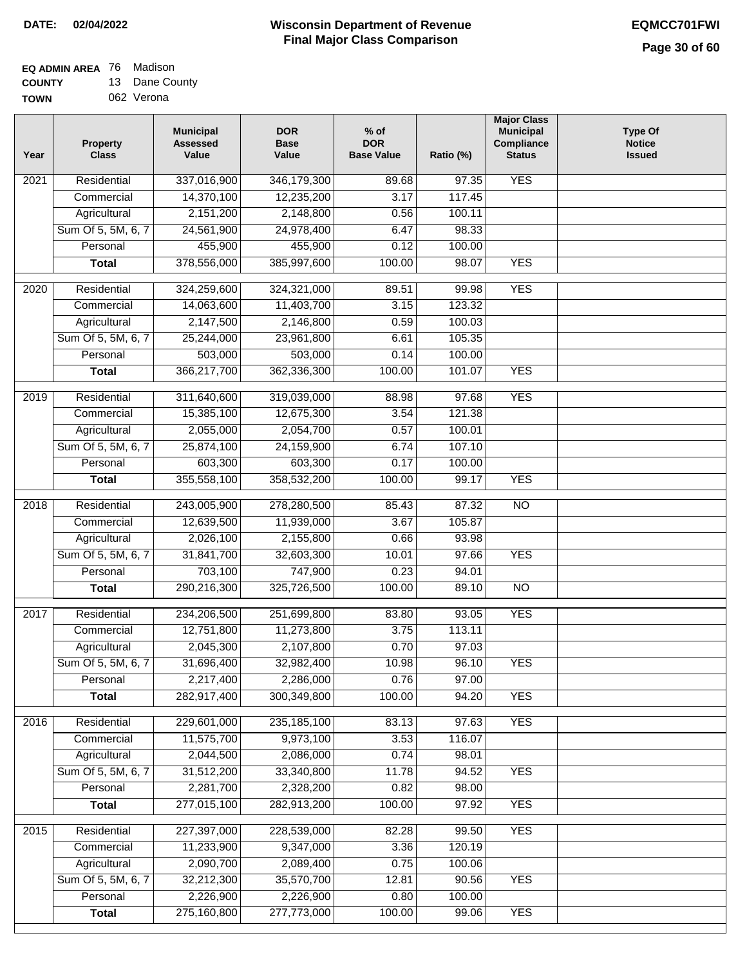#### **EQ ADMIN AREA** 76 Madison **COUNTY** 13 Dane County

**TOWN** 062 Verona

| Year             | <b>Property</b><br><b>Class</b> | <b>Municipal</b><br><b>Assessed</b><br>Value | <b>DOR</b><br><b>Base</b><br>Value | $%$ of<br><b>DOR</b><br><b>Base Value</b> | Ratio (%) | <b>Major Class</b><br><b>Municipal</b><br>Compliance<br><b>Status</b> | <b>Type Of</b><br><b>Notice</b><br><b>Issued</b> |
|------------------|---------------------------------|----------------------------------------------|------------------------------------|-------------------------------------------|-----------|-----------------------------------------------------------------------|--------------------------------------------------|
| 2021             | Residential                     | 337,016,900                                  | 346,179,300                        | 89.68                                     | 97.35     | <b>YES</b>                                                            |                                                  |
|                  | Commercial                      | 14,370,100                                   | 12,235,200                         | 3.17                                      | 117.45    |                                                                       |                                                  |
|                  | Agricultural                    | 2,151,200                                    | 2,148,800                          | 0.56                                      | 100.11    |                                                                       |                                                  |
|                  | Sum Of 5, 5M, 6, 7              | 24,561,900                                   | 24,978,400                         | 6.47                                      | 98.33     |                                                                       |                                                  |
|                  | Personal                        | 455,900                                      | 455,900                            | 0.12                                      | 100.00    |                                                                       |                                                  |
|                  | <b>Total</b>                    | 378,556,000                                  | 385,997,600                        | 100.00                                    | 98.07     | <b>YES</b>                                                            |                                                  |
| 2020             | Residential                     | 324,259,600                                  | 324,321,000                        | 89.51                                     | 99.98     | <b>YES</b>                                                            |                                                  |
|                  | Commercial                      | 14,063,600                                   | 11,403,700                         | 3.15                                      | 123.32    |                                                                       |                                                  |
|                  | Agricultural                    | 2,147,500                                    | 2,146,800                          | 0.59                                      | 100.03    |                                                                       |                                                  |
|                  | Sum Of 5, 5M, 6, 7              | 25,244,000                                   | 23,961,800                         | 6.61                                      | 105.35    |                                                                       |                                                  |
|                  | Personal                        | 503,000                                      | 503,000                            | 0.14                                      | 100.00    |                                                                       |                                                  |
|                  | <b>Total</b>                    | 366,217,700                                  | 362,336,300                        | 100.00                                    | 101.07    | <b>YES</b>                                                            |                                                  |
| $\frac{1}{2019}$ | Residential                     | 311,640,600                                  | 319,039,000                        | 88.98                                     | 97.68     | <b>YES</b>                                                            |                                                  |
|                  | Commercial                      | 15,385,100                                   | 12,675,300                         | 3.54                                      | 121.38    |                                                                       |                                                  |
|                  | Agricultural                    | 2,055,000                                    | 2,054,700                          | 0.57                                      | 100.01    |                                                                       |                                                  |
|                  | Sum Of 5, 5M, 6, 7              | 25,874,100                                   | 24,159,900                         | 6.74                                      | 107.10    |                                                                       |                                                  |
|                  | Personal                        | 603,300                                      | 603,300                            | 0.17                                      | 100.00    |                                                                       |                                                  |
|                  | <b>Total</b>                    | 355,558,100                                  | 358,532,200                        | 100.00                                    | 99.17     | <b>YES</b>                                                            |                                                  |
| 2018             | Residential                     | 243,005,900                                  | 278,280,500                        | 85.43                                     | 87.32     | $\overline{NO}$                                                       |                                                  |
|                  | Commercial                      | 12,639,500                                   | 11,939,000                         | 3.67                                      | 105.87    |                                                                       |                                                  |
|                  | Agricultural                    | 2,026,100                                    | 2,155,800                          | 0.66                                      | 93.98     |                                                                       |                                                  |
|                  | Sum Of 5, 5M, 6, 7              | 31,841,700                                   | 32,603,300                         | 10.01                                     | 97.66     | <b>YES</b>                                                            |                                                  |
|                  | Personal                        | 703,100                                      | 747,900                            | 0.23                                      | 94.01     |                                                                       |                                                  |
|                  | <b>Total</b>                    | 290,216,300                                  | 325,726,500                        | 100.00                                    | 89.10     | $\overline{10}$                                                       |                                                  |
| 2017             | Residential                     | 234,206,500                                  | 251,699,800                        | 83.80                                     | 93.05     | <b>YES</b>                                                            |                                                  |
|                  | Commercial                      | 12,751,800                                   | 11,273,800                         | 3.75                                      | 113.11    |                                                                       |                                                  |
|                  | Agricultural                    | 2,045,300                                    | 2,107,800                          | 0.70                                      | 97.03     |                                                                       |                                                  |
|                  | Sum Of 5, 5M, 6, 7              | 31,696,400                                   | 32,982,400                         | 10.98                                     | 96.10     | <b>YES</b>                                                            |                                                  |
|                  | Personal                        | 2,217,400                                    | 2,286,000                          | 0.76                                      | 97.00     |                                                                       |                                                  |
|                  | <b>Total</b>                    | 282,917,400                                  | 300,349,800                        | 100.00                                    | 94.20     | <b>YES</b>                                                            |                                                  |
| 2016             | Residential                     | 229,601,000                                  | 235, 185, 100                      | 83.13                                     | 97.63     | <b>YES</b>                                                            |                                                  |
|                  | Commercial                      | 11,575,700                                   | 9,973,100                          | 3.53                                      | 116.07    |                                                                       |                                                  |
|                  | Agricultural                    | 2,044,500                                    | 2,086,000                          | 0.74                                      | 98.01     |                                                                       |                                                  |
|                  | Sum Of 5, 5M, 6, 7              | 31,512,200                                   | 33,340,800                         | 11.78                                     | 94.52     | <b>YES</b>                                                            |                                                  |
|                  | Personal                        | 2,281,700                                    | 2,328,200                          | 0.82                                      | 98.00     |                                                                       |                                                  |
|                  | <b>Total</b>                    | 277,015,100                                  | 282,913,200                        | 100.00                                    | 97.92     | <b>YES</b>                                                            |                                                  |
| 2015             | Residential                     | 227,397,000                                  | 228,539,000                        | 82.28                                     | 99.50     | <b>YES</b>                                                            |                                                  |
|                  | Commercial                      | 11,233,900                                   | 9,347,000                          | 3.36                                      | 120.19    |                                                                       |                                                  |
|                  | Agricultural                    | 2,090,700                                    | 2,089,400                          | 0.75                                      | 100.06    |                                                                       |                                                  |
|                  | Sum Of 5, 5M, 6, 7              | 32,212,300                                   | 35,570,700                         | 12.81                                     | 90.56     | <b>YES</b>                                                            |                                                  |
|                  | Personal                        | 2,226,900                                    | 2,226,900                          | 0.80                                      | 100.00    |                                                                       |                                                  |
|                  | <b>Total</b>                    | 275,160,800                                  | 277,773,000                        | 100.00                                    | 99.06     | <b>YES</b>                                                            |                                                  |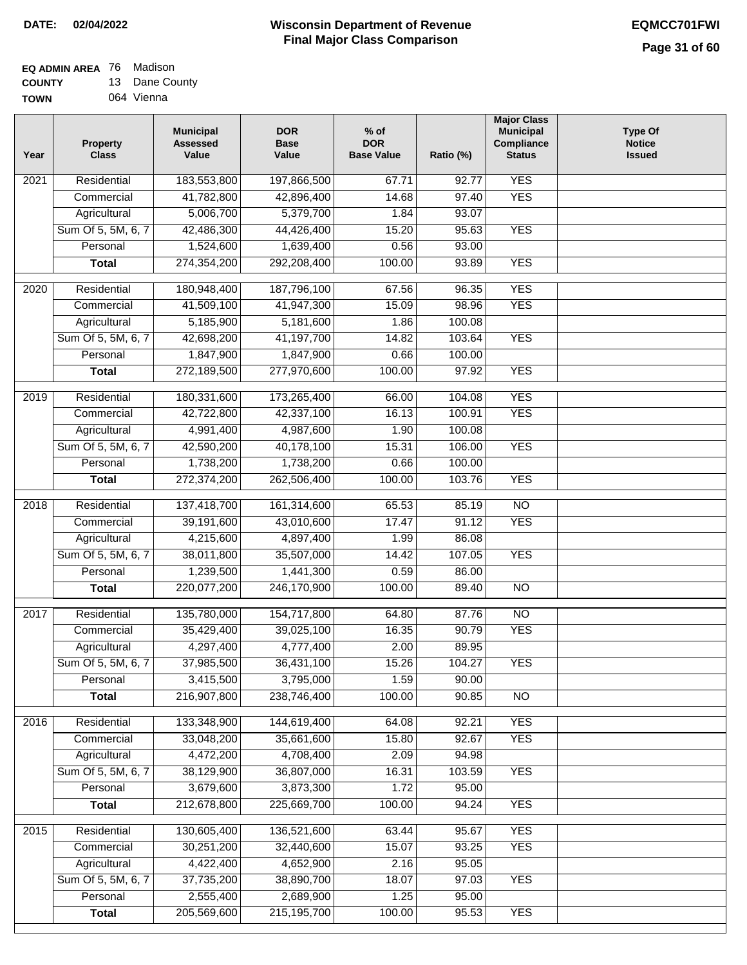#### **EQ ADMIN AREA** 76 Madison **COUNTY** 13 Dane County

**TOWN** 064 Vienna

| Year             | <b>Property</b><br><b>Class</b> | <b>Municipal</b><br><b>Assessed</b><br>Value | <b>DOR</b><br><b>Base</b><br>Value | $%$ of<br><b>DOR</b><br><b>Base Value</b> | Ratio (%)      | <b>Major Class</b><br><b>Municipal</b><br>Compliance<br><b>Status</b> | <b>Type Of</b><br><b>Notice</b><br><b>Issued</b> |
|------------------|---------------------------------|----------------------------------------------|------------------------------------|-------------------------------------------|----------------|-----------------------------------------------------------------------|--------------------------------------------------|
| 2021             | Residential                     | 183,553,800                                  | 197,866,500                        | 67.71                                     | 92.77          | <b>YES</b>                                                            |                                                  |
|                  | Commercial                      | 41,782,800                                   | 42,896,400                         | 14.68                                     | 97.40          | <b>YES</b>                                                            |                                                  |
|                  | Agricultural                    | 5,006,700                                    | 5,379,700                          | 1.84                                      | 93.07          |                                                                       |                                                  |
|                  | Sum Of 5, 5M, 6, 7              | 42,486,300                                   | 44,426,400                         | 15.20                                     | 95.63          | <b>YES</b>                                                            |                                                  |
|                  | Personal                        | 1,524,600                                    | 1,639,400                          | 0.56                                      | 93.00          |                                                                       |                                                  |
|                  | <b>Total</b>                    | 274,354,200                                  | 292,208,400                        | 100.00                                    | 93.89          | <b>YES</b>                                                            |                                                  |
| $\frac{1}{2020}$ | Residential                     | 180,948,400                                  | 187,796,100                        | 67.56                                     | 96.35          | <b>YES</b>                                                            |                                                  |
|                  | Commercial                      | 41,509,100                                   | 41,947,300                         | 15.09                                     | 98.96          | <b>YES</b>                                                            |                                                  |
|                  | Agricultural                    | 5,185,900                                    | 5,181,600                          | 1.86                                      | 100.08         |                                                                       |                                                  |
|                  | Sum Of 5, 5M, 6, 7              | 42,698,200                                   | 41,197,700                         | 14.82                                     | 103.64         | <b>YES</b>                                                            |                                                  |
|                  | Personal                        | 1,847,900                                    | 1,847,900                          | 0.66                                      | 100.00         |                                                                       |                                                  |
|                  | <b>Total</b>                    | 272,189,500                                  | 277,970,600                        | 100.00                                    | 97.92          | <b>YES</b>                                                            |                                                  |
| $\frac{1}{2019}$ | Residential                     | 180,331,600                                  | 173,265,400                        | 66.00                                     | 104.08         | <b>YES</b>                                                            |                                                  |
|                  | Commercial                      | 42,722,800                                   | 42,337,100                         | 16.13                                     | 100.91         | <b>YES</b>                                                            |                                                  |
|                  | Agricultural                    | 4,991,400                                    | 4,987,600                          | 1.90                                      | 100.08         |                                                                       |                                                  |
|                  | Sum Of 5, 5M, 6, 7              | 42,590,200                                   | 40,178,100                         | 15.31                                     | 106.00         | <b>YES</b>                                                            |                                                  |
|                  | Personal                        | 1,738,200                                    | 1,738,200                          | 0.66                                      | 100.00         |                                                                       |                                                  |
|                  | <b>Total</b>                    | 272,374,200                                  | 262,506,400                        | 100.00                                    | 103.76         | <b>YES</b>                                                            |                                                  |
| 2018             | Residential                     | 137,418,700                                  | 161,314,600                        | 65.53                                     | 85.19          | $\overline{NO}$                                                       |                                                  |
|                  | Commercial                      | 39,191,600                                   | 43,010,600                         | 17.47                                     | 91.12          | <b>YES</b>                                                            |                                                  |
|                  | Agricultural                    | 4,215,600                                    | 4,897,400                          | 1.99                                      | 86.08          |                                                                       |                                                  |
|                  | Sum Of 5, 5M, 6, 7              | 38,011,800                                   | 35,507,000                         | 14.42                                     | 107.05         | <b>YES</b>                                                            |                                                  |
|                  | Personal                        | 1,239,500                                    | 1,441,300                          | 0.59                                      | 86.00          |                                                                       |                                                  |
|                  | <b>Total</b>                    | 220,077,200                                  | 246,170,900                        | 100.00                                    | 89.40          | <b>NO</b>                                                             |                                                  |
|                  |                                 |                                              |                                    |                                           |                |                                                                       |                                                  |
| 2017             | Residential                     | 135,780,000                                  | 154,717,800                        | 64.80                                     | 87.76          | $\overline{NO}$                                                       |                                                  |
|                  | Commercial                      | 35,429,400                                   | 39,025,100                         | 16.35                                     | 90.79          | <b>YES</b>                                                            |                                                  |
|                  | Agricultural                    | 4,297,400                                    | 4,777,400                          | 2.00                                      | 89.95          |                                                                       |                                                  |
|                  | Sum Of 5, 5M, 6, 7              | 37,985,500                                   | 36,431,100                         | 15.26                                     | 104.27         | <b>YES</b>                                                            |                                                  |
|                  | Personal                        | 3,415,500                                    | 3,795,000                          | 1.59                                      | 90.00          |                                                                       |                                                  |
|                  | <b>Total</b>                    | 216,907,800                                  | 238,746,400                        | 100.00                                    | 90.85          | NO                                                                    |                                                  |
| 2016             | Residential                     | 133,348,900                                  | 144,619,400                        | 64.08                                     | 92.21          | <b>YES</b>                                                            |                                                  |
|                  | Commercial                      | 33,048,200                                   | 35,661,600                         | 15.80                                     | 92.67          | <b>YES</b>                                                            |                                                  |
|                  | Agricultural                    | 4,472,200                                    | 4,708,400                          | 2.09                                      | 94.98          |                                                                       |                                                  |
|                  | Sum Of 5, 5M, 6, 7              | 38,129,900                                   | 36,807,000                         | 16.31                                     | 103.59         | <b>YES</b>                                                            |                                                  |
|                  | Personal                        | 3,679,600                                    | 3,873,300                          | 1.72                                      | 95.00          |                                                                       |                                                  |
|                  | <b>Total</b>                    | 212,678,800                                  | 225,669,700                        | 100.00                                    | 94.24          | <b>YES</b>                                                            |                                                  |
|                  |                                 |                                              |                                    |                                           |                |                                                                       |                                                  |
| 2015             | Residential                     | 130,605,400                                  | 136,521,600                        | 63.44                                     | 95.67          | <b>YES</b><br><b>YES</b>                                              |                                                  |
|                  | Commercial<br>Agricultural      | 30,251,200<br>4,422,400                      | 32,440,600<br>4,652,900            | 15.07<br>2.16                             | 93.25<br>95.05 |                                                                       |                                                  |
|                  | Sum Of 5, 5M, 6, 7              | 37,735,200                                   | 38,890,700                         | 18.07                                     | 97.03          | <b>YES</b>                                                            |                                                  |
|                  | Personal                        | 2,555,400                                    | 2,689,900                          | 1.25                                      | 95.00          |                                                                       |                                                  |
|                  | <b>Total</b>                    | 205,569,600                                  | 215, 195, 700                      | 100.00                                    | 95.53          | <b>YES</b>                                                            |                                                  |
|                  |                                 |                                              |                                    |                                           |                |                                                                       |                                                  |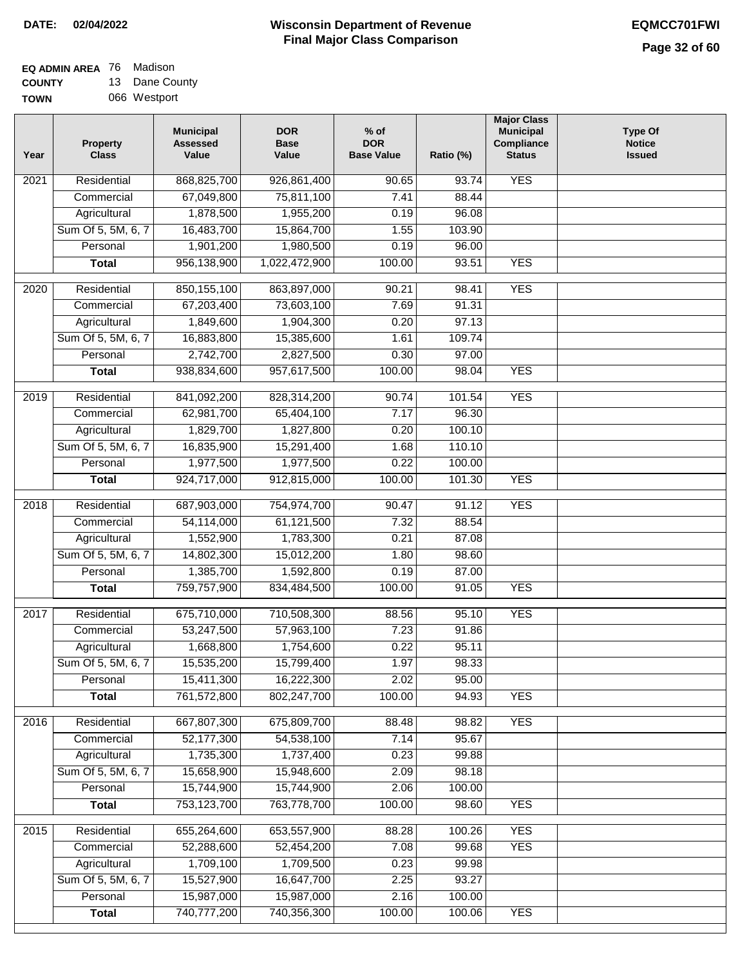#### **EQ ADMIN AREA** 76 Madison **COUNTY** 13 Dane County

**TOWN** 066 Westport

| Year              | <b>Property</b><br><b>Class</b> | <b>Municipal</b><br><b>Assessed</b><br>Value | <b>DOR</b><br><b>Base</b><br>Value | % of<br><b>DOR</b><br><b>Base Value</b> | Ratio (%) | <b>Major Class</b><br><b>Municipal</b><br>Compliance<br><b>Status</b> | <b>Type Of</b><br><b>Notice</b><br><b>Issued</b> |
|-------------------|---------------------------------|----------------------------------------------|------------------------------------|-----------------------------------------|-----------|-----------------------------------------------------------------------|--------------------------------------------------|
| $\overline{202}1$ | Residential                     | 868,825,700                                  | 926,861,400                        | $\frac{1}{90.65}$                       | 93.74     | <b>YES</b>                                                            |                                                  |
|                   | Commercial                      | 67,049,800                                   | 75,811,100                         | 7.41                                    | 88.44     |                                                                       |                                                  |
|                   | Agricultural                    | 1,878,500                                    | 1,955,200                          | 0.19                                    | 96.08     |                                                                       |                                                  |
|                   | Sum Of 5, 5M, 6, 7              | 16,483,700                                   | 15,864,700                         | 1.55                                    | 103.90    |                                                                       |                                                  |
|                   | Personal                        | 1,901,200                                    | 1,980,500                          | 0.19                                    | 96.00     |                                                                       |                                                  |
|                   | <b>Total</b>                    | 956,138,900                                  | 1,022,472,900                      | 100.00                                  | 93.51     | <b>YES</b>                                                            |                                                  |
| $\overline{2020}$ | Residential                     | 850,155,100                                  | 863,897,000                        | 90.21                                   | 98.41     | <b>YES</b>                                                            |                                                  |
|                   | Commercial                      | 67,203,400                                   | 73,603,100                         | 7.69                                    | 91.31     |                                                                       |                                                  |
|                   | Agricultural                    | 1,849,600                                    | 1,904,300                          | 0.20                                    | 97.13     |                                                                       |                                                  |
|                   | Sum Of 5, 5M, 6, 7              | 16,883,800                                   | 15,385,600                         | 1.61                                    | 109.74    |                                                                       |                                                  |
|                   | Personal                        | 2,742,700                                    | 2,827,500                          | 0.30                                    | 97.00     |                                                                       |                                                  |
|                   | <b>Total</b>                    | 938,834,600                                  | 957,617,500                        | 100.00                                  | 98.04     | <b>YES</b>                                                            |                                                  |
|                   |                                 |                                              |                                    |                                         |           |                                                                       |                                                  |
| 2019              | Residential                     | 841,092,200                                  | 828,314,200                        | 90.74                                   | 101.54    | <b>YES</b>                                                            |                                                  |
|                   | Commercial                      | 62,981,700                                   | 65,404,100                         | 7.17                                    | 96.30     |                                                                       |                                                  |
|                   | Agricultural                    | 1,829,700                                    | 1,827,800                          | 0.20                                    | 100.10    |                                                                       |                                                  |
|                   | Sum Of 5, 5M, 6, 7              | 16,835,900                                   | 15,291,400                         | 1.68                                    | 110.10    |                                                                       |                                                  |
|                   | Personal                        | 1,977,500                                    | 1,977,500                          | 0.22                                    | 100.00    |                                                                       |                                                  |
|                   | <b>Total</b>                    | 924,717,000                                  | 912,815,000                        | 100.00                                  | 101.30    | <b>YES</b>                                                            |                                                  |
| 2018              | Residential                     | 687,903,000                                  | 754,974,700                        | 90.47                                   | 91.12     | <b>YES</b>                                                            |                                                  |
|                   | Commercial                      | 54,114,000                                   | 61,121,500                         | 7.32                                    | 88.54     |                                                                       |                                                  |
|                   | Agricultural                    | 1,552,900                                    | 1,783,300                          | 0.21                                    | 87.08     |                                                                       |                                                  |
|                   | Sum Of 5, 5M, 6, 7              | 14,802,300                                   | 15,012,200                         | 1.80                                    | 98.60     |                                                                       |                                                  |
|                   | Personal                        | 1,385,700                                    | 1,592,800                          | 0.19                                    | 87.00     |                                                                       |                                                  |
|                   | <b>Total</b>                    | 759,757,900                                  | 834,484,500                        | 100.00                                  | 91.05     | <b>YES</b>                                                            |                                                  |
| $\overline{2017}$ | Residential                     | 675,710,000                                  | 710,508,300                        | 88.56                                   | 95.10     | <b>YES</b>                                                            |                                                  |
|                   | Commercial                      | 53,247,500                                   | 57,963,100                         | 7.23                                    | 91.86     |                                                                       |                                                  |
|                   | Agricultural                    | 1,668,800                                    | 1,754,600                          | 0.22                                    | 95.11     |                                                                       |                                                  |
|                   | Sum Of 5, 5M, 6, 7              | 15,535,200                                   | 15,799,400                         | 1.97                                    | 98.33     |                                                                       |                                                  |
|                   | Personal                        | 15,411,300                                   | 16,222,300                         | 2.02                                    | 95.00     |                                                                       |                                                  |
|                   | <b>Total</b>                    | 761,572,800                                  | 802,247,700                        | 100.00                                  | 94.93     | <b>YES</b>                                                            |                                                  |
| 2016              | Residential                     | 667,807,300                                  | 675,809,700                        | 88.48                                   | 98.82     | <b>YES</b>                                                            |                                                  |
|                   | Commercial                      | 52,177,300                                   | 54,538,100                         | 7.14                                    | 95.67     |                                                                       |                                                  |
|                   | Agricultural                    | 1,735,300                                    | 1,737,400                          | 0.23                                    | 99.88     |                                                                       |                                                  |
|                   | Sum Of 5, 5M, 6, 7              | 15,658,900                                   | 15,948,600                         | 2.09                                    | 98.18     |                                                                       |                                                  |
|                   | Personal                        | 15,744,900                                   | 15,744,900                         | 2.06                                    | 100.00    |                                                                       |                                                  |
|                   | <b>Total</b>                    | 753,123,700                                  | 763,778,700                        | 100.00                                  | 98.60     | <b>YES</b>                                                            |                                                  |
|                   |                                 |                                              |                                    |                                         |           |                                                                       |                                                  |
| 2015              | Residential                     | 655,264,600                                  | 653,557,900                        | 88.28                                   | 100.26    | <b>YES</b>                                                            |                                                  |
|                   | Commercial                      | 52,288,600                                   | 52,454,200                         | 7.08                                    | 99.68     | <b>YES</b>                                                            |                                                  |
|                   | Agricultural                    | 1,709,100                                    | 1,709,500                          | 0.23                                    | 99.98     |                                                                       |                                                  |
|                   | Sum Of 5, 5M, 6, 7              | 15,527,900                                   | 16,647,700                         | 2.25                                    | 93.27     |                                                                       |                                                  |
|                   | Personal                        | 15,987,000<br>740,777,200                    | 15,987,000<br>740,356,300          | 2.16<br>100.00                          | 100.00    | <b>YES</b>                                                            |                                                  |
|                   | <b>Total</b>                    |                                              |                                    |                                         | 100.06    |                                                                       |                                                  |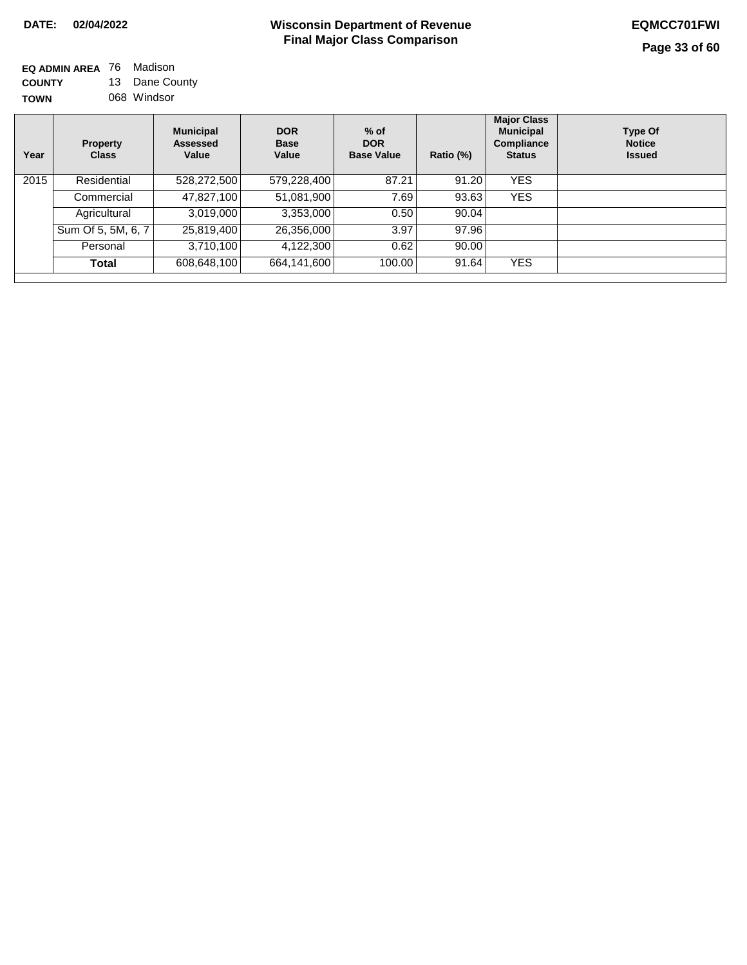| EQ ADMIN AREA 76 | Madison        |
|------------------|----------------|
| <b>COUNTY</b>    | 13 Dane County |
| <b>TOWN</b>      | 068 Windsor    |

| Property<br><b>Class</b> | <b>Municipal</b><br><b>Assessed</b><br>Value | <b>DOR</b><br><b>Base</b><br>Value | $%$ of<br><b>DOR</b><br><b>Base Value</b> | Ratio (%)                                                                      | <b>Major Class</b><br><b>Municipal</b><br>Compliance<br><b>Status</b> | <b>Type Of</b><br><b>Notice</b><br><b>Issued</b> |
|--------------------------|----------------------------------------------|------------------------------------|-------------------------------------------|--------------------------------------------------------------------------------|-----------------------------------------------------------------------|--------------------------------------------------|
| Residential              | 528,272,500                                  |                                    | 87.21                                     | 91.20                                                                          | <b>YES</b>                                                            |                                                  |
| Commercial               | 47,827,100                                   |                                    | 7.69                                      | 93.63                                                                          | <b>YES</b>                                                            |                                                  |
| Agricultural             | 3,019,000                                    |                                    | 0.50                                      |                                                                                |                                                                       |                                                  |
| Sum Of 5, 5M, 6, 7       | 25,819,400                                   |                                    | 3.97                                      | 97.96                                                                          |                                                                       |                                                  |
| Personal                 | 3,710,100                                    |                                    | 0.62                                      |                                                                                |                                                                       |                                                  |
| Total                    | 608,648,100                                  | 664,141,600                        | 100.00                                    | 91.64                                                                          | <b>YES</b>                                                            |                                                  |
| 2015                     |                                              |                                    |                                           | $\overline{579,228,400}$<br>51,081,900<br>3,353,000<br>26,356,000<br>4,122,300 |                                                                       | 90.04<br>90.00                                   |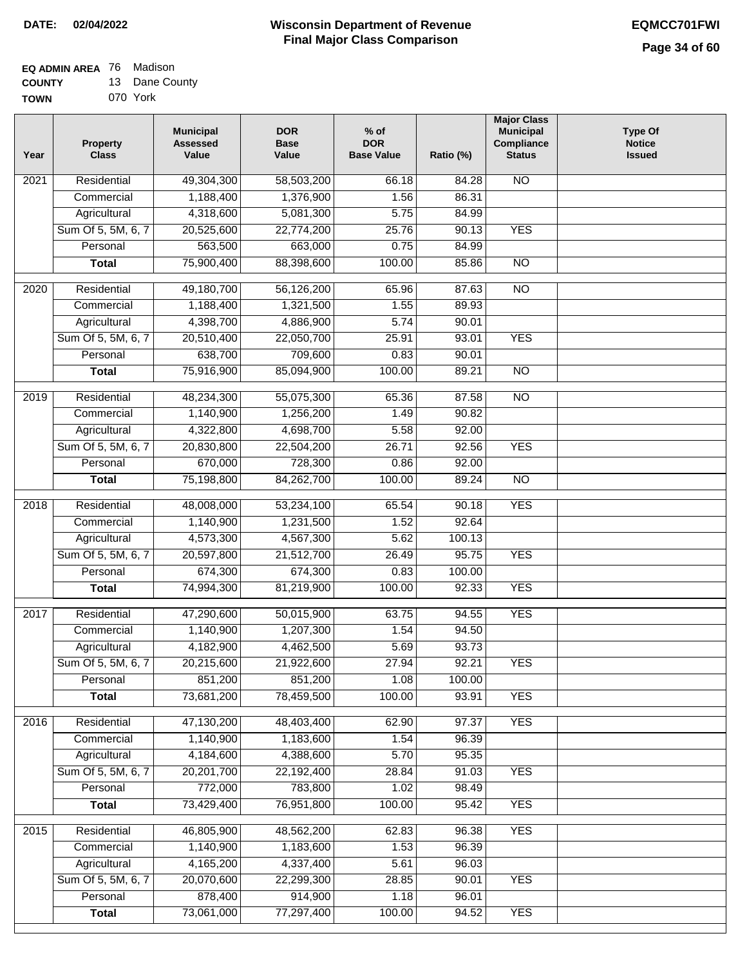#### **EQ ADMIN AREA** 76 Madison  $12$

| <b>COUNTY</b> | 13 Dane County |
|---------------|----------------|
| <b>TOWN</b>   | 070 York       |

| Year | <b>Property</b><br><b>Class</b> | <b>Municipal</b><br><b>Assessed</b><br>Value | <b>DOR</b><br><b>Base</b><br>Value | $%$ of<br><b>DOR</b><br><b>Base Value</b> | Ratio (%) | <b>Major Class</b><br><b>Municipal</b><br>Compliance<br><b>Status</b> | <b>Type Of</b><br><b>Notice</b><br><b>Issued</b> |
|------|---------------------------------|----------------------------------------------|------------------------------------|-------------------------------------------|-----------|-----------------------------------------------------------------------|--------------------------------------------------|
| 2021 | Residential                     | 49,304,300                                   | 58,503,200                         | 66.18                                     | 84.28     | <b>NO</b>                                                             |                                                  |
|      | Commercial                      | 1,188,400                                    | 1,376,900                          | 1.56                                      | 86.31     |                                                                       |                                                  |
|      | Agricultural                    | 4,318,600                                    | 5,081,300                          | 5.75                                      | 84.99     |                                                                       |                                                  |
|      | Sum Of 5, 5M, 6, 7              | 20,525,600                                   | 22,774,200                         | 25.76                                     | 90.13     | <b>YES</b>                                                            |                                                  |
|      | Personal                        | 563,500                                      | 663,000                            | 0.75                                      | 84.99     |                                                                       |                                                  |
|      | <b>Total</b>                    | 75,900,400                                   | 88,398,600                         | 100.00                                    | 85.86     | $\overline{NO}$                                                       |                                                  |
| 2020 | Residential                     | 49,180,700                                   | 56,126,200                         | 65.96                                     | 87.63     | $\overline{NO}$                                                       |                                                  |
|      | Commercial                      | 1,188,400                                    | 1,321,500                          | 1.55                                      | 89.93     |                                                                       |                                                  |
|      | Agricultural                    | 4,398,700                                    | 4,886,900                          | 5.74                                      | 90.01     |                                                                       |                                                  |
|      | Sum Of 5, 5M, 6, 7              | 20,510,400                                   | 22,050,700                         | 25.91                                     | 93.01     | <b>YES</b>                                                            |                                                  |
|      | Personal                        | 638,700                                      | 709,600                            | 0.83                                      | 90.01     |                                                                       |                                                  |
|      | <b>Total</b>                    | 75,916,900                                   | 85,094,900                         | 100.00                                    | 89.21     | $\overline{NO}$                                                       |                                                  |
|      |                                 |                                              |                                    |                                           |           |                                                                       |                                                  |
| 2019 | Residential                     | 48,234,300                                   | 55,075,300                         | 65.36                                     | 87.58     | $\overline{NO}$                                                       |                                                  |
|      | Commercial                      | 1,140,900                                    | 1,256,200                          | 1.49                                      | 90.82     |                                                                       |                                                  |
|      | Agricultural                    | 4,322,800                                    | 4,698,700                          | 5.58                                      | 92.00     |                                                                       |                                                  |
|      | Sum Of 5, 5M, 6, 7              | 20,830,800                                   | 22,504,200                         | 26.71                                     | 92.56     | <b>YES</b>                                                            |                                                  |
|      | Personal                        | 670,000                                      | 728,300                            | 0.86                                      | 92.00     |                                                                       |                                                  |
|      | <b>Total</b>                    | 75,198,800                                   | 84,262,700                         | 100.00                                    | 89.24     | $\overline{NO}$                                                       |                                                  |
| 2018 | Residential                     | 48,008,000                                   | 53,234,100                         | 65.54                                     | 90.18     | <b>YES</b>                                                            |                                                  |
|      | Commercial                      | 1,140,900                                    | 1,231,500                          | 1.52                                      | 92.64     |                                                                       |                                                  |
|      | Agricultural                    | 4,573,300                                    | 4,567,300                          | 5.62                                      | 100.13    |                                                                       |                                                  |
|      | Sum Of 5, 5M, 6, 7              | 20,597,800                                   | 21,512,700                         | 26.49                                     | 95.75     | <b>YES</b>                                                            |                                                  |
|      | Personal                        | 674,300                                      | 674,300                            | 0.83                                      | 100.00    |                                                                       |                                                  |
|      | <b>Total</b>                    | 74,994,300                                   | 81,219,900                         | 100.00                                    | 92.33     | <b>YES</b>                                                            |                                                  |
| 2017 | Residential                     | 47,290,600                                   | 50,015,900                         | 63.75                                     | 94.55     | <b>YES</b>                                                            |                                                  |
|      | Commercial                      | 1,140,900                                    | 1,207,300                          | 1.54                                      | 94.50     |                                                                       |                                                  |
|      | Agricultural                    | 4,182,900                                    | 4,462,500                          | 5.69                                      | 93.73     |                                                                       |                                                  |
|      | Sum Of 5, 5M, 6, 7              | 20,215,600                                   | 21,922,600                         | 27.94                                     | 92.21     | <b>YES</b>                                                            |                                                  |
|      | Personal                        | 851,200                                      | 851,200                            | 1.08                                      | 100.00    |                                                                       |                                                  |
|      | <b>Total</b>                    | 73,681,200                                   | 78,459,500                         | 100.00                                    | 93.91     | <b>YES</b>                                                            |                                                  |
|      |                                 |                                              |                                    |                                           |           |                                                                       |                                                  |
| 2016 | Residential                     | 47,130,200                                   | 48,403,400                         | 62.90                                     | 97.37     | <b>YES</b>                                                            |                                                  |
|      | Commercial                      | 1,140,900                                    | 1,183,600                          | 1.54                                      | 96.39     |                                                                       |                                                  |
|      | Agricultural                    | 4,184,600                                    | 4,388,600                          | 5.70                                      | 95.35     |                                                                       |                                                  |
|      | Sum Of 5, 5M, 6, 7              | 20,201,700                                   | 22,192,400                         | 28.84                                     | 91.03     | <b>YES</b>                                                            |                                                  |
|      | Personal                        | 772,000                                      | 783,800                            | 1.02                                      | 98.49     |                                                                       |                                                  |
|      | <b>Total</b>                    | 73,429,400                                   | 76,951,800                         | 100.00                                    | 95.42     | <b>YES</b>                                                            |                                                  |
| 2015 | Residential                     | 46,805,900                                   | 48,562,200                         | 62.83                                     | 96.38     | <b>YES</b>                                                            |                                                  |
|      | Commercial                      | 1,140,900                                    | 1,183,600                          | 1.53                                      | 96.39     |                                                                       |                                                  |
|      | Agricultural                    | 4,165,200                                    | 4,337,400                          | 5.61                                      | 96.03     |                                                                       |                                                  |
|      | Sum Of 5, 5M, 6, 7              | 20,070,600                                   | 22,299,300                         | 28.85                                     | 90.01     | <b>YES</b>                                                            |                                                  |
|      | Personal                        | 878,400                                      | 914,900                            | 1.18                                      | 96.01     |                                                                       |                                                  |
|      | <b>Total</b>                    | 73,061,000                                   | 77,297,400                         | 100.00                                    | 94.52     | <b>YES</b>                                                            |                                                  |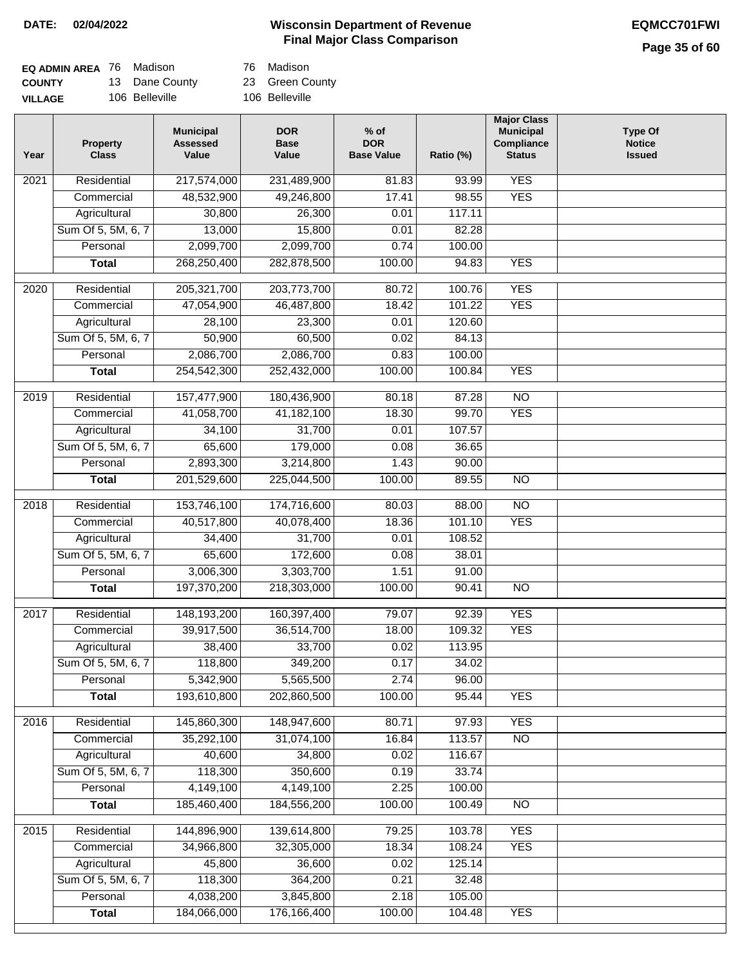## **Wisconsin Department of Revenue DATE: 02/04/2022 EQMCC701FWI Final Major Class Comparison**

## **Page 35 of 60**

| <b>EQ ADMIN AREA</b> 76 Madison |                | 76 Madison      |
|---------------------------------|----------------|-----------------|
| <b>COUNTY</b>                   | 13 Dane County | 23 Green County |
| <b>VILLAGE</b>                  | 106 Belleville | 106 Belleville  |

76 Madison

| Year              | <b>Property</b><br><b>Class</b> | <b>Municipal</b><br><b>Assessed</b><br>Value | <b>DOR</b><br><b>Base</b><br>Value | $%$ of<br><b>DOR</b><br><b>Base Value</b> | Ratio (%) | <b>Major Class</b><br><b>Municipal</b><br>Compliance<br><b>Status</b> | <b>Type Of</b><br><b>Notice</b><br><b>Issued</b> |
|-------------------|---------------------------------|----------------------------------------------|------------------------------------|-------------------------------------------|-----------|-----------------------------------------------------------------------|--------------------------------------------------|
| $\overline{202}1$ | Residential                     | 217,574,000                                  | 231,489,900                        | 81.83                                     | 93.99     | <b>YES</b>                                                            |                                                  |
|                   | Commercial                      | 48,532,900                                   | 49,246,800                         | 17.41                                     | 98.55     | <b>YES</b>                                                            |                                                  |
|                   | Agricultural                    | 30,800                                       | 26,300                             | 0.01                                      | 117.11    |                                                                       |                                                  |
|                   | Sum Of 5, 5M, 6, 7              | 13,000                                       | 15,800                             | 0.01                                      | 82.28     |                                                                       |                                                  |
|                   | Personal                        | 2,099,700                                    | 2,099,700                          | 0.74                                      | 100.00    |                                                                       |                                                  |
|                   | <b>Total</b>                    | 268,250,400                                  | 282,878,500                        | 100.00                                    | 94.83     | <b>YES</b>                                                            |                                                  |
| $\overline{2020}$ | Residential                     | 205,321,700                                  | 203,773,700                        | 80.72                                     | 100.76    | <b>YES</b>                                                            |                                                  |
|                   | Commercial                      | 47,054,900                                   | 46,487,800                         | 18.42                                     | 101.22    | <b>YES</b>                                                            |                                                  |
|                   | Agricultural                    | 28,100                                       | 23,300                             | 0.01                                      | 120.60    |                                                                       |                                                  |
|                   | Sum Of 5, 5M, 6, 7              | 50,900                                       | 60,500                             | 0.02                                      | 84.13     |                                                                       |                                                  |
|                   | Personal                        | 2,086,700                                    | 2,086,700                          | 0.83                                      | 100.00    |                                                                       |                                                  |
|                   | <b>Total</b>                    | 254,542,300                                  | 252,432,000                        | 100.00                                    | 100.84    | <b>YES</b>                                                            |                                                  |
| 2019              | Residential                     | 157,477,900                                  | 180,436,900                        | 80.18                                     | 87.28     | $\overline{10}$                                                       |                                                  |
|                   | Commercial                      | 41,058,700                                   | 41,182,100                         | 18.30                                     | 99.70     | <b>YES</b>                                                            |                                                  |
|                   | Agricultural                    | 34,100                                       | 31,700                             | 0.01                                      | 107.57    |                                                                       |                                                  |
|                   | Sum Of 5, 5M, 6, 7              | 65,600                                       | 179,000                            | 0.08                                      | 36.65     |                                                                       |                                                  |
|                   | Personal                        | 2,893,300                                    | 3,214,800                          | 1.43                                      | 90.00     |                                                                       |                                                  |
|                   | <b>Total</b>                    | 201,529,600                                  | 225,044,500                        | 100.00                                    | 89.55     | $\overline{NO}$                                                       |                                                  |
|                   |                                 |                                              |                                    |                                           |           |                                                                       |                                                  |
| 2018              | Residential                     | 153,746,100                                  | 174,716,600                        | 80.03                                     | 88.00     | $\overline{NO}$                                                       |                                                  |
|                   | Commercial                      | 40,517,800                                   | 40,078,400                         | 18.36                                     | 101.10    | <b>YES</b>                                                            |                                                  |
|                   | Agricultural                    | 34,400                                       | 31,700                             | 0.01                                      | 108.52    |                                                                       |                                                  |
|                   | Sum Of 5, 5M, 6, 7              | 65,600                                       | 172,600                            | 0.08                                      | 38.01     |                                                                       |                                                  |
|                   | Personal                        | 3,006,300                                    | 3,303,700                          | 1.51                                      | 91.00     |                                                                       |                                                  |
|                   | <b>Total</b>                    | 197,370,200                                  | 218,303,000                        | 100.00                                    | 90.41     | $\overline{10}$                                                       |                                                  |
| $\overline{2017}$ | Residential                     | 148,193,200                                  | 160,397,400                        | 79.07                                     | 92.39     | <b>YES</b>                                                            |                                                  |
|                   | Commercial                      | 39,917,500                                   | 36,514,700                         | 18.00                                     | 109.32    | <b>YES</b>                                                            |                                                  |
|                   | Agricultural                    | 38,400                                       | 33,700                             | 0.02                                      | 113.95    |                                                                       |                                                  |
|                   | Sum Of 5, 5M, 6, 7              | 118,800                                      | 349,200                            | 0.17                                      | 34.02     |                                                                       |                                                  |
|                   | Personal                        | 5,342,900                                    | 5,565,500                          | 2.74                                      | 96.00     |                                                                       |                                                  |
|                   | <b>Total</b>                    | 193,610,800                                  | 202,860,500                        | 100.00                                    | 95.44     | <b>YES</b>                                                            |                                                  |
| 2016              | Residential                     | 145,860,300                                  | 148,947,600                        | 80.71                                     | 97.93     | <b>YES</b>                                                            |                                                  |
|                   | Commercial                      | 35,292,100                                   | 31,074,100                         | 16.84                                     | 113.57    | <b>NO</b>                                                             |                                                  |
|                   | Agricultural                    | 40,600                                       | 34,800                             | 0.02                                      | 116.67    |                                                                       |                                                  |
|                   | Sum Of 5, 5M, 6, 7              | 118,300                                      | 350,600                            | 0.19                                      | 33.74     |                                                                       |                                                  |
|                   | Personal                        | 4,149,100                                    | 4,149,100                          | 2.25                                      | 100.00    |                                                                       |                                                  |
|                   | <b>Total</b>                    | 185,460,400                                  | 184,556,200                        | 100.00                                    | 100.49    | $\overline{NO}$                                                       |                                                  |
| 2015              | Residential                     | 144,896,900                                  | 139,614,800                        | 79.25                                     | 103.78    | <b>YES</b>                                                            |                                                  |
|                   | Commercial                      | 34,966,800                                   | 32,305,000                         | 18.34                                     | 108.24    | <b>YES</b>                                                            |                                                  |
|                   | Agricultural                    | 45,800                                       | 36,600                             | 0.02                                      | 125.14    |                                                                       |                                                  |
|                   | Sum Of 5, 5M, 6, 7              | 118,300                                      | 364,200                            | 0.21                                      | 32.48     |                                                                       |                                                  |
|                   | Personal                        | 4,038,200                                    | 3,845,800                          | 2.18                                      | 105.00    |                                                                       |                                                  |
|                   | <b>Total</b>                    | 184,066,000                                  | 176,166,400                        | 100.00                                    | 104.48    | <b>YES</b>                                                            |                                                  |
|                   |                                 |                                              |                                    |                                           |           |                                                                       |                                                  |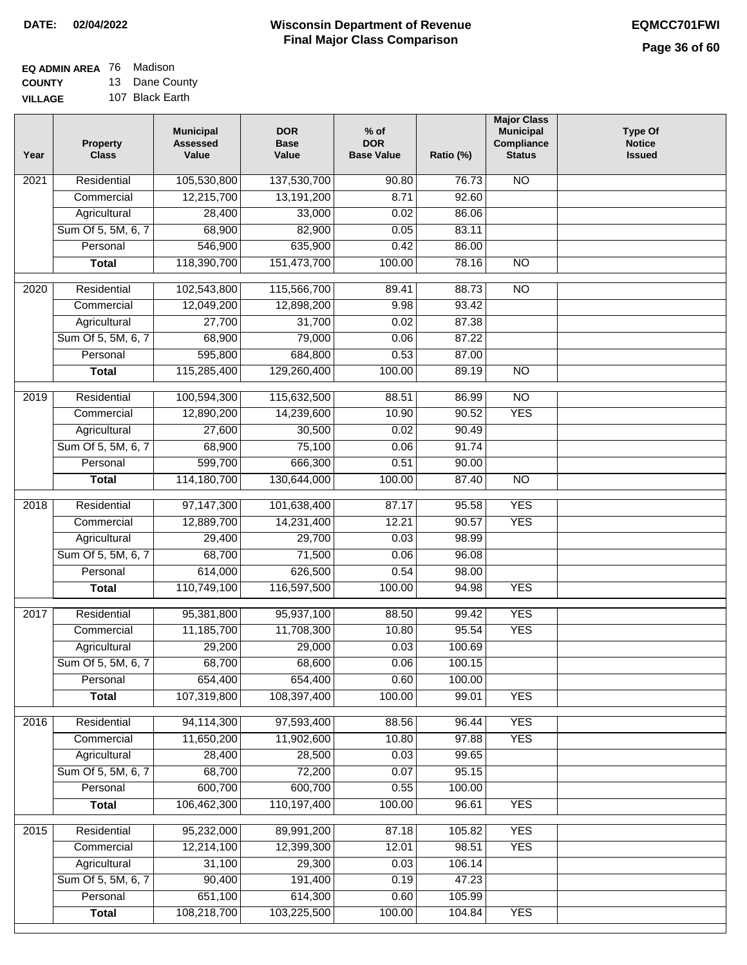| <b>EQ ADMIN AREA</b> 76 Madison |                |
|---------------------------------|----------------|
| <b>COUNTY</b>                   | 13 Dane County |

**VILLAGE** 107 Black Earth

| Year              | <b>Property</b><br><b>Class</b> | <b>Municipal</b><br><b>Assessed</b><br>Value | <b>DOR</b><br><b>Base</b><br>Value | $%$ of<br><b>DOR</b><br><b>Base Value</b> | Ratio (%) | <b>Major Class</b><br><b>Municipal</b><br>Compliance<br><b>Status</b> | <b>Type Of</b><br><b>Notice</b><br><b>Issued</b> |
|-------------------|---------------------------------|----------------------------------------------|------------------------------------|-------------------------------------------|-----------|-----------------------------------------------------------------------|--------------------------------------------------|
| $\overline{202}1$ | Residential                     | 105,530,800                                  | 137,530,700                        | 90.80                                     | 76.73     | <b>NO</b>                                                             |                                                  |
|                   | Commercial                      | 12,215,700                                   | 13,191,200                         | 8.71                                      | 92.60     |                                                                       |                                                  |
|                   | Agricultural                    | 28,400                                       | 33,000                             | 0.02                                      | 86.06     |                                                                       |                                                  |
|                   | Sum Of 5, 5M, 6, 7              | 68,900                                       | 82,900                             | 0.05                                      | 83.11     |                                                                       |                                                  |
|                   | Personal                        | 546,900                                      | 635,900                            | 0.42                                      | 86.00     |                                                                       |                                                  |
|                   | <b>Total</b>                    | 118,390,700                                  | 151,473,700                        | 100.00                                    | 78.16     | $\overline{NO}$                                                       |                                                  |
| $\overline{2020}$ | Residential                     | 102,543,800                                  | 115,566,700                        | 89.41                                     | 88.73     | $\overline{10}$                                                       |                                                  |
|                   | Commercial                      | 12,049,200                                   | 12,898,200                         | 9.98                                      | 93.42     |                                                                       |                                                  |
|                   | Agricultural                    | 27,700                                       | 31,700                             | 0.02                                      | 87.38     |                                                                       |                                                  |
|                   | Sum Of 5, 5M, 6, 7              | 68,900                                       | 79,000                             | 0.06                                      | 87.22     |                                                                       |                                                  |
|                   | Personal                        | 595,800                                      | 684,800                            | 0.53                                      | 87.00     |                                                                       |                                                  |
|                   | <b>Total</b>                    | 115,285,400                                  | 129,260,400                        | 100.00                                    | 89.19     | $\overline{NO}$                                                       |                                                  |
| 2019              | Residential                     | 100,594,300                                  | 115,632,500                        | 88.51                                     | 86.99     | $\overline{10}$                                                       |                                                  |
|                   | Commercial                      | 12,890,200                                   | 14,239,600                         | 10.90                                     | 90.52     | <b>YES</b>                                                            |                                                  |
|                   | Agricultural                    | 27,600                                       | 30,500                             | 0.02                                      | 90.49     |                                                                       |                                                  |
|                   | Sum Of 5, 5M, 6, 7              | 68,900                                       | 75,100                             | 0.06                                      | 91.74     |                                                                       |                                                  |
|                   | Personal                        | 599,700                                      | 666,300                            | 0.51                                      | 90.00     |                                                                       |                                                  |
|                   | <b>Total</b>                    | 114,180,700                                  | 130,644,000                        | 100.00                                    | 87.40     | $\overline{NO}$                                                       |                                                  |
|                   |                                 |                                              |                                    |                                           |           |                                                                       |                                                  |
| 2018              | Residential                     | 97,147,300                                   | 101,638,400                        | 87.17                                     | 95.58     | <b>YES</b>                                                            |                                                  |
|                   | Commercial                      | 12,889,700                                   | 14,231,400                         | 12.21                                     | 90.57     | <b>YES</b>                                                            |                                                  |
|                   | Agricultural                    | 29,400                                       | 29,700                             | 0.03                                      | 98.99     |                                                                       |                                                  |
|                   | Sum Of 5, 5M, 6, 7              | 68,700                                       | 71,500                             | 0.06                                      | 96.08     |                                                                       |                                                  |
|                   | Personal                        | 614,000                                      | 626,500                            | 0.54                                      | 98.00     |                                                                       |                                                  |
|                   | <b>Total</b>                    | 110,749,100                                  | 116,597,500                        | 100.00                                    | 94.98     | <b>YES</b>                                                            |                                                  |
| 2017              | Residential                     | 95,381,800                                   | 95,937,100                         | 88.50                                     | 99.42     | <b>YES</b>                                                            |                                                  |
|                   | Commercial                      | 11,185,700                                   | 11,708,300                         | 10.80                                     | 95.54     | <b>YES</b>                                                            |                                                  |
|                   | Agricultural                    | 29,200                                       | 29,000                             | 0.03                                      | 100.69    |                                                                       |                                                  |
|                   | Sum Of 5, 5M, 6, 7              | 68,700                                       | 68,600                             | 0.06                                      | 100.15    |                                                                       |                                                  |
|                   | Personal                        | 654,400                                      | 654,400                            | 0.60                                      | 100.00    |                                                                       |                                                  |
|                   | <b>Total</b>                    | 107,319,800                                  | 108,397,400                        | 100.00                                    | 99.01     | <b>YES</b>                                                            |                                                  |
| 2016              | Residential                     | 94,114,300                                   | 97,593,400                         | 88.56                                     | 96.44     | <b>YES</b>                                                            |                                                  |
|                   | Commercial                      | 11,650,200                                   | 11,902,600                         | 10.80                                     | 97.88     | <b>YES</b>                                                            |                                                  |
|                   | Agricultural                    | 28,400                                       | 28,500                             | 0.03                                      | 99.65     |                                                                       |                                                  |
|                   | Sum Of 5, 5M, 6, 7              | 68,700                                       | 72,200                             | 0.07                                      | 95.15     |                                                                       |                                                  |
|                   | Personal                        | 600,700                                      | 600,700                            | 0.55                                      | 100.00    |                                                                       |                                                  |
|                   | <b>Total</b>                    | 106,462,300                                  | 110,197,400                        | 100.00                                    | 96.61     | <b>YES</b>                                                            |                                                  |
|                   |                                 |                                              |                                    |                                           |           |                                                                       |                                                  |
| 2015              | Residential                     | 95,232,000                                   | 89,991,200                         | 87.18                                     | 105.82    | <b>YES</b>                                                            |                                                  |
|                   | Commercial                      | 12,214,100                                   | 12,399,300                         | 12.01                                     | 98.51     | <b>YES</b>                                                            |                                                  |
|                   | Agricultural                    | 31,100                                       | 29,300                             | 0.03                                      | 106.14    |                                                                       |                                                  |
|                   | Sum Of 5, 5M, 6, 7              | 90,400                                       | 191,400                            | 0.19                                      | 47.23     |                                                                       |                                                  |
|                   | Personal                        | 651,100                                      | 614,300                            | 0.60                                      | 105.99    |                                                                       |                                                  |
|                   | <b>Total</b>                    | 108,218,700                                  | 103,225,500                        | 100.00                                    | 104.84    | <b>YES</b>                                                            |                                                  |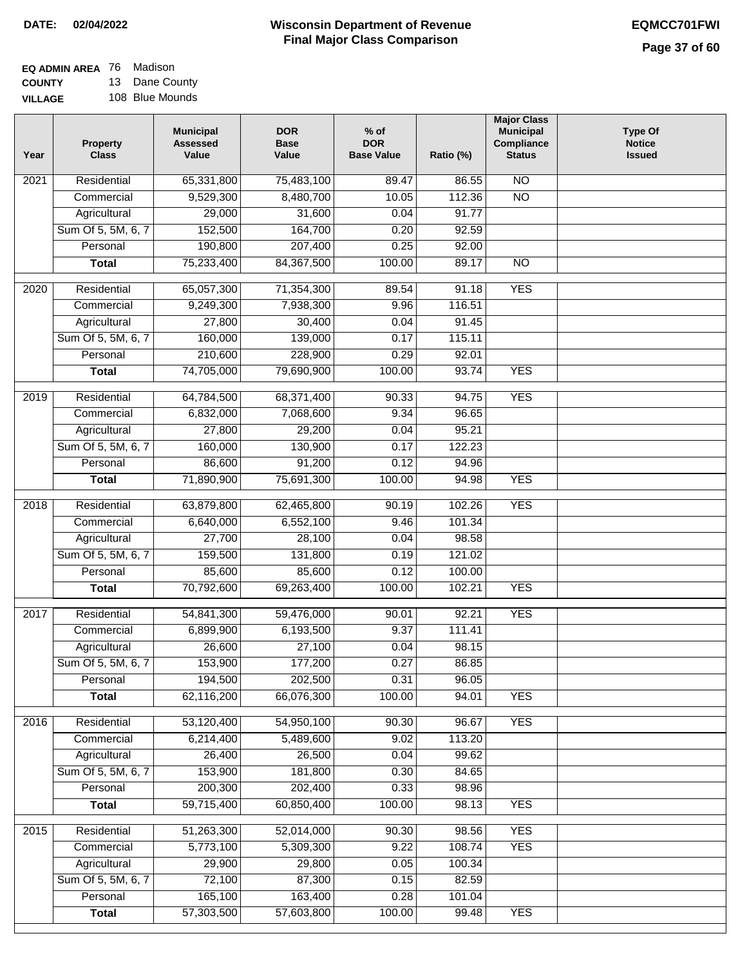## **Wisconsin Department of Revenue DATE: 02/04/2022 EQMCC701FWI Final Major Class Comparison**

| EQ ADMIN AREA 76 Madison |                |
|--------------------------|----------------|
| <b>COUNTY</b>            | 13 Dane County |
|                          |                |

**VILLAGE** 108 Blue Mounds

| Year | <b>Property</b><br><b>Class</b> | <b>Municipal</b><br><b>Assessed</b><br>Value | <b>DOR</b><br><b>Base</b><br>Value | % of<br><b>DOR</b><br><b>Base Value</b> | Ratio (%) | <b>Major Class</b><br><b>Municipal</b><br>Compliance<br><b>Status</b> | <b>Type Of</b><br><b>Notice</b><br><b>Issued</b> |
|------|---------------------------------|----------------------------------------------|------------------------------------|-----------------------------------------|-----------|-----------------------------------------------------------------------|--------------------------------------------------|
| 2021 | Residential                     | 65,331,800                                   | 75,483,100                         | 89.47                                   | 86.55     | <b>NO</b>                                                             |                                                  |
|      | Commercial                      | 9,529,300                                    | 8,480,700                          | 10.05                                   | 112.36    | $\overline{NO}$                                                       |                                                  |
|      | Agricultural                    | 29,000                                       | 31,600                             | 0.04                                    | 91.77     |                                                                       |                                                  |
|      | Sum Of 5, 5M, 6, 7              | 152,500                                      | 164,700                            | 0.20                                    | 92.59     |                                                                       |                                                  |
|      | Personal                        | 190,800                                      | 207,400                            | 0.25                                    | 92.00     |                                                                       |                                                  |
|      | <b>Total</b>                    | 75,233,400                                   | 84, 367, 500                       | 100.00                                  | 89.17     | $\overline{NO}$                                                       |                                                  |
| 2020 | Residential                     | 65,057,300                                   | 71,354,300                         | 89.54                                   | 91.18     | <b>YES</b>                                                            |                                                  |
|      | Commercial                      | 9,249,300                                    | 7,938,300                          | 9.96                                    | 116.51    |                                                                       |                                                  |
|      | Agricultural                    | 27,800                                       | 30,400                             | 0.04                                    | 91.45     |                                                                       |                                                  |
|      | Sum Of 5, 5M, 6, 7              | 160,000                                      | 139,000                            | 0.17                                    | 115.11    |                                                                       |                                                  |
|      | Personal                        | 210,600                                      | 228,900                            | 0.29                                    | 92.01     |                                                                       |                                                  |
|      | <b>Total</b>                    | 74,705,000                                   | 79,690,900                         | 100.00                                  | 93.74     | <b>YES</b>                                                            |                                                  |
| 2019 | Residential                     | 64,784,500                                   | 68,371,400                         | 90.33                                   | 94.75     | <b>YES</b>                                                            |                                                  |
|      | Commercial                      | 6,832,000                                    | 7,068,600                          | 9.34                                    | 96.65     |                                                                       |                                                  |
|      | Agricultural                    | 27,800                                       | 29,200                             | 0.04                                    | 95.21     |                                                                       |                                                  |
|      | Sum Of 5, 5M, 6, 7              | 160,000                                      | 130,900                            | 0.17                                    | 122.23    |                                                                       |                                                  |
|      | Personal                        | 86,600                                       | 91,200                             | 0.12                                    | 94.96     |                                                                       |                                                  |
|      | <b>Total</b>                    | 71,890,900                                   | 75,691,300                         | 100.00                                  | 94.98     | <b>YES</b>                                                            |                                                  |
| 2018 | Residential                     | 63,879,800                                   | 62,465,800                         | 90.19                                   | 102.26    | <b>YES</b>                                                            |                                                  |
|      | Commercial                      | 6,640,000                                    | 6,552,100                          | 9.46                                    | 101.34    |                                                                       |                                                  |
|      | Agricultural                    | 27,700                                       | 28,100                             | 0.04                                    | 98.58     |                                                                       |                                                  |
|      | Sum Of 5, 5M, 6, 7              | 159,500                                      | 131,800                            | 0.19                                    | 121.02    |                                                                       |                                                  |
|      | Personal                        | 85,600                                       | 85,600                             | 0.12                                    | 100.00    |                                                                       |                                                  |
|      | <b>Total</b>                    | 70,792,600                                   | 69,263,400                         | 100.00                                  | 102.21    | <b>YES</b>                                                            |                                                  |
| 2017 | Residential                     | 54,841,300                                   | 59,476,000                         | 90.01                                   | 92.21     | <b>YES</b>                                                            |                                                  |
|      | Commercial                      | 6,899,900                                    | 6,193,500                          | 9.37                                    | 111.41    |                                                                       |                                                  |
|      | Agricultural                    | 26,600                                       | 27,100                             | 0.04                                    | 98.15     |                                                                       |                                                  |
|      | Sum Of 5, 5M, 6, 7              | 153,900                                      | 177,200                            | 0.27                                    | 86.85     |                                                                       |                                                  |
|      | Personal                        | 194,500                                      | 202,500                            | 0.31                                    | 96.05     |                                                                       |                                                  |
|      | <b>Total</b>                    | 62,116,200                                   | 66,076,300                         | 100.00                                  | 94.01     | <b>YES</b>                                                            |                                                  |
| 2016 | Residential                     | 53,120,400                                   | 54,950,100                         | 90.30                                   | 96.67     | <b>YES</b>                                                            |                                                  |
|      | Commercial                      | 6,214,400                                    | 5,489,600                          | 9.02                                    | 113.20    |                                                                       |                                                  |
|      | Agricultural                    | 26,400                                       | 26,500                             | 0.04                                    | 99.62     |                                                                       |                                                  |
|      | Sum Of 5, 5M, 6, 7              | 153,900                                      | 181,800                            | 0.30                                    | 84.65     |                                                                       |                                                  |
|      | Personal                        | 200,300                                      | 202,400                            | 0.33                                    | 98.96     |                                                                       |                                                  |
|      | <b>Total</b>                    | 59,715,400                                   | 60,850,400                         | 100.00                                  | 98.13     | <b>YES</b>                                                            |                                                  |
| 2015 | Residential                     | 51,263,300                                   | 52,014,000                         | 90.30                                   | 98.56     | <b>YES</b>                                                            |                                                  |
|      | Commercial                      | 5,773,100                                    | 5,309,300                          | 9.22                                    | 108.74    | <b>YES</b>                                                            |                                                  |
|      | Agricultural                    | 29,900                                       | 29,800                             | 0.05                                    | 100.34    |                                                                       |                                                  |
|      | Sum Of 5, 5M, 6, 7              | 72,100                                       | 87,300                             | 0.15                                    | 82.59     |                                                                       |                                                  |
|      | Personal                        | 165,100                                      | 163,400                            | 0.28                                    | 101.04    |                                                                       |                                                  |
|      | <b>Total</b>                    | 57,303,500                                   | 57,603,800                         | 100.00                                  | 99.48     | <b>YES</b>                                                            |                                                  |
|      |                                 |                                              |                                    |                                         |           |                                                                       |                                                  |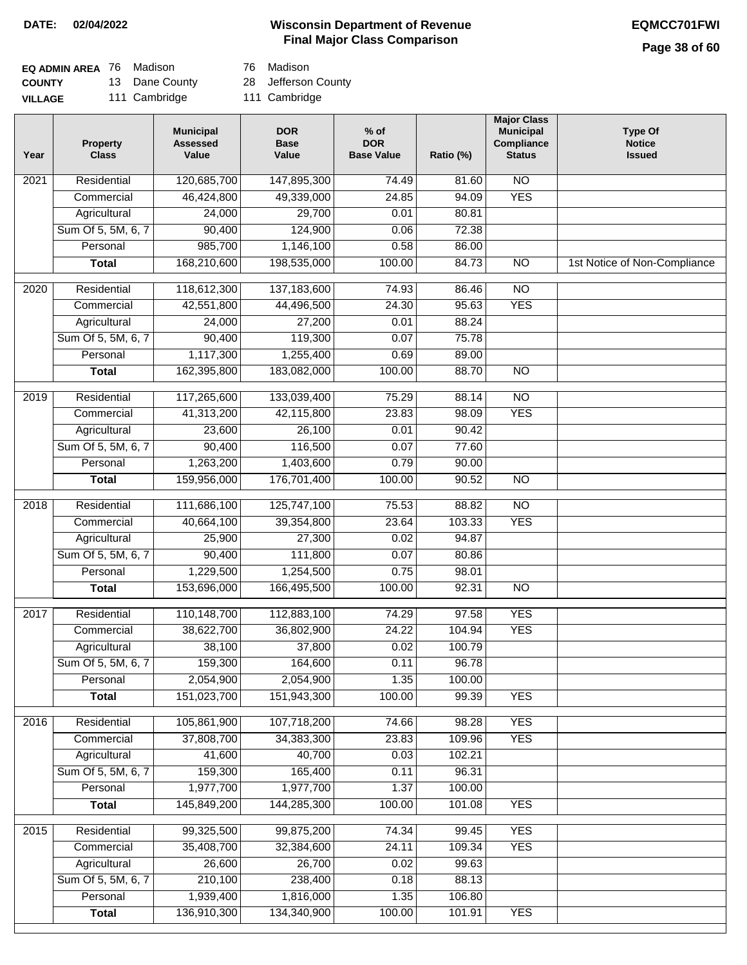## **Wisconsin Department of Revenue DATE: 02/04/2022 EQMCC701FWI Final Major Class Comparison**

## **Page 38 of 60**

| <b>EQ ADMIN AREA</b> 76 Madison |                | 76 Madison          |
|---------------------------------|----------------|---------------------|
| <b>COUNTY</b>                   | 13 Dane County | 28 Jefferson County |
| <b>VILLAGE</b>                  | 111 Cambridge  | 111 Cambridge       |

76 Madison

| Year              | <b>Property</b><br><b>Class</b> | <b>Municipal</b><br><b>Assessed</b><br>Value | <b>DOR</b><br><b>Base</b><br>Value | $%$ of<br><b>DOR</b><br><b>Base Value</b> | Ratio (%) | <b>Major Class</b><br><b>Municipal</b><br>Compliance<br><b>Status</b> | <b>Type Of</b><br><b>Notice</b><br><b>Issued</b> |
|-------------------|---------------------------------|----------------------------------------------|------------------------------------|-------------------------------------------|-----------|-----------------------------------------------------------------------|--------------------------------------------------|
| $\overline{202}1$ | Residential                     | 120,685,700                                  | 147,895,300                        | $\frac{1}{74.49}$                         | 81.60     | N <sub>O</sub>                                                        |                                                  |
|                   | Commercial                      | 46,424,800                                   | 49,339,000                         | 24.85                                     | 94.09     | <b>YES</b>                                                            |                                                  |
|                   | Agricultural                    | 24,000                                       | 29,700                             | 0.01                                      | 80.81     |                                                                       |                                                  |
|                   | Sum Of 5, 5M, 6, 7              | 90,400                                       | 124,900                            | 0.06                                      | 72.38     |                                                                       |                                                  |
|                   | Personal                        | 985,700                                      | 1,146,100                          | 0.58                                      | 86.00     |                                                                       |                                                  |
|                   | <b>Total</b>                    | 168,210,600                                  | 198,535,000                        | 100.00                                    | 84.73     | $\overline{NO}$                                                       | 1st Notice of Non-Compliance                     |
| $\overline{2020}$ | Residential                     | 118,612,300                                  | 137,183,600                        | 74.93                                     | 86.46     | $\overline{10}$                                                       |                                                  |
|                   | Commercial                      | 42,551,800                                   | 44,496,500                         | 24.30                                     | 95.63     | <b>YES</b>                                                            |                                                  |
|                   | Agricultural                    | 24,000                                       | 27,200                             | 0.01                                      | 88.24     |                                                                       |                                                  |
|                   | Sum Of 5, 5M, 6, 7              | 90,400                                       | 119,300                            | 0.07                                      | 75.78     |                                                                       |                                                  |
|                   | Personal                        | 1,117,300                                    | 1,255,400                          | 0.69                                      | 89.00     |                                                                       |                                                  |
|                   | <b>Total</b>                    | 162,395,800                                  | 183,082,000                        | 100.00                                    | 88.70     | $\overline{NO}$                                                       |                                                  |
| 2019              | Residential                     | 117,265,600                                  | 133,039,400                        | 75.29                                     | 88.14     | $\overline{10}$                                                       |                                                  |
|                   | Commercial                      | 41,313,200                                   | 42,115,800                         | 23.83                                     | 98.09     | <b>YES</b>                                                            |                                                  |
|                   | Agricultural                    | 23,600                                       | 26,100                             | 0.01                                      | 90.42     |                                                                       |                                                  |
|                   | Sum Of 5, 5M, 6, 7              | 90,400                                       | 116,500                            | 0.07                                      | 77.60     |                                                                       |                                                  |
|                   | Personal                        | 1,263,200                                    | 1,403,600                          | 0.79                                      | 90.00     |                                                                       |                                                  |
|                   | <b>Total</b>                    | 159,956,000                                  | 176,701,400                        | 100.00                                    | 90.52     | $\overline{NO}$                                                       |                                                  |
| 2018              | Residential                     | 111,686,100                                  | 125,747,100                        | 75.53                                     | 88.82     | $\overline{10}$                                                       |                                                  |
|                   | Commercial                      | 40,664,100                                   | 39,354,800                         | 23.64                                     | 103.33    | <b>YES</b>                                                            |                                                  |
|                   | Agricultural                    | 25,900                                       | 27,300                             | 0.02                                      | 94.87     |                                                                       |                                                  |
|                   | Sum Of 5, 5M, 6, 7              | 90,400                                       | 111,800                            | 0.07                                      | 80.86     |                                                                       |                                                  |
|                   | Personal                        | 1,229,500                                    | 1,254,500                          | 0.75                                      | 98.01     |                                                                       |                                                  |
|                   | <b>Total</b>                    | 153,696,000                                  | 166,495,500                        | 100.00                                    | 92.31     | $\overline{10}$                                                       |                                                  |
| 2017              | Residential                     | 110,148,700                                  | 112,883,100                        | 74.29                                     | 97.58     | <b>YES</b>                                                            |                                                  |
|                   | Commercial                      | 38,622,700                                   | 36,802,900                         | 24.22                                     | 104.94    | <b>YES</b>                                                            |                                                  |
|                   | Agricultural                    | 38,100                                       | 37,800                             | 0.02                                      | 100.79    |                                                                       |                                                  |
|                   | Sum Of 5, 5M, 6, 7              | 159,300                                      | 164,600                            | 0.11                                      | 96.78     |                                                                       |                                                  |
|                   | Personal                        | 2,054,900                                    | 2,054,900                          | 1.35                                      | 100.00    |                                                                       |                                                  |
|                   | <b>Total</b>                    | 151,023,700                                  | 151,943,300                        | 100.00                                    | 99.39     | <b>YES</b>                                                            |                                                  |
| 2016              | Residential                     | 105,861,900                                  | 107,718,200                        | 74.66                                     | 98.28     | <b>YES</b>                                                            |                                                  |
|                   | Commercial                      | 37,808,700                                   | 34,383,300                         | 23.83                                     | 109.96    | <b>YES</b>                                                            |                                                  |
|                   | Agricultural                    | 41,600                                       | 40,700                             | 0.03                                      | 102.21    |                                                                       |                                                  |
|                   | Sum Of 5, 5M, 6, 7              | 159,300                                      | 165,400                            | 0.11                                      | 96.31     |                                                                       |                                                  |
|                   | Personal                        | 1,977,700                                    | 1,977,700                          | 1.37                                      | 100.00    |                                                                       |                                                  |
|                   | <b>Total</b>                    | 145,849,200                                  | 144,285,300                        | 100.00                                    | 101.08    | <b>YES</b>                                                            |                                                  |
| 2015              | Residential                     | 99,325,500                                   | 99,875,200                         | 74.34                                     | 99.45     | <b>YES</b>                                                            |                                                  |
|                   | Commercial                      | 35,408,700                                   | 32,384,600                         | 24.11                                     | 109.34    | <b>YES</b>                                                            |                                                  |
|                   | Agricultural                    | 26,600                                       | 26,700                             | 0.02                                      | 99.63     |                                                                       |                                                  |
|                   | Sum Of 5, 5M, 6, 7              | 210,100                                      | 238,400                            | 0.18                                      | 88.13     |                                                                       |                                                  |
|                   | Personal                        | 1,939,400                                    | 1,816,000                          | 1.35                                      | 106.80    |                                                                       |                                                  |
|                   | <b>Total</b>                    | 136,910,300                                  | 134,340,900                        | 100.00                                    | 101.91    | <b>YES</b>                                                            |                                                  |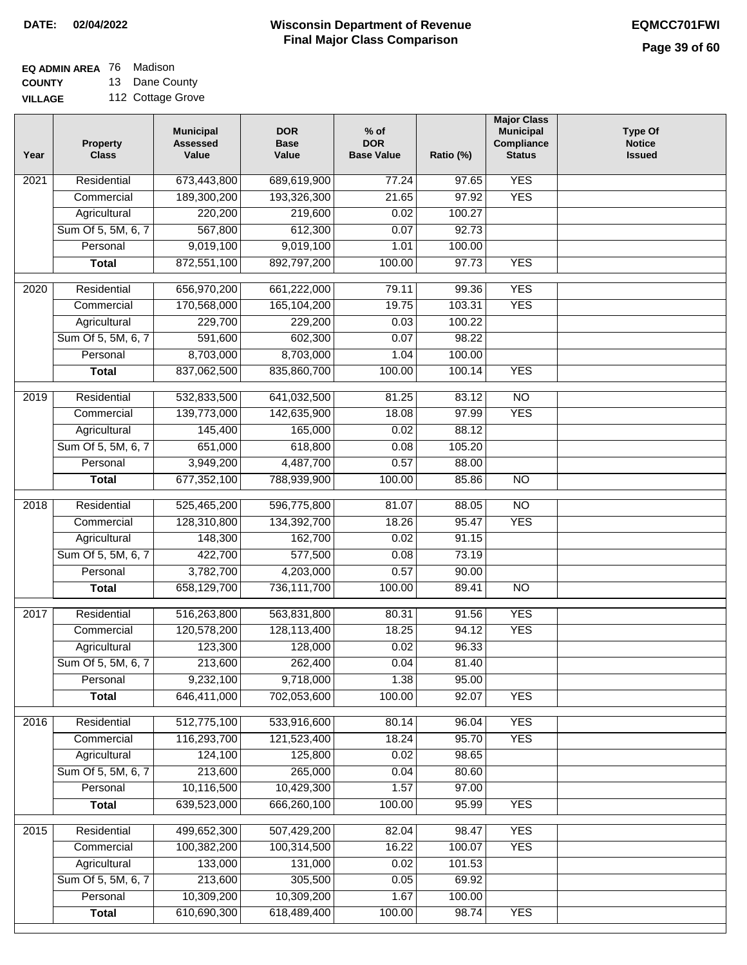## **EQ ADMIN AREA** 76 Madison

**COUNTY VILLAGE** 13 Dane County 112 Cottage Grove

| Year              | <b>Property</b><br><b>Class</b> | <b>Municipal</b><br><b>Assessed</b><br>Value | <b>DOR</b><br><b>Base</b><br>Value | $%$ of<br><b>DOR</b><br><b>Base Value</b> | Ratio (%) | <b>Major Class</b><br><b>Municipal</b><br>Compliance<br><b>Status</b> | <b>Type Of</b><br><b>Notice</b><br><b>Issued</b> |
|-------------------|---------------------------------|----------------------------------------------|------------------------------------|-------------------------------------------|-----------|-----------------------------------------------------------------------|--------------------------------------------------|
| $\overline{202}1$ | Residential                     | 673,443,800                                  | 689,619,900                        | 77.24                                     | 97.65     | <b>YES</b>                                                            |                                                  |
|                   | Commercial                      | 189,300,200                                  | 193,326,300                        | 21.65                                     | 97.92     | <b>YES</b>                                                            |                                                  |
|                   | Agricultural                    | 220,200                                      | 219,600                            | 0.02                                      | 100.27    |                                                                       |                                                  |
|                   | Sum Of 5, 5M, 6, 7              | 567,800                                      | 612,300                            | 0.07                                      | 92.73     |                                                                       |                                                  |
|                   | Personal                        | 9,019,100                                    | 9,019,100                          | 1.01                                      | 100.00    |                                                                       |                                                  |
|                   | <b>Total</b>                    | 872,551,100                                  | 892,797,200                        | 100.00                                    | 97.73     | <b>YES</b>                                                            |                                                  |
| $\overline{2020}$ | Residential                     | 656,970,200                                  | 661,222,000                        | 79.11                                     | 99.36     | <b>YES</b>                                                            |                                                  |
|                   | Commercial                      | 170,568,000                                  | 165,104,200                        | 19.75                                     | 103.31    | <b>YES</b>                                                            |                                                  |
|                   | Agricultural                    | 229,700                                      | 229,200                            | 0.03                                      | 100.22    |                                                                       |                                                  |
|                   | Sum Of 5, 5M, 6, 7              | 591,600                                      | 602,300                            | 0.07                                      | 98.22     |                                                                       |                                                  |
|                   | Personal                        | 8,703,000                                    | 8,703,000                          | 1.04                                      | 100.00    |                                                                       |                                                  |
|                   | <b>Total</b>                    | 837,062,500                                  | 835,860,700                        | 100.00                                    | 100.14    | <b>YES</b>                                                            |                                                  |
| 2019              | Residential                     | 532,833,500                                  | 641,032,500                        | 81.25                                     | 83.12     | $\overline{10}$                                                       |                                                  |
|                   | Commercial                      | 139,773,000                                  | 142,635,900                        | 18.08                                     | 97.99     | <b>YES</b>                                                            |                                                  |
|                   | Agricultural                    | 145,400                                      | 165,000                            | 0.02                                      | 88.12     |                                                                       |                                                  |
|                   | Sum Of 5, 5M, 6, 7              | 651,000                                      | 618,800                            | 0.08                                      | 105.20    |                                                                       |                                                  |
|                   | Personal                        | 3,949,200                                    | 4,487,700                          | 0.57                                      | 88.00     |                                                                       |                                                  |
|                   | <b>Total</b>                    | 677,352,100                                  | 788,939,900                        | 100.00                                    | 85.86     | $\overline{NO}$                                                       |                                                  |
|                   |                                 |                                              |                                    |                                           |           |                                                                       |                                                  |
| 2018              | Residential                     | 525,465,200                                  | 596,775,800                        | 81.07                                     | 88.05     | $\overline{NO}$                                                       |                                                  |
|                   | Commercial                      | 128,310,800                                  | 134,392,700                        | 18.26                                     | 95.47     | <b>YES</b>                                                            |                                                  |
|                   | Agricultural                    | 148,300                                      | 162,700                            | 0.02                                      | 91.15     |                                                                       |                                                  |
|                   | Sum Of 5, 5M, 6, 7              | 422,700                                      | 577,500                            | 0.08                                      | 73.19     |                                                                       |                                                  |
|                   | Personal                        | 3,782,700                                    | 4,203,000                          | 0.57                                      | 90.00     |                                                                       |                                                  |
|                   | <b>Total</b>                    | 658,129,700                                  | 736,111,700                        | 100.00                                    | 89.41     | $\overline{10}$                                                       |                                                  |
| 2017              | Residential                     | 516,263,800                                  | 563,831,800                        | 80.31                                     | 91.56     | <b>YES</b>                                                            |                                                  |
|                   | Commercial                      | 120,578,200                                  | 128,113,400                        | 18.25                                     | 94.12     | <b>YES</b>                                                            |                                                  |
|                   | Agricultural                    | 123,300                                      | 128,000                            | 0.02                                      | 96.33     |                                                                       |                                                  |
|                   | Sum Of 5, 5M, 6, 7              | 213,600                                      | 262,400                            | 0.04                                      | 81.40     |                                                                       |                                                  |
|                   | Personal                        | 9,232,100                                    | 9,718,000                          | 1.38                                      | 95.00     |                                                                       |                                                  |
|                   | <b>Total</b>                    | 646,411,000                                  | 702,053,600                        | 100.00                                    | 92.07     | <b>YES</b>                                                            |                                                  |
| 2016              | Residential                     | 512,775,100                                  | 533,916,600                        | 80.14                                     | 96.04     | <b>YES</b>                                                            |                                                  |
|                   | Commercial                      | 116,293,700                                  | 121,523,400                        | 18.24                                     | 95.70     | <b>YES</b>                                                            |                                                  |
|                   | Agricultural                    | 124,100                                      | 125,800                            | 0.02                                      | 98.65     |                                                                       |                                                  |
|                   | Sum Of 5, 5M, 6, 7              | 213,600                                      | 265,000                            | 0.04                                      | 80.60     |                                                                       |                                                  |
|                   | Personal                        | 10,116,500                                   | 10,429,300                         | 1.57                                      | 97.00     |                                                                       |                                                  |
|                   | <b>Total</b>                    | 639,523,000                                  | 666,260,100                        | 100.00                                    | 95.99     | <b>YES</b>                                                            |                                                  |
| 2015              | Residential                     | 499,652,300                                  | 507,429,200                        | 82.04                                     | 98.47     | <b>YES</b>                                                            |                                                  |
|                   | Commercial                      | 100,382,200                                  | 100,314,500                        | 16.22                                     | 100.07    | <b>YES</b>                                                            |                                                  |
|                   | Agricultural                    | 133,000                                      | 131,000                            | 0.02                                      | 101.53    |                                                                       |                                                  |
|                   | Sum Of 5, 5M, 6, 7              | 213,600                                      | 305,500                            | 0.05                                      | 69.92     |                                                                       |                                                  |
|                   | Personal                        | 10,309,200                                   | 10,309,200                         | 1.67                                      | 100.00    |                                                                       |                                                  |
|                   | <b>Total</b>                    | 610,690,300                                  | 618,489,400                        | 100.00                                    | 98.74     | <b>YES</b>                                                            |                                                  |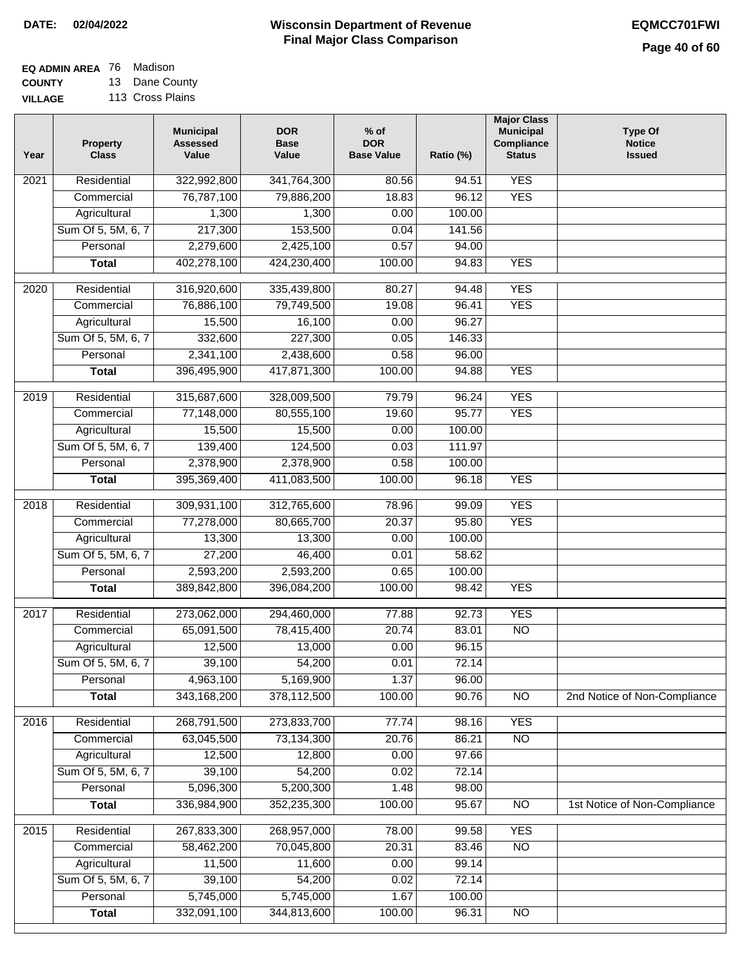**EQ ADMIN AREA** 76 Madison

**COUNTY VILLAGE** 13 Dane County 113 Cross Plains

| Year              | <b>Property</b><br><b>Class</b> | <b>Municipal</b><br><b>Assessed</b><br>Value | <b>DOR</b><br><b>Base</b><br>Value | $%$ of<br><b>DOR</b><br><b>Base Value</b> | Ratio (%) | <b>Major Class</b><br><b>Municipal</b><br>Compliance<br><b>Status</b> | <b>Type Of</b><br><b>Notice</b><br><b>Issued</b> |
|-------------------|---------------------------------|----------------------------------------------|------------------------------------|-------------------------------------------|-----------|-----------------------------------------------------------------------|--------------------------------------------------|
| $\overline{202}1$ | Residential                     | 322,992,800                                  | 341,764,300                        | 80.56                                     | 94.51     | <b>YES</b>                                                            |                                                  |
|                   | Commercial                      | 76,787,100                                   | 79,886,200                         | 18.83                                     | 96.12     | <b>YES</b>                                                            |                                                  |
|                   | Agricultural                    | 1,300                                        | 1,300                              | 0.00                                      | 100.00    |                                                                       |                                                  |
|                   | Sum Of 5, 5M, 6, 7              | 217,300                                      | 153,500                            | 0.04                                      | 141.56    |                                                                       |                                                  |
|                   | Personal                        | 2,279,600                                    | 2,425,100                          | 0.57                                      | 94.00     |                                                                       |                                                  |
|                   | <b>Total</b>                    | 402,278,100                                  | 424,230,400                        | 100.00                                    | 94.83     | <b>YES</b>                                                            |                                                  |
| $\overline{2020}$ | Residential                     | 316,920,600                                  | 335,439,800                        | 80.27                                     | 94.48     | <b>YES</b>                                                            |                                                  |
|                   | Commercial                      | 76,886,100                                   | 79,749,500                         | 19.08                                     | 96.41     | <b>YES</b>                                                            |                                                  |
|                   | Agricultural                    | 15,500                                       | 16,100                             | 0.00                                      | 96.27     |                                                                       |                                                  |
|                   | Sum Of 5, 5M, 6, 7              | 332,600                                      | 227,300                            | 0.05                                      | 146.33    |                                                                       |                                                  |
|                   | Personal                        | 2,341,100                                    | 2,438,600                          | 0.58                                      | 96.00     |                                                                       |                                                  |
|                   | <b>Total</b>                    | 396,495,900                                  | 417,871,300                        | 100.00                                    | 94.88     | <b>YES</b>                                                            |                                                  |
|                   |                                 |                                              |                                    |                                           |           |                                                                       |                                                  |
| 2019              | Residential                     | 315,687,600                                  | 328,009,500                        | 79.79                                     | 96.24     | <b>YES</b>                                                            |                                                  |
|                   | Commercial                      | 77,148,000                                   | 80,555,100                         | 19.60                                     | 95.77     | <b>YES</b>                                                            |                                                  |
|                   | Agricultural                    | 15,500                                       | 15,500                             | 0.00                                      | 100.00    |                                                                       |                                                  |
|                   | Sum Of 5, 5M, 6, 7              | 139,400                                      | 124,500                            | 0.03                                      | 111.97    |                                                                       |                                                  |
|                   | Personal                        | 2,378,900                                    | 2,378,900                          | 0.58                                      | 100.00    |                                                                       |                                                  |
|                   | <b>Total</b>                    | 395,369,400                                  | 411,083,500                        | 100.00                                    | 96.18     | <b>YES</b>                                                            |                                                  |
| 2018              | Residential                     | 309,931,100                                  | 312,765,600                        | 78.96                                     | 99.09     | <b>YES</b>                                                            |                                                  |
|                   | Commercial                      | 77,278,000                                   | 80,665,700                         | 20.37                                     | 95.80     | <b>YES</b>                                                            |                                                  |
|                   | Agricultural                    | 13,300                                       | 13,300                             | 0.00                                      | 100.00    |                                                                       |                                                  |
|                   | Sum Of 5, 5M, 6, 7              | 27,200                                       | 46,400                             | 0.01                                      | 58.62     |                                                                       |                                                  |
|                   | Personal                        | 2,593,200                                    | 2,593,200                          | 0.65                                      | 100.00    |                                                                       |                                                  |
|                   | <b>Total</b>                    | 389,842,800                                  | 396,084,200                        | 100.00                                    | 98.42     | <b>YES</b>                                                            |                                                  |
| $\overline{2017}$ | Residential                     | 273,062,000                                  | 294,460,000                        | 77.88                                     | 92.73     | <b>YES</b>                                                            |                                                  |
|                   | Commercial                      | 65,091,500                                   | 78,415,400                         | 20.74                                     | 83.01     | $\overline{N}$                                                        |                                                  |
|                   | Agricultural                    | 12,500                                       | 13,000                             | 0.00                                      | 96.15     |                                                                       |                                                  |
|                   | Sum Of 5, 5M, 6, 7              | 39,100                                       | 54,200                             | 0.01                                      | 72.14     |                                                                       |                                                  |
|                   | Personal                        | 4,963,100                                    | 5,169,900                          | 1.37                                      | 96.00     |                                                                       |                                                  |
|                   | <b>Total</b>                    | 343,168,200                                  | 378,112,500                        | 100.00                                    | 90.76     | <b>NO</b>                                                             | 2nd Notice of Non-Compliance                     |
| 2016              | Residential                     | 268,791,500                                  | 273,833,700                        | 77.74                                     | 98.16     | <b>YES</b>                                                            |                                                  |
|                   | Commercial                      | 63,045,500                                   | 73,134,300                         | 20.76                                     | 86.21     | <b>NO</b>                                                             |                                                  |
|                   | Agricultural                    | 12,500                                       | 12,800                             | 0.00                                      | 97.66     |                                                                       |                                                  |
|                   | Sum Of 5, 5M, 6, 7              | 39,100                                       | 54,200                             | 0.02                                      | 72.14     |                                                                       |                                                  |
|                   | Personal                        | 5,096,300                                    | 5,200,300                          | 1.48                                      | 98.00     |                                                                       |                                                  |
|                   | <b>Total</b>                    | 336,984,900                                  | 352,235,300                        | 100.00                                    | 95.67     | N <sub>O</sub>                                                        | 1st Notice of Non-Compliance                     |
|                   |                                 |                                              |                                    |                                           |           |                                                                       |                                                  |
| 2015              | Residential                     | 267,833,300                                  | 268,957,000                        | 78.00                                     | 99.58     | <b>YES</b>                                                            |                                                  |
|                   | Commercial                      | 58,462,200                                   | 70,045,800                         | 20.31                                     | 83.46     | $\overline{NO}$                                                       |                                                  |
|                   | Agricultural                    | 11,500                                       | 11,600                             | 0.00                                      | 99.14     |                                                                       |                                                  |
|                   | Sum Of 5, 5M, 6, 7<br>Personal  | 39,100                                       | 54,200                             | 0.02                                      | 72.14     |                                                                       |                                                  |
|                   |                                 | 5,745,000                                    | 5,745,000<br>344,813,600           | 1.67                                      | 100.00    |                                                                       |                                                  |
|                   | <b>Total</b>                    | 332,091,100                                  |                                    | 100.00                                    | 96.31     | N <sub>O</sub>                                                        |                                                  |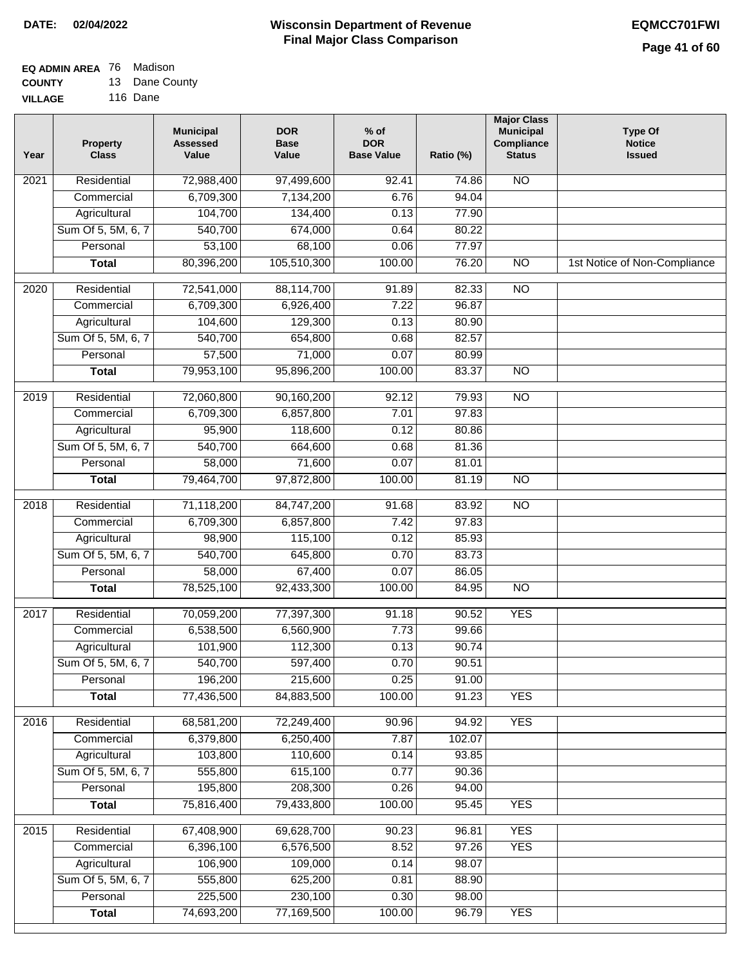### **EQ ADMIN AREA** 76 Madison **COUNTY**

**VILLAGE** 13 Dane County 116 Dane

| Year              | <b>Property</b><br><b>Class</b> | <b>Municipal</b><br><b>Assessed</b><br>Value | <b>DOR</b><br><b>Base</b><br>Value | % of<br><b>DOR</b><br><b>Base Value</b> | Ratio (%) | <b>Major Class</b><br><b>Municipal</b><br>Compliance<br><b>Status</b> | <b>Type Of</b><br><b>Notice</b><br><b>Issued</b> |
|-------------------|---------------------------------|----------------------------------------------|------------------------------------|-----------------------------------------|-----------|-----------------------------------------------------------------------|--------------------------------------------------|
| $\overline{202}1$ | Residential                     | 72,988,400                                   | 97,499,600                         | $\overline{92.41}$                      | 74.86     | $\overline{NO}$                                                       |                                                  |
|                   | Commercial                      | 6,709,300                                    | 7,134,200                          | 6.76                                    | 94.04     |                                                                       |                                                  |
|                   | Agricultural                    | 104,700                                      | 134,400                            | 0.13                                    | 77.90     |                                                                       |                                                  |
|                   | Sum Of 5, 5M, 6, 7              | 540,700                                      | 674,000                            | 0.64                                    | 80.22     |                                                                       |                                                  |
|                   | Personal                        | 53,100                                       | 68,100                             | 0.06                                    | 77.97     |                                                                       |                                                  |
|                   | <b>Total</b>                    | 80,396,200                                   | 105,510,300                        | 100.00                                  | 76.20     | $\overline{NO}$                                                       | 1st Notice of Non-Compliance                     |
| $\overline{2020}$ | Residential                     | 72,541,000                                   | 88,114,700                         | 91.89                                   | 82.33     | $\overline{NO}$                                                       |                                                  |
|                   | Commercial                      | 6,709,300                                    | 6,926,400                          | 7.22                                    | 96.87     |                                                                       |                                                  |
|                   | Agricultural                    | 104,600                                      | 129,300                            | 0.13                                    | 80.90     |                                                                       |                                                  |
|                   | Sum Of 5, 5M, 6, 7              | 540,700                                      | 654,800                            | 0.68                                    | 82.57     |                                                                       |                                                  |
|                   | Personal                        | 57,500                                       | 71,000                             | 0.07                                    | 80.99     |                                                                       |                                                  |
|                   | <b>Total</b>                    | 79,953,100                                   | 95,896,200                         | 100.00                                  | 83.37     | $\overline{NO}$                                                       |                                                  |
| 2019              | Residential                     | 72,060,800                                   | 90,160,200                         | 92.12                                   | 79.93     | <b>NO</b>                                                             |                                                  |
|                   | Commercial                      | 6,709,300                                    | 6,857,800                          | 7.01                                    | 97.83     |                                                                       |                                                  |
|                   | Agricultural                    | 95,900                                       | 118,600                            | 0.12                                    | 80.86     |                                                                       |                                                  |
|                   | Sum Of 5, 5M, 6, 7              | 540,700                                      | 664,600                            | 0.68                                    | 81.36     |                                                                       |                                                  |
|                   | Personal                        | 58,000                                       | 71,600                             | 0.07                                    | 81.01     |                                                                       |                                                  |
|                   | <b>Total</b>                    | 79,464,700                                   | 97,872,800                         | 100.00                                  | 81.19     | $\overline{NO}$                                                       |                                                  |
| 2018              | Residential                     | 71,118,200                                   | 84,747,200                         | 91.68                                   | 83.92     | $\overline{NO}$                                                       |                                                  |
|                   | Commercial                      | 6,709,300                                    | 6,857,800                          | 7.42                                    | 97.83     |                                                                       |                                                  |
|                   | Agricultural                    | 98,900                                       | 115,100                            | 0.12                                    | 85.93     |                                                                       |                                                  |
|                   | Sum Of 5, 5M, 6, 7              | 540,700                                      | 645,800                            | 0.70                                    | 83.73     |                                                                       |                                                  |
|                   | Personal                        | 58,000                                       | 67,400                             | 0.07                                    | 86.05     |                                                                       |                                                  |
|                   | <b>Total</b>                    | 78,525,100                                   | 92,433,300                         | 100.00                                  | 84.95     | <b>NO</b>                                                             |                                                  |
| 2017              | Residential                     | 70,059,200                                   | 77,397,300                         | 91.18                                   | 90.52     | <b>YES</b>                                                            |                                                  |
|                   | Commercial                      | 6,538,500                                    | 6,560,900                          | 7.73                                    | 99.66     |                                                                       |                                                  |
|                   | Agricultural                    | 101,900                                      | 112,300                            | 0.13                                    | 90.74     |                                                                       |                                                  |
|                   | Sum Of 5, 5M, 6, 7              | 540,700                                      | 597,400                            | 0.70                                    | 90.51     |                                                                       |                                                  |
|                   | Personal                        | 196,200                                      | 215,600                            | 0.25                                    | 91.00     |                                                                       |                                                  |
|                   | <b>Total</b>                    | 77,436,500                                   | 84,883,500                         | 100.00                                  | 91.23     | <b>YES</b>                                                            |                                                  |
| 2016              | Residential                     | 68,581,200                                   | 72,249,400                         | 90.96                                   | 94.92     | <b>YES</b>                                                            |                                                  |
|                   | Commercial                      | 6,379,800                                    | 6,250,400                          | 7.87                                    | 102.07    |                                                                       |                                                  |
|                   | Agricultural                    | 103,800                                      | 110,600                            | 0.14                                    | 93.85     |                                                                       |                                                  |
|                   | Sum Of 5, 5M, 6, 7              | 555,800                                      | 615,100                            | 0.77                                    | 90.36     |                                                                       |                                                  |
|                   | Personal                        | 195,800                                      | 208,300                            | 0.26                                    | 94.00     |                                                                       |                                                  |
|                   | <b>Total</b>                    | 75,816,400                                   | 79,433,800                         | 100.00                                  | 95.45     | <b>YES</b>                                                            |                                                  |
| 2015              | Residential                     | 67,408,900                                   | 69,628,700                         | 90.23                                   | 96.81     | <b>YES</b>                                                            |                                                  |
|                   | Commercial                      | 6,396,100                                    | 6,576,500                          | 8.52                                    | 97.26     | <b>YES</b>                                                            |                                                  |
|                   | Agricultural                    | 106,900                                      | 109,000                            | 0.14                                    | 98.07     |                                                                       |                                                  |
|                   | Sum Of 5, 5M, 6, 7              | 555,800                                      | 625,200                            | 0.81                                    | 88.90     |                                                                       |                                                  |
|                   | Personal                        | 225,500                                      | 230,100                            | 0.30                                    | 98.00     |                                                                       |                                                  |
|                   | <b>Total</b>                    | 74,693,200                                   | 77,169,500                         | 100.00                                  | 96.79     | <b>YES</b>                                                            |                                                  |
|                   |                                 |                                              |                                    |                                         |           |                                                                       |                                                  |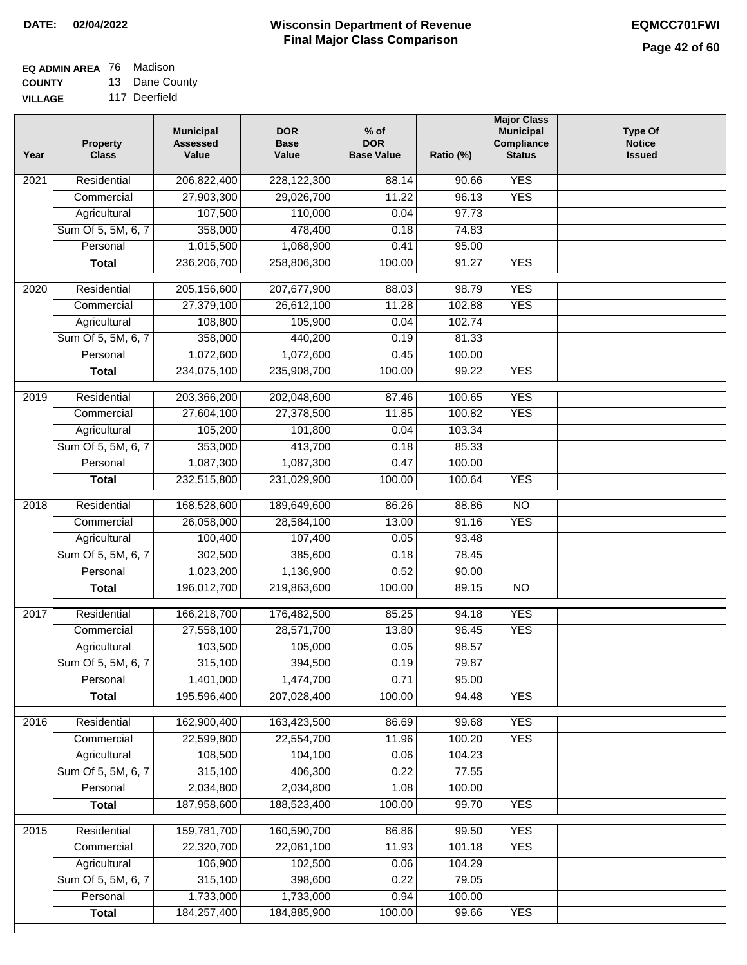## **EQ ADMIN AREA** 76 Madison

**COUNTY VILLAGE** 13 Dane County

|  | 117 Deerfield |  |
|--|---------------|--|

| <b>YES</b><br>Residential<br>206,822,400<br>$\overline{202}1$<br>228,122,300<br>88.14<br>90.66<br>27,903,300<br>29,026,700<br>11.22<br>96.13<br><b>YES</b><br>Commercial<br>107,500<br>Agricultural<br>110,000<br>0.04<br>97.73<br>Sum Of 5, 5M, 6, 7<br>358,000<br>478,400<br>0.18<br>74.83<br>1,015,500<br>1,068,900<br>95.00<br>Personal<br>0.41<br>236,206,700<br>258,806,300<br>100.00<br><b>YES</b><br><b>Total</b><br>91.27<br><b>YES</b><br>$\overline{2020}$<br>Residential<br>205,156,600<br>207,677,900<br>88.03<br>98.79<br>27,379,100<br>102.88<br><b>YES</b><br>Commercial<br>26,612,100<br>11.28<br>108,800<br>105,900<br>0.04<br>102.74<br>Agricultural<br>Sum Of 5, 5M, 6, 7<br>358,000<br>440,200<br>0.19<br>81.33<br>1,072,600<br>1,072,600<br>Personal<br>0.45<br>100.00<br><b>YES</b><br>234,075,100<br>235,908,700<br>100.00<br><b>Total</b><br>99.22<br><b>YES</b><br>Residential<br>203,366,200<br>202,048,600<br>87.46<br>100.65<br>2019<br><b>YES</b><br>27,604,100<br>27,378,500<br>100.82<br>Commercial<br>11.85<br>105,200<br>101,800<br>0.04<br>103.34<br>Agricultural<br>353,000<br>413,700<br>Sum Of 5, 5M, 6, 7<br>0.18<br>85.33<br>1,087,300<br>Personal<br>1,087,300<br>0.47<br>100.00<br>232,515,800<br>100.00<br><b>YES</b><br><b>Total</b><br>231,029,900<br>100.64<br>Residential<br>168,528,600<br>86.26<br>$\overline{10}$<br>2018<br>189,649,600<br>88.86<br><b>YES</b><br>Commercial<br>26,058,000<br>28,584,100<br>13.00<br>91.16<br>100,400<br>107,400<br>93.48<br>Agricultural<br>0.05<br>302,500<br>Sum Of 5, 5M, 6, 7<br>385,600<br>0.18<br>78.45<br>Personal<br>1,023,200<br>1,136,900<br>0.52<br>90.00<br>196,012,700<br>219,863,600<br>100.00<br>$\overline{10}$<br><b>Total</b><br>89.15<br>2017<br>Residential<br>166,218,700<br>176,482,500<br><b>YES</b><br>85.25<br>94.18<br><b>YES</b><br>Commercial<br>27,558,100<br>28,571,700<br>13.80<br>96.45<br>103,500<br>105,000<br>0.05<br>98.57<br>Agricultural<br>315,100<br>Sum Of 5, 5M, 6, 7<br>394,500<br>0.19<br>79.87<br>1,401,000<br>0.71<br>Personal<br>1,474,700<br>95.00<br>195,596,400<br>207,028,400<br>100.00<br><b>YES</b><br><b>Total</b><br>94.48<br>162,900,400<br><b>YES</b><br>Residential<br>163,423,500<br>2016<br>86.69<br>99.68<br>22,599,800<br>22,554,700<br>11.96<br><b>YES</b><br>Commercial<br>100.20<br>104,100<br>Agricultural<br>108,500<br>0.06<br>104.23<br>Sum Of 5, 5M, 6, 7<br>315,100<br>406,300<br>0.22<br>77.55 | 2,034,800<br>2,034,800<br>1.08<br>100.00<br>Personal<br>187,958,600<br>188,523,400<br>100.00<br>99.70<br><b>YES</b><br><b>Total</b><br>Residential<br><b>YES</b><br>159,781,700<br>160,590,700<br>86.86<br>99.50<br>22,320,700<br>11.93<br>22,061,100<br>101.18<br><b>YES</b><br>Commercial<br>106,900<br>102,500<br>0.06<br>104.29<br>Agricultural | Year | <b>Property</b><br><b>Class</b> | <b>Municipal</b><br><b>Assessed</b><br>Value | <b>DOR</b><br><b>Base</b><br>Value | $%$ of<br><b>DOR</b><br><b>Base Value</b> | Ratio (%) | <b>Major Class</b><br><b>Municipal</b><br>Compliance<br><b>Status</b> | <b>Type Of</b><br><b>Notice</b><br><b>Issued</b> |
|------------------------------------------------------------------------------------------------------------------------------------------------------------------------------------------------------------------------------------------------------------------------------------------------------------------------------------------------------------------------------------------------------------------------------------------------------------------------------------------------------------------------------------------------------------------------------------------------------------------------------------------------------------------------------------------------------------------------------------------------------------------------------------------------------------------------------------------------------------------------------------------------------------------------------------------------------------------------------------------------------------------------------------------------------------------------------------------------------------------------------------------------------------------------------------------------------------------------------------------------------------------------------------------------------------------------------------------------------------------------------------------------------------------------------------------------------------------------------------------------------------------------------------------------------------------------------------------------------------------------------------------------------------------------------------------------------------------------------------------------------------------------------------------------------------------------------------------------------------------------------------------------------------------------------------------------------------------------------------------------------------------------------------------------------------------------------------------------------------------------------------------------------------------------------------------------------------------------------------------------------------------------------------------------------------------------------------------------------------------------------------------------------------------------------------------------------------|-----------------------------------------------------------------------------------------------------------------------------------------------------------------------------------------------------------------------------------------------------------------------------------------------------------------------------------------------------|------|---------------------------------|----------------------------------------------|------------------------------------|-------------------------------------------|-----------|-----------------------------------------------------------------------|--------------------------------------------------|
|                                                                                                                                                                                                                                                                                                                                                                                                                                                                                                                                                                                                                                                                                                                                                                                                                                                                                                                                                                                                                                                                                                                                                                                                                                                                                                                                                                                                                                                                                                                                                                                                                                                                                                                                                                                                                                                                                                                                                                                                                                                                                                                                                                                                                                                                                                                                                                                                                                                            |                                                                                                                                                                                                                                                                                                                                                     |      |                                 |                                              |                                    |                                           |           |                                                                       |                                                  |
|                                                                                                                                                                                                                                                                                                                                                                                                                                                                                                                                                                                                                                                                                                                                                                                                                                                                                                                                                                                                                                                                                                                                                                                                                                                                                                                                                                                                                                                                                                                                                                                                                                                                                                                                                                                                                                                                                                                                                                                                                                                                                                                                                                                                                                                                                                                                                                                                                                                            |                                                                                                                                                                                                                                                                                                                                                     |      |                                 |                                              |                                    |                                           |           |                                                                       |                                                  |
|                                                                                                                                                                                                                                                                                                                                                                                                                                                                                                                                                                                                                                                                                                                                                                                                                                                                                                                                                                                                                                                                                                                                                                                                                                                                                                                                                                                                                                                                                                                                                                                                                                                                                                                                                                                                                                                                                                                                                                                                                                                                                                                                                                                                                                                                                                                                                                                                                                                            |                                                                                                                                                                                                                                                                                                                                                     |      |                                 |                                              |                                    |                                           |           |                                                                       |                                                  |
|                                                                                                                                                                                                                                                                                                                                                                                                                                                                                                                                                                                                                                                                                                                                                                                                                                                                                                                                                                                                                                                                                                                                                                                                                                                                                                                                                                                                                                                                                                                                                                                                                                                                                                                                                                                                                                                                                                                                                                                                                                                                                                                                                                                                                                                                                                                                                                                                                                                            |                                                                                                                                                                                                                                                                                                                                                     |      |                                 |                                              |                                    |                                           |           |                                                                       |                                                  |
|                                                                                                                                                                                                                                                                                                                                                                                                                                                                                                                                                                                                                                                                                                                                                                                                                                                                                                                                                                                                                                                                                                                                                                                                                                                                                                                                                                                                                                                                                                                                                                                                                                                                                                                                                                                                                                                                                                                                                                                                                                                                                                                                                                                                                                                                                                                                                                                                                                                            |                                                                                                                                                                                                                                                                                                                                                     |      |                                 |                                              |                                    |                                           |           |                                                                       |                                                  |
|                                                                                                                                                                                                                                                                                                                                                                                                                                                                                                                                                                                                                                                                                                                                                                                                                                                                                                                                                                                                                                                                                                                                                                                                                                                                                                                                                                                                                                                                                                                                                                                                                                                                                                                                                                                                                                                                                                                                                                                                                                                                                                                                                                                                                                                                                                                                                                                                                                                            |                                                                                                                                                                                                                                                                                                                                                     |      |                                 |                                              |                                    |                                           |           |                                                                       |                                                  |
|                                                                                                                                                                                                                                                                                                                                                                                                                                                                                                                                                                                                                                                                                                                                                                                                                                                                                                                                                                                                                                                                                                                                                                                                                                                                                                                                                                                                                                                                                                                                                                                                                                                                                                                                                                                                                                                                                                                                                                                                                                                                                                                                                                                                                                                                                                                                                                                                                                                            |                                                                                                                                                                                                                                                                                                                                                     |      |                                 |                                              |                                    |                                           |           |                                                                       |                                                  |
|                                                                                                                                                                                                                                                                                                                                                                                                                                                                                                                                                                                                                                                                                                                                                                                                                                                                                                                                                                                                                                                                                                                                                                                                                                                                                                                                                                                                                                                                                                                                                                                                                                                                                                                                                                                                                                                                                                                                                                                                                                                                                                                                                                                                                                                                                                                                                                                                                                                            |                                                                                                                                                                                                                                                                                                                                                     |      |                                 |                                              |                                    |                                           |           |                                                                       |                                                  |
|                                                                                                                                                                                                                                                                                                                                                                                                                                                                                                                                                                                                                                                                                                                                                                                                                                                                                                                                                                                                                                                                                                                                                                                                                                                                                                                                                                                                                                                                                                                                                                                                                                                                                                                                                                                                                                                                                                                                                                                                                                                                                                                                                                                                                                                                                                                                                                                                                                                            |                                                                                                                                                                                                                                                                                                                                                     |      |                                 |                                              |                                    |                                           |           |                                                                       |                                                  |
|                                                                                                                                                                                                                                                                                                                                                                                                                                                                                                                                                                                                                                                                                                                                                                                                                                                                                                                                                                                                                                                                                                                                                                                                                                                                                                                                                                                                                                                                                                                                                                                                                                                                                                                                                                                                                                                                                                                                                                                                                                                                                                                                                                                                                                                                                                                                                                                                                                                            |                                                                                                                                                                                                                                                                                                                                                     |      |                                 |                                              |                                    |                                           |           |                                                                       |                                                  |
|                                                                                                                                                                                                                                                                                                                                                                                                                                                                                                                                                                                                                                                                                                                                                                                                                                                                                                                                                                                                                                                                                                                                                                                                                                                                                                                                                                                                                                                                                                                                                                                                                                                                                                                                                                                                                                                                                                                                                                                                                                                                                                                                                                                                                                                                                                                                                                                                                                                            |                                                                                                                                                                                                                                                                                                                                                     |      |                                 |                                              |                                    |                                           |           |                                                                       |                                                  |
|                                                                                                                                                                                                                                                                                                                                                                                                                                                                                                                                                                                                                                                                                                                                                                                                                                                                                                                                                                                                                                                                                                                                                                                                                                                                                                                                                                                                                                                                                                                                                                                                                                                                                                                                                                                                                                                                                                                                                                                                                                                                                                                                                                                                                                                                                                                                                                                                                                                            |                                                                                                                                                                                                                                                                                                                                                     |      |                                 |                                              |                                    |                                           |           |                                                                       |                                                  |
|                                                                                                                                                                                                                                                                                                                                                                                                                                                                                                                                                                                                                                                                                                                                                                                                                                                                                                                                                                                                                                                                                                                                                                                                                                                                                                                                                                                                                                                                                                                                                                                                                                                                                                                                                                                                                                                                                                                                                                                                                                                                                                                                                                                                                                                                                                                                                                                                                                                            |                                                                                                                                                                                                                                                                                                                                                     |      |                                 |                                              |                                    |                                           |           |                                                                       |                                                  |
|                                                                                                                                                                                                                                                                                                                                                                                                                                                                                                                                                                                                                                                                                                                                                                                                                                                                                                                                                                                                                                                                                                                                                                                                                                                                                                                                                                                                                                                                                                                                                                                                                                                                                                                                                                                                                                                                                                                                                                                                                                                                                                                                                                                                                                                                                                                                                                                                                                                            |                                                                                                                                                                                                                                                                                                                                                     |      |                                 |                                              |                                    |                                           |           |                                                                       |                                                  |
|                                                                                                                                                                                                                                                                                                                                                                                                                                                                                                                                                                                                                                                                                                                                                                                                                                                                                                                                                                                                                                                                                                                                                                                                                                                                                                                                                                                                                                                                                                                                                                                                                                                                                                                                                                                                                                                                                                                                                                                                                                                                                                                                                                                                                                                                                                                                                                                                                                                            |                                                                                                                                                                                                                                                                                                                                                     |      |                                 |                                              |                                    |                                           |           |                                                                       |                                                  |
|                                                                                                                                                                                                                                                                                                                                                                                                                                                                                                                                                                                                                                                                                                                                                                                                                                                                                                                                                                                                                                                                                                                                                                                                                                                                                                                                                                                                                                                                                                                                                                                                                                                                                                                                                                                                                                                                                                                                                                                                                                                                                                                                                                                                                                                                                                                                                                                                                                                            |                                                                                                                                                                                                                                                                                                                                                     |      |                                 |                                              |                                    |                                           |           |                                                                       |                                                  |
|                                                                                                                                                                                                                                                                                                                                                                                                                                                                                                                                                                                                                                                                                                                                                                                                                                                                                                                                                                                                                                                                                                                                                                                                                                                                                                                                                                                                                                                                                                                                                                                                                                                                                                                                                                                                                                                                                                                                                                                                                                                                                                                                                                                                                                                                                                                                                                                                                                                            |                                                                                                                                                                                                                                                                                                                                                     |      |                                 |                                              |                                    |                                           |           |                                                                       |                                                  |
|                                                                                                                                                                                                                                                                                                                                                                                                                                                                                                                                                                                                                                                                                                                                                                                                                                                                                                                                                                                                                                                                                                                                                                                                                                                                                                                                                                                                                                                                                                                                                                                                                                                                                                                                                                                                                                                                                                                                                                                                                                                                                                                                                                                                                                                                                                                                                                                                                                                            |                                                                                                                                                                                                                                                                                                                                                     |      |                                 |                                              |                                    |                                           |           |                                                                       |                                                  |
|                                                                                                                                                                                                                                                                                                                                                                                                                                                                                                                                                                                                                                                                                                                                                                                                                                                                                                                                                                                                                                                                                                                                                                                                                                                                                                                                                                                                                                                                                                                                                                                                                                                                                                                                                                                                                                                                                                                                                                                                                                                                                                                                                                                                                                                                                                                                                                                                                                                            |                                                                                                                                                                                                                                                                                                                                                     |      |                                 |                                              |                                    |                                           |           |                                                                       |                                                  |
|                                                                                                                                                                                                                                                                                                                                                                                                                                                                                                                                                                                                                                                                                                                                                                                                                                                                                                                                                                                                                                                                                                                                                                                                                                                                                                                                                                                                                                                                                                                                                                                                                                                                                                                                                                                                                                                                                                                                                                                                                                                                                                                                                                                                                                                                                                                                                                                                                                                            |                                                                                                                                                                                                                                                                                                                                                     |      |                                 |                                              |                                    |                                           |           |                                                                       |                                                  |
|                                                                                                                                                                                                                                                                                                                                                                                                                                                                                                                                                                                                                                                                                                                                                                                                                                                                                                                                                                                                                                                                                                                                                                                                                                                                                                                                                                                                                                                                                                                                                                                                                                                                                                                                                                                                                                                                                                                                                                                                                                                                                                                                                                                                                                                                                                                                                                                                                                                            |                                                                                                                                                                                                                                                                                                                                                     |      |                                 |                                              |                                    |                                           |           |                                                                       |                                                  |
|                                                                                                                                                                                                                                                                                                                                                                                                                                                                                                                                                                                                                                                                                                                                                                                                                                                                                                                                                                                                                                                                                                                                                                                                                                                                                                                                                                                                                                                                                                                                                                                                                                                                                                                                                                                                                                                                                                                                                                                                                                                                                                                                                                                                                                                                                                                                                                                                                                                            |                                                                                                                                                                                                                                                                                                                                                     |      |                                 |                                              |                                    |                                           |           |                                                                       |                                                  |
|                                                                                                                                                                                                                                                                                                                                                                                                                                                                                                                                                                                                                                                                                                                                                                                                                                                                                                                                                                                                                                                                                                                                                                                                                                                                                                                                                                                                                                                                                                                                                                                                                                                                                                                                                                                                                                                                                                                                                                                                                                                                                                                                                                                                                                                                                                                                                                                                                                                            |                                                                                                                                                                                                                                                                                                                                                     |      |                                 |                                              |                                    |                                           |           |                                                                       |                                                  |
|                                                                                                                                                                                                                                                                                                                                                                                                                                                                                                                                                                                                                                                                                                                                                                                                                                                                                                                                                                                                                                                                                                                                                                                                                                                                                                                                                                                                                                                                                                                                                                                                                                                                                                                                                                                                                                                                                                                                                                                                                                                                                                                                                                                                                                                                                                                                                                                                                                                            |                                                                                                                                                                                                                                                                                                                                                     |      |                                 |                                              |                                    |                                           |           |                                                                       |                                                  |
|                                                                                                                                                                                                                                                                                                                                                                                                                                                                                                                                                                                                                                                                                                                                                                                                                                                                                                                                                                                                                                                                                                                                                                                                                                                                                                                                                                                                                                                                                                                                                                                                                                                                                                                                                                                                                                                                                                                                                                                                                                                                                                                                                                                                                                                                                                                                                                                                                                                            |                                                                                                                                                                                                                                                                                                                                                     |      |                                 |                                              |                                    |                                           |           |                                                                       |                                                  |
|                                                                                                                                                                                                                                                                                                                                                                                                                                                                                                                                                                                                                                                                                                                                                                                                                                                                                                                                                                                                                                                                                                                                                                                                                                                                                                                                                                                                                                                                                                                                                                                                                                                                                                                                                                                                                                                                                                                                                                                                                                                                                                                                                                                                                                                                                                                                                                                                                                                            |                                                                                                                                                                                                                                                                                                                                                     |      |                                 |                                              |                                    |                                           |           |                                                                       |                                                  |
|                                                                                                                                                                                                                                                                                                                                                                                                                                                                                                                                                                                                                                                                                                                                                                                                                                                                                                                                                                                                                                                                                                                                                                                                                                                                                                                                                                                                                                                                                                                                                                                                                                                                                                                                                                                                                                                                                                                                                                                                                                                                                                                                                                                                                                                                                                                                                                                                                                                            |                                                                                                                                                                                                                                                                                                                                                     |      |                                 |                                              |                                    |                                           |           |                                                                       |                                                  |
|                                                                                                                                                                                                                                                                                                                                                                                                                                                                                                                                                                                                                                                                                                                                                                                                                                                                                                                                                                                                                                                                                                                                                                                                                                                                                                                                                                                                                                                                                                                                                                                                                                                                                                                                                                                                                                                                                                                                                                                                                                                                                                                                                                                                                                                                                                                                                                                                                                                            |                                                                                                                                                                                                                                                                                                                                                     |      |                                 |                                              |                                    |                                           |           |                                                                       |                                                  |
|                                                                                                                                                                                                                                                                                                                                                                                                                                                                                                                                                                                                                                                                                                                                                                                                                                                                                                                                                                                                                                                                                                                                                                                                                                                                                                                                                                                                                                                                                                                                                                                                                                                                                                                                                                                                                                                                                                                                                                                                                                                                                                                                                                                                                                                                                                                                                                                                                                                            |                                                                                                                                                                                                                                                                                                                                                     |      |                                 |                                              |                                    |                                           |           |                                                                       |                                                  |
|                                                                                                                                                                                                                                                                                                                                                                                                                                                                                                                                                                                                                                                                                                                                                                                                                                                                                                                                                                                                                                                                                                                                                                                                                                                                                                                                                                                                                                                                                                                                                                                                                                                                                                                                                                                                                                                                                                                                                                                                                                                                                                                                                                                                                                                                                                                                                                                                                                                            |                                                                                                                                                                                                                                                                                                                                                     |      |                                 |                                              |                                    |                                           |           |                                                                       |                                                  |
|                                                                                                                                                                                                                                                                                                                                                                                                                                                                                                                                                                                                                                                                                                                                                                                                                                                                                                                                                                                                                                                                                                                                                                                                                                                                                                                                                                                                                                                                                                                                                                                                                                                                                                                                                                                                                                                                                                                                                                                                                                                                                                                                                                                                                                                                                                                                                                                                                                                            |                                                                                                                                                                                                                                                                                                                                                     |      |                                 |                                              |                                    |                                           |           |                                                                       |                                                  |
|                                                                                                                                                                                                                                                                                                                                                                                                                                                                                                                                                                                                                                                                                                                                                                                                                                                                                                                                                                                                                                                                                                                                                                                                                                                                                                                                                                                                                                                                                                                                                                                                                                                                                                                                                                                                                                                                                                                                                                                                                                                                                                                                                                                                                                                                                                                                                                                                                                                            |                                                                                                                                                                                                                                                                                                                                                     |      |                                 |                                              |                                    |                                           |           |                                                                       |                                                  |
|                                                                                                                                                                                                                                                                                                                                                                                                                                                                                                                                                                                                                                                                                                                                                                                                                                                                                                                                                                                                                                                                                                                                                                                                                                                                                                                                                                                                                                                                                                                                                                                                                                                                                                                                                                                                                                                                                                                                                                                                                                                                                                                                                                                                                                                                                                                                                                                                                                                            |                                                                                                                                                                                                                                                                                                                                                     |      |                                 |                                              |                                    |                                           |           |                                                                       |                                                  |
|                                                                                                                                                                                                                                                                                                                                                                                                                                                                                                                                                                                                                                                                                                                                                                                                                                                                                                                                                                                                                                                                                                                                                                                                                                                                                                                                                                                                                                                                                                                                                                                                                                                                                                                                                                                                                                                                                                                                                                                                                                                                                                                                                                                                                                                                                                                                                                                                                                                            |                                                                                                                                                                                                                                                                                                                                                     |      |                                 |                                              |                                    |                                           |           |                                                                       |                                                  |
|                                                                                                                                                                                                                                                                                                                                                                                                                                                                                                                                                                                                                                                                                                                                                                                                                                                                                                                                                                                                                                                                                                                                                                                                                                                                                                                                                                                                                                                                                                                                                                                                                                                                                                                                                                                                                                                                                                                                                                                                                                                                                                                                                                                                                                                                                                                                                                                                                                                            |                                                                                                                                                                                                                                                                                                                                                     |      |                                 |                                              |                                    |                                           |           |                                                                       |                                                  |
|                                                                                                                                                                                                                                                                                                                                                                                                                                                                                                                                                                                                                                                                                                                                                                                                                                                                                                                                                                                                                                                                                                                                                                                                                                                                                                                                                                                                                                                                                                                                                                                                                                                                                                                                                                                                                                                                                                                                                                                                                                                                                                                                                                                                                                                                                                                                                                                                                                                            |                                                                                                                                                                                                                                                                                                                                                     |      |                                 |                                              |                                    |                                           |           |                                                                       |                                                  |
|                                                                                                                                                                                                                                                                                                                                                                                                                                                                                                                                                                                                                                                                                                                                                                                                                                                                                                                                                                                                                                                                                                                                                                                                                                                                                                                                                                                                                                                                                                                                                                                                                                                                                                                                                                                                                                                                                                                                                                                                                                                                                                                                                                                                                                                                                                                                                                                                                                                            |                                                                                                                                                                                                                                                                                                                                                     |      |                                 |                                              |                                    |                                           |           |                                                                       |                                                  |
| 2015                                                                                                                                                                                                                                                                                                                                                                                                                                                                                                                                                                                                                                                                                                                                                                                                                                                                                                                                                                                                                                                                                                                                                                                                                                                                                                                                                                                                                                                                                                                                                                                                                                                                                                                                                                                                                                                                                                                                                                                                                                                                                                                                                                                                                                                                                                                                                                                                                                                       |                                                                                                                                                                                                                                                                                                                                                     |      |                                 |                                              |                                    |                                           |           |                                                                       |                                                  |
|                                                                                                                                                                                                                                                                                                                                                                                                                                                                                                                                                                                                                                                                                                                                                                                                                                                                                                                                                                                                                                                                                                                                                                                                                                                                                                                                                                                                                                                                                                                                                                                                                                                                                                                                                                                                                                                                                                                                                                                                                                                                                                                                                                                                                                                                                                                                                                                                                                                            |                                                                                                                                                                                                                                                                                                                                                     |      |                                 |                                              |                                    |                                           |           |                                                                       |                                                  |
|                                                                                                                                                                                                                                                                                                                                                                                                                                                                                                                                                                                                                                                                                                                                                                                                                                                                                                                                                                                                                                                                                                                                                                                                                                                                                                                                                                                                                                                                                                                                                                                                                                                                                                                                                                                                                                                                                                                                                                                                                                                                                                                                                                                                                                                                                                                                                                                                                                                            |                                                                                                                                                                                                                                                                                                                                                     |      |                                 |                                              |                                    |                                           |           |                                                                       |                                                  |
|                                                                                                                                                                                                                                                                                                                                                                                                                                                                                                                                                                                                                                                                                                                                                                                                                                                                                                                                                                                                                                                                                                                                                                                                                                                                                                                                                                                                                                                                                                                                                                                                                                                                                                                                                                                                                                                                                                                                                                                                                                                                                                                                                                                                                                                                                                                                                                                                                                                            | Sum Of 5, 5M, 6, 7<br>315,100<br>398,600<br>0.22<br>79.05                                                                                                                                                                                                                                                                                           |      |                                 |                                              |                                    |                                           |           |                                                                       |                                                  |
|                                                                                                                                                                                                                                                                                                                                                                                                                                                                                                                                                                                                                                                                                                                                                                                                                                                                                                                                                                                                                                                                                                                                                                                                                                                                                                                                                                                                                                                                                                                                                                                                                                                                                                                                                                                                                                                                                                                                                                                                                                                                                                                                                                                                                                                                                                                                                                                                                                                            | 1,733,000<br>1,733,000<br>0.94<br>Personal<br>100.00                                                                                                                                                                                                                                                                                                |      |                                 |                                              |                                    |                                           |           |                                                                       |                                                  |
|                                                                                                                                                                                                                                                                                                                                                                                                                                                                                                                                                                                                                                                                                                                                                                                                                                                                                                                                                                                                                                                                                                                                                                                                                                                                                                                                                                                                                                                                                                                                                                                                                                                                                                                                                                                                                                                                                                                                                                                                                                                                                                                                                                                                                                                                                                                                                                                                                                                            |                                                                                                                                                                                                                                                                                                                                                     |      | <b>Total</b>                    | 184,257,400                                  | 184,885,900                        | 100.00                                    | 99.66     | <b>YES</b>                                                            |                                                  |
|                                                                                                                                                                                                                                                                                                                                                                                                                                                                                                                                                                                                                                                                                                                                                                                                                                                                                                                                                                                                                                                                                                                                                                                                                                                                                                                                                                                                                                                                                                                                                                                                                                                                                                                                                                                                                                                                                                                                                                                                                                                                                                                                                                                                                                                                                                                                                                                                                                                            |                                                                                                                                                                                                                                                                                                                                                     |      |                                 |                                              |                                    |                                           |           |                                                                       |                                                  |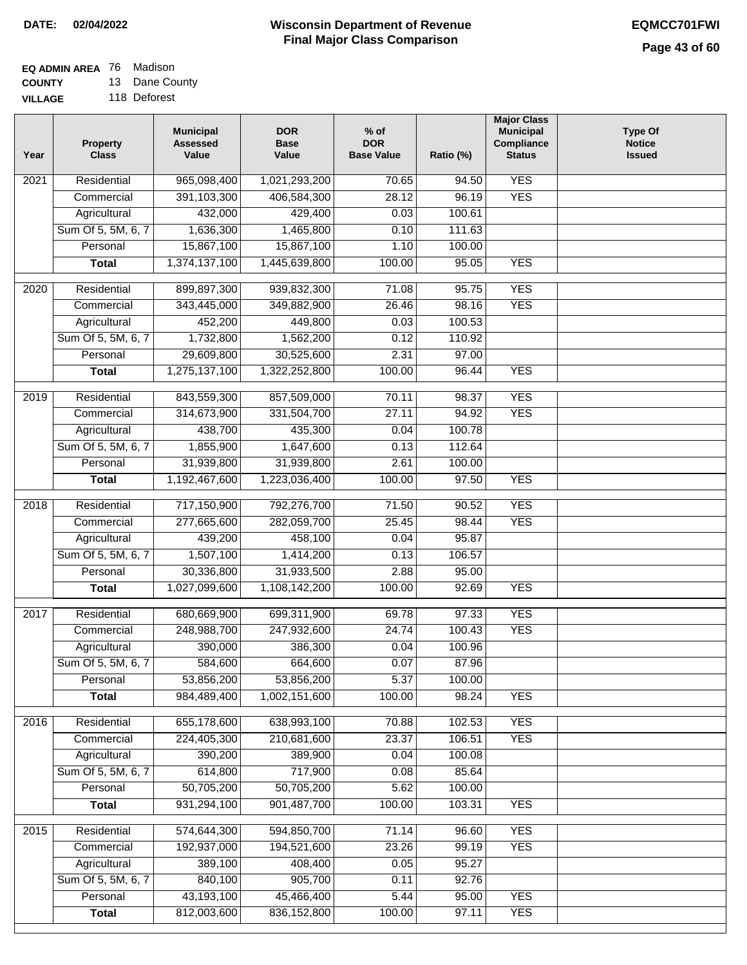# **EQ ADMIN AREA** 76 Madison

**COUNTY VILLAGE** 13 Dane County 118 Deforest

| Year | <b>Property</b><br><b>Class</b> | <b>Municipal</b><br><b>Assessed</b><br>Value | <b>DOR</b><br><b>Base</b><br>Value | $%$ of<br><b>DOR</b><br><b>Base Value</b> | Ratio (%) | <b>Major Class</b><br><b>Municipal</b><br>Compliance<br><b>Status</b> | <b>Type Of</b><br><b>Notice</b><br><b>Issued</b> |
|------|---------------------------------|----------------------------------------------|------------------------------------|-------------------------------------------|-----------|-----------------------------------------------------------------------|--------------------------------------------------|
| 2021 | Residential                     | 965,098,400                                  | 1,021,293,200                      | 70.65                                     | 94.50     | <b>YES</b>                                                            |                                                  |
|      | Commercial                      | 391,103,300                                  | 406,584,300                        | 28.12                                     | 96.19     | <b>YES</b>                                                            |                                                  |
|      | Agricultural                    | 432,000                                      | 429,400                            | 0.03                                      | 100.61    |                                                                       |                                                  |
|      | Sum Of 5, 5M, 6, 7              | 1,636,300                                    | 1,465,800                          | 0.10                                      | 111.63    |                                                                       |                                                  |
|      | Personal                        | 15,867,100                                   | 15,867,100                         | 1.10                                      | 100.00    |                                                                       |                                                  |
|      | <b>Total</b>                    | 1,374,137,100                                | 1,445,639,800                      | 100.00                                    | 95.05     | <b>YES</b>                                                            |                                                  |
|      |                                 |                                              |                                    |                                           |           |                                                                       |                                                  |
| 2020 | Residential                     | 899,897,300                                  | 939,832,300                        | 71.08                                     | 95.75     | <b>YES</b>                                                            |                                                  |
|      | Commercial                      | 343,445,000                                  | 349,882,900                        | 26.46                                     | 98.16     | <b>YES</b>                                                            |                                                  |
|      | Agricultural                    | 452,200                                      | 449,800                            | 0.03                                      | 100.53    |                                                                       |                                                  |
|      | Sum Of 5, 5M, 6, 7              | 1,732,800                                    | 1,562,200                          | 0.12                                      | 110.92    |                                                                       |                                                  |
|      | Personal                        | 29,609,800                                   | 30,525,600<br>1,322,252,800        | 2.31<br>100.00                            | 97.00     | <b>YES</b>                                                            |                                                  |
|      | <b>Total</b>                    | 1,275,137,100                                |                                    |                                           | 96.44     |                                                                       |                                                  |
| 2019 | Residential                     | 843,559,300                                  | 857,509,000                        | 70.11                                     | 98.37     | <b>YES</b>                                                            |                                                  |
|      | Commercial                      | 314,673,900                                  | 331,504,700                        | 27.11                                     | 94.92     | <b>YES</b>                                                            |                                                  |
|      | Agricultural                    | 438,700                                      | 435,300                            | 0.04                                      | 100.78    |                                                                       |                                                  |
|      | Sum Of 5, 5M, 6, 7              | 1,855,900                                    | 1,647,600                          | 0.13                                      | 112.64    |                                                                       |                                                  |
|      | Personal                        | 31,939,800                                   | 31,939,800                         | 2.61                                      | 100.00    |                                                                       |                                                  |
|      | <b>Total</b>                    | 1,192,467,600                                | 1,223,036,400                      | 100.00                                    | 97.50     | <b>YES</b>                                                            |                                                  |
| 2018 | Residential                     | 717,150,900                                  | 792,276,700                        | 71.50                                     | 90.52     | <b>YES</b>                                                            |                                                  |
|      | Commercial                      | 277,665,600                                  | 282,059,700                        | 25.45                                     | 98.44     | <b>YES</b>                                                            |                                                  |
|      | Agricultural                    | 439,200                                      | 458,100                            | 0.04                                      | 95.87     |                                                                       |                                                  |
|      | Sum Of 5, 5M, 6, 7              | 1,507,100                                    | 1,414,200                          | 0.13                                      | 106.57    |                                                                       |                                                  |
|      | Personal                        | 30,336,800                                   | 31,933,500                         | 2.88                                      | 95.00     |                                                                       |                                                  |
|      | <b>Total</b>                    | 1,027,099,600                                | 1,108,142,200                      | 100.00                                    | 92.69     | <b>YES</b>                                                            |                                                  |
| 2017 | Residential                     | 680,669,900                                  | 699,311,900                        | 69.78                                     | 97.33     | <b>YES</b>                                                            |                                                  |
|      | Commercial                      | 248,988,700                                  | 247,932,600                        | 24.74                                     | 100.43    | <b>YES</b>                                                            |                                                  |
|      | Agricultural                    | 390,000                                      | 386,300                            | 0.04                                      | 100.96    |                                                                       |                                                  |
|      | Sum Of 5, 5M, 6, 7              | 584,600                                      | 664,600                            | 0.07                                      | 87.96     |                                                                       |                                                  |
|      | Personal                        | 53,856,200                                   | 53,856,200                         | 5.37                                      | 100.00    |                                                                       |                                                  |
|      | <b>Total</b>                    | 984,489,400                                  | 1,002,151,600                      | 100.00                                    | 98.24     | <b>YES</b>                                                            |                                                  |
|      |                                 |                                              |                                    |                                           |           |                                                                       |                                                  |
| 2016 | Residential                     | 655,178,600                                  | 638,993,100                        | 70.88                                     | 102.53    | <b>YES</b>                                                            |                                                  |
|      | Commercial                      | 224,405,300                                  | 210,681,600                        | 23.37                                     | 106.51    | <b>YES</b>                                                            |                                                  |
|      | Agricultural                    | 390,200                                      | 389,900                            | 0.04                                      | 100.08    |                                                                       |                                                  |
|      | Sum Of 5, 5M, 6, 7              | 614,800                                      | 717,900                            | 0.08                                      | 85.64     |                                                                       |                                                  |
|      | Personal                        | 50,705,200                                   | 50,705,200                         | 5.62                                      | 100.00    |                                                                       |                                                  |
|      | <b>Total</b>                    | 931,294,100                                  | 901,487,700                        | 100.00                                    | 103.31    | <b>YES</b>                                                            |                                                  |
| 2015 | Residential                     | 574,644,300                                  | 594,850,700                        | 71.14                                     | 96.60     | <b>YES</b>                                                            |                                                  |
|      | Commercial                      | 192,937,000                                  | 194,521,600                        | 23.26                                     | 99.19     | <b>YES</b>                                                            |                                                  |
|      | Agricultural                    | 389,100                                      | 408,400                            | 0.05                                      | 95.27     |                                                                       |                                                  |
|      | Sum Of 5, 5M, 6, 7              | 840,100                                      | 905,700                            | 0.11                                      | 92.76     |                                                                       |                                                  |
|      | Personal                        | 43,193,100                                   | 45,466,400                         | 5.44                                      | 95.00     | <b>YES</b>                                                            |                                                  |
|      | <b>Total</b>                    | 812,003,600                                  | 836, 152, 800                      | 100.00                                    | 97.11     | <b>YES</b>                                                            |                                                  |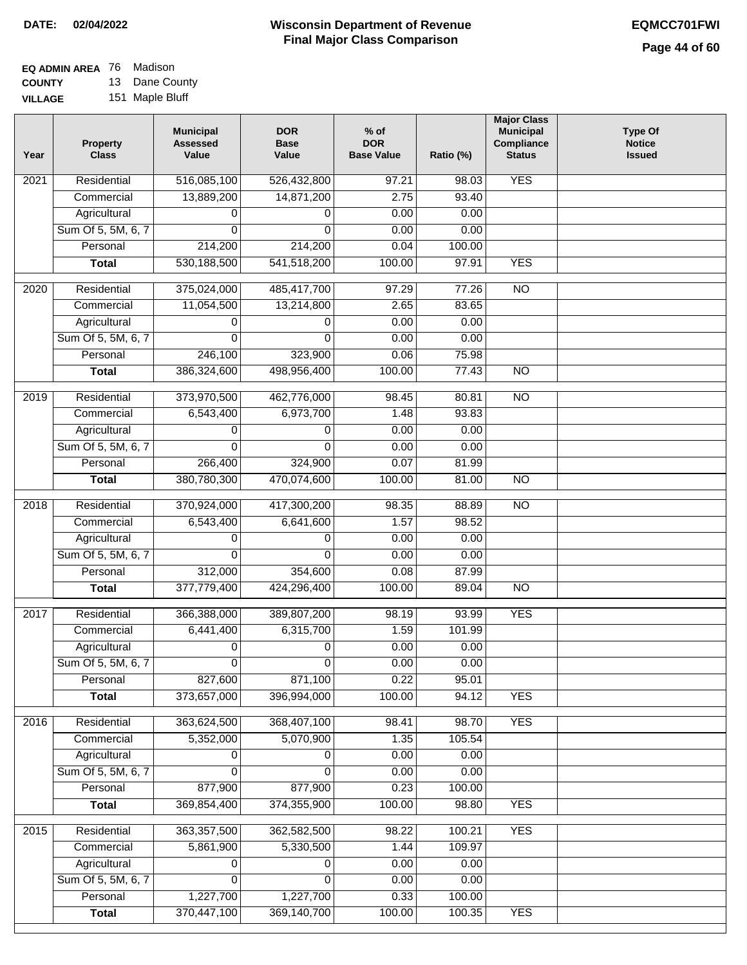#### **EQ ADMIN AREA** 76 Madison **COUNTY** 13 Dane County

**VILLAGE** 151 Maple Bluff

| Year              | <b>Property</b><br><b>Class</b> | <b>Municipal</b><br><b>Assessed</b><br>Value | <b>DOR</b><br><b>Base</b><br>Value | $%$ of<br><b>DOR</b><br><b>Base Value</b> | Ratio (%) | <b>Major Class</b><br><b>Municipal</b><br>Compliance<br><b>Status</b> | <b>Type Of</b><br><b>Notice</b><br><b>Issued</b> |
|-------------------|---------------------------------|----------------------------------------------|------------------------------------|-------------------------------------------|-----------|-----------------------------------------------------------------------|--------------------------------------------------|
| $\overline{202}1$ | Residential                     | 516,085,100                                  | 526,432,800                        | 97.21                                     | 98.03     | <b>YES</b>                                                            |                                                  |
|                   | Commercial                      | 13,889,200                                   | 14,871,200                         | 2.75                                      | 93.40     |                                                                       |                                                  |
|                   | Agricultural                    | 0                                            | 0                                  | 0.00                                      | 0.00      |                                                                       |                                                  |
|                   | Sum Of 5, 5M, 6, 7              | $\Omega$                                     | $\mathbf{0}$                       | 0.00                                      | 0.00      |                                                                       |                                                  |
|                   | Personal                        | 214,200                                      | 214,200                            | 0.04                                      | 100.00    |                                                                       |                                                  |
|                   | <b>Total</b>                    | 530, 188, 500                                | 541,518,200                        | 100.00                                    | 97.91     | <b>YES</b>                                                            |                                                  |
| 2020              | Residential                     | 375,024,000                                  | 485,417,700                        | 97.29                                     | 77.26     | $\overline{NO}$                                                       |                                                  |
|                   | Commercial                      | 11,054,500                                   | 13,214,800                         | 2.65                                      | 83.65     |                                                                       |                                                  |
|                   | Agricultural                    | 0                                            | 0                                  | 0.00                                      | 0.00      |                                                                       |                                                  |
|                   | Sum Of 5, 5M, 6, 7              | 0                                            | 0                                  | 0.00                                      | 0.00      |                                                                       |                                                  |
|                   | Personal                        | 246,100                                      | 323,900                            | 0.06                                      | 75.98     |                                                                       |                                                  |
|                   | <b>Total</b>                    | 386,324,600                                  | 498,956,400                        | 100.00                                    | 77.43     | $\overline{NO}$                                                       |                                                  |
| 2019              | Residential                     | 373,970,500                                  | 462,776,000                        | 98.45                                     | 80.81     | $\overline{NO}$                                                       |                                                  |
|                   | Commercial                      | 6,543,400                                    | 6,973,700                          | 1.48                                      | 93.83     |                                                                       |                                                  |
|                   | Agricultural                    | 0                                            | 0                                  | 0.00                                      | 0.00      |                                                                       |                                                  |
|                   | Sum Of 5, 5M, 6, 7              | 0                                            | $\Omega$                           | 0.00                                      | 0.00      |                                                                       |                                                  |
|                   | Personal                        | 266,400                                      | 324,900                            | 0.07                                      | 81.99     |                                                                       |                                                  |
|                   | <b>Total</b>                    | 380,780,300                                  | 470,074,600                        | 100.00                                    | 81.00     | N <sub>O</sub>                                                        |                                                  |
| 2018              | Residential                     | 370,924,000                                  | 417,300,200                        | 98.35                                     | 88.89     | N <sub>O</sub>                                                        |                                                  |
|                   | Commercial                      | 6,543,400                                    | 6,641,600                          | 1.57                                      | 98.52     |                                                                       |                                                  |
|                   | Agricultural                    | 0                                            | 0                                  | 0.00                                      | 0.00      |                                                                       |                                                  |
|                   | Sum Of 5, 5M, 6, 7              | 0                                            | 0                                  | 0.00                                      | 0.00      |                                                                       |                                                  |
|                   | Personal                        | 312,000                                      | 354,600                            | 0.08                                      | 87.99     |                                                                       |                                                  |
|                   | <b>Total</b>                    | 377,779,400                                  | 424,296,400                        | 100.00                                    | 89.04     | N <sub>O</sub>                                                        |                                                  |
| 2017              | Residential                     | 366,388,000                                  | 389,807,200                        | 98.19                                     | 93.99     | <b>YES</b>                                                            |                                                  |
|                   | Commercial                      | 6,441,400                                    | 6,315,700                          | 1.59                                      | 101.99    |                                                                       |                                                  |
|                   | Agricultural                    | 0                                            | 0                                  | 0.00                                      | 0.00      |                                                                       |                                                  |
|                   | Sum Of 5, 5M, 6, 7              | $\overline{0}$                               | 0                                  | 0.00                                      | 0.00      |                                                                       |                                                  |
|                   | Personal                        | 827,600                                      | 871,100                            | 0.22                                      | 95.01     |                                                                       |                                                  |
|                   | <b>Total</b>                    | 373,657,000                                  | 396,994,000                        | 100.00                                    | 94.12     | <b>YES</b>                                                            |                                                  |
| 2016              | Residential                     | 363,624,500                                  | 368,407,100                        | 98.41                                     | 98.70     | <b>YES</b>                                                            |                                                  |
|                   | Commercial                      | 5,352,000                                    | 5,070,900                          | 1.35                                      | 105.54    |                                                                       |                                                  |
|                   | Agricultural                    | 0                                            | 0                                  | 0.00                                      | 0.00      |                                                                       |                                                  |
|                   | Sum Of 5, 5M, 6, 7              | $\Omega$                                     | $\Omega$                           | 0.00                                      | 0.00      |                                                                       |                                                  |
|                   | Personal                        | 877,900                                      | 877,900                            | 0.23                                      | 100.00    |                                                                       |                                                  |
|                   | <b>Total</b>                    | 369,854,400                                  | 374,355,900                        | 100.00                                    | 98.80     | <b>YES</b>                                                            |                                                  |
| 2015              | Residential                     | 363,357,500                                  | 362,582,500                        | 98.22                                     | 100.21    | <b>YES</b>                                                            |                                                  |
|                   | Commercial                      | 5,861,900                                    | 5,330,500                          | 1.44                                      | 109.97    |                                                                       |                                                  |
|                   | Agricultural                    | 0                                            | 0                                  | 0.00                                      | 0.00      |                                                                       |                                                  |
|                   | Sum Of 5, 5M, 6, 7              | 0                                            | 0                                  | 0.00                                      | 0.00      |                                                                       |                                                  |
|                   | Personal                        | 1,227,700                                    | 1,227,700                          | 0.33                                      | 100.00    |                                                                       |                                                  |
|                   | <b>Total</b>                    | 370,447,100                                  | 369,140,700                        | 100.00                                    | 100.35    | <b>YES</b>                                                            |                                                  |
|                   |                                 |                                              |                                    |                                           |           |                                                                       |                                                  |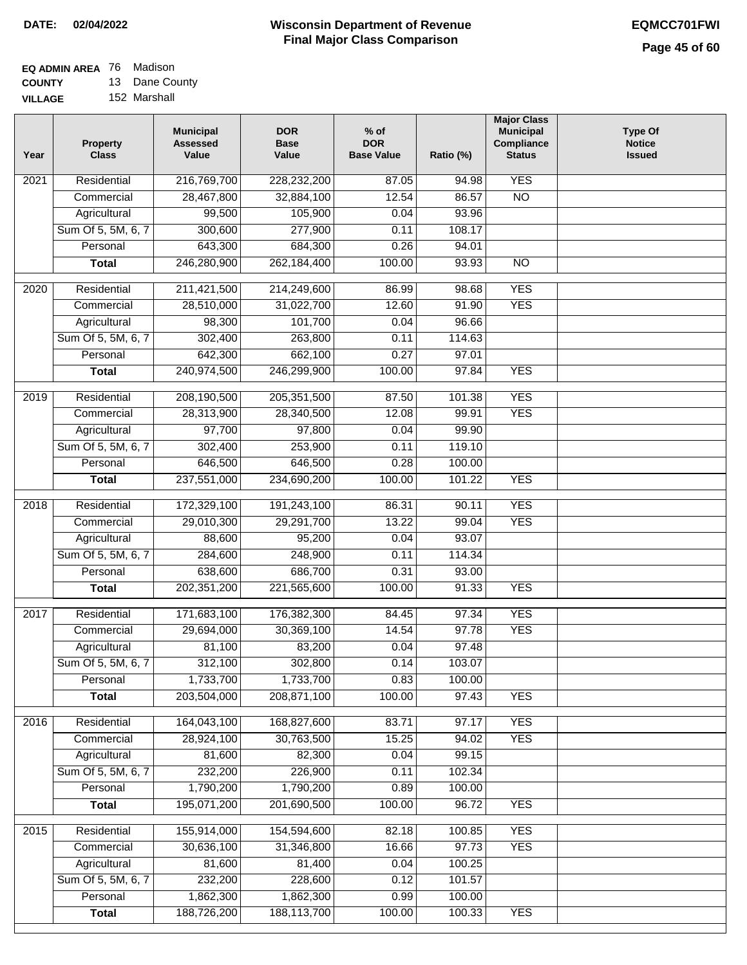## **EQ ADMIN AREA** 76 Madison **COUNTY**

**VILLAGE** 13 Dane County 152 Marshall

| Year              | <b>Property</b><br><b>Class</b> | <b>Municipal</b><br><b>Assessed</b><br>Value | <b>DOR</b><br><b>Base</b><br>Value | % of<br><b>DOR</b><br><b>Base Value</b> | Ratio (%)       | <b>Major Class</b><br><b>Municipal</b><br>Compliance<br><b>Status</b> | <b>Type Of</b><br><b>Notice</b><br><b>Issued</b> |
|-------------------|---------------------------------|----------------------------------------------|------------------------------------|-----------------------------------------|-----------------|-----------------------------------------------------------------------|--------------------------------------------------|
| $\overline{202}1$ | Residential                     | 216,769,700                                  | 228,232,200                        | 87.05                                   | 94.98           | <b>YES</b>                                                            |                                                  |
|                   | Commercial                      | 28,467,800                                   | 32,884,100                         | 12.54                                   | 86.57           | $\overline{NO}$                                                       |                                                  |
|                   | Agricultural                    | 99,500                                       | 105,900                            | 0.04                                    | 93.96           |                                                                       |                                                  |
|                   | Sum Of 5, 5M, 6, 7              | 300,600                                      | 277,900                            | 0.11                                    | 108.17          |                                                                       |                                                  |
|                   | Personal                        | 643,300                                      | 684,300                            | 0.26                                    | 94.01           |                                                                       |                                                  |
|                   | <b>Total</b>                    | 246,280,900                                  | 262,184,400                        | 100.00                                  | 93.93           | $\overline{NO}$                                                       |                                                  |
| 2020              | Residential                     | 211,421,500                                  | 214,249,600                        | 86.99                                   | 98.68           | <b>YES</b>                                                            |                                                  |
|                   | Commercial                      | 28,510,000                                   | 31,022,700                         | 12.60                                   | 91.90           | <b>YES</b>                                                            |                                                  |
|                   | Agricultural                    | 98,300                                       | 101,700                            | 0.04                                    | 96.66           |                                                                       |                                                  |
|                   | Sum Of 5, 5M, 6, 7              | 302,400                                      | 263,800                            | 0.11                                    | 114.63          |                                                                       |                                                  |
|                   | Personal                        | 642,300                                      | 662,100                            | 0.27                                    | 97.01           |                                                                       |                                                  |
|                   | <b>Total</b>                    | 240,974,500                                  | 246,299,900                        | 100.00                                  | 97.84           | <b>YES</b>                                                            |                                                  |
|                   |                                 |                                              |                                    |                                         |                 |                                                                       |                                                  |
| 2019              | Residential                     | 208,190,500                                  | 205, 351, 500                      | 87.50                                   | 101.38          | <b>YES</b>                                                            |                                                  |
|                   | Commercial                      | 28,313,900                                   | 28,340,500                         | 12.08                                   | 99.91           | <b>YES</b>                                                            |                                                  |
|                   | Agricultural                    | 97,700                                       | 97,800                             | 0.04                                    | 99.90           |                                                                       |                                                  |
|                   | Sum Of 5, 5M, 6, 7              | 302,400                                      | 253,900                            | 0.11                                    | 119.10          |                                                                       |                                                  |
|                   | Personal                        | 646,500                                      | 646,500                            | 0.28                                    | 100.00          |                                                                       |                                                  |
|                   | <b>Total</b>                    | 237,551,000                                  | 234,690,200                        | 100.00                                  | 101.22          | <b>YES</b>                                                            |                                                  |
| 2018              | Residential                     | 172,329,100                                  | 191,243,100                        | 86.31                                   | 90.11           | <b>YES</b>                                                            |                                                  |
|                   | Commercial                      | 29,010,300                                   | 29,291,700                         | 13.22                                   | 99.04           | <b>YES</b>                                                            |                                                  |
|                   | Agricultural                    | 88,600                                       | 95,200                             | 0.04                                    | 93.07           |                                                                       |                                                  |
|                   | Sum Of 5, 5M, 6, 7              | 284,600                                      | 248,900                            | 0.11                                    | 114.34          |                                                                       |                                                  |
|                   | Personal                        | 638,600                                      | 686,700                            | 0.31                                    | 93.00           |                                                                       |                                                  |
|                   | <b>Total</b>                    | 202, 351, 200                                | 221,565,600                        | 100.00                                  | 91.33           | <b>YES</b>                                                            |                                                  |
| 2017              | Residential                     | 171,683,100                                  | 176,382,300                        | 84.45                                   | 97.34           | <b>YES</b>                                                            |                                                  |
|                   | Commercial                      | 29,694,000                                   | 30,369,100                         | 14.54                                   | 97.78           | <b>YES</b>                                                            |                                                  |
|                   | Agricultural                    | 81,100                                       | 83,200                             | 0.04                                    | 97.48           |                                                                       |                                                  |
|                   | Sum Of 5, 5M, 6, 7              | 312,100                                      | 302,800                            | 0.14                                    | 103.07          |                                                                       |                                                  |
|                   | Personal                        | 1,733,700                                    | 1,733,700                          | 0.83                                    | 100.00          |                                                                       |                                                  |
|                   | <b>Total</b>                    | 203,504,000                                  | 208,871,100                        | 100.00                                  | 97.43           | <b>YES</b>                                                            |                                                  |
| 2016              | Residential                     | 164,043,100                                  | 168,827,600                        | 83.71                                   | 97.17           | <b>YES</b>                                                            |                                                  |
|                   | Commercial                      | 28,924,100                                   | 30,763,500                         | 15.25                                   | 94.02           | <b>YES</b>                                                            |                                                  |
|                   | Agricultural                    | 81,600                                       | 82,300                             | 0.04                                    | 99.15           |                                                                       |                                                  |
|                   | Sum Of 5, 5M, 6, 7              | 232,200                                      | 226,900                            | 0.11                                    | 102.34          |                                                                       |                                                  |
|                   | Personal                        | 1,790,200                                    | 1,790,200                          | 0.89                                    | 100.00          |                                                                       |                                                  |
|                   | <b>Total</b>                    | 195,071,200                                  | 201,690,500                        | 100.00                                  | 96.72           | <b>YES</b>                                                            |                                                  |
|                   |                                 |                                              |                                    |                                         |                 | <b>YES</b>                                                            |                                                  |
| 2015              | Residential                     | 155,914,000<br>30,636,100                    | 154,594,600                        | 82.18                                   | 100.85<br>97.73 | <b>YES</b>                                                            |                                                  |
|                   | Commercial<br>Agricultural      | 81,600                                       | 31,346,800<br>81,400               | 16.66<br>0.04                           | 100.25          |                                                                       |                                                  |
|                   | Sum Of 5, 5M, 6, 7              | 232,200                                      | 228,600                            | 0.12                                    | 101.57          |                                                                       |                                                  |
|                   | Personal                        | 1,862,300                                    | 1,862,300                          | 0.99                                    | 100.00          |                                                                       |                                                  |
|                   | <b>Total</b>                    | 188,726,200                                  | 188,113,700                        | 100.00                                  | 100.33          | <b>YES</b>                                                            |                                                  |
|                   |                                 |                                              |                                    |                                         |                 |                                                                       |                                                  |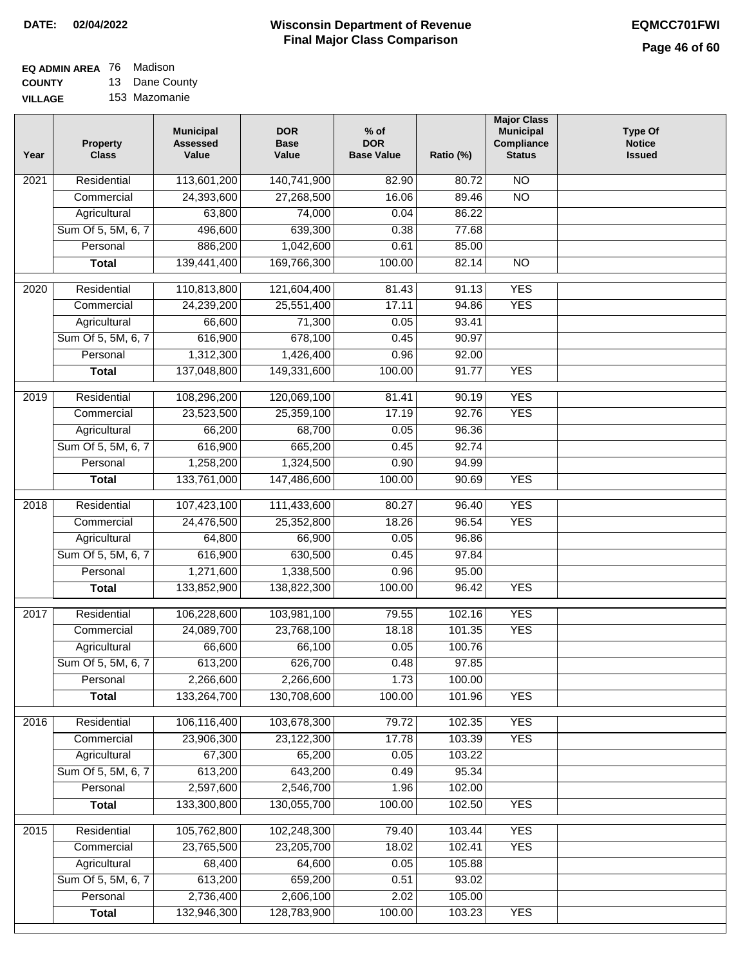### **EQ ADMIN AREA** 76 Madison **COUNTY**

**VILLAGE** 13 Dane County 153 Mazomanie

| Year             | <b>Property</b><br><b>Class</b> | <b>Municipal</b><br><b>Assessed</b><br>Value | <b>DOR</b><br><b>Base</b><br>Value | $%$ of<br><b>DOR</b><br><b>Base Value</b> | Ratio (%) | <b>Major Class</b><br><b>Municipal</b><br>Compliance<br><b>Status</b> | <b>Type Of</b><br><b>Notice</b><br><b>Issued</b> |
|------------------|---------------------------------|----------------------------------------------|------------------------------------|-------------------------------------------|-----------|-----------------------------------------------------------------------|--------------------------------------------------|
| 2021             | Residential                     | 113,601,200                                  | 140,741,900                        | 82.90                                     | 80.72     | <b>NO</b>                                                             |                                                  |
|                  | Commercial                      | 24,393,600                                   | 27,268,500                         | 16.06                                     | 89.46     | $\overline{NO}$                                                       |                                                  |
|                  | Agricultural                    | 63,800                                       | 74,000                             | 0.04                                      | 86.22     |                                                                       |                                                  |
|                  | Sum Of 5, 5M, 6, 7              | 496,600                                      | 639,300                            | 0.38                                      | 77.68     |                                                                       |                                                  |
|                  | Personal                        | 886,200                                      | 1,042,600                          | 0.61                                      | 85.00     |                                                                       |                                                  |
|                  | <b>Total</b>                    | 139,441,400                                  | 169,766,300                        | 100.00                                    | 82.14     | $\overline{NO}$                                                       |                                                  |
| 2020             | Residential                     | 110,813,800                                  | 121,604,400                        | 81.43                                     | 91.13     | <b>YES</b>                                                            |                                                  |
|                  | Commercial                      | 24,239,200                                   | 25,551,400                         | 17.11                                     | 94.86     | <b>YES</b>                                                            |                                                  |
|                  | Agricultural                    | 66,600                                       | 71,300                             | 0.05                                      | 93.41     |                                                                       |                                                  |
|                  | Sum Of 5, 5M, 6, 7              | 616,900                                      | 678,100                            | 0.45                                      | 90.97     |                                                                       |                                                  |
|                  | Personal                        | 1,312,300                                    | 1,426,400                          | 0.96                                      | 92.00     |                                                                       |                                                  |
|                  | <b>Total</b>                    | 137,048,800                                  | 149,331,600                        | 100.00                                    | 91.77     | <b>YES</b>                                                            |                                                  |
|                  |                                 |                                              |                                    |                                           |           |                                                                       |                                                  |
| $\frac{1}{2019}$ | Residential                     | 108,296,200                                  | 120,069,100                        | 81.41                                     | 90.19     | <b>YES</b>                                                            |                                                  |
|                  | Commercial                      | 23,523,500                                   | 25,359,100                         | 17.19                                     | 92.76     | <b>YES</b>                                                            |                                                  |
|                  | Agricultural                    | 66,200                                       | 68,700                             | 0.05                                      | 96.36     |                                                                       |                                                  |
|                  | Sum Of 5, 5M, 6, 7              | 616,900                                      | 665,200                            | 0.45                                      | 92.74     |                                                                       |                                                  |
|                  | Personal                        | 1,258,200                                    | 1,324,500                          | 0.90                                      | 94.99     |                                                                       |                                                  |
|                  | <b>Total</b>                    | 133,761,000                                  | 147,486,600                        | 100.00                                    | 90.69     | <b>YES</b>                                                            |                                                  |
| 2018             | Residential                     | 107,423,100                                  | 111,433,600                        | 80.27                                     | 96.40     | <b>YES</b>                                                            |                                                  |
|                  | Commercial                      | 24,476,500                                   | 25,352,800                         | 18.26                                     | 96.54     | <b>YES</b>                                                            |                                                  |
|                  | Agricultural                    | 64,800                                       | 66,900                             | 0.05                                      | 96.86     |                                                                       |                                                  |
|                  | Sum Of 5, 5M, 6, 7              | 616,900                                      | 630,500                            | 0.45                                      | 97.84     |                                                                       |                                                  |
|                  | Personal                        | 1,271,600                                    | 1,338,500                          | 0.96                                      | 95.00     |                                                                       |                                                  |
|                  | <b>Total</b>                    | 133,852,900                                  | 138,822,300                        | 100.00                                    | 96.42     | <b>YES</b>                                                            |                                                  |
| 2017             | Residential                     | 106,228,600                                  | 103,981,100                        | 79.55                                     | 102.16    | <b>YES</b>                                                            |                                                  |
|                  | Commercial                      | 24,089,700                                   | 23,768,100                         | 18.18                                     | 101.35    | <b>YES</b>                                                            |                                                  |
|                  | Agricultural                    | 66,600                                       | 66,100                             | 0.05                                      | 100.76    |                                                                       |                                                  |
|                  | Sum Of 5, 5M, 6, 7              | 613,200                                      | 626,700                            | 0.48                                      | 97.85     |                                                                       |                                                  |
|                  | Personal                        | 2,266,600                                    | 2,266,600                          | 1.73                                      | 100.00    |                                                                       |                                                  |
|                  | <b>Total</b>                    | 133,264,700                                  | 130,708,600                        | 100.00                                    | 101.96    | <b>YES</b>                                                            |                                                  |
| 2016             | Residential                     | 106,116,400                                  | 103,678,300                        | 79.72                                     | 102.35    | <b>YES</b>                                                            |                                                  |
|                  | Commercial                      | 23,906,300                                   | 23,122,300                         | 17.78                                     | 103.39    | <b>YES</b>                                                            |                                                  |
|                  | Agricultural                    | 67,300                                       | 65,200                             | 0.05                                      | 103.22    |                                                                       |                                                  |
|                  | Sum Of 5, 5M, 6, 7              | 613,200                                      | 643,200                            | 0.49                                      | 95.34     |                                                                       |                                                  |
|                  | Personal                        | 2,597,600                                    | 2,546,700                          | 1.96                                      | 102.00    |                                                                       |                                                  |
|                  | <b>Total</b>                    | 133,300,800                                  | 130,055,700                        | 100.00                                    | 102.50    | <b>YES</b>                                                            |                                                  |
| 2015             | Residential                     | 105,762,800                                  | 102,248,300                        | 79.40                                     | 103.44    | <b>YES</b>                                                            |                                                  |
|                  | Commercial                      | 23,765,500                                   | 23,205,700                         | 18.02                                     | 102.41    | <b>YES</b>                                                            |                                                  |
|                  | Agricultural                    | 68,400                                       | 64,600                             | 0.05                                      | 105.88    |                                                                       |                                                  |
|                  | Sum Of 5, 5M, 6, 7              | 613,200                                      | 659,200                            | 0.51                                      | 93.02     |                                                                       |                                                  |
|                  | Personal                        | 2,736,400                                    | 2,606,100                          | 2.02                                      | 105.00    |                                                                       |                                                  |
|                  | <b>Total</b>                    | 132,946,300                                  | 128,783,900                        | 100.00                                    | 103.23    | <b>YES</b>                                                            |                                                  |
|                  |                                 |                                              |                                    |                                           |           |                                                                       |                                                  |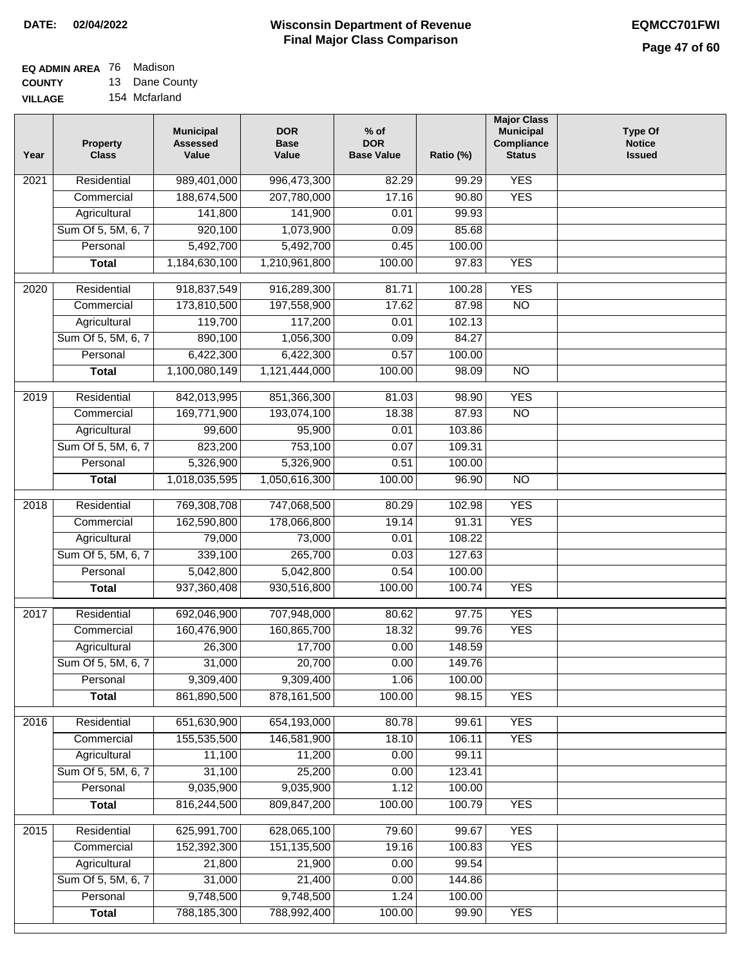#### **EQ ADMIN AREA** 76 Madison **COUNTY** 13 Dane County

**VILLAGE** 154 Mcfarland

| Year             | <b>Property</b><br><b>Class</b> | <b>Municipal</b><br><b>Assessed</b><br>Value | <b>DOR</b><br><b>Base</b><br>Value | $%$ of<br><b>DOR</b><br><b>Base Value</b> | Ratio (%) | <b>Major Class</b><br><b>Municipal</b><br>Compliance<br><b>Status</b> | <b>Type Of</b><br><b>Notice</b><br><b>Issued</b> |
|------------------|---------------------------------|----------------------------------------------|------------------------------------|-------------------------------------------|-----------|-----------------------------------------------------------------------|--------------------------------------------------|
| 2021             | Residential                     | 989,401,000                                  | 996,473,300                        | 82.29                                     | 99.29     | <b>YES</b>                                                            |                                                  |
|                  | Commercial                      | 188,674,500                                  | 207,780,000                        | 17.16                                     | 90.80     | <b>YES</b>                                                            |                                                  |
|                  | Agricultural                    | 141,800                                      | 141,900                            | 0.01                                      | 99.93     |                                                                       |                                                  |
|                  | Sum Of 5, 5M, 6, 7              | 920,100                                      | 1,073,900                          | 0.09                                      | 85.68     |                                                                       |                                                  |
|                  | Personal                        | 5,492,700                                    | 5,492,700                          | 0.45                                      | 100.00    |                                                                       |                                                  |
|                  | <b>Total</b>                    | 1,184,630,100                                | 1,210,961,800                      | 100.00                                    | 97.83     | <b>YES</b>                                                            |                                                  |
| 2020             | Residential                     | 918,837,549                                  | 916,289,300                        | 81.71                                     | 100.28    | <b>YES</b>                                                            |                                                  |
|                  | Commercial                      | 173,810,500                                  | 197,558,900                        | 17.62                                     | 87.98     | $\overline{NO}$                                                       |                                                  |
|                  | Agricultural                    | 119,700                                      | 117,200                            | 0.01                                      | 102.13    |                                                                       |                                                  |
|                  | Sum Of 5, 5M, 6, 7              | 890,100                                      | 1,056,300                          | 0.09                                      | 84.27     |                                                                       |                                                  |
|                  | Personal                        | 6,422,300                                    | 6,422,300                          | 0.57                                      | 100.00    |                                                                       |                                                  |
|                  | <b>Total</b>                    | 1,100,080,149                                | 1,121,444,000                      | 100.00                                    | 98.09     | <b>NO</b>                                                             |                                                  |
|                  |                                 |                                              |                                    |                                           |           |                                                                       |                                                  |
| $\frac{1}{2019}$ | Residential                     | 842,013,995                                  | 851,366,300                        | 81.03                                     | 98.90     | <b>YES</b>                                                            |                                                  |
|                  | Commercial                      | 169,771,900                                  | 193,074,100                        | 18.38                                     | 87.93     | $\overline{NO}$                                                       |                                                  |
|                  | Agricultural                    | 99,600                                       | 95,900                             | 0.01                                      | 103.86    |                                                                       |                                                  |
|                  | Sum Of 5, 5M, 6, 7              | 823,200                                      | 753,100                            | 0.07                                      | 109.31    |                                                                       |                                                  |
|                  | Personal                        | 5,326,900                                    | 5,326,900                          | 0.51                                      | 100.00    |                                                                       |                                                  |
|                  | <b>Total</b>                    | 1,018,035,595                                | 1,050,616,300                      | 100.00                                    | 96.90     | $\overline{NO}$                                                       |                                                  |
| 2018             | Residential                     | 769,308,708                                  | 747,068,500                        | 80.29                                     | 102.98    | <b>YES</b>                                                            |                                                  |
|                  | Commercial                      | 162,590,800                                  | 178,066,800                        | 19.14                                     | 91.31     | <b>YES</b>                                                            |                                                  |
|                  | Agricultural                    | 79,000                                       | 73,000                             | 0.01                                      | 108.22    |                                                                       |                                                  |
|                  | Sum Of 5, 5M, 6, 7              | 339,100                                      | 265,700                            | 0.03                                      | 127.63    |                                                                       |                                                  |
|                  | Personal                        | 5,042,800                                    | 5,042,800                          | 0.54                                      | 100.00    |                                                                       |                                                  |
|                  | <b>Total</b>                    | 937,360,408                                  | 930,516,800                        | 100.00                                    | 100.74    | <b>YES</b>                                                            |                                                  |
| 2017             | Residential                     | 692,046,900                                  | 707,948,000                        | 80.62                                     | 97.75     | <b>YES</b>                                                            |                                                  |
|                  | Commercial                      | 160,476,900                                  | 160,865,700                        | 18.32                                     | 99.76     | <b>YES</b>                                                            |                                                  |
|                  | Agricultural                    | 26,300                                       | 17,700                             | 0.00                                      | 148.59    |                                                                       |                                                  |
|                  | Sum Of 5, 5M, 6, 7              | 31,000                                       | 20,700                             | 0.00                                      | 149.76    |                                                                       |                                                  |
|                  | Personal                        | 9,309,400                                    | 9,309,400                          | 1.06                                      | 100.00    |                                                                       |                                                  |
|                  | <b>Total</b>                    | 861,890,500                                  | 878, 161, 500                      | 100.00                                    | 98.15     | <b>YES</b>                                                            |                                                  |
| 2016             | Residential                     | 651,630,900                                  | 654,193,000                        | 80.78                                     | 99.61     | <b>YES</b>                                                            |                                                  |
|                  | Commercial                      | 155,535,500                                  | 146,581,900                        | 18.10                                     | 106.11    | <b>YES</b>                                                            |                                                  |
|                  | Agricultural                    | 11,100                                       | 11,200                             | 0.00                                      | 99.11     |                                                                       |                                                  |
|                  | Sum Of 5, 5M, 6, 7              | 31,100                                       | 25,200                             | 0.00                                      | 123.41    |                                                                       |                                                  |
|                  | Personal                        | 9,035,900                                    | 9,035,900                          | 1.12                                      | 100.00    |                                                                       |                                                  |
|                  | <b>Total</b>                    | 816,244,500                                  | 809,847,200                        | 100.00                                    | 100.79    | <b>YES</b>                                                            |                                                  |
| 2015             | Residential                     | 625,991,700                                  | 628,065,100                        | 79.60                                     | 99.67     | <b>YES</b>                                                            |                                                  |
|                  | Commercial                      | 152,392,300                                  | 151, 135, 500                      | 19.16                                     | 100.83    | <b>YES</b>                                                            |                                                  |
|                  | Agricultural                    | 21,800                                       | 21,900                             | 0.00                                      | 99.54     |                                                                       |                                                  |
|                  | Sum Of 5, 5M, 6, 7              | 31,000                                       | 21,400                             | 0.00                                      | 144.86    |                                                                       |                                                  |
|                  | Personal                        | 9,748,500                                    | 9,748,500                          | 1.24                                      | 100.00    |                                                                       |                                                  |
|                  | <b>Total</b>                    | 788,185,300                                  | 788,992,400                        | 100.00                                    | 99.90     | <b>YES</b>                                                            |                                                  |
|                  |                                 |                                              |                                    |                                           |           |                                                                       |                                                  |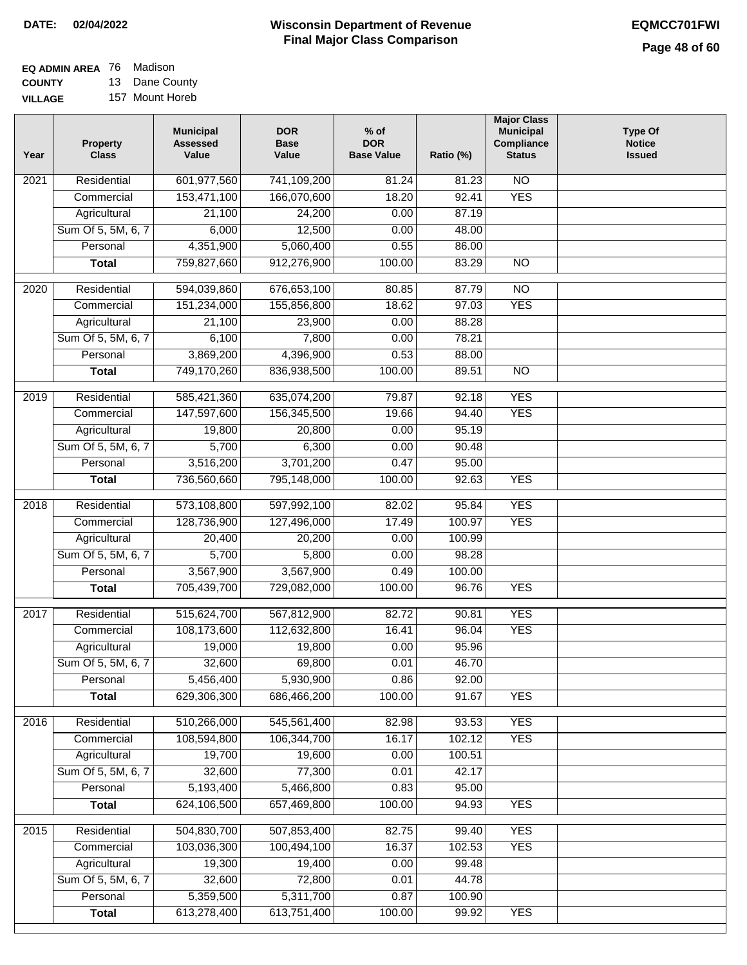| <b>EQ ADMIN AREA</b> 76 Madison |                 |
|---------------------------------|-----------------|
| <b>COUNTY</b>                   | 13 Dane County  |
| <b>VILLAGE</b>                  | 157 Mount Horeb |

| 13 Dane County  |
|-----------------|
| 157 Mount Horeb |

| Residential<br>601,977,560<br>N <sub>O</sub><br>$\overline{202}1$<br>741,109,200<br>81.24<br>81.23<br>153,471,100<br>166,070,600<br>18.20<br>92.41<br><b>YES</b><br>Commercial<br>Agricultural<br>21,100<br>24,200<br>0.00<br>87.19<br>Sum Of 5, 5M, 6, 7<br>6,000<br>12,500<br>0.00<br>48.00<br>4,351,900<br>5,060,400<br>Personal<br>0.55<br>86.00<br>759,827,660<br>912,276,900<br>100.00<br>83.29<br>$\overline{NO}$<br><b>Total</b><br>$\overline{NO}$<br>$\overline{2020}$<br>Residential<br>594,039,860<br>676,653,100<br>80.85<br>87.79<br><b>YES</b><br>151,234,000<br>155,856,800<br>18.62<br>97.03<br>Commercial<br>0.00<br>21,100<br>23,900<br>88.28<br>Agricultural<br>Sum Of 5, 5M, 6, 7<br>6,100<br>7,800<br>0.00<br>78.21 |  |
|-------------------------------------------------------------------------------------------------------------------------------------------------------------------------------------------------------------------------------------------------------------------------------------------------------------------------------------------------------------------------------------------------------------------------------------------------------------------------------------------------------------------------------------------------------------------------------------------------------------------------------------------------------------------------------------------------------------------------------------------|--|
|                                                                                                                                                                                                                                                                                                                                                                                                                                                                                                                                                                                                                                                                                                                                           |  |
|                                                                                                                                                                                                                                                                                                                                                                                                                                                                                                                                                                                                                                                                                                                                           |  |
|                                                                                                                                                                                                                                                                                                                                                                                                                                                                                                                                                                                                                                                                                                                                           |  |
|                                                                                                                                                                                                                                                                                                                                                                                                                                                                                                                                                                                                                                                                                                                                           |  |
|                                                                                                                                                                                                                                                                                                                                                                                                                                                                                                                                                                                                                                                                                                                                           |  |
|                                                                                                                                                                                                                                                                                                                                                                                                                                                                                                                                                                                                                                                                                                                                           |  |
|                                                                                                                                                                                                                                                                                                                                                                                                                                                                                                                                                                                                                                                                                                                                           |  |
|                                                                                                                                                                                                                                                                                                                                                                                                                                                                                                                                                                                                                                                                                                                                           |  |
|                                                                                                                                                                                                                                                                                                                                                                                                                                                                                                                                                                                                                                                                                                                                           |  |
|                                                                                                                                                                                                                                                                                                                                                                                                                                                                                                                                                                                                                                                                                                                                           |  |
| 3,869,200<br>4,396,900<br>0.53<br>Personal<br>88.00                                                                                                                                                                                                                                                                                                                                                                                                                                                                                                                                                                                                                                                                                       |  |
| 749,170,260<br>836,938,500<br>100.00<br>89.51<br>$\overline{NO}$<br><b>Total</b>                                                                                                                                                                                                                                                                                                                                                                                                                                                                                                                                                                                                                                                          |  |
|                                                                                                                                                                                                                                                                                                                                                                                                                                                                                                                                                                                                                                                                                                                                           |  |
| <b>YES</b><br>Residential<br>585,421,360<br>635,074,200<br>79.87<br>92.18<br>2019                                                                                                                                                                                                                                                                                                                                                                                                                                                                                                                                                                                                                                                         |  |
| <b>YES</b><br>147,597,600<br>156,345,500<br>19.66<br>94.40<br>Commercial                                                                                                                                                                                                                                                                                                                                                                                                                                                                                                                                                                                                                                                                  |  |
| 95.19<br>19,800<br>20,800<br>0.00<br>Agricultural                                                                                                                                                                                                                                                                                                                                                                                                                                                                                                                                                                                                                                                                                         |  |
| 5,700<br>6,300<br>Sum Of 5, 5M, 6, 7<br>0.00<br>90.48                                                                                                                                                                                                                                                                                                                                                                                                                                                                                                                                                                                                                                                                                     |  |
| 3,516,200<br>3,701,200<br>Personal<br>0.47<br>95.00                                                                                                                                                                                                                                                                                                                                                                                                                                                                                                                                                                                                                                                                                       |  |
| 795,148,000<br>100.00<br>92.63<br><b>YES</b><br><b>Total</b><br>736,560,660                                                                                                                                                                                                                                                                                                                                                                                                                                                                                                                                                                                                                                                               |  |
| Residential<br>573,108,800<br>597,992,100<br>95.84<br><b>YES</b><br>2018<br>82.02                                                                                                                                                                                                                                                                                                                                                                                                                                                                                                                                                                                                                                                         |  |
| 100.97<br><b>YES</b><br>Commercial<br>128,736,900<br>127,496,000<br>17.49                                                                                                                                                                                                                                                                                                                                                                                                                                                                                                                                                                                                                                                                 |  |
| 100.99<br>Agricultural<br>20,400<br>20,200<br>0.00                                                                                                                                                                                                                                                                                                                                                                                                                                                                                                                                                                                                                                                                                        |  |
| 5,700<br>Sum Of 5, 5M, 6, 7<br>5,800<br>98.28<br>0.00                                                                                                                                                                                                                                                                                                                                                                                                                                                                                                                                                                                                                                                                                     |  |
| Personal<br>3,567,900<br>3,567,900<br>0.49<br>100.00                                                                                                                                                                                                                                                                                                                                                                                                                                                                                                                                                                                                                                                                                      |  |
| 705,439,700<br>729,082,000<br>100.00<br>96.76<br><b>YES</b><br><b>Total</b>                                                                                                                                                                                                                                                                                                                                                                                                                                                                                                                                                                                                                                                               |  |
| $\overline{2017}$<br>Residential<br>515,624,700<br>567,812,900<br><b>YES</b><br>82.72<br>90.81                                                                                                                                                                                                                                                                                                                                                                                                                                                                                                                                                                                                                                            |  |
| <b>YES</b><br>Commercial<br>108,173,600<br>112,632,800<br>16.41<br>96.04                                                                                                                                                                                                                                                                                                                                                                                                                                                                                                                                                                                                                                                                  |  |
| 19,000<br>19,800<br>0.00<br>95.96<br>Agricultural                                                                                                                                                                                                                                                                                                                                                                                                                                                                                                                                                                                                                                                                                         |  |
| 0.01<br>Sum Of 5, 5M, 6, 7<br>32,600<br>69,800<br>46.70                                                                                                                                                                                                                                                                                                                                                                                                                                                                                                                                                                                                                                                                                   |  |
| Personal<br>5,456,400<br>5,930,900<br>0.86<br>92.00                                                                                                                                                                                                                                                                                                                                                                                                                                                                                                                                                                                                                                                                                       |  |
| 629,306,300<br>686,466,200<br>100.00<br>91.67<br><b>YES</b><br><b>Total</b>                                                                                                                                                                                                                                                                                                                                                                                                                                                                                                                                                                                                                                                               |  |
|                                                                                                                                                                                                                                                                                                                                                                                                                                                                                                                                                                                                                                                                                                                                           |  |
| 510,266,000<br>Residential<br>545,561,400<br><b>YES</b><br>2016<br>82.98<br>93.53                                                                                                                                                                                                                                                                                                                                                                                                                                                                                                                                                                                                                                                         |  |
| 108,594,800<br>106,344,700<br>16.17<br>102.12<br><b>YES</b><br>Commercial                                                                                                                                                                                                                                                                                                                                                                                                                                                                                                                                                                                                                                                                 |  |
| Agricultural<br>19,700<br>19,600<br>100.51<br>0.00                                                                                                                                                                                                                                                                                                                                                                                                                                                                                                                                                                                                                                                                                        |  |
| Sum Of 5, 5M, 6, 7<br>77,300<br>0.01<br>32,600<br>42.17                                                                                                                                                                                                                                                                                                                                                                                                                                                                                                                                                                                                                                                                                   |  |
| 5,193,400<br>Personal<br>5,466,800<br>95.00<br>0.83                                                                                                                                                                                                                                                                                                                                                                                                                                                                                                                                                                                                                                                                                       |  |
| 624,106,500<br>657,469,800<br>100.00<br>94.93<br><b>YES</b><br><b>Total</b>                                                                                                                                                                                                                                                                                                                                                                                                                                                                                                                                                                                                                                                               |  |
| <b>YES</b><br>Residential<br>504,830,700<br>507,853,400<br>82.75<br>99.40<br>2015                                                                                                                                                                                                                                                                                                                                                                                                                                                                                                                                                                                                                                                         |  |
| 103,036,300<br>16.37<br>102.53<br>100,494,100<br><b>YES</b><br>Commercial                                                                                                                                                                                                                                                                                                                                                                                                                                                                                                                                                                                                                                                                 |  |
| 19,400<br>19,300<br>0.00<br>99.48<br>Agricultural                                                                                                                                                                                                                                                                                                                                                                                                                                                                                                                                                                                                                                                                                         |  |
| Sum Of 5, 5M, 6, 7<br>32,600<br>72,800<br>0.01<br>44.78                                                                                                                                                                                                                                                                                                                                                                                                                                                                                                                                                                                                                                                                                   |  |
| 5,359,500<br>5,311,700<br>100.90<br>Personal<br>0.87                                                                                                                                                                                                                                                                                                                                                                                                                                                                                                                                                                                                                                                                                      |  |
| 613,278,400<br>613,751,400<br>100.00<br>99.92<br><b>YES</b><br><b>Total</b>                                                                                                                                                                                                                                                                                                                                                                                                                                                                                                                                                                                                                                                               |  |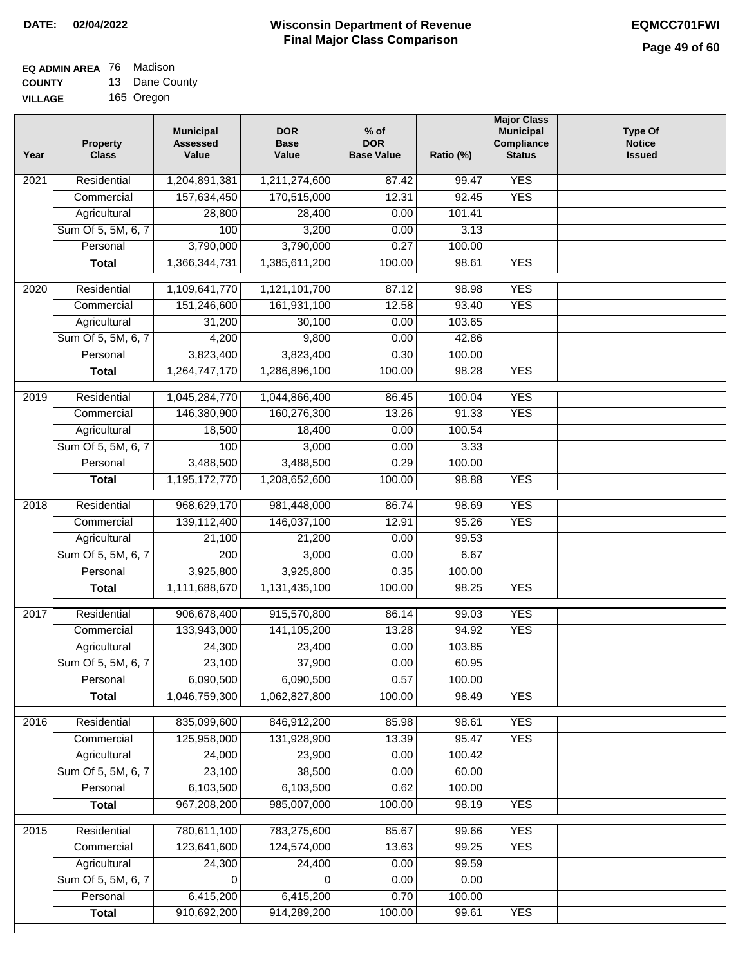## **EQ ADMIN AREA** 76 Madison

**COUNTY VILLAGE** 13 Dane County 165 Oregon

| <b>YES</b><br>Residential<br>1,204,891,381<br>$\overline{202}1$<br>1,211,274,600<br>87.42<br>99.47<br>157,634,450<br>170,515,000<br>12.31<br>92.45<br><b>YES</b><br>Commercial<br>Agricultural<br>28,800<br>28,400<br>0.00<br>101.41<br>Sum Of 5, 5M, 6, 7<br>100<br>3,200<br>0.00<br>3.13<br>3,790,000<br>3,790,000<br>0.27<br>Personal<br>100.00<br>1,366,344,731<br>1,385,611,200<br>100.00<br>98.61<br><b>YES</b><br><b>Total</b><br><b>YES</b><br>$\overline{2020}$<br>Residential<br>1,109,641,770<br>1,121,101,700<br>87.12<br>98.98<br>161,931,100<br><b>YES</b><br>Commercial<br>151,246,600<br>12.58<br>93.40<br>0.00<br>31,200<br>30,100<br>103.65<br>Agricultural<br>Sum Of 5, 5M, 6, 7<br>9,800<br>4,200<br>0.00<br>42.86<br>3,823,400<br>3,823,400<br>Personal<br>0.30<br>100.00<br><b>YES</b><br>1,264,747,170<br>1,286,896,100<br>100.00<br>98.28<br><b>Total</b><br><b>YES</b><br>2019<br>Residential<br>1,045,284,770<br>1,044,866,400<br>86.45<br>100.04<br><b>YES</b><br>146,380,900<br>160,276,300<br>13.26<br>91.33<br>Commercial<br>18,500<br>18,400<br>0.00<br>100.54<br>Agricultural<br>100<br>Sum Of 5, 5M, 6, 7<br>3,000<br>0.00<br>3.33<br>3,488,500<br>Personal<br>3,488,500<br>0.29<br>100.00<br>1,195,172,770<br>100.00<br><b>YES</b><br><b>Total</b><br>1,208,652,600<br>98.88<br><b>YES</b><br>Residential<br>968,629,170<br>981,448,000<br>86.74<br>98.69<br>2018<br>139,112,400<br><b>YES</b><br>Commercial<br>146,037,100<br>12.91<br>95.26<br>99.53<br>Agricultural<br>21,100<br>21,200<br>0.00<br>Sum Of 5, 5M, 6, 7<br>$\overline{200}$<br>3,000<br>0.00<br>6.67<br>Personal<br>3,925,800<br>3,925,800<br>0.35<br>100.00<br>1,111,688,670<br>1,131,435,100<br>100.00<br>98.25<br><b>YES</b><br><b>Total</b><br><b>YES</b><br>2017<br>Residential<br>906,678,400<br>915,570,800<br>86.14<br>99.03<br><b>YES</b><br>Commercial<br>133,943,000<br>141,105,200<br>13.28<br>94.92<br>24,300<br>23,400<br>0.00<br>103.85<br>Agricultural<br>Sum Of 5, 5M, 6, 7<br>23,100<br>37,900<br>0.00<br>60.95<br>0.57<br>Personal<br>6,090,500<br>6,090,500<br>100.00<br>1,046,759,300<br>1,062,827,800<br>100.00<br>98.49<br><b>YES</b><br><b>Total</b><br>835,099,600<br><b>YES</b><br>Residential<br>846,912,200<br>2016<br>85.98<br>98.61<br>125,958,000<br>131,928,900<br>13.39<br>95.47<br><b>YES</b><br>Commercial<br>24,000<br>23,900<br>0.00<br>Agricultural<br>100.42<br>Sum Of 5, 5M, 6, 7<br>23,100<br>38,500<br>0.00<br>60.00<br>6,103,500<br>6,103,500<br>0.62<br>Personal<br>100.00<br>967,208,200<br>985,007,000<br>100.00<br>98.19<br><b>YES</b><br><b>Total</b><br>Residential<br><b>YES</b><br>780,611,100<br>783,275,600<br>85.67<br>99.66<br>2015<br>123,641,600<br>13.63<br>124,574,000<br>99.25<br><b>YES</b><br>Commercial<br>24,300<br>24,400<br>0.00<br>99.59<br>Agricultural<br>Sum Of 5, 5M, 6, 7<br>0.00<br>0.00<br>0<br>0<br>0.70<br>Personal<br>6,415,200<br>6,415,200<br>100.00<br>910,692,200<br>914,289,200<br>100.00<br><b>YES</b><br><b>Total</b><br>99.61 | Year | <b>Property</b><br><b>Class</b> | <b>Municipal</b><br><b>Assessed</b><br>Value | <b>DOR</b><br><b>Base</b><br>Value | $%$ of<br><b>DOR</b><br><b>Base Value</b> | Ratio (%) | <b>Major Class</b><br><b>Municipal</b><br>Compliance<br><b>Status</b> | <b>Type Of</b><br><b>Notice</b><br><b>Issued</b> |
|-----------------------------------------------------------------------------------------------------------------------------------------------------------------------------------------------------------------------------------------------------------------------------------------------------------------------------------------------------------------------------------------------------------------------------------------------------------------------------------------------------------------------------------------------------------------------------------------------------------------------------------------------------------------------------------------------------------------------------------------------------------------------------------------------------------------------------------------------------------------------------------------------------------------------------------------------------------------------------------------------------------------------------------------------------------------------------------------------------------------------------------------------------------------------------------------------------------------------------------------------------------------------------------------------------------------------------------------------------------------------------------------------------------------------------------------------------------------------------------------------------------------------------------------------------------------------------------------------------------------------------------------------------------------------------------------------------------------------------------------------------------------------------------------------------------------------------------------------------------------------------------------------------------------------------------------------------------------------------------------------------------------------------------------------------------------------------------------------------------------------------------------------------------------------------------------------------------------------------------------------------------------------------------------------------------------------------------------------------------------------------------------------------------------------------------------------------------------------------------------------------------------------------------------------------------------------------------------------------------------------------------------------------------------------------------------------------------------------------------------------------------------------------------------------------------------------------------------------------------------------------------------------------------------------------------------------------------------------------------------------------------------------|------|---------------------------------|----------------------------------------------|------------------------------------|-------------------------------------------|-----------|-----------------------------------------------------------------------|--------------------------------------------------|
|                                                                                                                                                                                                                                                                                                                                                                                                                                                                                                                                                                                                                                                                                                                                                                                                                                                                                                                                                                                                                                                                                                                                                                                                                                                                                                                                                                                                                                                                                                                                                                                                                                                                                                                                                                                                                                                                                                                                                                                                                                                                                                                                                                                                                                                                                                                                                                                                                                                                                                                                                                                                                                                                                                                                                                                                                                                                                                                                                                                                                       |      |                                 |                                              |                                    |                                           |           |                                                                       |                                                  |
|                                                                                                                                                                                                                                                                                                                                                                                                                                                                                                                                                                                                                                                                                                                                                                                                                                                                                                                                                                                                                                                                                                                                                                                                                                                                                                                                                                                                                                                                                                                                                                                                                                                                                                                                                                                                                                                                                                                                                                                                                                                                                                                                                                                                                                                                                                                                                                                                                                                                                                                                                                                                                                                                                                                                                                                                                                                                                                                                                                                                                       |      |                                 |                                              |                                    |                                           |           |                                                                       |                                                  |
|                                                                                                                                                                                                                                                                                                                                                                                                                                                                                                                                                                                                                                                                                                                                                                                                                                                                                                                                                                                                                                                                                                                                                                                                                                                                                                                                                                                                                                                                                                                                                                                                                                                                                                                                                                                                                                                                                                                                                                                                                                                                                                                                                                                                                                                                                                                                                                                                                                                                                                                                                                                                                                                                                                                                                                                                                                                                                                                                                                                                                       |      |                                 |                                              |                                    |                                           |           |                                                                       |                                                  |
|                                                                                                                                                                                                                                                                                                                                                                                                                                                                                                                                                                                                                                                                                                                                                                                                                                                                                                                                                                                                                                                                                                                                                                                                                                                                                                                                                                                                                                                                                                                                                                                                                                                                                                                                                                                                                                                                                                                                                                                                                                                                                                                                                                                                                                                                                                                                                                                                                                                                                                                                                                                                                                                                                                                                                                                                                                                                                                                                                                                                                       |      |                                 |                                              |                                    |                                           |           |                                                                       |                                                  |
|                                                                                                                                                                                                                                                                                                                                                                                                                                                                                                                                                                                                                                                                                                                                                                                                                                                                                                                                                                                                                                                                                                                                                                                                                                                                                                                                                                                                                                                                                                                                                                                                                                                                                                                                                                                                                                                                                                                                                                                                                                                                                                                                                                                                                                                                                                                                                                                                                                                                                                                                                                                                                                                                                                                                                                                                                                                                                                                                                                                                                       |      |                                 |                                              |                                    |                                           |           |                                                                       |                                                  |
|                                                                                                                                                                                                                                                                                                                                                                                                                                                                                                                                                                                                                                                                                                                                                                                                                                                                                                                                                                                                                                                                                                                                                                                                                                                                                                                                                                                                                                                                                                                                                                                                                                                                                                                                                                                                                                                                                                                                                                                                                                                                                                                                                                                                                                                                                                                                                                                                                                                                                                                                                                                                                                                                                                                                                                                                                                                                                                                                                                                                                       |      |                                 |                                              |                                    |                                           |           |                                                                       |                                                  |
|                                                                                                                                                                                                                                                                                                                                                                                                                                                                                                                                                                                                                                                                                                                                                                                                                                                                                                                                                                                                                                                                                                                                                                                                                                                                                                                                                                                                                                                                                                                                                                                                                                                                                                                                                                                                                                                                                                                                                                                                                                                                                                                                                                                                                                                                                                                                                                                                                                                                                                                                                                                                                                                                                                                                                                                                                                                                                                                                                                                                                       |      |                                 |                                              |                                    |                                           |           |                                                                       |                                                  |
|                                                                                                                                                                                                                                                                                                                                                                                                                                                                                                                                                                                                                                                                                                                                                                                                                                                                                                                                                                                                                                                                                                                                                                                                                                                                                                                                                                                                                                                                                                                                                                                                                                                                                                                                                                                                                                                                                                                                                                                                                                                                                                                                                                                                                                                                                                                                                                                                                                                                                                                                                                                                                                                                                                                                                                                                                                                                                                                                                                                                                       |      |                                 |                                              |                                    |                                           |           |                                                                       |                                                  |
|                                                                                                                                                                                                                                                                                                                                                                                                                                                                                                                                                                                                                                                                                                                                                                                                                                                                                                                                                                                                                                                                                                                                                                                                                                                                                                                                                                                                                                                                                                                                                                                                                                                                                                                                                                                                                                                                                                                                                                                                                                                                                                                                                                                                                                                                                                                                                                                                                                                                                                                                                                                                                                                                                                                                                                                                                                                                                                                                                                                                                       |      |                                 |                                              |                                    |                                           |           |                                                                       |                                                  |
|                                                                                                                                                                                                                                                                                                                                                                                                                                                                                                                                                                                                                                                                                                                                                                                                                                                                                                                                                                                                                                                                                                                                                                                                                                                                                                                                                                                                                                                                                                                                                                                                                                                                                                                                                                                                                                                                                                                                                                                                                                                                                                                                                                                                                                                                                                                                                                                                                                                                                                                                                                                                                                                                                                                                                                                                                                                                                                                                                                                                                       |      |                                 |                                              |                                    |                                           |           |                                                                       |                                                  |
|                                                                                                                                                                                                                                                                                                                                                                                                                                                                                                                                                                                                                                                                                                                                                                                                                                                                                                                                                                                                                                                                                                                                                                                                                                                                                                                                                                                                                                                                                                                                                                                                                                                                                                                                                                                                                                                                                                                                                                                                                                                                                                                                                                                                                                                                                                                                                                                                                                                                                                                                                                                                                                                                                                                                                                                                                                                                                                                                                                                                                       |      |                                 |                                              |                                    |                                           |           |                                                                       |                                                  |
|                                                                                                                                                                                                                                                                                                                                                                                                                                                                                                                                                                                                                                                                                                                                                                                                                                                                                                                                                                                                                                                                                                                                                                                                                                                                                                                                                                                                                                                                                                                                                                                                                                                                                                                                                                                                                                                                                                                                                                                                                                                                                                                                                                                                                                                                                                                                                                                                                                                                                                                                                                                                                                                                                                                                                                                                                                                                                                                                                                                                                       |      |                                 |                                              |                                    |                                           |           |                                                                       |                                                  |
|                                                                                                                                                                                                                                                                                                                                                                                                                                                                                                                                                                                                                                                                                                                                                                                                                                                                                                                                                                                                                                                                                                                                                                                                                                                                                                                                                                                                                                                                                                                                                                                                                                                                                                                                                                                                                                                                                                                                                                                                                                                                                                                                                                                                                                                                                                                                                                                                                                                                                                                                                                                                                                                                                                                                                                                                                                                                                                                                                                                                                       |      |                                 |                                              |                                    |                                           |           |                                                                       |                                                  |
|                                                                                                                                                                                                                                                                                                                                                                                                                                                                                                                                                                                                                                                                                                                                                                                                                                                                                                                                                                                                                                                                                                                                                                                                                                                                                                                                                                                                                                                                                                                                                                                                                                                                                                                                                                                                                                                                                                                                                                                                                                                                                                                                                                                                                                                                                                                                                                                                                                                                                                                                                                                                                                                                                                                                                                                                                                                                                                                                                                                                                       |      |                                 |                                              |                                    |                                           |           |                                                                       |                                                  |
|                                                                                                                                                                                                                                                                                                                                                                                                                                                                                                                                                                                                                                                                                                                                                                                                                                                                                                                                                                                                                                                                                                                                                                                                                                                                                                                                                                                                                                                                                                                                                                                                                                                                                                                                                                                                                                                                                                                                                                                                                                                                                                                                                                                                                                                                                                                                                                                                                                                                                                                                                                                                                                                                                                                                                                                                                                                                                                                                                                                                                       |      |                                 |                                              |                                    |                                           |           |                                                                       |                                                  |
|                                                                                                                                                                                                                                                                                                                                                                                                                                                                                                                                                                                                                                                                                                                                                                                                                                                                                                                                                                                                                                                                                                                                                                                                                                                                                                                                                                                                                                                                                                                                                                                                                                                                                                                                                                                                                                                                                                                                                                                                                                                                                                                                                                                                                                                                                                                                                                                                                                                                                                                                                                                                                                                                                                                                                                                                                                                                                                                                                                                                                       |      |                                 |                                              |                                    |                                           |           |                                                                       |                                                  |
|                                                                                                                                                                                                                                                                                                                                                                                                                                                                                                                                                                                                                                                                                                                                                                                                                                                                                                                                                                                                                                                                                                                                                                                                                                                                                                                                                                                                                                                                                                                                                                                                                                                                                                                                                                                                                                                                                                                                                                                                                                                                                                                                                                                                                                                                                                                                                                                                                                                                                                                                                                                                                                                                                                                                                                                                                                                                                                                                                                                                                       |      |                                 |                                              |                                    |                                           |           |                                                                       |                                                  |
|                                                                                                                                                                                                                                                                                                                                                                                                                                                                                                                                                                                                                                                                                                                                                                                                                                                                                                                                                                                                                                                                                                                                                                                                                                                                                                                                                                                                                                                                                                                                                                                                                                                                                                                                                                                                                                                                                                                                                                                                                                                                                                                                                                                                                                                                                                                                                                                                                                                                                                                                                                                                                                                                                                                                                                                                                                                                                                                                                                                                                       |      |                                 |                                              |                                    |                                           |           |                                                                       |                                                  |
|                                                                                                                                                                                                                                                                                                                                                                                                                                                                                                                                                                                                                                                                                                                                                                                                                                                                                                                                                                                                                                                                                                                                                                                                                                                                                                                                                                                                                                                                                                                                                                                                                                                                                                                                                                                                                                                                                                                                                                                                                                                                                                                                                                                                                                                                                                                                                                                                                                                                                                                                                                                                                                                                                                                                                                                                                                                                                                                                                                                                                       |      |                                 |                                              |                                    |                                           |           |                                                                       |                                                  |
|                                                                                                                                                                                                                                                                                                                                                                                                                                                                                                                                                                                                                                                                                                                                                                                                                                                                                                                                                                                                                                                                                                                                                                                                                                                                                                                                                                                                                                                                                                                                                                                                                                                                                                                                                                                                                                                                                                                                                                                                                                                                                                                                                                                                                                                                                                                                                                                                                                                                                                                                                                                                                                                                                                                                                                                                                                                                                                                                                                                                                       |      |                                 |                                              |                                    |                                           |           |                                                                       |                                                  |
|                                                                                                                                                                                                                                                                                                                                                                                                                                                                                                                                                                                                                                                                                                                                                                                                                                                                                                                                                                                                                                                                                                                                                                                                                                                                                                                                                                                                                                                                                                                                                                                                                                                                                                                                                                                                                                                                                                                                                                                                                                                                                                                                                                                                                                                                                                                                                                                                                                                                                                                                                                                                                                                                                                                                                                                                                                                                                                                                                                                                                       |      |                                 |                                              |                                    |                                           |           |                                                                       |                                                  |
|                                                                                                                                                                                                                                                                                                                                                                                                                                                                                                                                                                                                                                                                                                                                                                                                                                                                                                                                                                                                                                                                                                                                                                                                                                                                                                                                                                                                                                                                                                                                                                                                                                                                                                                                                                                                                                                                                                                                                                                                                                                                                                                                                                                                                                                                                                                                                                                                                                                                                                                                                                                                                                                                                                                                                                                                                                                                                                                                                                                                                       |      |                                 |                                              |                                    |                                           |           |                                                                       |                                                  |
|                                                                                                                                                                                                                                                                                                                                                                                                                                                                                                                                                                                                                                                                                                                                                                                                                                                                                                                                                                                                                                                                                                                                                                                                                                                                                                                                                                                                                                                                                                                                                                                                                                                                                                                                                                                                                                                                                                                                                                                                                                                                                                                                                                                                                                                                                                                                                                                                                                                                                                                                                                                                                                                                                                                                                                                                                                                                                                                                                                                                                       |      |                                 |                                              |                                    |                                           |           |                                                                       |                                                  |
|                                                                                                                                                                                                                                                                                                                                                                                                                                                                                                                                                                                                                                                                                                                                                                                                                                                                                                                                                                                                                                                                                                                                                                                                                                                                                                                                                                                                                                                                                                                                                                                                                                                                                                                                                                                                                                                                                                                                                                                                                                                                                                                                                                                                                                                                                                                                                                                                                                                                                                                                                                                                                                                                                                                                                                                                                                                                                                                                                                                                                       |      |                                 |                                              |                                    |                                           |           |                                                                       |                                                  |
|                                                                                                                                                                                                                                                                                                                                                                                                                                                                                                                                                                                                                                                                                                                                                                                                                                                                                                                                                                                                                                                                                                                                                                                                                                                                                                                                                                                                                                                                                                                                                                                                                                                                                                                                                                                                                                                                                                                                                                                                                                                                                                                                                                                                                                                                                                                                                                                                                                                                                                                                                                                                                                                                                                                                                                                                                                                                                                                                                                                                                       |      |                                 |                                              |                                    |                                           |           |                                                                       |                                                  |
|                                                                                                                                                                                                                                                                                                                                                                                                                                                                                                                                                                                                                                                                                                                                                                                                                                                                                                                                                                                                                                                                                                                                                                                                                                                                                                                                                                                                                                                                                                                                                                                                                                                                                                                                                                                                                                                                                                                                                                                                                                                                                                                                                                                                                                                                                                                                                                                                                                                                                                                                                                                                                                                                                                                                                                                                                                                                                                                                                                                                                       |      |                                 |                                              |                                    |                                           |           |                                                                       |                                                  |
|                                                                                                                                                                                                                                                                                                                                                                                                                                                                                                                                                                                                                                                                                                                                                                                                                                                                                                                                                                                                                                                                                                                                                                                                                                                                                                                                                                                                                                                                                                                                                                                                                                                                                                                                                                                                                                                                                                                                                                                                                                                                                                                                                                                                                                                                                                                                                                                                                                                                                                                                                                                                                                                                                                                                                                                                                                                                                                                                                                                                                       |      |                                 |                                              |                                    |                                           |           |                                                                       |                                                  |
|                                                                                                                                                                                                                                                                                                                                                                                                                                                                                                                                                                                                                                                                                                                                                                                                                                                                                                                                                                                                                                                                                                                                                                                                                                                                                                                                                                                                                                                                                                                                                                                                                                                                                                                                                                                                                                                                                                                                                                                                                                                                                                                                                                                                                                                                                                                                                                                                                                                                                                                                                                                                                                                                                                                                                                                                                                                                                                                                                                                                                       |      |                                 |                                              |                                    |                                           |           |                                                                       |                                                  |
|                                                                                                                                                                                                                                                                                                                                                                                                                                                                                                                                                                                                                                                                                                                                                                                                                                                                                                                                                                                                                                                                                                                                                                                                                                                                                                                                                                                                                                                                                                                                                                                                                                                                                                                                                                                                                                                                                                                                                                                                                                                                                                                                                                                                                                                                                                                                                                                                                                                                                                                                                                                                                                                                                                                                                                                                                                                                                                                                                                                                                       |      |                                 |                                              |                                    |                                           |           |                                                                       |                                                  |
|                                                                                                                                                                                                                                                                                                                                                                                                                                                                                                                                                                                                                                                                                                                                                                                                                                                                                                                                                                                                                                                                                                                                                                                                                                                                                                                                                                                                                                                                                                                                                                                                                                                                                                                                                                                                                                                                                                                                                                                                                                                                                                                                                                                                                                                                                                                                                                                                                                                                                                                                                                                                                                                                                                                                                                                                                                                                                                                                                                                                                       |      |                                 |                                              |                                    |                                           |           |                                                                       |                                                  |
|                                                                                                                                                                                                                                                                                                                                                                                                                                                                                                                                                                                                                                                                                                                                                                                                                                                                                                                                                                                                                                                                                                                                                                                                                                                                                                                                                                                                                                                                                                                                                                                                                                                                                                                                                                                                                                                                                                                                                                                                                                                                                                                                                                                                                                                                                                                                                                                                                                                                                                                                                                                                                                                                                                                                                                                                                                                                                                                                                                                                                       |      |                                 |                                              |                                    |                                           |           |                                                                       |                                                  |
|                                                                                                                                                                                                                                                                                                                                                                                                                                                                                                                                                                                                                                                                                                                                                                                                                                                                                                                                                                                                                                                                                                                                                                                                                                                                                                                                                                                                                                                                                                                                                                                                                                                                                                                                                                                                                                                                                                                                                                                                                                                                                                                                                                                                                                                                                                                                                                                                                                                                                                                                                                                                                                                                                                                                                                                                                                                                                                                                                                                                                       |      |                                 |                                              |                                    |                                           |           |                                                                       |                                                  |
|                                                                                                                                                                                                                                                                                                                                                                                                                                                                                                                                                                                                                                                                                                                                                                                                                                                                                                                                                                                                                                                                                                                                                                                                                                                                                                                                                                                                                                                                                                                                                                                                                                                                                                                                                                                                                                                                                                                                                                                                                                                                                                                                                                                                                                                                                                                                                                                                                                                                                                                                                                                                                                                                                                                                                                                                                                                                                                                                                                                                                       |      |                                 |                                              |                                    |                                           |           |                                                                       |                                                  |
|                                                                                                                                                                                                                                                                                                                                                                                                                                                                                                                                                                                                                                                                                                                                                                                                                                                                                                                                                                                                                                                                                                                                                                                                                                                                                                                                                                                                                                                                                                                                                                                                                                                                                                                                                                                                                                                                                                                                                                                                                                                                                                                                                                                                                                                                                                                                                                                                                                                                                                                                                                                                                                                                                                                                                                                                                                                                                                                                                                                                                       |      |                                 |                                              |                                    |                                           |           |                                                                       |                                                  |
|                                                                                                                                                                                                                                                                                                                                                                                                                                                                                                                                                                                                                                                                                                                                                                                                                                                                                                                                                                                                                                                                                                                                                                                                                                                                                                                                                                                                                                                                                                                                                                                                                                                                                                                                                                                                                                                                                                                                                                                                                                                                                                                                                                                                                                                                                                                                                                                                                                                                                                                                                                                                                                                                                                                                                                                                                                                                                                                                                                                                                       |      |                                 |                                              |                                    |                                           |           |                                                                       |                                                  |
|                                                                                                                                                                                                                                                                                                                                                                                                                                                                                                                                                                                                                                                                                                                                                                                                                                                                                                                                                                                                                                                                                                                                                                                                                                                                                                                                                                                                                                                                                                                                                                                                                                                                                                                                                                                                                                                                                                                                                                                                                                                                                                                                                                                                                                                                                                                                                                                                                                                                                                                                                                                                                                                                                                                                                                                                                                                                                                                                                                                                                       |      |                                 |                                              |                                    |                                           |           |                                                                       |                                                  |
|                                                                                                                                                                                                                                                                                                                                                                                                                                                                                                                                                                                                                                                                                                                                                                                                                                                                                                                                                                                                                                                                                                                                                                                                                                                                                                                                                                                                                                                                                                                                                                                                                                                                                                                                                                                                                                                                                                                                                                                                                                                                                                                                                                                                                                                                                                                                                                                                                                                                                                                                                                                                                                                                                                                                                                                                                                                                                                                                                                                                                       |      |                                 |                                              |                                    |                                           |           |                                                                       |                                                  |
|                                                                                                                                                                                                                                                                                                                                                                                                                                                                                                                                                                                                                                                                                                                                                                                                                                                                                                                                                                                                                                                                                                                                                                                                                                                                                                                                                                                                                                                                                                                                                                                                                                                                                                                                                                                                                                                                                                                                                                                                                                                                                                                                                                                                                                                                                                                                                                                                                                                                                                                                                                                                                                                                                                                                                                                                                                                                                                                                                                                                                       |      |                                 |                                              |                                    |                                           |           |                                                                       |                                                  |
|                                                                                                                                                                                                                                                                                                                                                                                                                                                                                                                                                                                                                                                                                                                                                                                                                                                                                                                                                                                                                                                                                                                                                                                                                                                                                                                                                                                                                                                                                                                                                                                                                                                                                                                                                                                                                                                                                                                                                                                                                                                                                                                                                                                                                                                                                                                                                                                                                                                                                                                                                                                                                                                                                                                                                                                                                                                                                                                                                                                                                       |      |                                 |                                              |                                    |                                           |           |                                                                       |                                                  |
|                                                                                                                                                                                                                                                                                                                                                                                                                                                                                                                                                                                                                                                                                                                                                                                                                                                                                                                                                                                                                                                                                                                                                                                                                                                                                                                                                                                                                                                                                                                                                                                                                                                                                                                                                                                                                                                                                                                                                                                                                                                                                                                                                                                                                                                                                                                                                                                                                                                                                                                                                                                                                                                                                                                                                                                                                                                                                                                                                                                                                       |      |                                 |                                              |                                    |                                           |           |                                                                       |                                                  |
|                                                                                                                                                                                                                                                                                                                                                                                                                                                                                                                                                                                                                                                                                                                                                                                                                                                                                                                                                                                                                                                                                                                                                                                                                                                                                                                                                                                                                                                                                                                                                                                                                                                                                                                                                                                                                                                                                                                                                                                                                                                                                                                                                                                                                                                                                                                                                                                                                                                                                                                                                                                                                                                                                                                                                                                                                                                                                                                                                                                                                       |      |                                 |                                              |                                    |                                           |           |                                                                       |                                                  |
|                                                                                                                                                                                                                                                                                                                                                                                                                                                                                                                                                                                                                                                                                                                                                                                                                                                                                                                                                                                                                                                                                                                                                                                                                                                                                                                                                                                                                                                                                                                                                                                                                                                                                                                                                                                                                                                                                                                                                                                                                                                                                                                                                                                                                                                                                                                                                                                                                                                                                                                                                                                                                                                                                                                                                                                                                                                                                                                                                                                                                       |      |                                 |                                              |                                    |                                           |           |                                                                       |                                                  |
|                                                                                                                                                                                                                                                                                                                                                                                                                                                                                                                                                                                                                                                                                                                                                                                                                                                                                                                                                                                                                                                                                                                                                                                                                                                                                                                                                                                                                                                                                                                                                                                                                                                                                                                                                                                                                                                                                                                                                                                                                                                                                                                                                                                                                                                                                                                                                                                                                                                                                                                                                                                                                                                                                                                                                                                                                                                                                                                                                                                                                       |      |                                 |                                              |                                    |                                           |           |                                                                       |                                                  |
|                                                                                                                                                                                                                                                                                                                                                                                                                                                                                                                                                                                                                                                                                                                                                                                                                                                                                                                                                                                                                                                                                                                                                                                                                                                                                                                                                                                                                                                                                                                                                                                                                                                                                                                                                                                                                                                                                                                                                                                                                                                                                                                                                                                                                                                                                                                                                                                                                                                                                                                                                                                                                                                                                                                                                                                                                                                                                                                                                                                                                       |      |                                 |                                              |                                    |                                           |           |                                                                       |                                                  |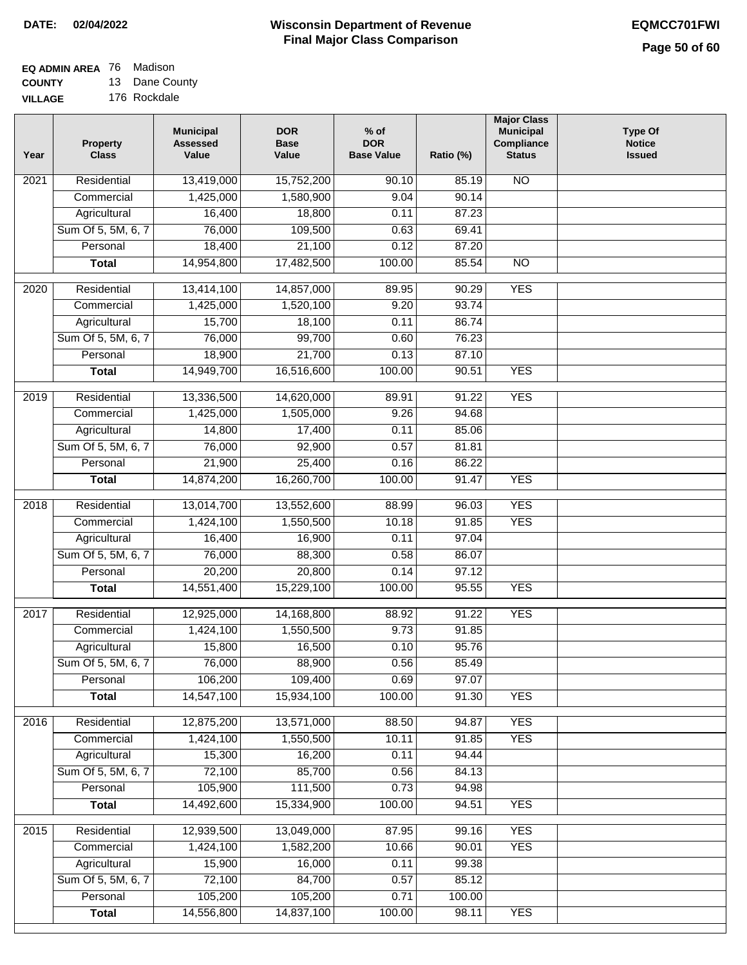# **EQ ADMIN AREA** 76 Madison

**COUNTY VILLAGE** 13 Dane County 176 Rockdale

| Year | Property<br><b>Class</b> | <b>Municipal</b><br><b>Assessed</b><br>Value | <b>DOR</b><br><b>Base</b><br>Value | $%$ of<br><b>DOR</b><br><b>Base Value</b> | Ratio (%) | <b>Major Class</b><br><b>Municipal</b><br>Compliance<br><b>Status</b> | <b>Type Of</b><br><b>Notice</b><br><b>Issued</b> |
|------|--------------------------|----------------------------------------------|------------------------------------|-------------------------------------------|-----------|-----------------------------------------------------------------------|--------------------------------------------------|
| 2021 | Residential              | 13,419,000                                   | 15,752,200                         | 90.10                                     | 85.19     | <b>NO</b>                                                             |                                                  |
|      | Commercial               | 1,425,000                                    | 1,580,900                          | 9.04                                      | 90.14     |                                                                       |                                                  |
|      | Agricultural             | 16,400                                       | 18,800                             | 0.11                                      | 87.23     |                                                                       |                                                  |
|      | Sum Of 5, 5M, 6, 7       | 76,000                                       | 109,500                            | 0.63                                      | 69.41     |                                                                       |                                                  |
|      | Personal                 | 18,400                                       | 21,100                             | 0.12                                      | 87.20     |                                                                       |                                                  |
|      | <b>Total</b>             | 14,954,800                                   | 17,482,500                         | 100.00                                    | 85.54     | $\overline{NO}$                                                       |                                                  |
| 2020 | Residential              | 13,414,100                                   | 14,857,000                         | 89.95                                     | 90.29     | <b>YES</b>                                                            |                                                  |
|      | Commercial               | 1,425,000                                    | 1,520,100                          | 9.20                                      | 93.74     |                                                                       |                                                  |
|      | Agricultural             | 15,700                                       | 18,100                             | 0.11                                      | 86.74     |                                                                       |                                                  |
|      | Sum Of 5, 5M, 6, 7       | 76,000                                       | 99,700                             | 0.60                                      | 76.23     |                                                                       |                                                  |
|      | Personal                 | 18,900                                       | 21,700                             | 0.13                                      | 87.10     |                                                                       |                                                  |
|      | <b>Total</b>             | 14,949,700                                   | 16,516,600                         | 100.00                                    | 90.51     | <b>YES</b>                                                            |                                                  |
| 2019 | Residential              | 13,336,500                                   | 14,620,000                         | 89.91                                     | 91.22     | <b>YES</b>                                                            |                                                  |
|      | Commercial               | 1,425,000                                    | 1,505,000                          | 9.26                                      | 94.68     |                                                                       |                                                  |
|      | Agricultural             | 14,800                                       | 17,400                             | 0.11                                      | 85.06     |                                                                       |                                                  |
|      | Sum Of 5, 5M, 6, 7       | 76,000                                       | 92,900                             | 0.57                                      | 81.81     |                                                                       |                                                  |
|      | Personal                 | 21,900                                       | 25,400                             | 0.16                                      | 86.22     |                                                                       |                                                  |
|      | <b>Total</b>             | 14,874,200                                   | 16,260,700                         | 100.00                                    | 91.47     | <b>YES</b>                                                            |                                                  |
|      |                          |                                              |                                    |                                           |           |                                                                       |                                                  |
| 2018 | Residential              | 13,014,700                                   | 13,552,600                         | 88.99                                     | 96.03     | <b>YES</b>                                                            |                                                  |
|      | Commercial               | 1,424,100                                    | 1,550,500                          | 10.18                                     | 91.85     | <b>YES</b>                                                            |                                                  |
|      | Agricultural             | 16,400                                       | 16,900                             | 0.11                                      | 97.04     |                                                                       |                                                  |
|      | Sum Of 5, 5M, 6, 7       | 76,000                                       | 88,300                             | 0.58                                      | 86.07     |                                                                       |                                                  |
|      | Personal                 | 20,200                                       | 20,800                             | 0.14                                      | 97.12     |                                                                       |                                                  |
|      | <b>Total</b>             | 14,551,400                                   | 15,229,100                         | 100.00                                    | 95.55     | <b>YES</b>                                                            |                                                  |
| 2017 | Residential              | 12,925,000                                   | 14,168,800                         | 88.92                                     | 91.22     | <b>YES</b>                                                            |                                                  |
|      | Commercial               | 1,424,100                                    | 1,550,500                          | 9.73                                      | 91.85     |                                                                       |                                                  |
|      | Agricultural             | 15,800                                       | 16,500                             | 0.10                                      | 95.76     |                                                                       |                                                  |
|      | Sum Of 5, 5M, 6, 7       | 76,000                                       | 88,900                             | 0.56                                      | 85.49     |                                                                       |                                                  |
|      | Personal                 | 106,200                                      | 109,400                            | 0.69                                      | 97.07     |                                                                       |                                                  |
|      | <b>Total</b>             | 14,547,100                                   | 15,934,100                         | 100.00                                    | 91.30     | <b>YES</b>                                                            |                                                  |
| 2016 | Residential              | 12,875,200                                   | 13,571,000                         | 88.50                                     | 94.87     | <b>YES</b>                                                            |                                                  |
|      | Commercial               | 1,424,100                                    | 1,550,500                          | 10.11                                     | 91.85     | <b>YES</b>                                                            |                                                  |
|      | Agricultural             | 15,300                                       | 16,200                             | 0.11                                      | 94.44     |                                                                       |                                                  |
|      | Sum Of 5, 5M, 6, 7       | 72,100                                       | 85,700                             | 0.56                                      | 84.13     |                                                                       |                                                  |
|      | Personal                 | 105,900                                      | 111,500                            | 0.73                                      | 94.98     |                                                                       |                                                  |
|      | <b>Total</b>             | 14,492,600                                   | 15,334,900                         | 100.00                                    | 94.51     | <b>YES</b>                                                            |                                                  |
| 2015 | Residential              | 12,939,500                                   | 13,049,000                         | 87.95                                     | 99.16     | <b>YES</b>                                                            |                                                  |
|      | Commercial               | 1,424,100                                    | 1,582,200                          | 10.66                                     | 90.01     | <b>YES</b>                                                            |                                                  |
|      | Agricultural             | 15,900                                       | 16,000                             | 0.11                                      | 99.38     |                                                                       |                                                  |
|      | Sum Of 5, 5M, 6, 7       | 72,100                                       | 84,700                             | 0.57                                      | 85.12     |                                                                       |                                                  |
|      | Personal                 | 105,200                                      | 105,200                            | 0.71                                      | 100.00    |                                                                       |                                                  |
|      | <b>Total</b>             | 14,556,800                                   | 14,837,100                         | 100.00                                    | 98.11     | <b>YES</b>                                                            |                                                  |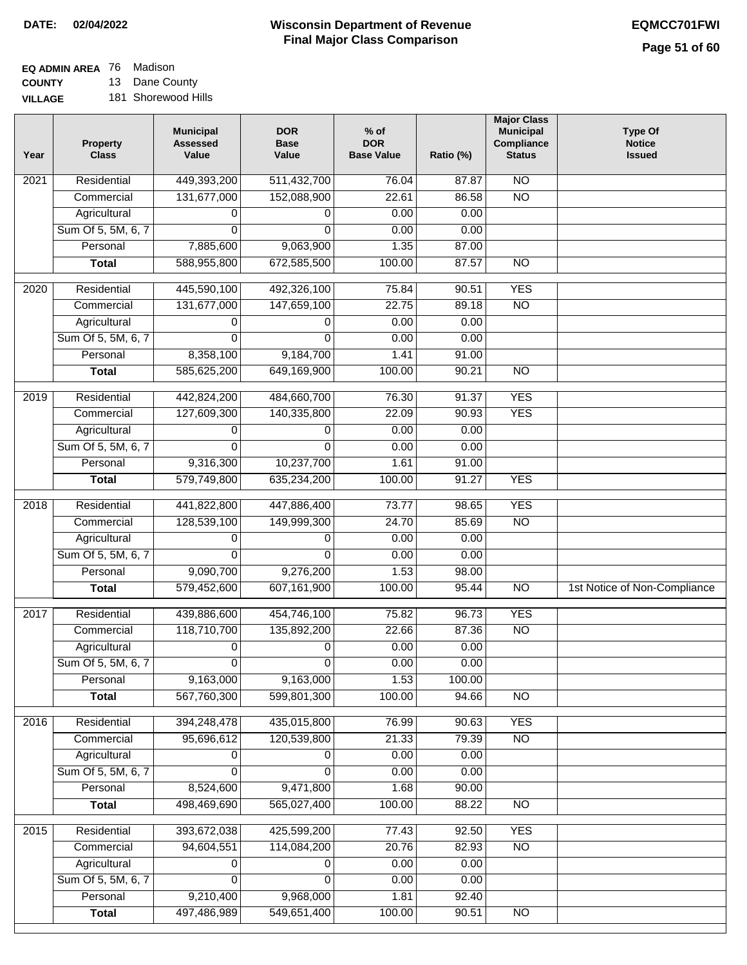## **EQ ADMIN AREA** 76 Madison

**COUNTY VILLAGE** 13 Dane County 181 Shorewood Hills

| Year              | <b>Property</b><br><b>Class</b> | <b>Municipal</b><br><b>Assessed</b><br>Value | <b>DOR</b><br><b>Base</b><br>Value | $%$ of<br><b>DOR</b><br><b>Base Value</b> | Ratio (%) | <b>Major Class</b><br><b>Municipal</b><br>Compliance<br><b>Status</b> | <b>Type Of</b><br><b>Notice</b><br><b>Issued</b> |
|-------------------|---------------------------------|----------------------------------------------|------------------------------------|-------------------------------------------|-----------|-----------------------------------------------------------------------|--------------------------------------------------|
| $\overline{202}1$ | Residential                     | 449,393,200                                  | 511,432,700                        | 76.04                                     | 87.87     | N <sub>O</sub>                                                        |                                                  |
|                   | Commercial                      | 131,677,000                                  | 152,088,900                        | 22.61                                     | 86.58     | $\overline{NO}$                                                       |                                                  |
|                   | Agricultural                    | 0                                            | 0                                  | 0.00                                      | 0.00      |                                                                       |                                                  |
|                   | Sum Of 5, 5M, 6, 7              | 0                                            | $\mathbf{0}$                       | 0.00                                      | 0.00      |                                                                       |                                                  |
|                   | Personal                        | 7,885,600                                    | 9,063,900                          | 1.35                                      | 87.00     |                                                                       |                                                  |
|                   | <b>Total</b>                    | 588,955,800                                  | 672,585,500                        | 100.00                                    | 87.57     | $\overline{NO}$                                                       |                                                  |
| 2020              | Residential                     | 445,590,100                                  | 492,326,100                        | 75.84                                     | 90.51     | <b>YES</b>                                                            |                                                  |
|                   | Commercial                      | 131,677,000                                  | 147,659,100                        | 22.75                                     | 89.18     | $\overline{NO}$                                                       |                                                  |
|                   | Agricultural                    | 0                                            | 0                                  | 0.00                                      | 0.00      |                                                                       |                                                  |
|                   | Sum Of 5, 5M, 6, 7              | $\Omega$                                     | 0                                  | 0.00                                      | 0.00      |                                                                       |                                                  |
|                   | Personal                        | 8,358,100                                    | 9,184,700                          | 1.41                                      | 91.00     |                                                                       |                                                  |
|                   | <b>Total</b>                    | 585,625,200                                  | 649,169,900                        | 100.00                                    | 90.21     | $\overline{NO}$                                                       |                                                  |
|                   |                                 |                                              |                                    |                                           |           |                                                                       |                                                  |
| 2019              | Residential                     | 442,824,200                                  | 484,660,700                        | 76.30                                     | 91.37     | <b>YES</b>                                                            |                                                  |
|                   | Commercial                      | 127,609,300                                  | 140,335,800                        | 22.09                                     | 90.93     | <b>YES</b>                                                            |                                                  |
|                   | Agricultural                    | 0                                            | 0                                  | 0.00                                      | 0.00      |                                                                       |                                                  |
|                   | Sum Of 5, 5M, 6, 7              | 0                                            | $\Omega$                           | 0.00                                      | 0.00      |                                                                       |                                                  |
|                   | Personal                        | 9,316,300                                    | 10,237,700                         | 1.61                                      | 91.00     |                                                                       |                                                  |
|                   | <b>Total</b>                    | 579,749,800                                  | 635,234,200                        | 100.00                                    | 91.27     | <b>YES</b>                                                            |                                                  |
| 2018              | Residential                     | 441,822,800                                  | 447,886,400                        | 73.77                                     | 98.65     | <b>YES</b>                                                            |                                                  |
|                   | Commercial                      | 128,539,100                                  | 149,999,300                        | 24.70                                     | 85.69     | <b>NO</b>                                                             |                                                  |
|                   | Agricultural                    | 0                                            | 0                                  | 0.00                                      | 0.00      |                                                                       |                                                  |
|                   | Sum Of 5, 5M, 6, 7              | 0                                            | 0                                  | 0.00                                      | 0.00      |                                                                       |                                                  |
|                   | Personal                        | 9,090,700                                    | 9,276,200                          | 1.53                                      | 98.00     |                                                                       |                                                  |
|                   | <b>Total</b>                    | 579,452,600                                  | 607,161,900                        | 100.00                                    | 95.44     | $\overline{10}$                                                       | 1st Notice of Non-Compliance                     |
| 2017              | Residential                     | 439,886,600                                  | 454,746,100                        | 75.82                                     | 96.73     | <b>YES</b>                                                            |                                                  |
|                   | Commercial                      | 118,710,700                                  | 135,892,200                        | 22.66                                     | 87.36     | $\overline{N}$                                                        |                                                  |
|                   | Agricultural                    | 0                                            | 0                                  | 0.00                                      | 0.00      |                                                                       |                                                  |
|                   | Sum Of 5, 5M, 6, 7              | 0                                            | $\overline{0}$                     | 0.00                                      | 0.00      |                                                                       |                                                  |
|                   | Personal                        | 9,163,000                                    | 9,163,000                          | 1.53                                      | 100.00    |                                                                       |                                                  |
|                   | <b>Total</b>                    | 567,760,300                                  | 599,801,300                        | 100.00                                    | 94.66     | <b>NO</b>                                                             |                                                  |
| 2016              | Residential                     | 394,248,478                                  | 435,015,800                        | 76.99                                     | 90.63     | <b>YES</b>                                                            |                                                  |
|                   | Commercial                      | 95,696,612                                   | 120,539,800                        | 21.33                                     | 79.39     | $\overline{NO}$                                                       |                                                  |
|                   | Agricultural                    | 0                                            | 0                                  | 0.00                                      | 0.00      |                                                                       |                                                  |
|                   | Sum Of 5, 5M, 6, 7              | 0                                            | $\Omega$                           | 0.00                                      | 0.00      |                                                                       |                                                  |
|                   | Personal                        | 8,524,600                                    | 9,471,800                          | 1.68                                      | 90.00     |                                                                       |                                                  |
|                   | <b>Total</b>                    | 498,469,690                                  | 565,027,400                        | 100.00                                    | 88.22     | $\overline{NO}$                                                       |                                                  |
|                   |                                 |                                              |                                    |                                           |           |                                                                       |                                                  |
| 2015              | Residential                     | 393,672,038                                  | 425,599,200                        | 77.43                                     | 92.50     | <b>YES</b>                                                            |                                                  |
|                   | Commercial                      | 94,604,551                                   | 114,084,200                        | 20.76                                     | 82.93     | N <sub>O</sub>                                                        |                                                  |
|                   | Agricultural                    | 0                                            | 0                                  | 0.00                                      | 0.00      |                                                                       |                                                  |
|                   | Sum Of 5, 5M, 6, 7              | 0                                            | 0                                  | 0.00                                      | 0.00      |                                                                       |                                                  |
|                   | Personal                        | 9,210,400                                    | 9,968,000                          | 1.81                                      | 92.40     |                                                                       |                                                  |
|                   | <b>Total</b>                    | 497,486,989                                  | 549,651,400                        | 100.00                                    | 90.51     | N <sub>O</sub>                                                        |                                                  |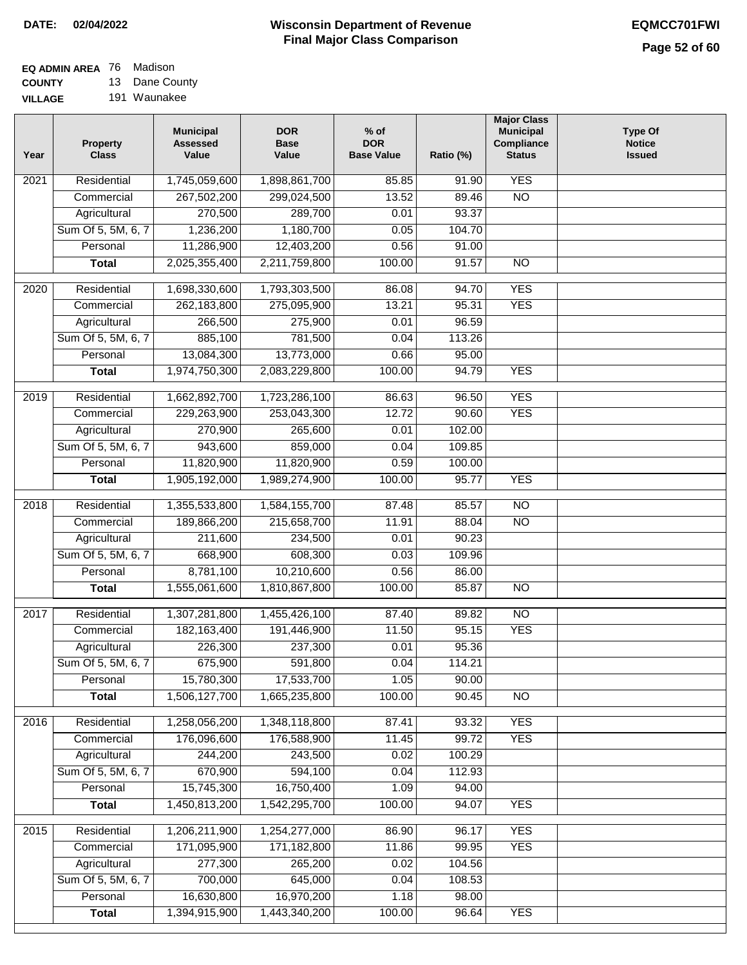# **EQ ADMIN AREA** 76 Madison

**COUNTY VILLAGE** 13 Dane County 191 Waunakee

| Year | <b>Property</b><br><b>Class</b> | <b>Municipal</b><br><b>Assessed</b><br>Value | <b>DOR</b><br><b>Base</b><br>Value | % of<br><b>DOR</b><br><b>Base Value</b> | Ratio (%) | <b>Major Class</b><br><b>Municipal</b><br>Compliance<br><b>Status</b> | <b>Type Of</b><br><b>Notice</b><br><b>Issued</b> |
|------|---------------------------------|----------------------------------------------|------------------------------------|-----------------------------------------|-----------|-----------------------------------------------------------------------|--------------------------------------------------|
| 2021 | Residential                     | 1,745,059,600                                | 1,898,861,700                      | 85.85                                   | 91.90     | <b>YES</b>                                                            |                                                  |
|      | Commercial                      | 267,502,200                                  | 299,024,500                        | 13.52                                   | 89.46     | $\overline{NO}$                                                       |                                                  |
|      | Agricultural                    | 270,500                                      | 289,700                            | 0.01                                    | 93.37     |                                                                       |                                                  |
|      | Sum Of 5, 5M, 6, 7              | 1,236,200                                    | 1,180,700                          | 0.05                                    | 104.70    |                                                                       |                                                  |
|      | Personal                        | 11,286,900                                   | 12,403,200                         | 0.56                                    | 91.00     |                                                                       |                                                  |
|      | <b>Total</b>                    | 2,025,355,400                                | 2,211,759,800                      | 100.00                                  | 91.57     | $\overline{NO}$                                                       |                                                  |
| 2020 | Residential                     | 1,698,330,600                                | 1,793,303,500                      | 86.08                                   | 94.70     | <b>YES</b>                                                            |                                                  |
|      | Commercial                      | 262,183,800                                  | 275,095,900                        | 13.21                                   | 95.31     | <b>YES</b>                                                            |                                                  |
|      | Agricultural                    | 266,500                                      | 275,900                            | 0.01                                    | 96.59     |                                                                       |                                                  |
|      | Sum Of 5, 5M, 6, 7              | 885,100                                      | 781,500                            | 0.04                                    | 113.26    |                                                                       |                                                  |
|      | Personal                        | 13,084,300                                   | 13,773,000                         | 0.66                                    | 95.00     |                                                                       |                                                  |
|      | <b>Total</b>                    | 1,974,750,300                                | 2,083,229,800                      | 100.00                                  | 94.79     | <b>YES</b>                                                            |                                                  |
| 2019 | Residential                     | 1,662,892,700                                | 1,723,286,100                      | 86.63                                   | 96.50     | <b>YES</b>                                                            |                                                  |
|      | Commercial                      | 229,263,900                                  | 253,043,300                        | 12.72                                   | 90.60     | <b>YES</b>                                                            |                                                  |
|      | Agricultural                    | 270,900                                      | 265,600                            | 0.01                                    | 102.00    |                                                                       |                                                  |
|      | Sum Of 5, 5M, 6, 7              | 943,600                                      | 859,000                            | 0.04                                    | 109.85    |                                                                       |                                                  |
|      | Personal                        | 11,820,900                                   | 11,820,900                         | 0.59                                    | 100.00    |                                                                       |                                                  |
|      | <b>Total</b>                    | 1,905,192,000                                | 1,989,274,900                      | 100.00                                  | 95.77     | <b>YES</b>                                                            |                                                  |
|      |                                 |                                              |                                    |                                         |           |                                                                       |                                                  |
| 2018 | Residential                     | 1,355,533,800                                | 1,584,155,700                      | 87.48                                   | 85.57     | $\overline{NO}$                                                       |                                                  |
|      | Commercial                      | 189,866,200                                  | 215,658,700                        | 11.91                                   | 88.04     | <b>NO</b>                                                             |                                                  |
|      | Agricultural                    | 211,600                                      | 234,500                            | 0.01                                    | 90.23     |                                                                       |                                                  |
|      | Sum Of 5, 5M, 6, 7              | 668,900                                      | 608,300                            | 0.03                                    | 109.96    |                                                                       |                                                  |
|      | Personal                        | 8,781,100                                    | 10,210,600                         | 0.56                                    | 86.00     |                                                                       |                                                  |
|      | <b>Total</b>                    | 1,555,061,600                                | 1,810,867,800                      | 100.00                                  | 85.87     | $\overline{10}$                                                       |                                                  |
| 2017 | Residential                     | 1,307,281,800                                | 1,455,426,100                      | 87.40                                   | 89.82     | $\overline{NO}$                                                       |                                                  |
|      | Commercial                      | 182, 163, 400                                | 191,446,900                        | 11.50                                   | 95.15     | <b>YES</b>                                                            |                                                  |
|      | Agricultural                    | 226,300                                      | 237,300                            | 0.01                                    | 95.36     |                                                                       |                                                  |
|      | Sum Of 5, 5M, 6, 7              | 675,900                                      | 591,800                            | 0.04                                    | 114.21    |                                                                       |                                                  |
|      | Personal                        | 15,780,300                                   | 17,533,700                         | 1.05                                    | 90.00     |                                                                       |                                                  |
|      | <b>Total</b>                    | 1,506,127,700                                | 1,665,235,800                      | 100.00                                  | 90.45     | <b>NO</b>                                                             |                                                  |
| 2016 | Residential                     | 1,258,056,200                                | 1,348,118,800                      | 87.41                                   | 93.32     | <b>YES</b>                                                            |                                                  |
|      | Commercial                      | 176,096,600                                  | 176,588,900                        | 11.45                                   | 99.72     | <b>YES</b>                                                            |                                                  |
|      | Agricultural                    | 244,200                                      | 243,500                            | 0.02                                    | 100.29    |                                                                       |                                                  |
|      | Sum Of 5, 5M, 6, 7              | 670,900                                      | 594,100                            | 0.04                                    | 112.93    |                                                                       |                                                  |
|      | Personal                        | 15,745,300                                   | 16,750,400                         | 1.09                                    | 94.00     |                                                                       |                                                  |
|      | <b>Total</b>                    | 1,450,813,200                                | 1,542,295,700                      | 100.00                                  | 94.07     | <b>YES</b>                                                            |                                                  |
| 2015 | Residential                     | 1,206,211,900                                | 1,254,277,000                      | 86.90                                   | 96.17     | <b>YES</b>                                                            |                                                  |
|      | Commercial                      | 171,095,900                                  | 171,182,800                        | 11.86                                   | 99.95     | <b>YES</b>                                                            |                                                  |
|      | Agricultural                    | 277,300                                      | 265,200                            | 0.02                                    | 104.56    |                                                                       |                                                  |
|      | Sum Of 5, 5M, 6, 7              | 700,000                                      | 645,000                            | 0.04                                    | 108.53    |                                                                       |                                                  |
|      | Personal                        | 16,630,800                                   | 16,970,200                         | 1.18                                    | 98.00     |                                                                       |                                                  |
|      | <b>Total</b>                    | 1,394,915,900                                | 1,443,340,200                      | 100.00                                  | 96.64     | <b>YES</b>                                                            |                                                  |
|      |                                 |                                              |                                    |                                         |           |                                                                       |                                                  |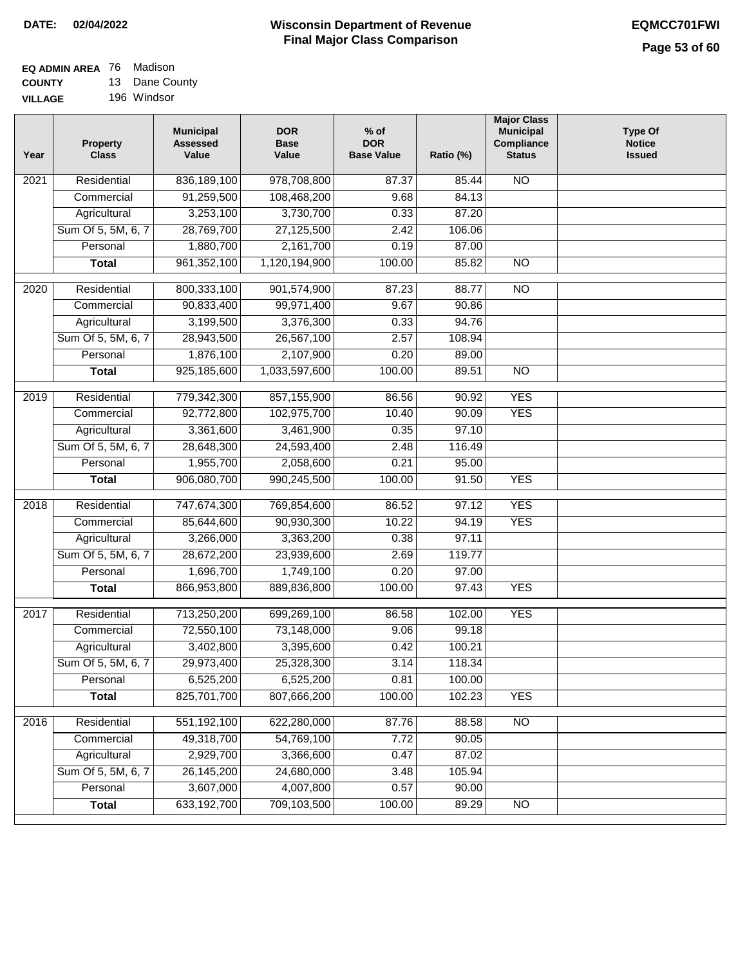#### **EQ ADMIN AREA** 76 Madison **COUNTY** 13 Dane County

**VILLAGE** 196 Windsor

| Year             | <b>Property</b><br><b>Class</b> | <b>Municipal</b><br><b>Assessed</b><br>Value | <b>DOR</b><br><b>Base</b><br>Value | $%$ of<br><b>DOR</b><br><b>Base Value</b> | Ratio (%) | <b>Major Class</b><br><b>Municipal</b><br>Compliance<br><b>Status</b> | <b>Type Of</b><br><b>Notice</b><br><b>Issued</b> |
|------------------|---------------------------------|----------------------------------------------|------------------------------------|-------------------------------------------|-----------|-----------------------------------------------------------------------|--------------------------------------------------|
| 2021             | Residential                     | 836,189,100                                  | 978,708,800                        | 87.37                                     | 85.44     | $\overline{NO}$                                                       |                                                  |
|                  | Commercial                      | 91,259,500                                   | 108,468,200                        | 9.68                                      | 84.13     |                                                                       |                                                  |
|                  | Agricultural                    | 3,253,100                                    | 3,730,700                          | 0.33                                      | 87.20     |                                                                       |                                                  |
|                  | Sum Of 5, 5M, 6, 7              | 28,769,700                                   | 27,125,500                         | 2.42                                      | 106.06    |                                                                       |                                                  |
|                  | Personal                        | 1,880,700                                    | 2,161,700                          | 0.19                                      | 87.00     |                                                                       |                                                  |
|                  | <b>Total</b>                    | 961, 352, 100                                | 1,120,194,900                      | 100.00                                    | 85.82     | $\overline{NO}$                                                       |                                                  |
| 2020             | Residential                     | 800,333,100                                  | 901,574,900                        | 87.23                                     | 88.77     | $\overline{NO}$                                                       |                                                  |
|                  | Commercial                      | 90,833,400                                   | 99,971,400                         | 9.67                                      | 90.86     |                                                                       |                                                  |
|                  | Agricultural                    | 3,199,500                                    | 3,376,300                          | 0.33                                      | 94.76     |                                                                       |                                                  |
|                  | Sum Of 5, 5M, 6, 7              | 28,943,500                                   | 26,567,100                         | 2.57                                      | 108.94    |                                                                       |                                                  |
|                  | Personal                        | 1,876,100                                    | 2,107,900                          | 0.20                                      | 89.00     |                                                                       |                                                  |
|                  | <b>Total</b>                    | 925,185,600                                  | 1,033,597,600                      | 100.00                                    | 89.51     | $\overline{NO}$                                                       |                                                  |
| $\frac{1}{2019}$ | Residential                     | 779,342,300                                  | 857,155,900                        | 86.56                                     | 90.92     | <b>YES</b>                                                            |                                                  |
|                  | Commercial                      | 92,772,800                                   | 102,975,700                        | 10.40                                     | 90.09     | <b>YES</b>                                                            |                                                  |
|                  | Agricultural                    | 3,361,600                                    | 3,461,900                          | 0.35                                      | 97.10     |                                                                       |                                                  |
|                  | Sum Of 5, 5M, 6, 7              | 28,648,300                                   | 24,593,400                         | 2.48                                      | 116.49    |                                                                       |                                                  |
|                  | Personal                        | 1,955,700                                    | 2,058,600                          | 0.21                                      | 95.00     |                                                                       |                                                  |
|                  | <b>Total</b>                    | 906,080,700                                  | 990,245,500                        | 100.00                                    | 91.50     | <b>YES</b>                                                            |                                                  |
| 2018             | Residential                     | 747,674,300                                  | 769,854,600                        | 86.52                                     | 97.12     | <b>YES</b>                                                            |                                                  |
|                  | Commercial                      | 85,644,600                                   | 90,930,300                         | 10.22                                     | 94.19     | <b>YES</b>                                                            |                                                  |
|                  | Agricultural                    | 3,266,000                                    | 3,363,200                          | 0.38                                      | 97.11     |                                                                       |                                                  |
|                  | Sum Of 5, 5M, 6, 7              | 28,672,200                                   | 23,939,600                         | 2.69                                      | 119.77    |                                                                       |                                                  |
|                  | Personal                        | 1,696,700                                    | 1,749,100                          | 0.20                                      | 97.00     |                                                                       |                                                  |
|                  | <b>Total</b>                    | 866,953,800                                  | 889,836,800                        | 100.00                                    | 97.43     | <b>YES</b>                                                            |                                                  |
|                  |                                 |                                              |                                    |                                           |           |                                                                       |                                                  |
| 2017             | Residential                     | 713,250,200                                  | 699,269,100                        | 86.58                                     | 102.00    | <b>YES</b>                                                            |                                                  |
|                  | Commercial                      | 72,550,100                                   | 73,148,000                         | 9.06                                      | 99.18     |                                                                       |                                                  |
|                  | Agricultural                    | 3,402,800                                    | 3,395,600                          | 0.42                                      | 100.21    |                                                                       |                                                  |
|                  | Sum Of 5, 5M, 6, 7              | 29,973,400                                   | 25,328,300                         | 3.14                                      | 118.34    |                                                                       |                                                  |
|                  | Personal                        | 6,525,200                                    | 6,525,200                          | 0.81                                      | 100.00    |                                                                       |                                                  |
|                  | <b>Total</b>                    | 825,701,700                                  | 807,666,200                        | 100.00                                    | 102.23    | <b>YES</b>                                                            |                                                  |
| 2016             | Residential                     | 551,192,100                                  | 622,280,000                        | 87.76                                     | 88.58     | $\overline{NO}$                                                       |                                                  |
|                  | Commercial                      | 49,318,700                                   | 54,769,100                         | 7.72                                      | 90.05     |                                                                       |                                                  |
|                  | Agricultural                    | 2,929,700                                    | 3,366,600                          | 0.47                                      | 87.02     |                                                                       |                                                  |
|                  | Sum Of 5, 5M, 6, 7              | 26, 145, 200                                 | 24,680,000                         | 3.48                                      | 105.94    |                                                                       |                                                  |
|                  | Personal                        | 3,607,000                                    | 4,007,800                          | 0.57                                      | 90.00     |                                                                       |                                                  |
|                  | <b>Total</b>                    | 633, 192, 700                                | 709,103,500                        | 100.00                                    | 89.29     | $\overline{NO}$                                                       |                                                  |
|                  |                                 |                                              |                                    |                                           |           |                                                                       |                                                  |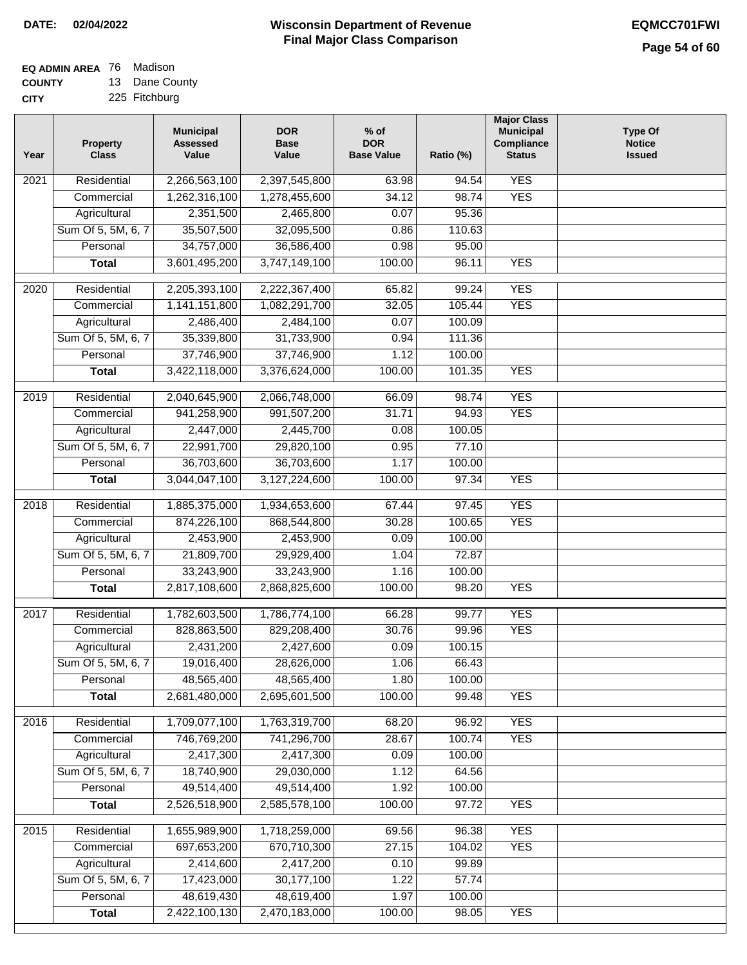## **EQ ADMIN AREA** 76 Madison

**COUNTY CITY** 13 Dane County

| Year              | <b>Property</b><br><b>Class</b>    | <b>Municipal</b><br><b>Assessed</b><br>Value | <b>DOR</b><br><b>Base</b><br>Value | $%$ of<br><b>DOR</b><br><b>Base Value</b> | Ratio (%)      | <b>Major Class</b><br><b>Municipal</b><br>Compliance<br><b>Status</b> | <b>Type Of</b><br><b>Notice</b><br><b>Issued</b> |
|-------------------|------------------------------------|----------------------------------------------|------------------------------------|-------------------------------------------|----------------|-----------------------------------------------------------------------|--------------------------------------------------|
| 2021              | Residential                        | 2,266,563,100                                | 2,397,545,800                      | 63.98                                     | 94.54          | <b>YES</b>                                                            |                                                  |
|                   | Commercial                         | 1,262,316,100                                | 1,278,455,600                      | 34.12                                     | 98.74          | <b>YES</b>                                                            |                                                  |
|                   | Agricultural                       | 2,351,500                                    | 2,465,800                          | 0.07                                      | 95.36          |                                                                       |                                                  |
|                   | Sum Of 5, 5M, 6, 7                 | 35,507,500                                   | 32,095,500                         | 0.86                                      | 110.63         |                                                                       |                                                  |
|                   | Personal                           | 34,757,000                                   | 36,586,400                         | 0.98                                      | 95.00          |                                                                       |                                                  |
|                   | <b>Total</b>                       | 3,601,495,200                                | 3,747,149,100                      | 100.00                                    | 96.11          | <b>YES</b>                                                            |                                                  |
| $\overline{2020}$ | Residential                        | 2,205,393,100                                | 2,222,367,400                      | 65.82                                     | 99.24          | <b>YES</b>                                                            |                                                  |
|                   | Commercial                         | 1,141,151,800                                | 1,082,291,700                      | 32.05                                     | 105.44         | <b>YES</b>                                                            |                                                  |
|                   | Agricultural                       | 2,486,400                                    | 2,484,100                          | 0.07                                      | 100.09         |                                                                       |                                                  |
|                   | Sum Of 5, 5M, 6, 7                 | 35,339,800                                   | 31,733,900                         | 0.94                                      | 111.36         |                                                                       |                                                  |
|                   | Personal                           | 37,746,900                                   | 37,746,900                         | 1.12                                      | 100.00         |                                                                       |                                                  |
|                   | <b>Total</b>                       | 3,422,118,000                                | 3,376,624,000                      | 100.00                                    | 101.35         | <b>YES</b>                                                            |                                                  |
|                   | Residential                        | 2,040,645,900                                |                                    |                                           |                | <b>YES</b>                                                            |                                                  |
| $\frac{1}{2019}$  |                                    |                                              | 2,066,748,000                      | 66.09                                     | 98.74<br>94.93 |                                                                       |                                                  |
|                   | Commercial                         | 941,258,900                                  | 991,507,200<br>2,445,700           | 31.71                                     | 100.05         | <b>YES</b>                                                            |                                                  |
|                   | Agricultural<br>Sum Of 5, 5M, 6, 7 | 2,447,000                                    |                                    | 0.08                                      | 77.10          |                                                                       |                                                  |
|                   | Personal                           | 22,991,700                                   | 29,820,100                         | 0.95                                      |                |                                                                       |                                                  |
|                   |                                    | 36,703,600                                   | 36,703,600                         | 1.17                                      | 100.00         |                                                                       |                                                  |
|                   | <b>Total</b>                       | 3,044,047,100                                | 3,127,224,600                      | 100.00                                    | 97.34          | <b>YES</b>                                                            |                                                  |
| 2018              | Residential                        | 1,885,375,000                                | 1,934,653,600                      | 67.44                                     | 97.45          | <b>YES</b>                                                            |                                                  |
|                   | Commercial                         | 874,226,100                                  | 868,544,800                        | 30.28                                     | 100.65         | <b>YES</b>                                                            |                                                  |
|                   | Agricultural                       | 2,453,900                                    | 2,453,900                          | 0.09                                      | 100.00         |                                                                       |                                                  |
|                   | Sum Of 5, 5M, 6, 7                 | 21,809,700                                   | 29,929,400                         | 1.04                                      | 72.87          |                                                                       |                                                  |
|                   | Personal                           | 33,243,900                                   | 33,243,900                         | 1.16                                      | 100.00         |                                                                       |                                                  |
|                   | <b>Total</b>                       | 2,817,108,600                                | 2,868,825,600                      | 100.00                                    | 98.20          | <b>YES</b>                                                            |                                                  |
| 2017              | Residential                        | 1,782,603,500                                | 1,786,774,100                      | 66.28                                     | 99.77          | <b>YES</b>                                                            |                                                  |
|                   | Commercial                         | 828,863,500                                  | 829,208,400                        | 30.76                                     | 99.96          | <b>YES</b>                                                            |                                                  |
|                   | Agricultural                       | 2,431,200                                    | 2,427,600                          | 0.09                                      | 100.15         |                                                                       |                                                  |
|                   | Sum Of 5, 5M, 6, 7                 | 19,016,400                                   | 28,626,000                         | 1.06                                      | 66.43          |                                                                       |                                                  |
|                   | Personal                           | 48,565,400                                   | 48,565,400                         | 1.80                                      | 100.00         |                                                                       |                                                  |
|                   | <b>Total</b>                       | 2,681,480,000                                | 2,695,601,500                      | 100.00                                    | 99.48          | <b>YES</b>                                                            |                                                  |
| 2016              |                                    |                                              |                                    |                                           | 96.92          | <b>YES</b>                                                            |                                                  |
|                   | Residential<br>Commercial          | 1,709,077,100<br>746,769,200                 | 1,763,319,700<br>741,296,700       | 68.20<br>28.67                            | 100.74         | <b>YES</b>                                                            |                                                  |
|                   |                                    | 2,417,300                                    | 2,417,300                          | 0.09                                      | 100.00         |                                                                       |                                                  |
|                   | Agricultural<br>Sum Of 5, 5M, 6, 7 |                                              |                                    |                                           | 64.56          |                                                                       |                                                  |
|                   | Personal                           | 18,740,900<br>49,514,400                     | 29,030,000<br>49,514,400           | 1.12                                      | 100.00         |                                                                       |                                                  |
|                   |                                    | 2,526,518,900                                |                                    | 1.92                                      |                |                                                                       |                                                  |
|                   | <b>Total</b>                       |                                              | 2,585,578,100                      | 100.00                                    | 97.72          | <b>YES</b>                                                            |                                                  |
| 2015              | Residential                        | 1,655,989,900                                | 1,718,259,000                      | 69.56                                     | 96.38          | <b>YES</b>                                                            |                                                  |
|                   | Commercial                         | 697,653,200                                  | 670,710,300                        | 27.15                                     | 104.02         | <b>YES</b>                                                            |                                                  |
|                   | Agricultural                       | 2,414,600                                    | 2,417,200                          | 0.10                                      | 99.89          |                                                                       |                                                  |
|                   | Sum Of 5, 5M, 6, 7                 | 17,423,000                                   | 30,177,100                         | 1.22                                      | 57.74          |                                                                       |                                                  |
|                   | Personal                           | 48,619,430                                   | 48,619,400                         | 1.97                                      | 100.00         |                                                                       |                                                  |
|                   | <b>Total</b>                       | 2,422,100,130                                | 2,470,183,000                      | 100.00                                    | 98.05          | <b>YES</b>                                                            |                                                  |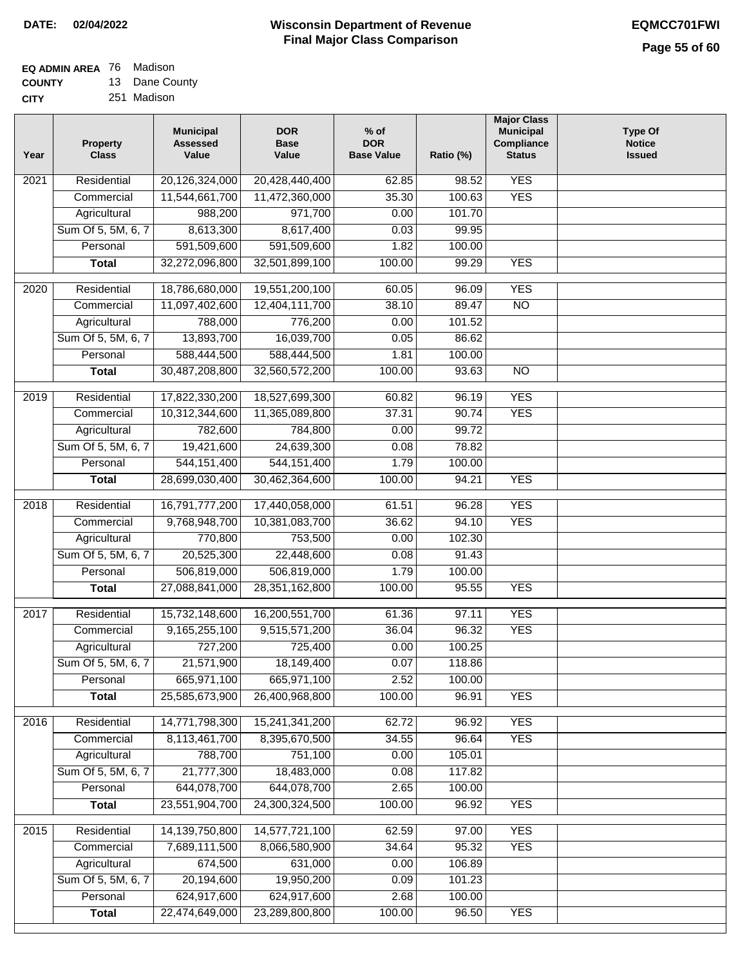## **Wisconsin Department of Revenue DATE: 02/04/2022 EQMCC701FWI Final Major Class Comparison**

| EQ ADMIN AREA 76 Madison |                |
|--------------------------|----------------|
| <b>COUNTY</b>            | 13 Dane County |

**COUNTY CITY** 251 Madison

| Year              | Property<br><b>Class</b> | <b>Municipal</b><br><b>Assessed</b><br>Value | <b>DOR</b><br><b>Base</b><br>Value | $%$ of<br><b>DOR</b><br><b>Base Value</b> | Ratio (%) | <b>Major Class</b><br><b>Municipal</b><br>Compliance<br><b>Status</b> | <b>Type Of</b><br><b>Notice</b><br><b>Issued</b> |
|-------------------|--------------------------|----------------------------------------------|------------------------------------|-------------------------------------------|-----------|-----------------------------------------------------------------------|--------------------------------------------------|
| $\overline{202}1$ | Residential              | 20,126,324,000                               | 20,428,440,400                     | 62.85                                     | 98.52     | <b>YES</b>                                                            |                                                  |
|                   | Commercial               | 11,544,661,700                               | 11,472,360,000                     | 35.30                                     | 100.63    | <b>YES</b>                                                            |                                                  |
|                   | Agricultural             | 988,200                                      | 971,700                            | 0.00                                      | 101.70    |                                                                       |                                                  |
|                   | Sum Of 5, 5M, 6, 7       | 8,613,300                                    | 8,617,400                          | 0.03                                      | 99.95     |                                                                       |                                                  |
|                   | Personal                 | 591,509,600                                  | 591,509,600                        | 1.82                                      | 100.00    |                                                                       |                                                  |
|                   | <b>Total</b>             | 32,272,096,800                               | 32,501,899,100                     | 100.00                                    | 99.29     | <b>YES</b>                                                            |                                                  |
| 2020              | Residential              | 18,786,680,000                               | 19,551,200,100                     | 60.05                                     | 96.09     | <b>YES</b>                                                            |                                                  |
|                   | Commercial               | 11,097,402,600                               | 12,404,111,700                     | 38.10                                     | 89.47     | $\overline{NO}$                                                       |                                                  |
|                   | Agricultural             | 788,000                                      | 776,200                            | 0.00                                      | 101.52    |                                                                       |                                                  |
|                   | Sum Of 5, 5M, 6, 7       | 13,893,700                                   | 16,039,700                         | 0.05                                      | 86.62     |                                                                       |                                                  |
|                   | Personal                 | 588,444,500                                  | 588,444,500                        | 1.81                                      | 100.00    |                                                                       |                                                  |
|                   | <b>Total</b>             | 30,487,208,800                               | 32,560,572,200                     | 100.00                                    | 93.63     | $\overline{NO}$                                                       |                                                  |
| 2019              | Residential              | 17,822,330,200                               | 18,527,699,300                     | 60.82                                     | 96.19     | <b>YES</b>                                                            |                                                  |
|                   | Commercial               | 10,312,344,600                               | 11,365,089,800                     | 37.31                                     | 90.74     | <b>YES</b>                                                            |                                                  |
|                   | Agricultural             | 782,600                                      | 784,800                            | 0.00                                      | 99.72     |                                                                       |                                                  |
|                   | Sum Of 5, 5M, 6, 7       | 19,421,600                                   | 24,639,300                         | 0.08                                      | 78.82     |                                                                       |                                                  |
|                   | Personal                 | 544, 151, 400                                | 544, 151, 400                      | 1.79                                      | 100.00    |                                                                       |                                                  |
|                   | <b>Total</b>             | 28,699,030,400                               | 30,462,364,600                     | 100.00                                    | 94.21     | <b>YES</b>                                                            |                                                  |
|                   |                          |                                              |                                    |                                           |           |                                                                       |                                                  |
| 2018              | Residential              | 16,791,777,200                               | 17,440,058,000                     | 61.51                                     | 96.28     | <b>YES</b>                                                            |                                                  |
|                   | Commercial               | 9,768,948,700                                | 10,381,083,700                     | 36.62                                     | 94.10     | <b>YES</b>                                                            |                                                  |
|                   | Agricultural             | 770,800                                      | 753,500                            | 0.00                                      | 102.30    |                                                                       |                                                  |
|                   | Sum Of 5, 5M, 6, 7       | 20,525,300                                   | 22,448,600                         | 0.08                                      | 91.43     |                                                                       |                                                  |
|                   | Personal                 | 506,819,000                                  | 506,819,000                        | 1.79                                      | 100.00    |                                                                       |                                                  |
|                   | <b>Total</b>             | 27,088,841,000                               | 28,351,162,800                     | 100.00                                    | 95.55     | <b>YES</b>                                                            |                                                  |
| 2017              | Residential              | 15,732,148,600                               | 16,200,551,700                     | 61.36                                     | 97.11     | <b>YES</b>                                                            |                                                  |
|                   | Commercial               | 9,165,255,100                                | 9,515,571,200                      | 36.04                                     | 96.32     | <b>YES</b>                                                            |                                                  |
|                   | Agricultural             | 727,200                                      | 725,400                            | 0.00                                      | 100.25    |                                                                       |                                                  |
|                   | Sum Of 5, 5M, 6, 7       | 21,571,900                                   | 18,149,400                         | 0.07                                      | 118.86    |                                                                       |                                                  |
|                   | Personal                 | 665,971,100                                  | 665,971,100                        | 2.52                                      | 100.00    |                                                                       |                                                  |
|                   | <b>Total</b>             | 25,585,673,900                               | 26,400,968,800                     | 100.00                                    | 96.91     | <b>YES</b>                                                            |                                                  |
| 2016              | Residential              | 14,771,798,300                               | 15,241,341,200                     | 62.72                                     | 96.92     | <b>YES</b>                                                            |                                                  |
|                   | Commercial               | 8,113,461,700                                | 8,395,670,500                      | 34.55                                     | 96.64     | <b>YES</b>                                                            |                                                  |
|                   | Agricultural             | 788,700                                      | 751,100                            | 0.00                                      | 105.01    |                                                                       |                                                  |
|                   | Sum Of 5, 5M, 6, 7       | 21,777,300                                   | 18,483,000                         | 0.08                                      | 117.82    |                                                                       |                                                  |
|                   | Personal                 | 644,078,700                                  | 644,078,700                        | 2.65                                      | 100.00    |                                                                       |                                                  |
|                   | <b>Total</b>             | 23,551,904,700                               | 24,300,324,500                     | 100.00                                    | 96.92     | <b>YES</b>                                                            |                                                  |
| 2015              | Residential              | 14,139,750,800                               | 14,577,721,100                     | 62.59                                     | 97.00     | <b>YES</b>                                                            |                                                  |
|                   | Commercial               | 7,689,111,500                                | 8,066,580,900                      | 34.64                                     | 95.32     | <b>YES</b>                                                            |                                                  |
|                   | Agricultural             | 674,500                                      | 631,000                            | 0.00                                      | 106.89    |                                                                       |                                                  |
|                   | Sum Of 5, 5M, 6, 7       | 20,194,600                                   | 19,950,200                         | 0.09                                      | 101.23    |                                                                       |                                                  |
|                   | Personal                 | 624,917,600                                  | 624,917,600                        | 2.68                                      | 100.00    |                                                                       |                                                  |
|                   | <b>Total</b>             | 22,474,649,000                               | 23,289,800,800                     | 100.00                                    | 96.50     | <b>YES</b>                                                            |                                                  |
|                   |                          |                                              |                                    |                                           |           |                                                                       |                                                  |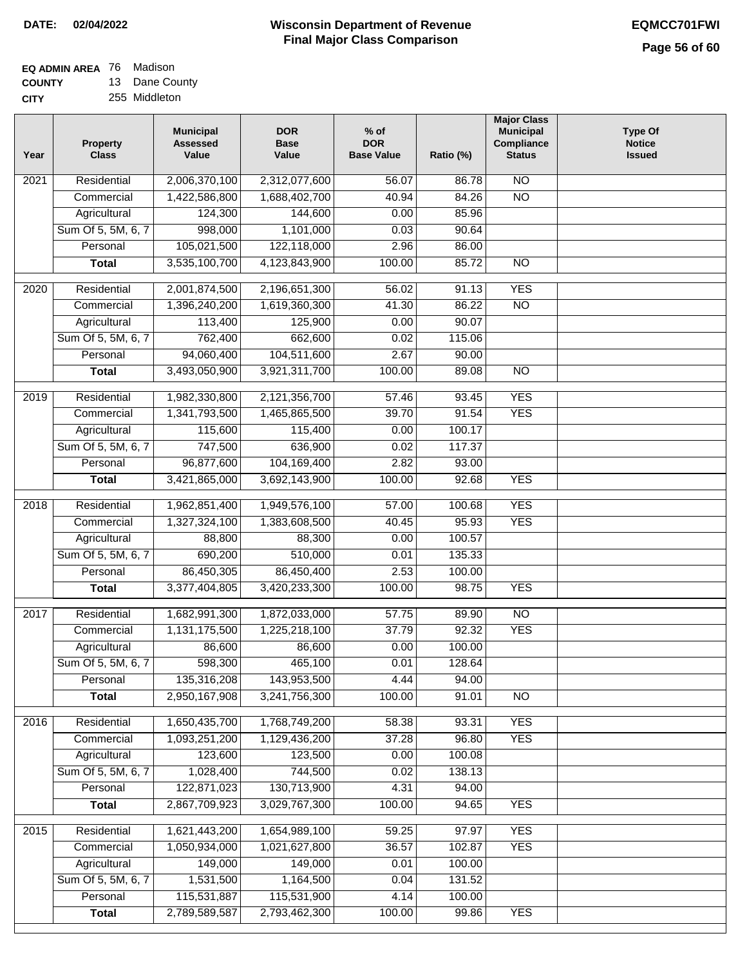## **EQ ADMIN AREA** 76 Madison **COUNTY**

**CITY** 13 Dane County 255 Middleton

| Year              | <b>Property</b><br><b>Class</b> | <b>Municipal</b><br><b>Assessed</b><br>Value | <b>DOR</b><br><b>Base</b><br>Value | $%$ of<br><b>DOR</b><br><b>Base Value</b> | Ratio (%) | <b>Major Class</b><br><b>Municipal</b><br>Compliance<br><b>Status</b> | <b>Type Of</b><br><b>Notice</b><br><b>Issued</b> |
|-------------------|---------------------------------|----------------------------------------------|------------------------------------|-------------------------------------------|-----------|-----------------------------------------------------------------------|--------------------------------------------------|
| $\overline{202}1$ | Residential                     | 2,006,370,100                                | 2,312,077,600                      | 56.07                                     | 86.78     | $\overline{NO}$                                                       |                                                  |
|                   | Commercial                      | 1,422,586,800                                | 1,688,402,700                      | 40.94                                     | 84.26     | $\overline{NO}$                                                       |                                                  |
|                   | Agricultural                    | 124,300                                      | 144,600                            | 0.00                                      | 85.96     |                                                                       |                                                  |
|                   | Sum Of 5, 5M, 6, 7              | 998,000                                      | 1,101,000                          | 0.03                                      | 90.64     |                                                                       |                                                  |
|                   | Personal                        | 105,021,500                                  | 122,118,000                        | 2.96                                      | 86.00     |                                                                       |                                                  |
|                   | <b>Total</b>                    | 3,535,100,700                                | 4,123,843,900                      | 100.00                                    | 85.72     | $\overline{NO}$                                                       |                                                  |
| $\overline{2020}$ | Residential                     | 2,001,874,500                                | 2,196,651,300                      | 56.02                                     | 91.13     | <b>YES</b>                                                            |                                                  |
|                   | Commercial                      | 1,396,240,200                                | 1,619,360,300                      | 41.30                                     | 86.22     | $\overline{NO}$                                                       |                                                  |
|                   | Agricultural                    | 113,400                                      | 125,900                            | 0.00                                      | 90.07     |                                                                       |                                                  |
|                   | Sum Of 5, 5M, 6, 7              | 762,400                                      | 662,600                            | 0.02                                      | 115.06    |                                                                       |                                                  |
|                   | Personal                        | 94,060,400                                   | 104,511,600                        | 2.67                                      | 90.00     |                                                                       |                                                  |
|                   | <b>Total</b>                    | 3,493,050,900                                | 3,921,311,700                      | 100.00                                    | 89.08     | $\overline{NO}$                                                       |                                                  |
| 2019              | Residential                     | 1,982,330,800                                | 2,121,356,700                      | 57.46                                     | 93.45     | <b>YES</b>                                                            |                                                  |
|                   | Commercial                      | 1,341,793,500                                | 1,465,865,500                      | 39.70                                     | 91.54     | <b>YES</b>                                                            |                                                  |
|                   | Agricultural                    | 115,600                                      | 115,400                            | 0.00                                      | 100.17    |                                                                       |                                                  |
|                   | Sum Of 5, 5M, 6, 7              | 747,500                                      | 636,900                            | 0.02                                      | 117.37    |                                                                       |                                                  |
|                   | Personal                        | 96,877,600                                   | 104,169,400                        | 2.82                                      | 93.00     |                                                                       |                                                  |
|                   | <b>Total</b>                    | 3,421,865,000                                | 3,692,143,900                      | 100.00                                    | 92.68     | <b>YES</b>                                                            |                                                  |
|                   |                                 |                                              |                                    |                                           |           |                                                                       |                                                  |
| 2018              | Residential                     | 1,962,851,400                                | 1,949,576,100                      | 57.00                                     | 100.68    | <b>YES</b>                                                            |                                                  |
|                   | Commercial                      | 1,327,324,100                                | 1,383,608,500                      | 40.45                                     | 95.93     | <b>YES</b>                                                            |                                                  |
|                   | Agricultural                    | 88,800                                       | 88,300                             | 0.00                                      | 100.57    |                                                                       |                                                  |
|                   | Sum Of 5, 5M, 6, 7              | 690,200                                      | 510,000                            | 0.01                                      | 135.33    |                                                                       |                                                  |
|                   | Personal                        | 86,450,305                                   | 86,450,400                         | 2.53                                      | 100.00    |                                                                       |                                                  |
|                   | <b>Total</b>                    | 3,377,404,805                                | 3,420,233,300                      | 100.00                                    | 98.75     | <b>YES</b>                                                            |                                                  |
| $\overline{2017}$ | Residential                     | 1,682,991,300                                | 1,872,033,000                      | 57.75                                     | 89.90     | N <sub>O</sub>                                                        |                                                  |
|                   | Commercial                      | 1,131,175,500                                | 1,225,218,100                      | 37.79                                     | 92.32     | <b>YES</b>                                                            |                                                  |
|                   | Agricultural                    | 86,600                                       | 86,600                             | 0.00                                      | 100.00    |                                                                       |                                                  |
|                   | Sum Of 5, 5M, 6, 7              | 598,300                                      | 465,100                            | 0.01                                      | 128.64    |                                                                       |                                                  |
|                   | Personal                        | 135,316,208                                  | 143,953,500                        | 4.44                                      | 94.00     |                                                                       |                                                  |
|                   | <b>Total</b>                    | 2,950,167,908                                | 3,241,756,300                      | 100.00                                    | 91.01     | <b>NO</b>                                                             |                                                  |
| 2016              | Residential                     | 1,650,435,700                                | 1,768,749,200                      | 58.38                                     | 93.31     | <b>YES</b>                                                            |                                                  |
|                   | Commercial                      | 1,093,251,200                                | 1,129,436,200                      | 37.28                                     | 96.80     | <b>YES</b>                                                            |                                                  |
|                   | Agricultural                    | 123,600                                      | 123,500                            | 0.00                                      | 100.08    |                                                                       |                                                  |
|                   | Sum Of 5, 5M, 6, 7              | 1,028,400                                    | 744,500                            | 0.02                                      | 138.13    |                                                                       |                                                  |
|                   | Personal                        | 122,871,023                                  | 130,713,900                        | 4.31                                      | 94.00     |                                                                       |                                                  |
|                   | <b>Total</b>                    | 2,867,709,923                                | 3,029,767,300                      | 100.00                                    | 94.65     | <b>YES</b>                                                            |                                                  |
| 2015              | Residential                     | 1,621,443,200                                | 1,654,989,100                      | 59.25                                     | 97.97     | <b>YES</b>                                                            |                                                  |
|                   | Commercial                      | 1,050,934,000                                | 1,021,627,800                      | 36.57                                     | 102.87    | <b>YES</b>                                                            |                                                  |
|                   | Agricultural                    | 149,000                                      | 149,000                            | 0.01                                      | 100.00    |                                                                       |                                                  |
|                   | Sum Of 5, 5M, 6, 7              | 1,531,500                                    | 1,164,500                          | 0.04                                      | 131.52    |                                                                       |                                                  |
|                   | Personal                        | 115,531,887                                  | 115,531,900                        | 4.14                                      | 100.00    |                                                                       |                                                  |
|                   | <b>Total</b>                    | 2,789,589,587                                | 2,793,462,300                      | 100.00                                    | 99.86     | <b>YES</b>                                                            |                                                  |
|                   |                                 |                                              |                                    |                                           |           |                                                                       |                                                  |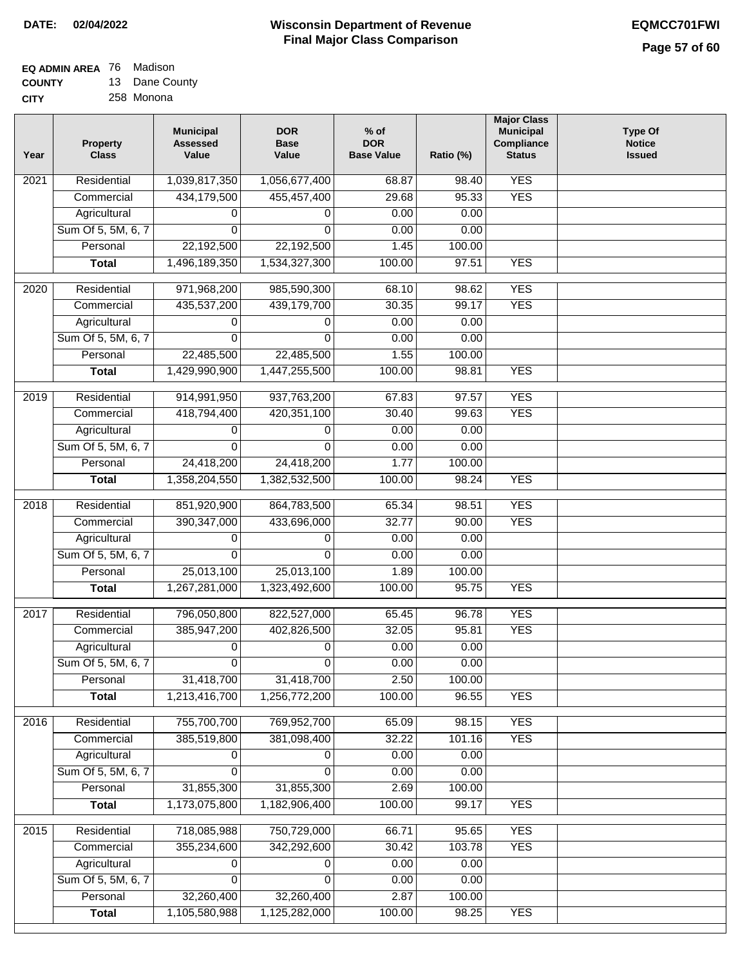### **EQ ADMIN AREA** 76 Madison **COUNTY**

**CITY** 13 Dane County 258 Monona

| Year              | <b>Property</b><br><b>Class</b> | <b>Municipal</b><br><b>Assessed</b><br>Value | <b>DOR</b><br><b>Base</b><br>Value | $%$ of<br><b>DOR</b><br><b>Base Value</b> | Ratio (%) | <b>Major Class</b><br><b>Municipal</b><br>Compliance<br><b>Status</b> | <b>Type Of</b><br><b>Notice</b><br><b>Issued</b> |
|-------------------|---------------------------------|----------------------------------------------|------------------------------------|-------------------------------------------|-----------|-----------------------------------------------------------------------|--------------------------------------------------|
| 2021              | Residential                     | 1,039,817,350                                | 1,056,677,400                      | 68.87                                     | 98.40     | <b>YES</b>                                                            |                                                  |
|                   | Commercial                      | 434,179,500                                  | 455,457,400                        | 29.68                                     | 95.33     | <b>YES</b>                                                            |                                                  |
|                   | Agricultural                    | 0                                            | 0                                  | 0.00                                      | 0.00      |                                                                       |                                                  |
|                   | Sum Of 5, 5M, 6, 7              | $\Omega$                                     | 0                                  | 0.00                                      | 0.00      |                                                                       |                                                  |
|                   | Personal                        | 22,192,500                                   | 22,192,500                         | 1.45                                      | 100.00    |                                                                       |                                                  |
|                   | <b>Total</b>                    | 1,496,189,350                                | 1,534,327,300                      | 100.00                                    | 97.51     | <b>YES</b>                                                            |                                                  |
| $\overline{2020}$ | Residential                     | 971,968,200                                  | 985,590,300                        | 68.10                                     | 98.62     | <b>YES</b>                                                            |                                                  |
|                   | Commercial                      | 435,537,200                                  | 439,179,700                        | 30.35                                     | 99.17     | <b>YES</b>                                                            |                                                  |
|                   | Agricultural                    | 0                                            | 0                                  | 0.00                                      | 0.00      |                                                                       |                                                  |
|                   | Sum Of 5, 5M, 6, 7              | 0                                            | 0                                  | 0.00                                      | 0.00      |                                                                       |                                                  |
|                   | Personal                        | 22,485,500                                   | 22,485,500                         | 1.55                                      | 100.00    |                                                                       |                                                  |
|                   | <b>Total</b>                    | 1,429,990,900                                | 1,447,255,500                      | 100.00                                    | 98.81     | <b>YES</b>                                                            |                                                  |
| 2019              | Residential                     | 914,991,950                                  | 937,763,200                        | 67.83                                     | 97.57     | <b>YES</b>                                                            |                                                  |
|                   | Commercial                      | 418,794,400                                  | 420,351,100                        | 30.40                                     | 99.63     | <b>YES</b>                                                            |                                                  |
|                   | Agricultural                    | 0                                            | 0                                  | 0.00                                      | 0.00      |                                                                       |                                                  |
|                   | Sum Of 5, 5M, 6, 7              | 0                                            | $\Omega$                           | 0.00                                      | 0.00      |                                                                       |                                                  |
|                   | Personal                        | 24,418,200                                   | 24,418,200                         | 1.77                                      | 100.00    |                                                                       |                                                  |
|                   | <b>Total</b>                    | 1,358,204,550                                | 1,382,532,500                      | 100.00                                    | 98.24     | <b>YES</b>                                                            |                                                  |
|                   |                                 |                                              |                                    |                                           |           |                                                                       |                                                  |
| 2018              | Residential                     | 851,920,900                                  | 864,783,500                        | 65.34                                     | 98.51     | <b>YES</b>                                                            |                                                  |
|                   | Commercial                      | 390, 347, 000                                | 433,696,000                        | 32.77                                     | 90.00     | <b>YES</b>                                                            |                                                  |
|                   | Agricultural                    | 0                                            | 0                                  | 0.00                                      | 0.00      |                                                                       |                                                  |
|                   | Sum Of 5, 5M, 6, 7              | 0                                            | 0                                  | 0.00                                      | 0.00      |                                                                       |                                                  |
|                   | Personal                        | 25,013,100                                   | 25,013,100                         | 1.89                                      | 100.00    |                                                                       |                                                  |
|                   | <b>Total</b>                    | 1,267,281,000                                | 1,323,492,600                      | 100.00                                    | 95.75     | <b>YES</b>                                                            |                                                  |
| 2017              | Residential                     | 796,050,800                                  | 822,527,000                        | 65.45                                     | 96.78     | <b>YES</b>                                                            |                                                  |
|                   | Commercial                      | 385,947,200                                  | 402,826,500                        | 32.05                                     | 95.81     | <b>YES</b>                                                            |                                                  |
|                   | Agricultural                    | 0                                            | 0                                  | 0.00                                      | 0.00      |                                                                       |                                                  |
|                   | Sum Of 5, 5M, 6, 7              | $\overline{0}$                               | 0                                  | 0.00                                      | 0.00      |                                                                       |                                                  |
|                   | Personal                        | 31,418,700                                   | 31,418,700                         | 2.50                                      | 100.00    |                                                                       |                                                  |
|                   | <b>Total</b>                    | 1,213,416,700                                | 1,256,772,200                      | 100.00                                    | 96.55     | <b>YES</b>                                                            |                                                  |
| 2016              | Residential                     | 755,700,700                                  | 769,952,700                        | 65.09                                     | 98.15     | <b>YES</b>                                                            |                                                  |
|                   | Commercial                      | 385,519,800                                  | 381,098,400                        | 32.22                                     | 101.16    | <b>YES</b>                                                            |                                                  |
|                   | Agricultural                    | 0                                            | 0                                  | 0.00                                      | 0.00      |                                                                       |                                                  |
|                   | Sum Of 5, 5M, 6, 7              | $\Omega$                                     | $\Omega$                           | 0.00                                      | 0.00      |                                                                       |                                                  |
|                   | Personal                        | 31,855,300                                   | 31,855,300                         | 2.69                                      | 100.00    |                                                                       |                                                  |
|                   | <b>Total</b>                    | 1,173,075,800                                | 1,182,906,400                      | 100.00                                    | 99.17     | <b>YES</b>                                                            |                                                  |
| 2015              | Residential                     | 718,085,988                                  | 750,729,000                        | 66.71                                     | 95.65     | <b>YES</b>                                                            |                                                  |
|                   | Commercial                      | 355,234,600                                  | 342,292,600                        | 30.42                                     | 103.78    | <b>YES</b>                                                            |                                                  |
|                   | Agricultural                    | 0                                            | 0                                  | 0.00                                      | 0.00      |                                                                       |                                                  |
|                   | Sum Of 5, 5M, 6, 7              | 0                                            | 0                                  | 0.00                                      | 0.00      |                                                                       |                                                  |
|                   | Personal                        | 32,260,400                                   | 32,260,400                         | 2.87                                      | 100.00    |                                                                       |                                                  |
|                   | <b>Total</b>                    | 1,105,580,988                                | 1,125,282,000                      | 100.00                                    | 98.25     | <b>YES</b>                                                            |                                                  |
|                   |                                 |                                              |                                    |                                           |           |                                                                       |                                                  |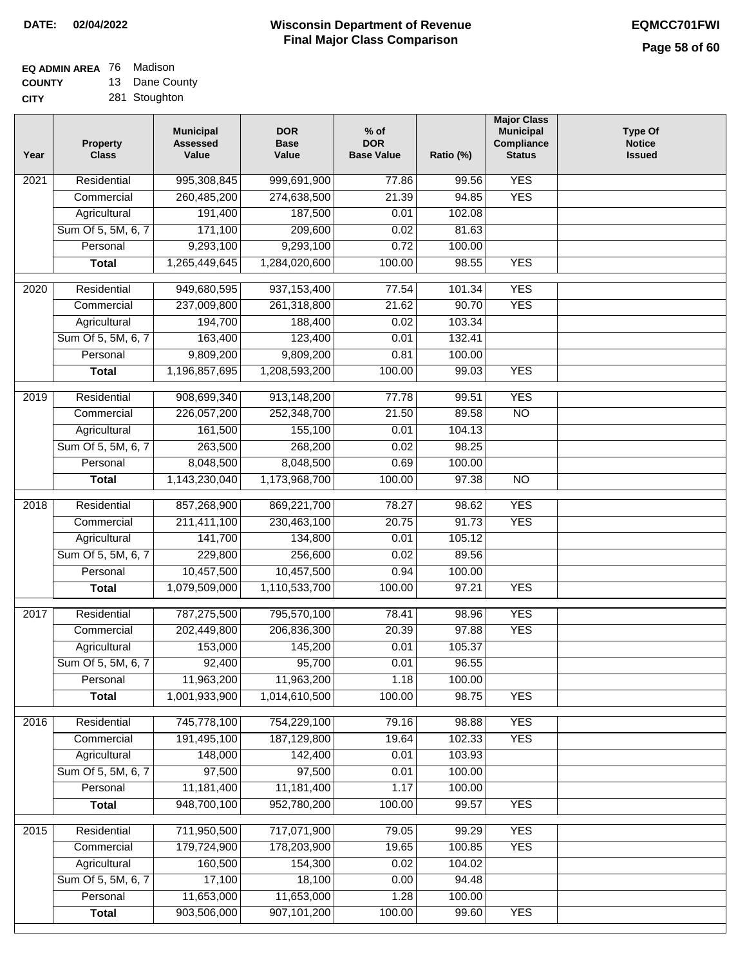| EQ ADMIN AREA 76 Madison |                   |
|--------------------------|-------------------|
| <b>AAIIIE</b>            | $12. \text{Base}$ |

**COUNTY CITY** 13 Dane County 281 Stoughton

| Year | Property<br><b>Class</b> | <b>Municipal</b><br><b>Assessed</b><br>Value | <b>DOR</b><br><b>Base</b><br>Value | % of<br><b>DOR</b><br><b>Base Value</b> | Ratio (%) | <b>Major Class</b><br><b>Municipal</b><br>Compliance<br><b>Status</b> | <b>Type Of</b><br><b>Notice</b><br><b>Issued</b> |
|------|--------------------------|----------------------------------------------|------------------------------------|-----------------------------------------|-----------|-----------------------------------------------------------------------|--------------------------------------------------|
| 2021 | Residential              | 995,308,845                                  | 999,691,900                        | 77.86                                   | 99.56     | <b>YES</b>                                                            |                                                  |
|      | Commercial               | 260,485,200                                  | 274,638,500                        | 21.39                                   | 94.85     | <b>YES</b>                                                            |                                                  |
|      | Agricultural             | 191,400                                      | 187,500                            | 0.01                                    | 102.08    |                                                                       |                                                  |
|      | Sum Of 5, 5M, 6, 7       | 171,100                                      | 209,600                            | 0.02                                    | 81.63     |                                                                       |                                                  |
|      | Personal                 | 9,293,100                                    | 9,293,100                          | 0.72                                    | 100.00    |                                                                       |                                                  |
|      | <b>Total</b>             | 1,265,449,645                                | 1,284,020,600                      | 100.00                                  | 98.55     | <b>YES</b>                                                            |                                                  |
| 2020 | Residential              | 949,680,595                                  | 937, 153, 400                      | 77.54                                   | 101.34    | <b>YES</b>                                                            |                                                  |
|      | Commercial               | 237,009,800                                  | 261,318,800                        | 21.62                                   | 90.70     | <b>YES</b>                                                            |                                                  |
|      | Agricultural             | 194,700                                      | 188,400                            | 0.02                                    | 103.34    |                                                                       |                                                  |
|      | Sum Of 5, 5M, 6, 7       | 163,400                                      | 123,400                            | 0.01                                    | 132.41    |                                                                       |                                                  |
|      | Personal                 | 9,809,200                                    | 9,809,200                          | 0.81                                    | 100.00    |                                                                       |                                                  |
|      | <b>Total</b>             | 1,196,857,695                                | 1,208,593,200                      | 100.00                                  | 99.03     | <b>YES</b>                                                            |                                                  |
| 2019 | Residential              | 908,699,340                                  | 913,148,200                        | 77.78                                   | 99.51     | <b>YES</b>                                                            |                                                  |
|      | Commercial               | 226,057,200                                  | 252,348,700                        | 21.50                                   | 89.58     | $\overline{NO}$                                                       |                                                  |
|      | Agricultural             | 161,500                                      | 155,100                            | 0.01                                    | 104.13    |                                                                       |                                                  |
|      | Sum Of 5, 5M, 6, 7       | 263,500                                      | 268,200                            | 0.02                                    | 98.25     |                                                                       |                                                  |
|      | Personal                 | 8,048,500                                    | 8,048,500                          | 0.69                                    | 100.00    |                                                                       |                                                  |
|      | <b>Total</b>             | 1,143,230,040                                | 1,173,968,700                      | 100.00                                  | 97.38     | $\overline{NO}$                                                       |                                                  |
| 2018 | Residential              | 857,268,900                                  | 869,221,700                        | 78.27                                   | 98.62     | <b>YES</b>                                                            |                                                  |
|      | Commercial               | 211,411,100                                  | 230,463,100                        | 20.75                                   | 91.73     | <b>YES</b>                                                            |                                                  |
|      | Agricultural             | 141,700                                      | 134,800                            | 0.01                                    | 105.12    |                                                                       |                                                  |
|      | Sum Of 5, 5M, 6, 7       | 229,800                                      | 256,600                            | 0.02                                    | 89.56     |                                                                       |                                                  |
|      | Personal                 | 10,457,500                                   | 10,457,500                         | 0.94                                    | 100.00    |                                                                       |                                                  |
|      | <b>Total</b>             | 1,079,509,000                                | 1,110,533,700                      | 100.00                                  | 97.21     | <b>YES</b>                                                            |                                                  |
|      |                          |                                              |                                    |                                         |           |                                                                       |                                                  |
| 2017 | Residential              | 787,275,500                                  | 795,570,100                        | 78.41                                   | 98.96     | <b>YES</b>                                                            |                                                  |
|      | Commercial               | 202,449,800                                  | 206,836,300                        | 20.39                                   | 97.88     | <b>YES</b>                                                            |                                                  |
|      | Agricultural             | 153,000                                      | 145,200                            | 0.01                                    | 105.37    |                                                                       |                                                  |
|      | Sum Of 5, 5M, 6, 7       | 92,400                                       | 95,700                             | 0.01                                    | 96.55     |                                                                       |                                                  |
|      | Personal                 | 11,963,200                                   | 11,963,200                         | 1.18                                    | 100.00    |                                                                       |                                                  |
|      | <b>Total</b>             | 1,001,933,900                                | 1,014,610,500                      | 100.00                                  | 98.75     | <b>YES</b>                                                            |                                                  |
| 2016 | Residential              | 745,778,100                                  | 754,229,100                        | 79.16                                   | 98.88     | <b>YES</b>                                                            |                                                  |
|      | Commercial               | 191,495,100                                  | 187,129,800                        | 19.64                                   | 102.33    | <b>YES</b>                                                            |                                                  |
|      | Agricultural             | 148,000                                      | 142,400                            | 0.01                                    | 103.93    |                                                                       |                                                  |
|      | Sum Of 5, 5M, 6, 7       | 97,500                                       | 97,500                             | 0.01                                    | 100.00    |                                                                       |                                                  |
|      | Personal                 | 11,181,400                                   | 11,181,400                         | 1.17                                    | 100.00    |                                                                       |                                                  |
|      | <b>Total</b>             | 948,700,100                                  | 952,780,200                        | 100.00                                  | 99.57     | <b>YES</b>                                                            |                                                  |
| 2015 | Residential              | 711,950,500                                  | 717,071,900                        | 79.05                                   | 99.29     | <b>YES</b>                                                            |                                                  |
|      | Commercial               | 179,724,900                                  | 178,203,900                        | 19.65                                   | 100.85    | <b>YES</b>                                                            |                                                  |
|      | Agricultural             | 160,500                                      | 154,300                            | 0.02                                    | 104.02    |                                                                       |                                                  |
|      | Sum Of 5, 5M, 6, 7       | 17,100                                       | 18,100                             | 0.00                                    | 94.48     |                                                                       |                                                  |
|      | Personal                 | 11,653,000                                   | 11,653,000                         | 1.28                                    | 100.00    |                                                                       |                                                  |
|      | <b>Total</b>             | 903,506,000                                  | 907,101,200                        | 100.00                                  | 99.60     | <b>YES</b>                                                            |                                                  |
|      |                          |                                              |                                    |                                         |           |                                                                       |                                                  |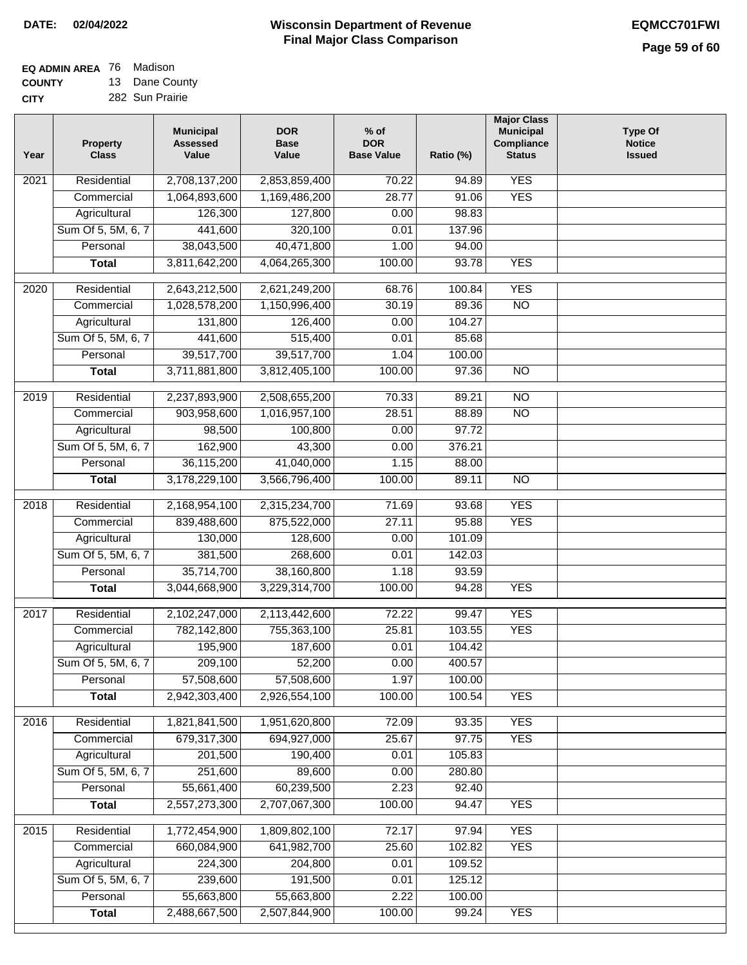## **EQ ADMIN AREA** 76 Madison **COUNTY**

**CITY** 13 Dane County 282 Sun Prairie

| Year              | <b>Property</b><br><b>Class</b>    | <b>Municipal</b><br><b>Assessed</b><br>Value | <b>DOR</b><br><b>Base</b><br>Value | $%$ of<br><b>DOR</b><br><b>Base Value</b> | Ratio (%) | <b>Major Class</b><br><b>Municipal</b><br>Compliance<br><b>Status</b> | <b>Type Of</b><br><b>Notice</b><br><b>Issued</b> |
|-------------------|------------------------------------|----------------------------------------------|------------------------------------|-------------------------------------------|-----------|-----------------------------------------------------------------------|--------------------------------------------------|
| $\overline{202}1$ | Residential                        | 2,708,137,200                                | 2,853,859,400                      | 70.22                                     | 94.89     | <b>YES</b>                                                            |                                                  |
|                   | Commercial                         | 1,064,893,600                                | 1,169,486,200                      | 28.77                                     | 91.06     | <b>YES</b>                                                            |                                                  |
|                   | Agricultural                       | 126,300                                      | 127,800                            | 0.00                                      | 98.83     |                                                                       |                                                  |
|                   | Sum Of 5, 5M, 6, 7                 | 441,600                                      | 320,100                            | 0.01                                      | 137.96    |                                                                       |                                                  |
|                   | Personal                           | 38,043,500                                   | 40,471,800                         | 1.00                                      | 94.00     |                                                                       |                                                  |
|                   | <b>Total</b>                       | 3,811,642,200                                | 4,064,265,300                      | 100.00                                    | 93.78     | <b>YES</b>                                                            |                                                  |
| $\overline{2020}$ | Residential                        | 2,643,212,500                                | 2,621,249,200                      | 68.76                                     | 100.84    | <b>YES</b>                                                            |                                                  |
|                   | Commercial                         | 1,028,578,200                                | 1,150,996,400                      | 30.19                                     | 89.36     | $\overline{NO}$                                                       |                                                  |
|                   | Agricultural                       | 131,800                                      | 126,400                            | 0.00                                      | 104.27    |                                                                       |                                                  |
|                   | Sum Of 5, 5M, 6, 7                 | 441,600                                      | 515,400                            | 0.01                                      | 85.68     |                                                                       |                                                  |
|                   | Personal                           | 39,517,700                                   | 39,517,700                         | 1.04                                      | 100.00    |                                                                       |                                                  |
|                   | <b>Total</b>                       | 3,711,881,800                                | 3,812,405,100                      | 100.00                                    | 97.36     | $\overline{NO}$                                                       |                                                  |
|                   | Residential                        | 2,237,893,900                                | 2,508,655,200                      | 70.33                                     | 89.21     | $\overline{10}$                                                       |                                                  |
| 2019              | Commercial                         | 903,958,600                                  | 1,016,957,100                      | 28.51                                     | 88.89     | $\overline{NO}$                                                       |                                                  |
|                   |                                    | 98,500                                       | 100,800                            | 0.00                                      | 97.72     |                                                                       |                                                  |
|                   | Agricultural<br>Sum Of 5, 5M, 6, 7 | 162,900                                      | 43,300                             | 0.00                                      | 376.21    |                                                                       |                                                  |
|                   | Personal                           | 36,115,200                                   | 41,040,000                         | 1.15                                      | 88.00     |                                                                       |                                                  |
|                   | <b>Total</b>                       | 3,178,229,100                                | 3,566,796,400                      | 100.00                                    | 89.11     | $\overline{NO}$                                                       |                                                  |
|                   |                                    |                                              |                                    |                                           |           |                                                                       |                                                  |
| 2018              | Residential                        | 2,168,954,100                                | 2,315,234,700                      | 71.69                                     | 93.68     | <b>YES</b>                                                            |                                                  |
|                   | Commercial                         | 839,488,600                                  | 875,522,000                        | 27.11                                     | 95.88     | <b>YES</b>                                                            |                                                  |
|                   | Agricultural                       | 130,000                                      | 128,600                            | 0.00                                      | 101.09    |                                                                       |                                                  |
|                   | Sum Of 5, 5M, 6, 7                 | 381,500                                      | 268,600                            | 0.01                                      | 142.03    |                                                                       |                                                  |
|                   | Personal                           | 35,714,700                                   | 38,160,800                         | 1.18                                      | 93.59     |                                                                       |                                                  |
|                   | <b>Total</b>                       | 3,044,668,900                                | 3,229,314,700                      | 100.00                                    | 94.28     | <b>YES</b>                                                            |                                                  |
| 2017              | Residential                        | 2,102,247,000                                | 2,113,442,600                      | 72.22                                     | 99.47     | <b>YES</b>                                                            |                                                  |
|                   | Commercial                         | 782,142,800                                  | 755,363,100                        | 25.81                                     | 103.55    | <b>YES</b>                                                            |                                                  |
|                   | Agricultural                       | 195,900                                      | 187,600                            | 0.01                                      | 104.42    |                                                                       |                                                  |
|                   | Sum Of 5, 5M, 6, 7                 | 209,100                                      | 52,200                             | 0.00                                      | 400.57    |                                                                       |                                                  |
|                   | Personal                           | 57,508,600                                   | 57,508,600                         | 1.97                                      | 100.00    |                                                                       |                                                  |
|                   | <b>Total</b>                       | 2,942,303,400                                | 2,926,554,100                      | 100.00                                    | 100.54    | <b>YES</b>                                                            |                                                  |
| 2016              | Residential                        | 1,821,841,500                                | 1,951,620,800                      | 72.09                                     | 93.35     | <b>YES</b>                                                            |                                                  |
|                   | Commercial                         | 679,317,300                                  | 694,927,000                        | 25.67                                     | 97.75     | <b>YES</b>                                                            |                                                  |
|                   | Agricultural                       | 201,500                                      | 190,400                            | 0.01                                      | 105.83    |                                                                       |                                                  |
|                   | Sum Of 5, 5M, 6, 7                 | 251,600                                      | 89,600                             | 0.00                                      | 280.80    |                                                                       |                                                  |
|                   | Personal                           | 55,661,400                                   | 60,239,500                         | 2.23                                      | 92.40     |                                                                       |                                                  |
|                   | <b>Total</b>                       | 2,557,273,300                                | 2,707,067,300                      | 100.00                                    | 94.47     | <b>YES</b>                                                            |                                                  |
|                   |                                    |                                              |                                    |                                           |           |                                                                       |                                                  |
| 2015              | Residential                        | 1,772,454,900                                | 1,809,802,100                      | 72.17                                     | 97.94     | <b>YES</b>                                                            |                                                  |
|                   | Commercial                         | 660,084,900                                  | 641,982,700                        | 25.60                                     | 102.82    | <b>YES</b>                                                            |                                                  |
|                   | Agricultural                       | 224,300                                      | 204,800                            | 0.01                                      | 109.52    |                                                                       |                                                  |
|                   | Sum Of 5, 5M, 6, 7                 | 239,600                                      | 191,500                            | 0.01                                      | 125.12    |                                                                       |                                                  |
|                   | Personal                           | 55,663,800                                   | 55,663,800                         | 2.22                                      | 100.00    |                                                                       |                                                  |
|                   | <b>Total</b>                       | 2,488,667,500                                | 2,507,844,900                      | 100.00                                    | 99.24     | <b>YES</b>                                                            |                                                  |